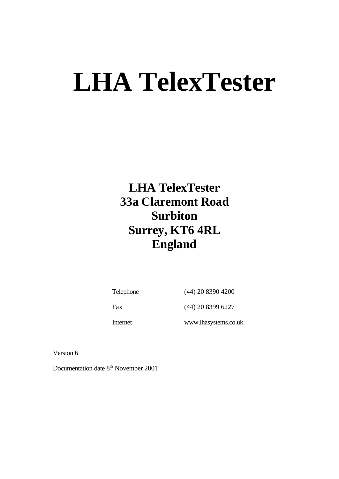**LHA TelexTester 33a Claremont Road Surbiton Surrey, KT6 4RL England**

Telephone (44) 20 8390 4200

Fax (44) 20 8399 6227

Internet www.lhasystems.co.uk

Version 6

Documentation date 8<sup>th</sup> November 2001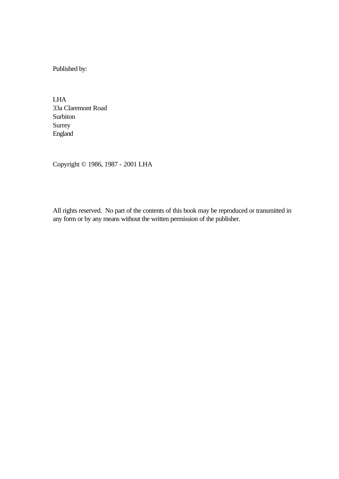Published by:

LHA 33a Claremont Road Surbiton Surrey England

Copyright © 1986, 1987 - 2001 LHA

All rights reserved. No part of the contents of this book may be reproduced or transmitted in any form or by any means without the written permission of the publisher.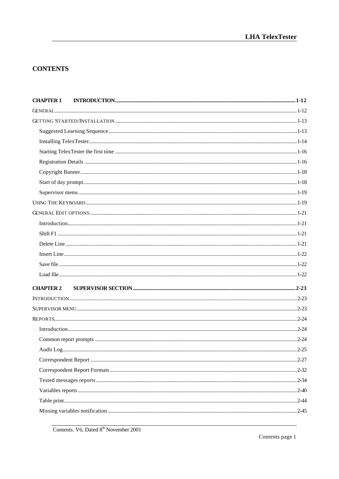# **CONTENTS**

| <b>CHAPTER 2</b><br>2-25 | <b>CHAPTER 1</b> |  |
|--------------------------|------------------|--|
|                          |                  |  |
|                          |                  |  |
|                          |                  |  |
|                          |                  |  |
|                          |                  |  |
|                          |                  |  |
|                          |                  |  |
|                          |                  |  |
|                          |                  |  |
|                          |                  |  |
|                          |                  |  |
|                          |                  |  |
|                          |                  |  |
|                          |                  |  |
|                          |                  |  |
|                          |                  |  |
|                          |                  |  |
|                          |                  |  |
|                          |                  |  |
|                          |                  |  |
|                          |                  |  |
|                          |                  |  |
|                          |                  |  |
|                          |                  |  |
|                          |                  |  |
|                          |                  |  |
|                          |                  |  |
|                          |                  |  |
|                          |                  |  |
|                          |                  |  |

Contents. V6, Dated 8<sup>th</sup> November 2001

Contents page 1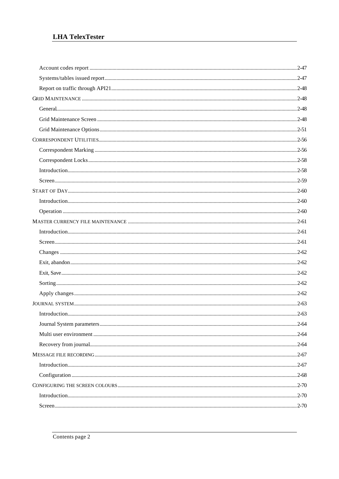| $Introduction 2-63$ |  |
|---------------------|--|
|                     |  |
|                     |  |
|                     |  |
|                     |  |
|                     |  |
|                     |  |
|                     |  |
|                     |  |
|                     |  |
|                     |  |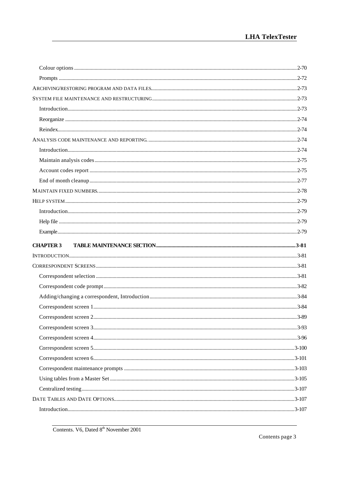| <b>CHAPTER 3</b> |           |
|------------------|-----------|
|                  |           |
|                  |           |
|                  |           |
|                  |           |
|                  |           |
|                  |           |
|                  |           |
|                  | $.3 - 89$ |
|                  |           |
|                  |           |
|                  |           |
|                  |           |
|                  |           |
|                  |           |
|                  |           |
|                  |           |
|                  |           |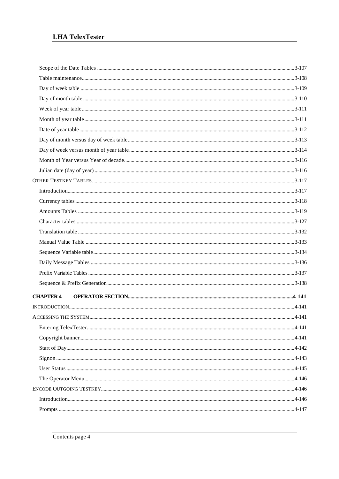| <b>CHAPTER 4</b> |  |
|------------------|--|
|                  |  |
|                  |  |
|                  |  |
|                  |  |
|                  |  |
|                  |  |
|                  |  |
|                  |  |
|                  |  |
|                  |  |
|                  |  |
|                  |  |
|                  |  |
|                  |  |
|                  |  |
|                  |  |
|                  |  |
|                  |  |
|                  |  |
|                  |  |
|                  |  |
|                  |  |
|                  |  |
|                  |  |
|                  |  |
|                  |  |
|                  |  |
|                  |  |
|                  |  |
|                  |  |
|                  |  |
|                  |  |
|                  |  |
|                  |  |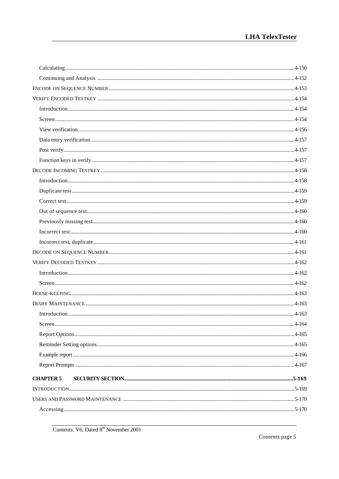| $Introduction 4-162$ |  |
|----------------------|--|
|                      |  |
|                      |  |
|                      |  |
|                      |  |
|                      |  |
|                      |  |
|                      |  |
|                      |  |
|                      |  |
| <b>CHAPTER 5</b>     |  |
|                      |  |
|                      |  |
|                      |  |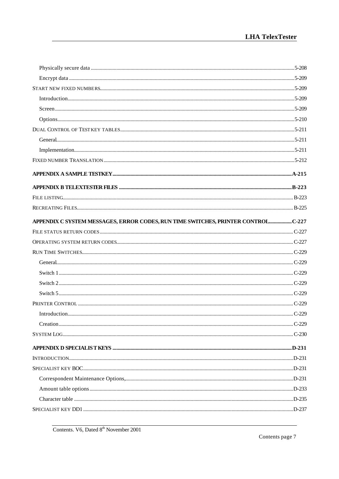| APPENDIX C SYSTEM MESSAGES, ERROR CODES, RUN TIME SWITCHES, PRINTER CONTROLC-227 |  |
|----------------------------------------------------------------------------------|--|
|                                                                                  |  |
|                                                                                  |  |
|                                                                                  |  |
|                                                                                  |  |
|                                                                                  |  |
|                                                                                  |  |
|                                                                                  |  |
|                                                                                  |  |
|                                                                                  |  |
|                                                                                  |  |
|                                                                                  |  |
|                                                                                  |  |
|                                                                                  |  |
|                                                                                  |  |
|                                                                                  |  |
|                                                                                  |  |
|                                                                                  |  |
|                                                                                  |  |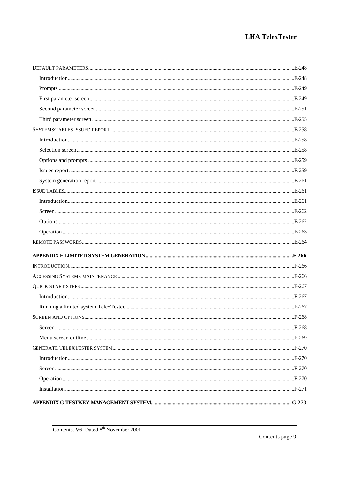| $I_n = 271$ |  |
|-------------|--|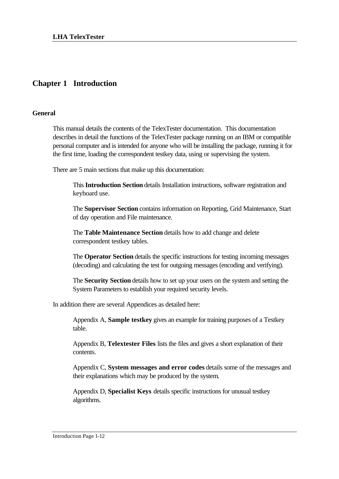# **Chapter 1 Introduction**

#### **General**

This manual details the contents of the TelexTester documentation. This documentation describes in detail the functions of the TelexTester package running on an IBM or compatible personal computer and is intended for anyone who will be installing the package, running it for the first time, loading the correspondent testkey data, using or supervising the system.

There are 5 main sections that make up this documentation:

This **Introduction Section** details Installation instructions, software registration and keyboard use.

The **Supervisor Section** contains information on Reporting, Grid Maintenance, Start of day operation and File maintenance.

The **Table Maintenance Section** details how to add change and delete correspondent testkey tables.

The **Operator Section** details the specific instructions for testing incoming messages (decoding) and calculating the test for outgoing messages (encoding and verifying).

The **Security Section** details how to set up your users on the system and setting the System Parameters to establish your required security levels.

In addition there are several Appendices as detailed here:

Appendix A, **Sample testkey** gives an example for training purposes of a Testkey table.

Appendix B, **Telextester Files** lists the files and gives a short explanation of their contents.

Appendix C, **System messages and error codes** details some of the messages and their explanations which may be produced by the system.

Appendix D, **Specialist Keys** details specific instructions for unusual testkey algorithms.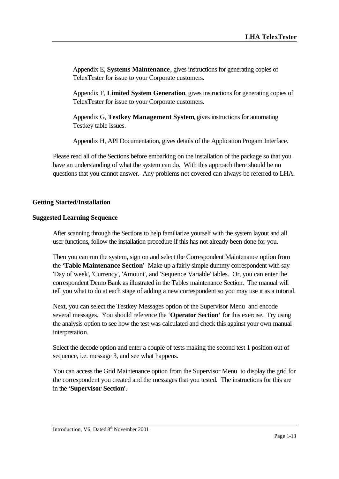Appendix E, **Systems Maintenance**, gives instructions for generating copies of TelexTester for issue to your Corporate customers.

Appendix F, **Limited System Generation**, gives instructions for generating copies of TelexTester for issue to your Corporate customers.

Appendix G, **Testkey Management System**, gives instructions for automating Testkey table issues.

Appendix H, API Documentation, gives details of the Application Progam Interface.

Please read all of the Sections before embarking on the installation of the package so that you have an understanding of what the system can do. With this approach there should be no questions that you cannot answer. Any problems not covered can always be referred to LHA.

#### **Getting Started/Installation**

#### **Suggested Learning Sequence**

After scanning through the Sections to help familiarize yourself with the system layout and all user functions, follow the installation procedure if this has not already been done for you.

Then you can run the system, sign on and select the Correspondent Maintenance option from the '**Table Maintenance Section**' Make up a fairly simple dummy correspondent with say 'Day of week', 'Currency', 'Amount', and 'Sequence Variable' tables. Or, you can enter the correspondent Demo Bank as illustrated in the Tables maintenance Section. The manual will tell you what to do at each stage of adding a new correspondent so you may use it as a tutorial.

Next, you can select the Testkey Messages option of the Supervisor Menu and encode several messages. You should reference the '**Operator Section'** for this exercise. Try using the analysis option to see how the test was calculated and check this against your own manual interpretation.

Select the decode option and enter a couple of tests making the second test 1 position out of sequence, i.e. message 3, and see what happens.

You can access the Grid Maintenance option from the Supervisor Menu to display the grid for the correspondent you created and the messages that you tested. The instructions for this are in the '**Supervisor Section**'.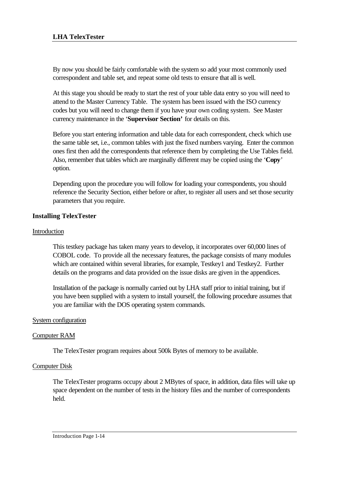By now you should be fairly comfortable with the system so add your most commonly used correspondent and table set, and repeat some old tests to ensure that all is well.

At this stage you should be ready to start the rest of your table data entry so you will need to attend to the Master Currency Table. The system has been issued with the ISO currency codes but you will need to change them if you have your own coding system. See Master currency maintenance in the '**Supervisor Section'** for details on this.

Before you start entering information and table data for each correspondent, check which use the same table set, i.e., common tables with just the fixed numbers varying. Enter the common ones first then add the correspondents that reference them by completing the Use Tables field. Also, remember that tables which are marginally different may be copied using the '**Copy**' option.

Depending upon the procedure you will follow for loading your correspondents, you should reference the Security Section, either before or after, to register all users and set those security parameters that you require.

# **Installing TelexTester**

# Introduction

This testkey package has taken many years to develop, it incorporates over 60,000 lines of COBOL code. To provide all the necessary features, the package consists of many modules which are contained within several libraries, for example, Testkey1 and Testkey2. Further details on the programs and data provided on the issue disks are given in the appendices.

Installation of the package is normally carried out by LHA staff prior to initial training, but if you have been supplied with a system to install yourself, the following procedure assumes that you are familiar with the DOS operating system commands.

# System configuration

# Computer RAM

The TelexTester program requires about 500k Bytes of memory to be available.

# Computer Disk

The TelexTester programs occupy about 2 MBytes of space, in addition, data files will take up space dependent on the number of tests in the history files and the number of correspondents held.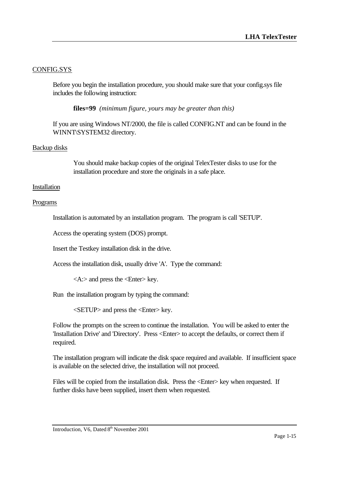# CONFIG.SYS

Before you begin the installation procedure, you should make sure that your config.sys file includes the following instruction:

**files=99** *(minimum figure, yours may be greater than this)*

If you are using Windows NT/2000, the file is called CONFIG.NT and can be found in the WINNT\SYSTEM32 directory.

# Backup disks

You should make backup copies of the original TelexTester disks to use for the installation procedure and store the originals in a safe place.

#### Installation

#### Programs

Installation is automated by an installation program. The program is call 'SETUP'.

Access the operating system (DOS) prompt.

Insert the Testkey installation disk in the drive.

Access the installation disk, usually drive 'A'. Type the command:

<A:> and press the <Enter> key.

Run the installation program by typing the command:

<SETUP> and press the <Enter> key.

Follow the prompts on the screen to continue the installation. You will be asked to enter the 'Installation Drive' and 'Directory'. Press <Enter> to accept the defaults, or correct them if required.

The installation program will indicate the disk space required and available. If insufficient space is available on the selected drive, the installation will not proceed.

Files will be copied from the installation disk. Press the  $\leq$  Enter $\geq$  key when requested. If further disks have been supplied, insert them when requested.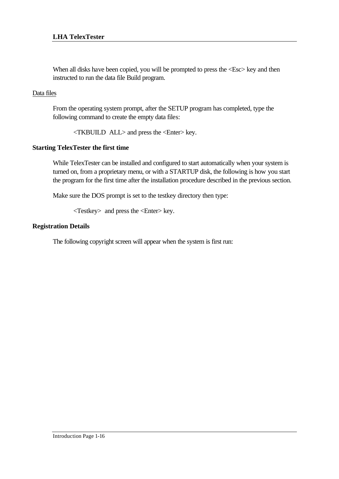When all disks have been copied, you will be prompted to press the  $\langle Esc \rangle$  key and then instructed to run the data file Build program.

#### Data files

From the operating system prompt, after the SETUP program has completed, type the following command to create the empty data files:

<TKBUILD ALL> and press the <Enter> key.

# **Starting TelexTester the first time**

While TelexTester can be installed and configured to start automatically when your system is turned on, from a proprietary menu, or with a STARTUP disk, the following is how you start the program for the first time after the installation procedure described in the previous section.

Make sure the DOS prompt is set to the testkey directory then type:

<Testkey> and press the <Enter> key.

#### **Registration Details**

The following copyright screen will appear when the system is first run: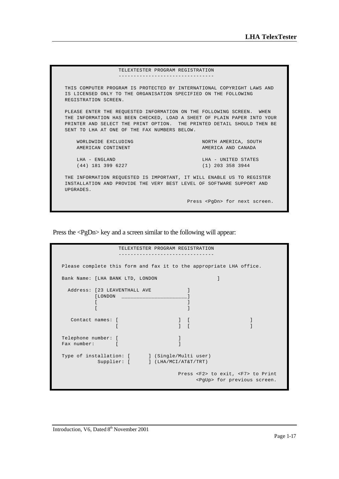| TELEXTESTER PROGRAM REGISTRATION                                                                                                                                                                                                                                          |                                           |  |
|---------------------------------------------------------------------------------------------------------------------------------------------------------------------------------------------------------------------------------------------------------------------------|-------------------------------------------|--|
|                                                                                                                                                                                                                                                                           |                                           |  |
| THIS COMPUTER PROGRAM IS PROTECTED BY INTERNATIONAL COPYRIGHT LAWS AND<br>IS LICENSED ONLY TO THE ORGANISATION SPECIFIED ON THE FOLLOWING<br>REGISTRATION SCREEN.                                                                                                         |                                           |  |
| PLEASE ENTER THE REOUESTED INFORMATION ON THE FOLLOWING SCREEN. WHEN<br>THE INFORMATION HAS BEEN CHECKED, LOAD A SHEET OF PLAIN PAPER INTO YOUR<br>PRINTER AND SELECT THE PRINT OPTION. THE PRINTED DETAIL SHOULD THEN BE<br>SENT TO LHA AT ONE OF THE FAX NUMBERS BELOW. |                                           |  |
| WORLDWIDE EXCLUDING                                                                                                                                                                                                                                                       | NORTH AMERICA, SOUTH                      |  |
| AMERICAN CONTINENT                                                                                                                                                                                                                                                        | AMERICA AND CANADA                        |  |
| LHA - ENGLAND<br>$(44)$ 181 399 6227                                                                                                                                                                                                                                      | LHA - UNITED STATES<br>$(1)$ 203 358 3944 |  |
| THE INFORMATION REOUESTED IS IMPORTANT, IT WILL ENABLE US TO REGISTER<br>INSTALLATION AND PROVIDE THE VERY BEST LEVEL OF SOFTWARE SUPPORT AND<br>UPGRADES.                                                                                                                |                                           |  |
|                                                                                                                                                                                                                                                                           | Press <pqdn> for next screen.</pqdn>      |  |

Press the <PgDn> key and a screen similar to the following will appear:

| TELEXTESTER PROGRAM REGISTRATION                                                   |  |  |  |
|------------------------------------------------------------------------------------|--|--|--|
|                                                                                    |  |  |  |
| Please complete this form and fax it to the appropriate LHA office.                |  |  |  |
| Bank Name: [LHA BANK LTD, LONDON                                                   |  |  |  |
| Address: [23 LEAVENTHALL AVE<br>[LONDON]                                           |  |  |  |
| Contact names: [                                                                   |  |  |  |
| Telephone number: [<br>Fax number:                                                 |  |  |  |
| Type of installation: [ ] (Single/Multi user)<br>Supplier: [ ] (LHA/MCI/AT&T/TRT)  |  |  |  |
| Press <f2> to exit, <f7> to Print<br/><pgup> for previous screen.</pgup></f7></f2> |  |  |  |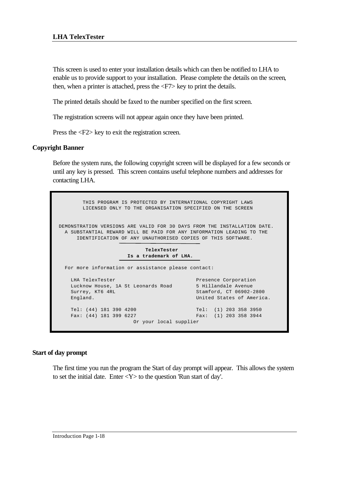This screen is used to enter your installation details which can then be notified to LHA to enable us to provide support to your installation. Please complete the details on the screen, then, when a printer is attached, press the <F7> key to print the details.

The printed details should be faxed to the number specified on the first screen.

The registration screens will not appear again once they have been printed.

Press the <F2> key to exit the registration screen.

# **Copyright Banner**

Before the system runs, the following copyright screen will be displayed for a few seconds or until any key is pressed. This screen contains useful telephone numbers and addresses for contacting LHA.

 THIS PROGRAM IS PROTECTED BY INTERNATIONAL COPYRIGHT LAWS LICENSED ONLY TO THE ORGANISATION SPECIFIED ON THE SCREEN DEMONSTRATION VERSIONS ARE VALID FOR 30 DAYS FROM THE INSTALLATION DATE. A SUBSTANTIAL REWARD WILL BE PAID FOR ANY INFORMATION LEADING TO THE IDENTIFICATION OF ANY UNAUTHORISED COPIES OF THIS SOFTWARE.  **TelexTester Is a trademark of LHA.** For more information or assistance please contact: LHA TelexTester Presence Corporation Lucknow House, 1A St Leonards Road 5 Hillandale Avenue Surrey, KT6 4RL Stamford, CT 06902-2800 England. The contract of America. Tel: (44) 181 390 4200 Tel: (1) 203 358 3950 Fax: (44) 181 399 6227 Fax: (1) 203 358 3944 Or your local supplier

#### **Start of day prompt**

The first time you run the program the Start of day prompt will appear. This allows the system to set the initial date. Enter  $<\!\!Y\!\!>$  to the question 'Run start of day'.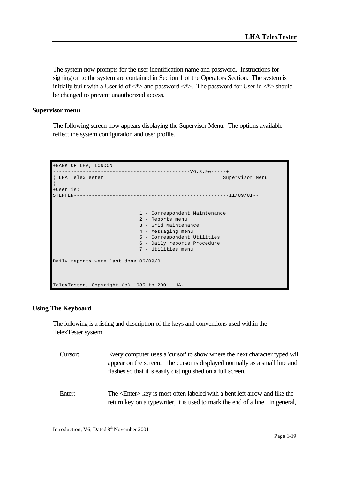The system now prompts for the user identification name and password. Instructions for signing on to the system are contained in Section 1 of the Operators Section. The system is initially built with a User id of  $\langle\!\!\!\!\rangle$  and password  $\langle\!\!\!\!\rangle$ . The password for User id  $\langle\!\!\!\!\rangle$  should be changed to prevent unauthorized access.

#### **Supervisor menu**

The following screen now appears displaying the Supervisor Menu. The options available reflect the system configuration and user profile.

```
+BANK OF LHA, LONDON 
----------------------------------------------V6.3.9e-----+
¦ LHA TelexTester Supervisor Menu 
¦
+User is: 
STEPHEN----------------------------------------------------11/09/01--+
                            1 - Correspondent Maintenance
                           2 - Reports menu
                           3 - Grid Maintenance
                           4 - Messaging menu
                           5 - Correspondent Utilities
                            6 - Daily reports Procedure
                            7 - Utilities menu
Daily reports were last done 06/09/01
TelexTester, Copyright (c) 1985 to 2001 LHA.
```
# **Using The Keyboard**

The following is a listing and description of the keys and conventions used within the TelexTester system.

| Cursor: | Every computer uses a 'cursor' to show where the next character typed will<br>appear on the screen. The cursor is displayed normally as a small line and<br>flashes so that it is easily distinguished on a full screen. |
|---------|--------------------------------------------------------------------------------------------------------------------------------------------------------------------------------------------------------------------------|
| Enter:  | The <enter> key is most often labeled with a bent left arrow and like the<br/>return key on a typewriter, it is used to mark the end of a line. In general,</enter>                                                      |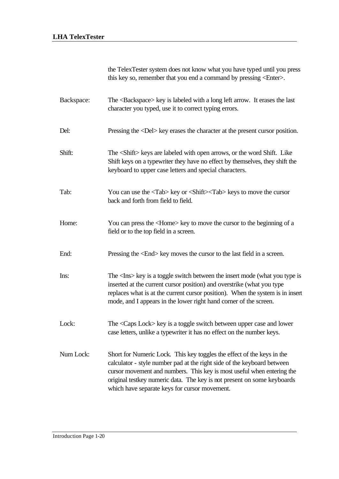| the TelexTester system does not know what you have typed until you press  |
|---------------------------------------------------------------------------|
| this key so, remember that you end a command by pressing <enter>.</enter> |

- Backspace: The <Backspace> key is labeled with a long left arrow. It erases the last character you typed, use it to correct typing errors. Del: Pressing the <Del> key erases the character at the present cursor position.
- Shift: The <Shift> keys are labeled with open arrows, or the word Shift. Like Shift keys on a typewriter they have no effect by themselves, they shift the keyboard to upper case letters and special characters.
- Tab: You can use the <Tab> key or <Shift><Tab> keys to move the cursor back and forth from field to field.
- Home: You can press the <Home> key to move the cursor to the beginning of a field or to the top field in a screen.
- End: Pressing the  $\leq$ End $\geq$  key moves the cursor to the last field in a screen.
- Ins: The <Ins> key is a toggle switch between the insert mode (what you type is inserted at the current cursor position) and overstrike (what you type replaces what is at the current cursor position). When the system is in insert mode, and I appears in the lower right hand corner of the screen.
- Lock: The <Caps Lock> key is a toggle switch between upper case and lower case letters, unlike a typewriter it has no effect on the number keys.
- Num Lock: Short for Numeric Lock. This key toggles the effect of the keys in the calculator - style number pad at the right side of the keyboard between cursor movement and numbers. This key is most useful when entering the original testkey numeric data. The key is not present on some keyboards which have separate keys for cursor movement.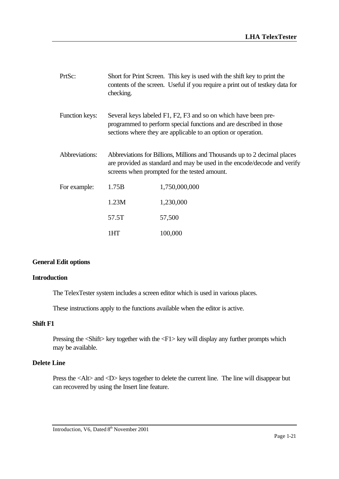| PrtSc:         | checking.                                                                                                                                                                                             | Short for Print Screen. This key is used with the shift key to print the<br>contents of the screen. Useful if you require a print out of test key data for |  |
|----------------|-------------------------------------------------------------------------------------------------------------------------------------------------------------------------------------------------------|------------------------------------------------------------------------------------------------------------------------------------------------------------|--|
| Function keys: | Several keys labeled F1, F2, F3 and so on which have been pre-<br>programmed to perform special functions and are described in those<br>sections where they are applicable to an option or operation. |                                                                                                                                                            |  |
| Abbreviations: | Abbreviations for Billions, Millions and Thousands up to 2 decimal places<br>are provided as standard and may be used in the encode/decode and verify<br>screens when prompted for the tested amount. |                                                                                                                                                            |  |
| For example:   | 1.75B                                                                                                                                                                                                 | 1,750,000,000                                                                                                                                              |  |
|                | 1.23M                                                                                                                                                                                                 | 1,230,000                                                                                                                                                  |  |
|                | 57.5T                                                                                                                                                                                                 | 57,500                                                                                                                                                     |  |
|                | 1HT                                                                                                                                                                                                   | 100,000                                                                                                                                                    |  |

#### **General Edit options**

#### **Introduction**

The TelexTester system includes a screen editor which is used in various places.

These instructions apply to the functions available when the editor is active.

#### **Shift F1**

Pressing the <Shift> key together with the <F1> key will display any further prompts which may be available.

#### **Delete Line**

Press the <Alt> and <D> keys together to delete the current line. The line will disappear but can recovered by using the Insert line feature.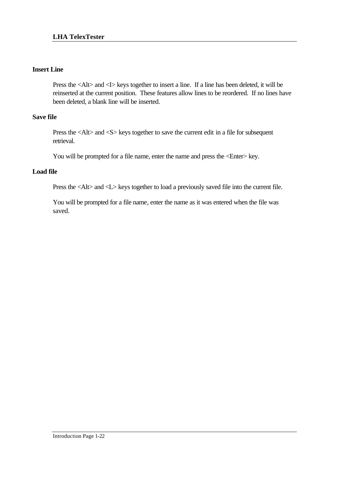# **Insert Line**

Press the <Alt> and <I> keys together to insert a line. If a line has been deleted, it will be reinserted at the current position. These features allow lines to be reordered. If no lines have been deleted, a blank line will be inserted.

# **Save file**

Press the <Alt> and <S> keys together to save the current edit in a file for subsequent retrieval.

You will be prompted for a file name, enter the name and press the <Enter> key.

# **Load file**

Press the <Alt> and <L> keys together to load a previously saved file into the current file.

You will be prompted for a file name, enter the name as it was entered when the file was saved.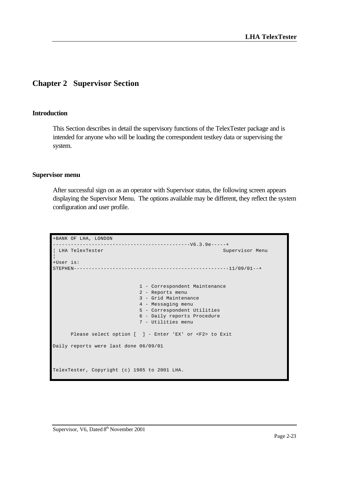# **Chapter 2 Supervisor Section**

#### **Introduction**

This Section describes in detail the supervisory functions of the TelexTester package and is intended for anyone who will be loading the correspondent testkey data or supervising the system.

#### **Supervisor menu**

After successful sign on as an operator with Supervisor status, the following screen appears displaying the Supervisor Menu. The options available may be different, they reflect the system configuration and user profile.

```
+BANK OF LHA, LONDON 
 ----------------------------------------------V6.3.9e-----+
¦ LHA TelexTester Supervisor Menu 
¦
+User is: 
STEPHEN----------------------------------------------------11/09/01--+
                           1 - Correspondent Maintenance
                           2 - Reports menu
                           3 - Grid Maintenance
                            4 - Messaging menu
                            5 - Correspondent Utilities
                            6 - Daily reports Procedure
                            7 - Utilities menu
      Please select option [ ] - Enter 'EX' or <F2> to Exit
Daily reports were last done 06/09/01
TelexTester, Copyright (c) 1985 to 2001 LHA.
```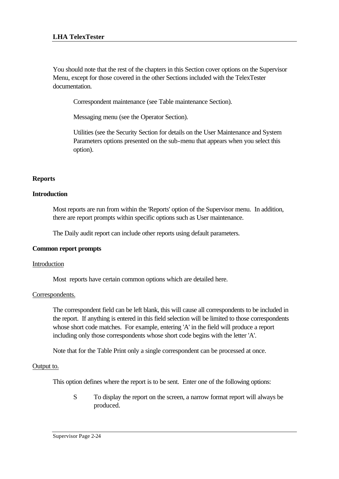You should note that the rest of the chapters in this Section cover options on the Supervisor Menu, except for those covered in the other Sections included with the TelexTester documentation.

Correspondent maintenance (see Table maintenance Section).

Messaging menu (see the Operator Section).

Utilities (see the Security Section for details on the User Maintenance and System Parameters options presented on the sub-menu that appears when you select this option).

# **Reports**

# **Introduction**

Most reports are run from within the 'Reports' option of the Supervisor menu. In addition, there are report prompts within specific options such as User maintenance.

The Daily audit report can include other reports using default parameters.

# **Common report prompts**

# Introduction

Most reports have certain common options which are detailed here.

#### Correspondents.

The correspondent field can be left blank, this will cause all correspondents to be included in the report. If anything is entered in this field selection will be limited to those correspondents whose short code matches. For example, entering 'A' in the field will produce a report including only those correspondents whose short code begins with the letter 'A'.

Note that for the Table Print only a single correspondent can be processed at once.

# Output to.

This option defines where the report is to be sent. Enter one of the following options:

S To display the report on the screen, a narrow format report will always be produced.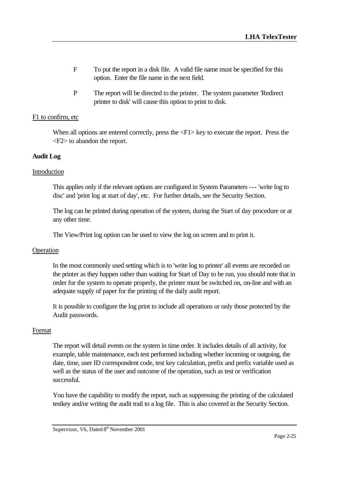- F To put the report in a disk file. A valid file name must be specified for this option. Enter the file name in the next field.
- P The report will be directed to the printer. The system parameter 'Redirect printer to disk' will cause this option to print to disk.

#### F1 to confirm, etc

When all options are entered correctly, press the <F1> key to execute the report. Press the <F2> to abandon the report.

#### **Audit Log**

#### Introduction

This applies only if the relevant options are configured in System Parameters --- 'write log to disc' and 'print log at start of day', etc. For further details, see the Security Section.

The log can be printed during operation of the system, during the Start of day procedure or at any other time.

The View/Print log option can be used to view the log on screen and to print it.

#### Operation

In the most commonly used setting which is to 'write log to printer' all events are recorded on the printer as they happen rather than waiting for Start of Day to be run, you should note that in order for the system to operate properly, the printer must be switched on, on-line and with an adequate supply of paper for the printing of the daily audit report.

It is possible to configure the log print to include all operations or only those protected by the Audit passwords.

#### Format

The report will detail events on the system in time order. It includes details of all activity, for example, table maintenance, each test performed including whether incoming or outgoing, the date, time, user ID correspondent code, test key calculation, prefix and prefix variable used as well as the status of the user and outcome of the operation, such as test or verification successful.

You have the capability to modify the report, such as suppressing the printing of the calculated testkey and/or writing the audit trail to a log file. This is also covered in the Security Section.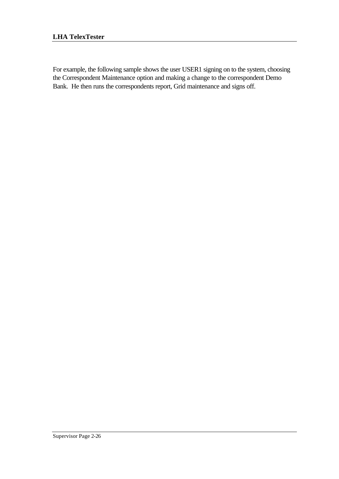For example, the following sample shows the user USER1 signing on to the system, choosing the Correspondent Maintenance option and making a change to the correspondent Demo Bank. He then runs the correspondents report, Grid maintenance and signs off.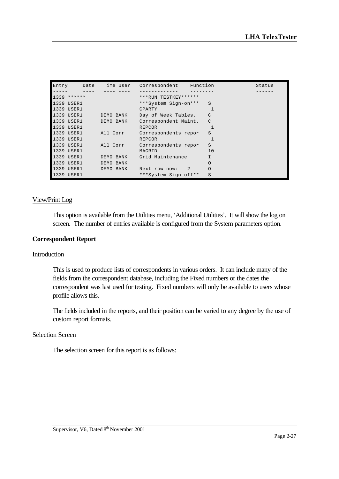| Entry | Date                | Time User            | Correspondent        | Function      | Status |
|-------|---------------------|----------------------|----------------------|---------------|--------|
|       |                     |                      |                      |               |        |
|       | $1339$ ******       |                      | ***RUN TESTKEY****** |               |        |
|       | 1339 USER1          |                      | ***System Sign-on*** | S             |        |
|       | 1339 USER1          |                      | CPARTY               |               |        |
|       | 1339 USER1          | DEMO BANK            | Day of Week Tables.  | C             |        |
|       |                     | 1339 USER1 DEMO BANK | Correspondent Maint. | $\mathcal{C}$ |        |
|       | 1339 USER1          |                      | <b>REPCOR</b>        |               |        |
|       | 1339 USER1 All Corr |                      | Correspondents repor | S             |        |
|       | 1339 USER1          |                      | REPCOR               |               |        |
|       |                     | 1339 USER1 All Corr  | Correspondents repor | S             |        |
|       | 1339 USER1          |                      | MAGRID               | 10            |        |
|       | 1339 USER1          | DEMO BANK            | Grid Maintenance     | T             |        |
|       | 1339 USER1          | DEMO BANK            |                      | O             |        |
|       | 1339 USER1          | DEMO BANK            | Next row now: 2      | $\circ$       |        |
|       | 1339 USER1          |                      | ***System Sign-off** | S             |        |

#### View/Print Log

This option is available from the Utilities menu, 'Additional Utilities'. It will show the log on screen. The number of entries available is configured from the System parameters option.

#### **Correspondent Report**

#### Introduction

This is used to produce lists of correspondents in various orders. It can include many of the fields from the correspondent database, including the Fixed numbers or the dates the correspondent was last used for testing. Fixed numbers will only be available to users whose profile allows this.

The fields included in the reports, and their position can be varied to any degree by the use of custom report formats.

#### **Selection Screen**

The selection screen for this report is as follows: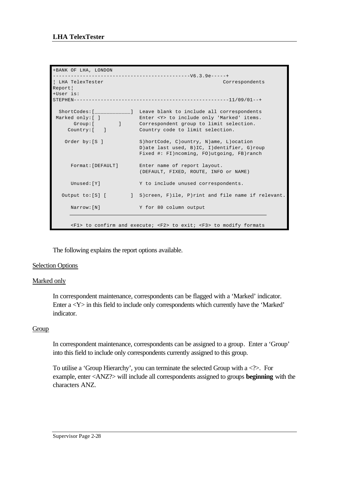```
+BANK OF LHA, LONDON 
----------------------------------------------V6.3.9e-----+
¦ LHA TelexTester Correspondents 
Report¦
+User is: 
STRPHEN------------------------------------------------------11/09/01--+ShortCodes:[____________] Leave blank to include all correspondents<br>Marked only:[ ] Enter <Y> to include only 'Marked' items.<br>Group:[ ] Correspondent group to limit selection.
 Marked only:[ ] Enter <Y> to include only 'Marked' items. 
 Group:[ ] Correspondent group to limit selection. 
 Country:[ ] Country code to limit selection. 
   Order by: [S ] S)hortCode, C)ountry, N)ame, L)ocation
                          D)ate last used, B)IC, I)dentifier, G)roup 
                            Fixed #: FI)ncoming, FO)utgoing, FB)ranch 
 Format:[DEFAULT] Enter name of report layout. 
 (DEFAULT, FIXED, ROUTE, INFO or NAME) 
     Unused: [Y] Y to include unused correspondents.
  Output to:[S] [ ] S)creen, F)ile, P)rint and file name if relevant.
     Narrow: [N] Y for 80 column output
      <F1> to confirm and execute; <F2> to exit; <F3> to modify formats
```
The following explains the report options available.

# Selection Options

# Marked only

In correspondent maintenance, correspondents can be flagged with a 'Marked' indicator. Enter a <Y> in this field to include only correspondents which currently have the 'Marked' indicator.

#### Group

In correspondent maintenance, correspondents can be assigned to a group. Enter a 'Group' into this field to include only correspondents currently assigned to this group.

To utilise a 'Group Hierarchy', you can terminate the selected Group with a  $\langle\cdot\rangle$ . For example, enter <ANZ?> will include all correspondents assigned to groups **beginning** with the characters ANZ.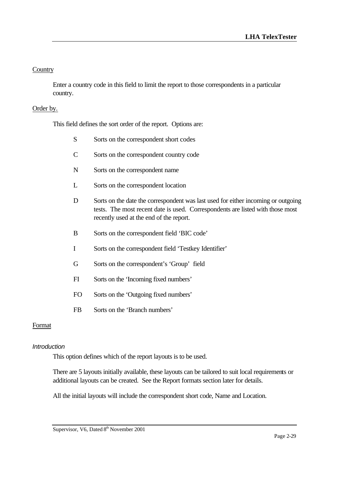# **Country**

Enter a country code in this field to limit the report to those correspondents in a particular country.

# Order by.

This field defines the sort order of the report. Options are:

- S Sorts on the correspondent short codes
- C Sorts on the correspondent country code
- N Sorts on the correspondent name
- L Sorts on the correspondent location
- D Sorts on the date the correspondent was last used for either incoming or outgoing tests. The most recent date is used. Correspondents are listed with those most recently used at the end of the report.
- B Sorts on the correspondent field 'BIC code'
- I Sorts on the correspondent field 'Testkey Identifier'
- G Sorts on the correspondent's 'Group' field
- FI Sorts on the 'Incoming fixed numbers'
- FO Sorts on the 'Outgoing fixed numbers'
- FB Sorts on the 'Branch numbers'

#### Format

#### *Introduction*

This option defines which of the report layouts is to be used.

There are 5 layouts initially available, these layouts can be tailored to suit local requirements or additional layouts can be created. See the Report formats section later for details.

All the initial layouts will include the correspondent short code, Name and Location.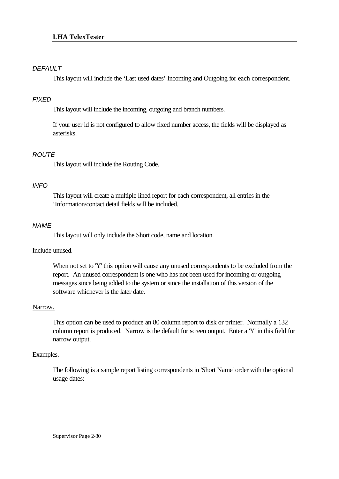# *DEFAULT*

This layout will include the 'Last used dates' Incoming and Outgoing for each correspondent.

# *FIXED*

This layout will include the incoming, outgoing and branch numbers.

If your user id is not configured to allow fixed number access, the fields will be displayed as asterisks.

# *ROUTE*

This layout will include the Routing Code.

# *INFO*

This layout will create a multiple lined report for each correspondent, all entries in the 'Information/contact detail fields will be included.

# *NAME*

This layout will only include the Short code, name and location.

# Include unused.

When not set to 'Y' this option will cause any unused correspondents to be excluded from the report. An unused correspondent is one who has not been used for incoming or outgoing messages since being added to the system or since the installation of this version of the software whichever is the later date.

# Narrow.

This option can be used to produce an 80 column report to disk or printer. Normally a 132 column report is produced. Narrow is the default for screen output. Enter a 'Y' in this field for narrow output.

# Examples.

The following is a sample report listing correspondents in 'Short Name' order with the optional usage dates: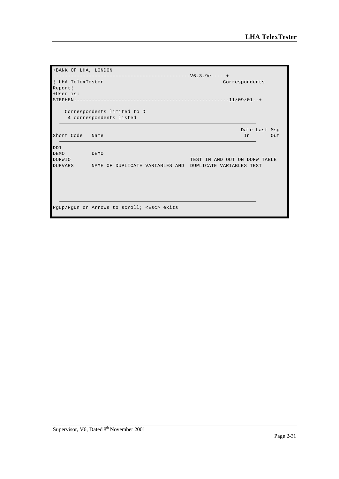| +BANK OF LHA, LONDON         |                                                        |                               |                      |  |  |  |
|------------------------------|--------------------------------------------------------|-------------------------------|----------------------|--|--|--|
| LHA TelexTester              |                                                        | Correspondents                |                      |  |  |  |
| Report<br>+User is:          |                                                        |                               |                      |  |  |  |
|                              |                                                        |                               |                      |  |  |  |
|                              | Correspondents limited to D<br>4 correspondents listed |                               |                      |  |  |  |
| Short Code                   | Name                                                   | In                            | Date Last Msg<br>Out |  |  |  |
| DD1                          |                                                        |                               |                      |  |  |  |
| <b>DEMO</b><br><b>DOFWIO</b> | DEMO                                                   | TEST IN AND OUT ON DOFW TABLE |                      |  |  |  |
| <b>DUPVARS</b>               | NAME OF DUPLICATE VARIABLES AND                        | DUPLICATE VARIABLES TEST      |                      |  |  |  |
|                              |                                                        |                               |                      |  |  |  |
|                              |                                                        |                               |                      |  |  |  |
|                              | PgUp/PgDn or Arrows to scroll; <esc> exits</esc>       |                               |                      |  |  |  |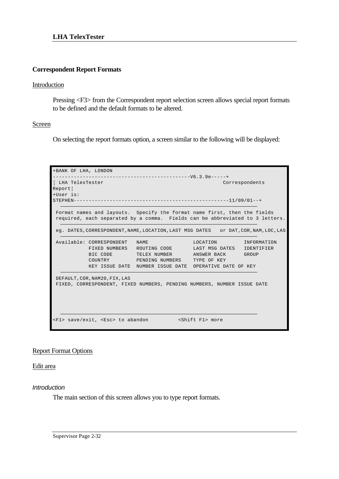#### **Correspondent Report Formats**

#### Introduction

Pressing <F3> from the Correspondent report selection screen allows special report formats to be defined and the default formats to be altered.

#### Screen

On selecting the report formats option, a screen similar to the following will be displayed:



#### Report Format Options

Edit area

*Introduction*

The main section of this screen allows you to type report formats.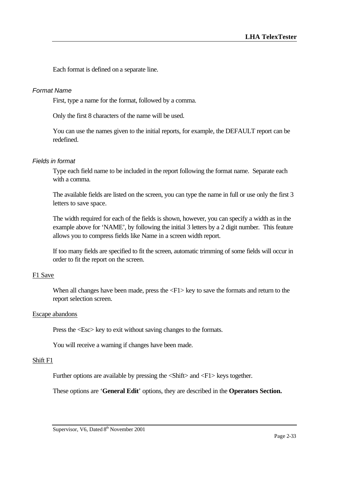Each format is defined on a separate line.

#### *Format Name*

First, type a name for the format, followed by a comma.

Only the first 8 characters of the name will be used.

You can use the names given to the initial reports, for example, the DEFAULT report can be redefined.

#### *Fields in format*

Type each field name to be included in the report following the format name. Separate each with a comma.

The available fields are listed on the screen, you can type the name in full or use only the first 3 letters to save space.

The width required for each of the fields is shown, however, you can specify a width as in the example above for 'NAME', by following the initial 3 letters by a 2 digit number. This feature allows you to compress fields like Name in a screen width report.

If too many fields are specified to fit the screen, automatic trimming of some fields will occur in order to fit the report on the screen.

#### F<sub>1</sub> Save

When all changes have been made, press the  $\langle F1 \rangle$  key to save the formats and return to the report selection screen.

#### Escape abandons

Press the  $\langle$ Esc $>$  key to exit without saving changes to the formats.

You will receive a warning if changes have been made.

#### Shift F1

Further options are available by pressing the <Shift> and <F1> keys together.

These options are '**General Edit**' options, they are described in the **Operators Section.**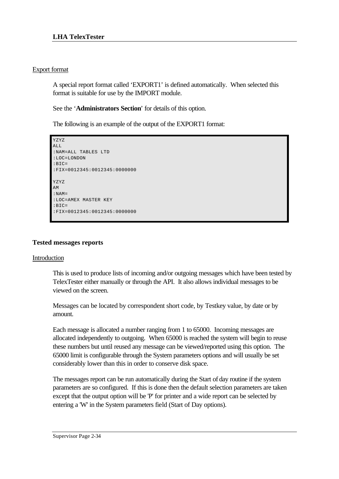# Export format

A special report format called 'EXPORT1' is defined automatically. When selected this format is suitable for use by the IMPORT module.

See the '**Administrators Section**' for details of this option.

The following is an example of the output of the EXPORT1 format:

```
YZYZ
AT.T.:NAM=ALL TABLES LTD
:LOC=LONDON
:BIC=
:FIX=0012345:0012345:0000000
YZYZ
AM
:NAM=
:LOC=AMEX MASTER KEY
:BIC=
:FIX=0012345:0012345:0000000
```
# **Tested messages reports**

# Introduction

This is used to produce lists of incoming and/or outgoing messages which have been tested by TelexTester either manually or through the API. It also allows individual messages to be viewed on the screen.

Messages can be located by correspondent short code, by Testkey value, by date or by amount.

Each message is allocated a number ranging from 1 to 65000. Incoming messages are allocated independently to outgoing. When 65000 is reached the system will begin to reuse these numbers but until reused any message can be viewed/reported using this option. The 65000 limit is configurable through the System parameters options and will usually be set considerably lower than this in order to conserve disk space.

The messages report can be run automatically during the Start of day routine if the system parameters are so configured. If this is done then the default selection parameters are taken except that the output option will be 'P' for printer and a wide report can be selected by entering a 'W' in the System parameters field (Start of Day options).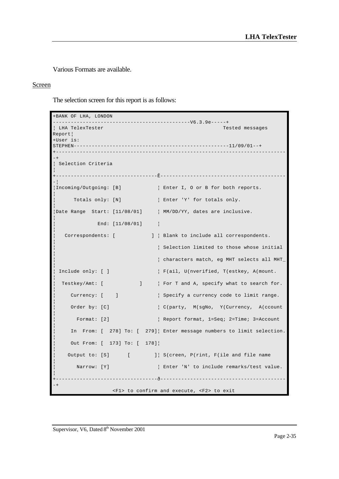Various Formats are available.

# Screen

The selection screen for this report is as follows:

| +BANK OF LHA, LONDON                     | --------------------------V6.3.9e-----+                              |
|------------------------------------------|----------------------------------------------------------------------|
| LHA TelexTester<br>Report  <br>+User is: | Tested messages                                                      |
|                                          |                                                                      |
| Selection Criteria                       |                                                                      |
|                                          |                                                                      |
| Incoming/Outgoing: [B]                   | Enter I, O or B for both reports.                                    |
| Totals only: [N]                         | Enter 'Y' for totals only.                                           |
| Date Range Start: [11/08/01]             | MM/DD/YY, dates are inclusive.                                       |
| End: $[11/08/01]$                        |                                                                      |
| Correspondents: [                        | ]   Blank to include all correspondents.                             |
|                                          | Selection limited to those whose initial                             |
|                                          | characters match, eg MHT selects all MHT_                            |
| Include only: [ ]                        | F(ail, U(nverified, T(estkey, A(mount.                               |
| Testkey/Amt: [<br>$\Box$                 | For T and A, specify what to search for.                             |
| Currency: [ ]                            | Specify a currency code to limit range.                              |
| Order by: [C]                            | C(party, M(sgNo, Y(Currency, A(ccount                                |
| Format: $[2]$                            | Report format, 1=Seq; 2=Time; 3=Account                              |
|                                          | In From: [ 278] To: [ 279] Enter message numbers to limit selection. |
| Out From: [ 173] To: [ 178]              |                                                                      |
| Output to: [S] [                         | ]  S(creen, P(rint, F(ile and file name                              |
| Narrow: [Y]                              | Enter 'N' to include remarks/test value.                             |
|                                          |                                                                      |
|                                          | <f1> to confirm and execute, <f2> to exit</f2></f1>                  |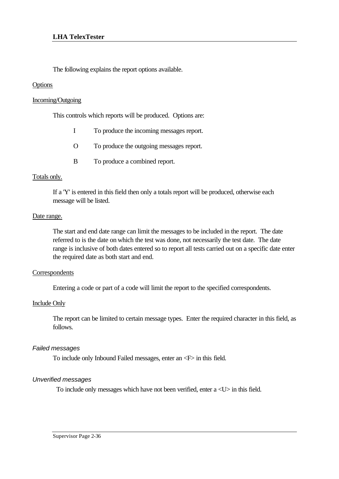The following explains the report options available.

### **Options**

### Incoming/Outgoing

This controls which reports will be produced. Options are:

|  | To produce the incoming messages report. |  |  |  |
|--|------------------------------------------|--|--|--|
|--|------------------------------------------|--|--|--|

- O To produce the outgoing messages report.
- B To produce a combined report.

#### Totals only.

If a 'Y' is entered in this field then only a totals report will be produced, otherwise each message will be listed.

#### Date range.

The start and end date range can limit the messages to be included in the report. The date referred to is the date on which the test was done, not necessarily the test date. The date range is inclusive of both dates entered so to report all tests carried out on a specific date enter the required date as both start and end.

#### **Correspondents**

Entering a code or part of a code will limit the report to the specified correspondents.

#### Include Only

The report can be limited to certain message types. Enter the required character in this field, as follows.

#### *Failed messages*

To include only Inbound Failed messages, enter an <F> in this field.

#### *Unverified messages*

To include only messages which have not been verified, enter a <U> in this field.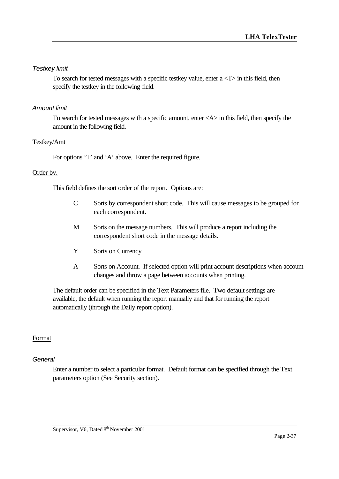### *Testkey limit*

To search for tested messages with a specific testkey value, enter  $a < T$  in this field, then specify the testkey in the following field.

### *Amount limit*

To search for tested messages with a specific amount, enter <A> in this field, then specify the amount in the following field.

### Testkey/Amt

For options 'T' and 'A' above. Enter the required figure.

### Order by.

This field defines the sort order of the report. Options are:

- C Sorts by correspondent short code. This will cause messages to be grouped for each correspondent.
- M Sorts on the message numbers. This will produce a report including the correspondent short code in the message details.
- Y Sorts on Currency
- A Sorts on Account. If selected option will print account descriptions when account changes and throw a page between accounts when printing.

The default order can be specified in the Text Parameters file. Two default settings are available, the default when running the report manually and that for running the report automatically (through the Daily report option).

## Format

#### *General*

Enter a number to select a particular format. Default format can be specified through the Text parameters option (See Security section).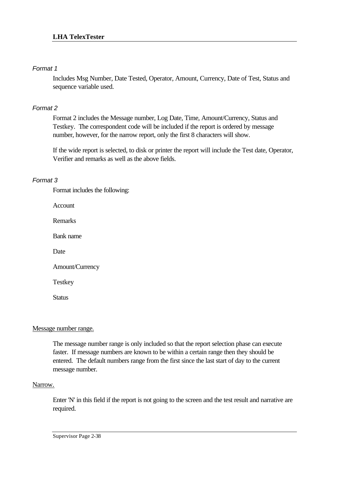## *Format 1*

Includes Msg Number, Date Tested, Operator, Amount, Currency, Date of Test, Status and sequence variable used.

### *Format 2*

Format 2 includes the Message number, Log Date, Time, Amount/Currency, Status and Testkey. The correspondent code will be included if the report is ordered by message number, however, for the narrow report, only the first 8 characters will show.

If the wide report is selected, to disk or printer the report will include the Test date, Operator, Verifier and remarks as well as the above fields.

## *Format 3*

Format includes the following:

Account

Remarks

Bank name

Date

Amount/Currency

Testkey

**Status** 

## Message number range.

The message number range is only included so that the report selection phase can execute faster. If message numbers are known to be within a certain range then they should be entered. The default numbers range from the first since the last start of day to the current message number.

#### Narrow.

Enter 'N' in this field if the report is not going to the screen and the test result and narrative are required.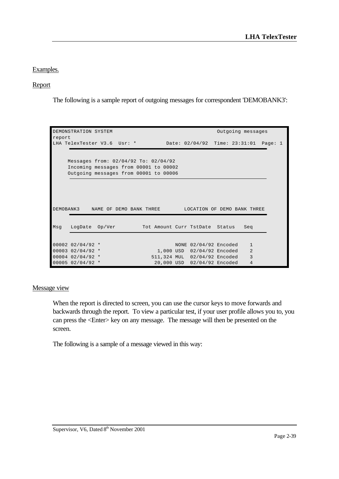## Examples.

## Report

The following is a sample report of outgoing messages for correspondent 'DEMOBANK3':

| report | DEMONSTRATION SYSTEM                  |  |  |                                | Outgoing messages                     |  |  |
|--------|---------------------------------------|--|--|--------------------------------|---------------------------------------|--|--|
|        | LHA TelexTester V3.6 Usr: *           |  |  |                                | Date: 02/04/92 Time: 23:31:01 Page: 1 |  |  |
|        |                                       |  |  |                                |                                       |  |  |
|        | Messages from: 02/04/92 To: 02/04/92  |  |  |                                |                                       |  |  |
|        | Incoming messages from 00001 to 00002 |  |  |                                |                                       |  |  |
|        | Outgoing messages from 00001 to 00006 |  |  |                                |                                       |  |  |
|        |                                       |  |  |                                |                                       |  |  |
|        |                                       |  |  |                                |                                       |  |  |
|        |                                       |  |  |                                |                                       |  |  |
|        | DEMOBANK3 NAME OF DEMO BANK THREE     |  |  |                                | LOCATION OF DEMO BANK THREE           |  |  |
|        |                                       |  |  |                                |                                       |  |  |
| Msq    | LogDate Op/Ver                        |  |  | Tot Amount Curr TstDate Status | Seg                                   |  |  |
|        |                                       |  |  |                                |                                       |  |  |
|        | $00002$ 02/04/92 *                    |  |  | NONE 02/04/92 Encoded          | $\mathbf{1}$                          |  |  |
|        | 00003 02/04/92 *                      |  |  | 1,000 USD 02/04/92 Encoded     | $\overline{2}$                        |  |  |
|        | $00004$ 02/04/92 *                    |  |  | 511,324 MUL 02/04/92 Encoded   | 3                                     |  |  |
|        | 00005 02/04/92 *                      |  |  | 20,000 USD 02/04/92 Encoded    | 4                                     |  |  |

#### Message view

When the report is directed to screen, you can use the cursor keys to move forwards and backwards through the report. To view a particular test, if your user profile allows you to, you can press the <Enter> key on any message. The message will then be presented on the screen.

The following is a sample of a message viewed in this way: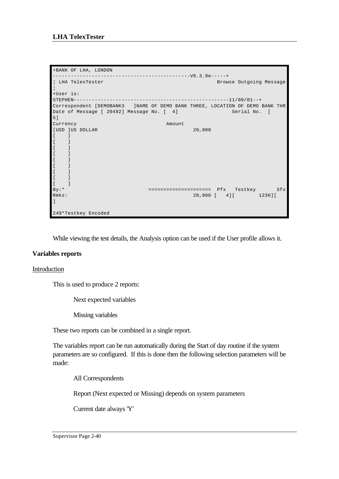```
+BANK OF LHA, LONDON 
----------------------------------------------V6.3.9e-----+
¦ LHA TelexTester Browse Outgoing Message 
¦
+User is: 
STEPHEN----------------------------------------------------11/09/01--+
Correspondent [DEMOBANK3 ]NAME OF DEMO BANK THREE, LOCATION OF DEMO BANK THR
Date of Message [ 20492] Message No. [ 4] Serial No. [
5]
Currency Amount
[USD ]US DOLLAR 20,000
[ ][ ]\lceil \lceil\lceil \rceil[ ][ ][ ]\lceil \lceil[ ]By:* ===================== Pfx Testkey Sfx
Rmks: 20,000 [ 4] [ 1236] [
]
249*Testkey Encoded
```
While viewing the test details, the Analysis option can be used if the User profile allows it.

## **Variables reports**

#### Introduction

This is used to produce 2 reports:

Next expected variables

Missing variables

These two reports can be combined in a single report.

The variables report can be run automatically during the Start of day routine if the system parameters are so configured. If this is done then the following selection parameters will be made:

All Correspondents

Report (Next expected or Missing) depends on system parameters

Current date always 'Y'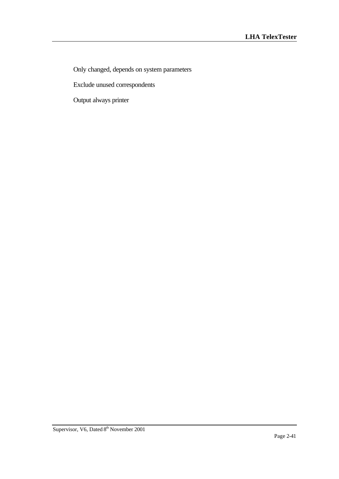Only changed, depends on system parameters

Exclude unused correspondents

Output always printer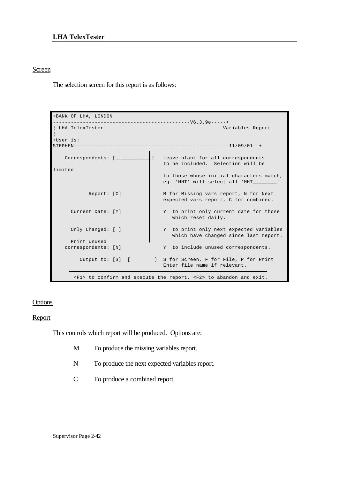## **LHA TelexTester**

## Screen

The selection screen for this report is as follows:

| +BANK OF LHA, LONDON     |                                                                                                   |
|--------------------------|---------------------------------------------------------------------------------------------------|
|                          |                                                                                                   |
| LHA TelexTester          | Variables Report                                                                                  |
| $+$ User $i$ s:          |                                                                                                   |
|                          |                                                                                                   |
|                          |                                                                                                   |
| Correspondents: [_______ | 1<br>Leave blank for all correspondents<br>to be included. Selection will be                      |
| limited                  |                                                                                                   |
|                          | to those whose initial characters match,<br>eg. 'MHT' will select all 'MHT                        |
| Report: [C]              | M for Missing vars report, N for Next<br>expected vars report, C for combined.                    |
|                          |                                                                                                   |
| Current Date: [Y]        | Y to print only current date for those<br>which reset daily.                                      |
| Only Changed: [ ]        | Y to print only next expected variables<br>which have changed since last report.                  |
| Print unused             |                                                                                                   |
| correspondents: [N]      | Y to include unused correspondents.                                                               |
| Output to: [S] [         | ] S for Screen, F for File, P for Print<br>Enter file name if relevant.                           |
|                          | $\langle F1 \rangle$ to confirm and execute the report, $\langle F2 \rangle$ to abandon and exit. |

### **Options**

### Report

This controls which report will be produced. Options are:

- M To produce the missing variables report.
- N To produce the next expected variables report.
- C To produce a combined report.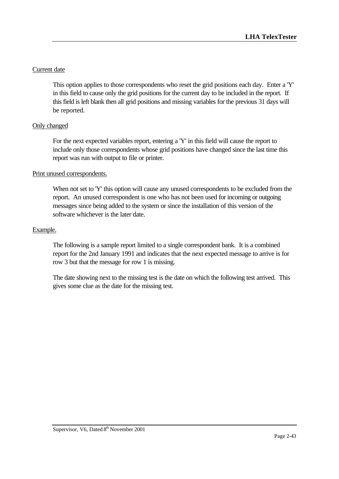# Current date

This option applies to those correspondents who reset the grid positions each day. Enter a 'Y' in this field to cause only the grid positions for the current day to be included in the report. If this field is left blank then all grid positions and missing variables for the previous 31 days will be reported.

# Only changed

For the next expected variables report, entering a 'Y' in this field will cause the report to include only those correspondents whose grid positions have changed since the last time this report was run with output to file or printer.

# Print unused correspondents.

When not set to 'Y' this option will cause any unused correspondents to be excluded from the report. An unused correspondent is one who has not been used for incoming or outgoing messages since being added to the system or since the installation of this version of the software whichever is the later date.

## Example.

The following is a sample report limited to a single correspondent bank. It is a combined report for the 2nd January 1991 and indicates that the next expected message to arrive is for row 3 but that the message for row 1 is missing.

The date showing next to the missing test is the date on which the following test arrived. This gives some clue as the date for the missing test.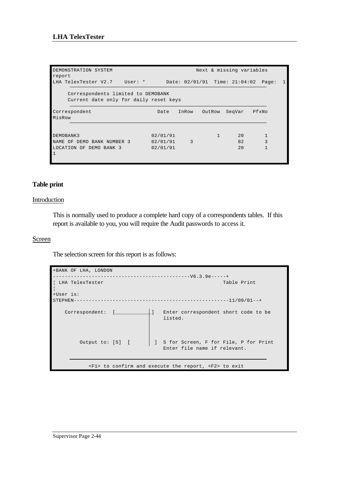| DEMONSTRATION SYSTEM<br>report                                               |                                  |       |        | Next & missing variables |                                     |  |
|------------------------------------------------------------------------------|----------------------------------|-------|--------|--------------------------|-------------------------------------|--|
| LHA TelexTester V2.7 User: *                                                 |                                  |       |        |                          | Date: 02/01/91 Time: 21:04:02 Page: |  |
| Correspondents limited to DEMOBANK<br>Current date only for daily reset keys |                                  |       |        |                          |                                     |  |
| Correspondent<br>MisRow                                                      | Date                             | InRow | OutRow | SeqVar                   | PfxNo                               |  |
| DEMOBANK3<br>NAME OF DEMO BANK NUMBER 3<br>LOCATION OF DEMO BANK 3           | 02/01/91<br>02/01/91<br>02/01/91 | 3     |        | 20<br>82<br>20           | 3                                   |  |
| $\overline{1}$                                                               |                                  |       |        |                          |                                     |  |

## **Table print**

## **Introduction**

This is normally used to produce a complete hard copy of a correspondents tables. If this report is available to you, you will require the Audit passwords to access it.

## Screen

The selection screen for this report is as follows:

| +BANK OF LHA, LONDON    |                                                                                      |
|-------------------------|--------------------------------------------------------------------------------------|
|                         |                                                                                      |
| ! LHA TelexTester       | Table Print                                                                          |
| +User is:               |                                                                                      |
| STEPHEN-                |                                                                                      |
| Correspondent: [_______ | Enter correspondent short code to be<br>listed.                                      |
| Output to: [S] [        | S for Screen, F for File, P for Print<br>Enter file name if relevant.                |
|                         | $\langle F1 \rangle$ to confirm and execute the report, $\langle F2 \rangle$ to exit |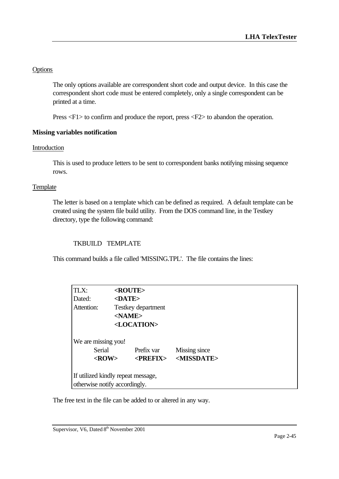# **Options**

The only options available are correspondent short code and output device. In this case the correspondent short code must be entered completely, only a single correspondent can be printed at a time.

Press <F1> to confirm and produce the report, press <F2> to abandon the operation.

## **Missing variables notification**

## Introduction

This is used to produce letters to be sent to correspondent banks notifying missing sequence rows.

## **Template**

The letter is based on a template which can be defined as required. A default template can be created using the system file build utility. From the DOS command line, in the Testkey directory, type the following command:

## TKBUILD TEMPLATE

This command builds a file called 'MISSING.TPL'. The file contains the lines:

| TLX:                |                                    | <route></route>       |                       |  |
|---------------------|------------------------------------|-----------------------|-----------------------|--|
| Dated:              | $<$ DATE>                          |                       |                       |  |
| Attention:          |                                    | Testkey department    |                       |  |
|                     | $<$ NAME $>$                       |                       |                       |  |
|                     |                                    | <location></location> |                       |  |
| We are missing you! | Serial                             | Prefix var            | Missing since         |  |
|                     | $<$ ROW $>$                        | $\langle$ PREFIX>     | <missdate></missdate> |  |
|                     | If utilized kindly repeat message, |                       |                       |  |
|                     | otherwise notify accordingly.      |                       |                       |  |

The free text in the file can be added to or altered in any way.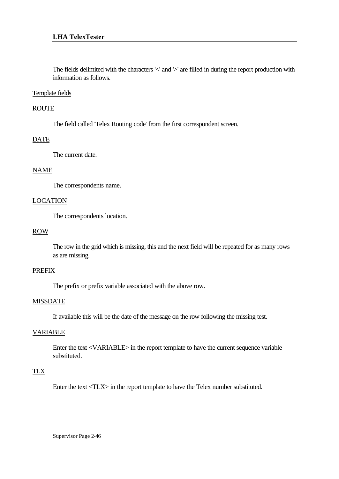The fields delimited with the characters '<' and '>' are filled in during the report production with information as follows.

#### Template fields

## ROUTE

The field called 'Telex Routing code' from the first correspondent screen.

## **DATE**

The current date.

### NAME

The correspondents name.

### LOCATION

The correspondents location.

### ROW

The row in the grid which is missing, this and the next field will be repeated for as many rows as are missing.

### PREFIX

The prefix or prefix variable associated with the above row.

#### MISSDATE

If available this will be the date of the message on the row following the missing test.

## VARIABLE

Enter the text <VARIABLE> in the report template to have the current sequence variable substituted.

## TLX

Enter the text <TLX> in the report template to have the Telex number substituted.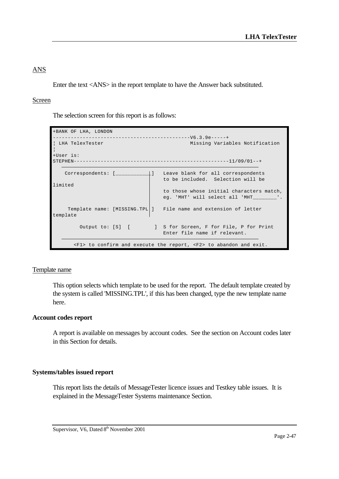# ANS

Enter the text <ANS> in the report template to have the Answer back substituted.

## Screen

The selection screen for this report is as follows:

```
+BANK OF LHA, LONDON 
                                      ---V6.3.9e---++¦ LHA TelexTester Missing Variables Notification 
¦
+User is: 
STEPHEN----------------------------------------------------11/09/01--+
    Correspondents: [____________] Leave blank for all correspondents 
                                   to be included. Selection will be 
limited 
                                    to those whose initial characters match, 
                                    eg. 'MHT' will select all 'MHT________'. 
    Template name: [MISSING.TPL ] File name and extension of letter
template 
        Output to: [S] [ ] S for Screen, F for File, P for Print
                                    Enter file name if relevant. 
       <F1> to confirm and execute the report, <F2> to abandon and exit.
```
## Template name

This option selects which template to be used for the report. The default template created by the system is called 'MISSING.TPL', if this has been changed, type the new template name here.

## **Account codes report**

A report is available on messages by account codes. See the section on Account codes later in this Section for details.

## **Systems/tables issued report**

This report lists the details of MessageTester licence issues and Testkey table issues. It is explained in the MessageTester Systems maintenance Section.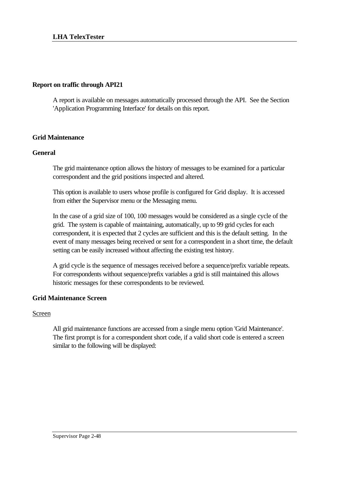### **Report on traffic through API21**

A report is available on messages automatically processed through the API. See the Section 'Application Programming Interface' for details on this report.

## **Grid Maintenance**

### **General**

The grid maintenance option allows the history of messages to be examined for a particular correspondent and the grid positions inspected and altered.

This option is available to users whose profile is configured for Grid display. It is accessed from either the Supervisor menu or the Messaging menu.

In the case of a grid size of 100, 100 messages would be considered as a single cycle of the grid. The system is capable of maintaining, automatically, up to 99 grid cycles for each correspondent, it is expected that 2 cycles are sufficient and this is the default setting. In the event of many messages being received or sent for a correspondent in a short time, the default setting can be easily increased without affecting the existing test history.

A grid cycle is the sequence of messages received before a sequence/prefix variable repeats. For correspondents without sequence/prefix variables a grid is still maintained this allows historic messages for these correspondents to be reviewed.

## **Grid Maintenance Screen**

#### Screen

All grid maintenance functions are accessed from a single menu option 'Grid Maintenance'. The first prompt is for a correspondent short code, if a valid short code is entered a screen similar to the following will be displayed: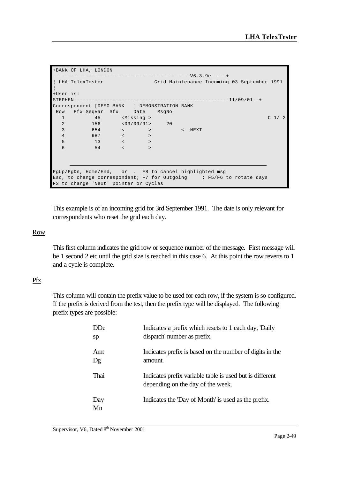| +BANK OF LHA, LONDON                                                            |         |
|---------------------------------------------------------------------------------|---------|
|                                                                                 |         |
| LHA TelexTester                     Grid Maintenance Incoming 03 September 1991 |         |
| +User is:                                                                       |         |
|                                                                                 |         |
| Correspondent [DEMO BANK ] DEMONSTRATION BANK                                   |         |
| Row Pfx SeqVar Sfx Date MsgNo                                                   |         |
| 45 <missing><br/><math>\mathbf{1}</math></missing>                              | C $1/2$ |
| $156$ $< 03/09/91$ $> 20$<br>$\overline{2}$                                     |         |
| 3<br>$654$ $<$ $>$ $<$ $<$ $>$ $<$ $NEXT$                                       |         |
| $\overline{4}$<br>$987$ $\prec$ $>$                                             |         |
| $\sim$ 13 $\sim$ $\sim$<br>5                                                    |         |
| $54$ $<$ $>$<br>6                                                               |         |
|                                                                                 |         |
|                                                                                 |         |
| PqUp/PqDn, Home/End, or. F8 to cancel highlighted msg                           |         |
| Esc, to change correspondent; F7 for Outgoing ; F5/F6 to rotate days            |         |
| F3 to change 'Next' pointer or Cycles                                           |         |

This example is of an incoming grid for 3rd September 1991. The date is only relevant for correspondents who reset the grid each day.

#### Row

This first column indicates the grid row or sequence number of the message. First message will be 1 second 2 etc until the grid size is reached in this case 6. At this point the row reverts to 1 and a cycle is complete.

# Pfx

This column will contain the prefix value to be used for each row, if the system is so configured. If the prefix is derived from the test, then the prefix type will be displayed. The following prefix types are possible:

| <b>DDe</b> | Indicates a prefix which resets to 1 each day, 'Daily                                         |
|------------|-----------------------------------------------------------------------------------------------|
| sp         | dispatch' number as prefix.                                                                   |
| Amt        | Indicates prefix is based on the number of digits in the                                      |
| Dg         | amount.                                                                                       |
| Thai       | Indicates prefix variable table is used but is different<br>depending on the day of the week. |
| Day<br>Mn  | Indicates the 'Day of Month' is used as the prefix.                                           |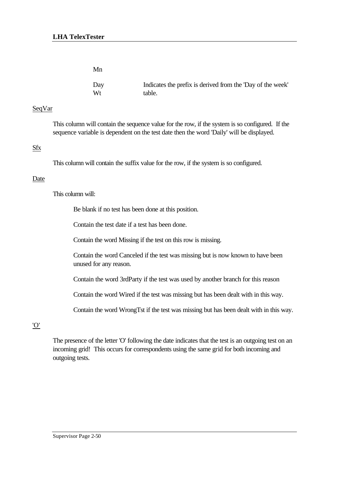| Mn  |                                                            |
|-----|------------------------------------------------------------|
| Day | Indicates the prefix is derived from the 'Day of the week' |
| Wt  | table.                                                     |

## SeqVar

This column will contain the sequence value for the row, if the system is so configured. If the sequence variable is dependent on the test date then the word 'Daily' will be displayed.

## Sfx

This column will contain the suffix value for the row, if the system is so configured.

## Date

This column will:

Be blank if no test has been done at this position.

Contain the test date if a test has been done.

Contain the word Missing if the test on this row is missing.

Contain the word Canceled if the test was missing but is now known to have been unused for any reason.

Contain the word 3rdParty if the test was used by another branch for this reason

Contain the word Wired if the test was missing but has been dealt with in this way.

Contain the word WrongTst if the test was missing but has been dealt with in this way.

# 'O'

The presence of the letter 'O' following the date indicates that the test is an outgoing test on an incoming grid! This occurs for correspondents using the same grid for both incoming and outgoing tests.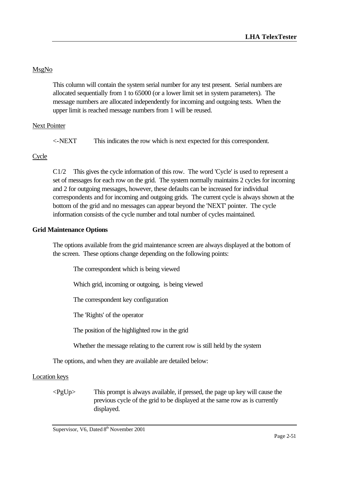# MsgNo

This column will contain the system serial number for any test present. Serial numbers are allocated sequentially from 1 to 65000 (or a lower limit set in system parameters). The message numbers are allocated independently for incoming and outgoing tests. When the upper limit is reached message numbers from 1 will be reused.

# Next Pointer

<-NEXT This indicates the row which is next expected for this correspondent.

# Cycle

C1/2 This gives the cycle information of this row. The word 'Cycle' is used to represent a set of messages for each row on the grid. The system normally maintains 2 cycles for incoming and 2 for outgoing messages, however, these defaults can be increased for individual correspondents and for incoming and outgoing grids. The current cycle is always shown at the bottom of the grid and no messages can appear beyond the 'NEXT' pointer. The cycle information consists of the cycle number and total number of cycles maintained.

# **Grid Maintenance Options**

The options available from the grid maintenance screen are always displayed at the bottom of the screen. These options change depending on the following points:

The correspondent which is being viewed

Which grid, incoming or outgoing, is being viewed

The correspondent key configuration

The 'Rights' of the operator

The position of the highlighted row in the grid

Whether the message relating to the current row is still held by the system

The options, and when they are available are detailed below:

# Location keys

 $\langle PgUp \rangle$  This prompt is always available, if pressed, the page up key will cause the previous cycle of the grid to be displayed at the same row as is currently displayed.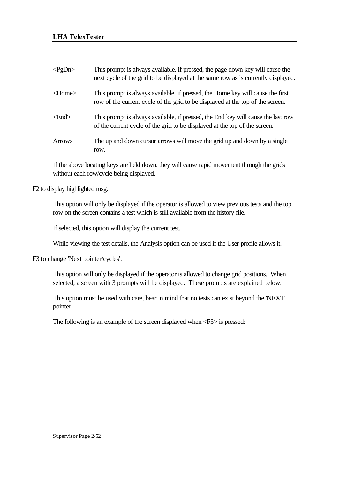| $\langle$ PgDn> | This prompt is always available, if pressed, the page down key will cause the<br>next cycle of the grid to be displayed at the same row as is currently displayed. |
|-----------------|--------------------------------------------------------------------------------------------------------------------------------------------------------------------|
| $<$ Home $>$    | This prompt is always available, if pressed, the Home key will cause the first<br>row of the current cycle of the grid to be displayed at the top of the screen.   |
| $<$ End $>$     | This prompt is always available, if pressed, the End key will cause the last row<br>of the current cycle of the grid to be displayed at the top of the screen.     |
| <b>Arrows</b>   | The up and down cursor arrows will move the grid up and down by a single<br>row.                                                                                   |

If the above locating keys are held down, they will cause rapid movement through the grids without each row/cycle being displayed.

## F2 to display highlighted msg.

This option will only be displayed if the operator is allowed to view previous tests and the top row on the screen contains a test which is still available from the history file.

If selected, this option will display the current test.

While viewing the test details, the Analysis option can be used if the User profile allows it.

#### F3 to change 'Next pointer/cycles'.

This option will only be displayed if the operator is allowed to change grid positions. When selected, a screen with 3 prompts will be displayed. These prompts are explained below.

This option must be used with care, bear in mind that no tests can exist beyond the 'NEXT' pointer.

The following is an example of the screen displayed when <F3> is pressed: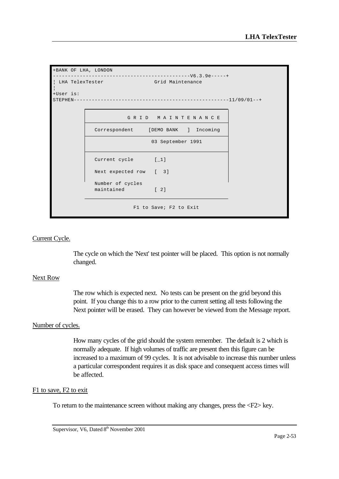```
+BANK OF LHA, LONDON 
 ----------------------------------------------V6.3.9e-----+
| LHA TelexTester Grid Maintenance
¦
+User is: 
STEPHEN----------------------------------------------------11/09/01--+
                        G R I D M A I N T E N A N C E 
              Correspondent [DEMO BANK ] Incoming 
                                03 September 1991 
             Current cycle [1]
              Next expected row [ 3] 
              Number of cycles 
             maintained [ 2]
                          F1 to Save; F2 to Exit
```
### Current Cycle.

The cycle on which the 'Next' test pointer will be placed. This option is not normally changed.

#### Next Row

The row which is expected next. No tests can be present on the grid beyond this point. If you change this to a row prior to the current setting all tests following the Next pointer will be erased. They can however be viewed from the Message report.

#### Number of cycles.

How many cycles of the grid should the system remember. The default is 2 which is normally adequate. If high volumes of traffic are present then this figure can be increased to a maximum of 99 cycles. It is not advisable to increase this number unless a particular correspondent requires it as disk space and consequent access times will be affected.

#### F1 to save, F2 to exit

To return to the maintenance screen without making any changes, press the <F2> key.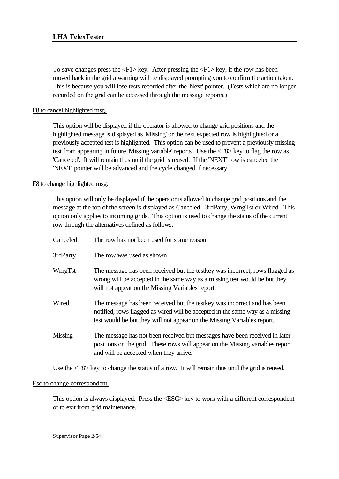To save changes press the  $\langle F1 \rangle$  key. After pressing the  $\langle F1 \rangle$  key, if the row has been moved back in the grid a warning will be displayed prompting you to confirm the action taken. This is because you will lose tests recorded after the 'Next' pointer. (Tests which are no longer recorded on the grid can be accessed through the message reports.)

# F8 to cancel highlighted msg.

This option will be displayed if the operator is allowed to change grid positions and the highlighted message is displayed as 'Missing' or the next expected row is highlighted or a previously accepted test is highlighted. This option can be used to prevent a previously missing test from appearing in future 'Missing variable' reports. Use the <F8> key to flag the row as 'Canceled'. It will remain thus until the grid is reused. If the 'NEXT' row is canceled the 'NEXT' pointer will be advanced and the cycle changed if necessary.

F8 to change highlighted msg.

This option will only be displayed if the operator is allowed to change grid positions and the message at the top of the screen is displayed as Canceled, 3rdParty, WrngTst or Wired. This option only applies to incoming grids. This option is used to change the status of the current row through the alternatives defined as follows:

| Canceled | The row has not been used for some reason.                                                                                                                                                                                            |
|----------|---------------------------------------------------------------------------------------------------------------------------------------------------------------------------------------------------------------------------------------|
| 3rdParty | The row was used as shown                                                                                                                                                                                                             |
| WrngTst  | The message has been received but the testkey was incorrect, rows flagged as<br>wrong will be accepted in the same way as a missing test would be but they<br>will not appear on the Missing Variables report.                        |
| Wired    | The message has been received but the test key was incorrect and has been<br>notified, rows flagged as wired will be accepted in the same way as a missing<br>test would be but they will not appear on the Missing Variables report. |
| Missing  | The message has not been received but messages have been received in later<br>positions on the grid. These rows will appear on the Missing variables report<br>and will be accepted when they arrive.                                 |

Use the  $\langle$ F8> key to change the status of a row. It will remain thus until the grid is reused.

## Esc to change correspondent.

This option is always displayed. Press the <ESC> key to work with a different correspondent or to exit from grid maintenance.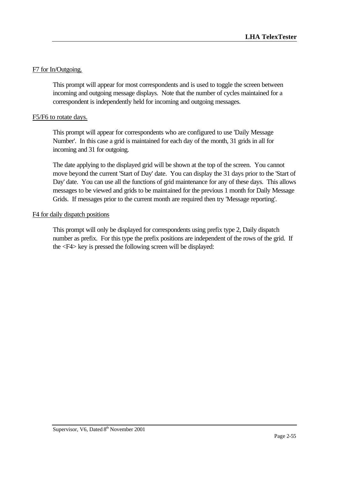## F7 for In/Outgoing.

This prompt will appear for most correspondents and is used to toggle the screen between incoming and outgoing message displays. Note that the number of cycles maintained for a correspondent is independently held for incoming and outgoing messages.

## F5/F6 to rotate days.

This prompt will appear for correspondents who are configured to use 'Daily Message Number'. In this case a grid is maintained for each day of the month, 31 grids in all for incoming and 31 for outgoing.

The date applying to the displayed grid will be shown at the top of the screen. You cannot move beyond the current 'Start of Day' date. You can display the 31 days prior to the 'Start of Day' date. You can use all the functions of grid maintenance for any of these days. This allows messages to be viewed and grids to be maintained for the previous 1 month for Daily Message Grids. If messages prior to the current month are required then try 'Message reporting'.

### F4 for daily dispatch positions

This prompt will only be displayed for correspondents using prefix type 2, Daily dispatch number as prefix. For this type the prefix positions are independent of the rows of the grid. If the <F4> key is pressed the following screen will be displayed: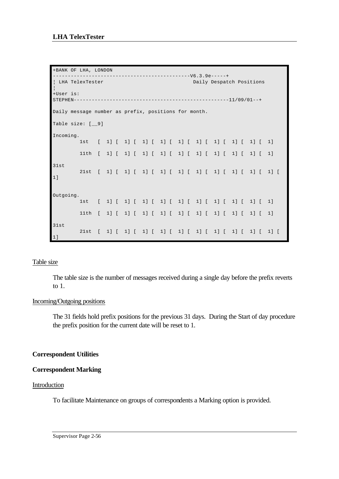```
+BANK OF LHA, LONDON 
----------------------------------------------V6.3.9e-----+
¦ LHA TelexTester Daily Despatch Positions 
¦
+User is: 
STEPHEN----------------------------------------------------11/09/01--+
Daily message number as prefix, positions for month.
Table size: [__9]
Incoming.
        1st [ 1] [ 1] [ 1] [ 1] [ 1] [ 1] [ 1] [ 1] [ 1] [ 1]
        11th [ 1] [ 1] [ 1] [ 1] [ 1] [ 1] [ 1] [ 1] [ 1] [ 1]
31st
        21st [ 1] [ 1] [ 1] [ 1] [ 1] [ 1] [ 1] [ 1] [ 1] [ 1] [ 
1]
Outgoing.
        1st [ 1] [ 1] [ 1] [ 1] [ 1] [ 1] [ 1] [ 1] [ 1] [ 1]
        11th [ 1] [ 1] [ 1] [ 1] [ 1] [ 1] [ 1] [ 1] [ 1] [ 1]
31st
        21st [ 1] [ 1] [ 1] [ 1] [ 1] [ 1] [ 1] [ 1] [ 1] [ 1] [ 
1]
```
## Table size

The table size is the number of messages received during a single day before the prefix reverts to 1.

#### Incoming/Outgoing positions

The 31 fields hold prefix positions for the previous 31 days. During the Start of day procedure the prefix position for the current date will be reset to 1.

## **Correspondent Utilities**

#### **Correspondent Marking**

#### Introduction

To facilitate Maintenance on groups of correspondents a Marking option is provided.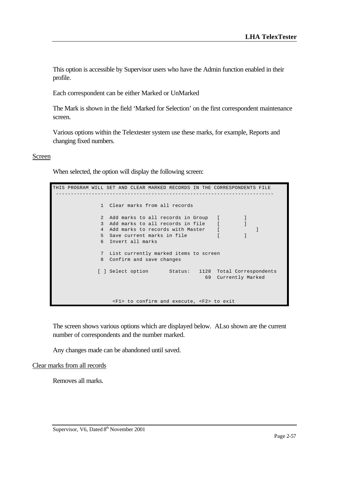This option is accessible by Supervisor users who have the Admin function enabled in their profile.

Each correspondent can be either Marked or UnMarked

The Mark is shown in the field 'Marked for Selection' on the first correspondent maintenance screen.

Various options within the Telextester system use these marks, for example, Reports and changing fixed numbers.

#### Screen

When selected, the option will display the following screen:

THIS PROGRAM WILL SET AND CLEAR MARKED RECORDS IN THE CORRESPONDENTS FILE ------------------------------------------------------------------------- 1 Clear marks from all records 2 Add marks to all records in Group [ ] 3 Add marks to all records in file [ ] 4 Add marks to records with Master [ ] 5 Save current marks in file [ ] 6 Invert all marks 7 List currently marked items to screen 8 Confirm and save changes [ ] Select option Status: 1128 Total Correspondents 69 Currently Marked <F1> to confirm and execute, <F2> to exit

The screen shows various options which are displayed below. ALso shown are the current number of correspondents and the number marked.

Any changes made can be abandoned until saved.

Clear marks from all records

Removes all marks.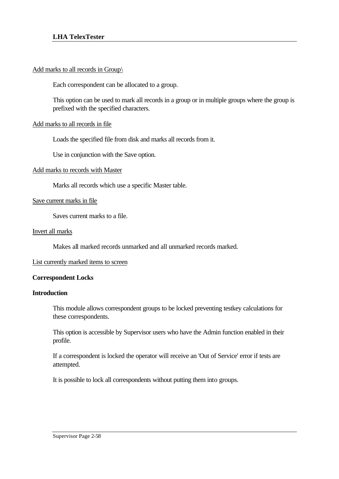### Add marks to all records in Group\

Each correspondent can be allocated to a group.

This option can be used to mark all records in a group or in multiple groups where the group is prefixed with the specified characters.

### Add marks to all records in file

Loads the specified file from disk and marks all records from it.

Use in conjunction with the Save option.

#### Add marks to records with Master

Marks all records which use a specific Master table.

#### Save current marks in file

Saves current marks to a file.

#### Invert all marks

Makes all marked records unmarked and all unmarked records marked.

#### List currently marked items to screen

#### **Correspondent Locks**

#### **Introduction**

This module allows correspondent groups to be locked preventing testkey calculations for these correspondents.

This option is accessible by Supervisor users who have the Admin function enabled in their profile.

If a correspondent is locked the operator will receive an 'Out of Service' error if tests are attempted.

It is possible to lock all correspondents without putting them into groups.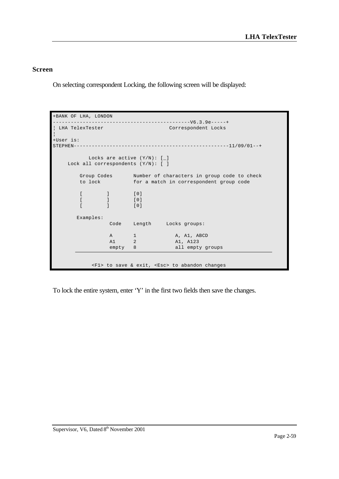## **Screen**

On selecting correspondent Locking, the following screen will be displayed:

```
+BANK OF LHA, LONDON 
  ----------------------------------------------V6.3.9e-----+
 LHA TelexTester Correspondent Locks
¦
+User is: 
STEPHEN----------------------------------------------------11/09/01--+
          Locks are active (Y/N): [_] 
    Lock all correspondents (Y/N): [ ] 
 Group Codes Number of characters in group code to check 
 to lock for a match in correspondent group code 
       [ ] [0][ ] [0][ ] [0] Examples: 
                Code Length Locks groups: 
               A 1 A, A1, ABCD
                A1 2 A1, A123 
               empty 8 all empty groups
           <F1> to save & exit, <Esc> to abandon changes
```
To lock the entire system, enter 'Y' in the first two fields then save the changes.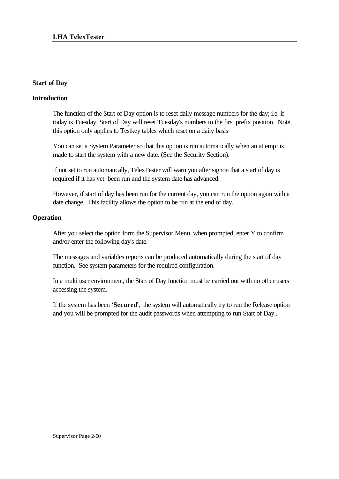## **Start of Day**

## **Introduction**

The function of the Start of Day option is to reset daily message numbers for the day; i.e. if today is Tuesday, Start of Day will reset Tuesday's numbers to the first prefix position. Note, this option only applies to Testkey tables which reset on a daily basis

You can set a System Parameter so that this option is run automatically when an attempt is made to start the system with a new date. (See the Security Section).

If not set to run automatically, TelexTester will warn you after signon that a start of day is required if it has yet been run and the system date has advanced.

However, if start of day has been run for the current day, you can run the option again with a date change. This facility allows the option to be run at the end of day.

## **Operation**

After you select the option form the Supervisor Menu, when prompted, enter Y to confirm and/or enter the following day's date.

The messages and variables reports can be produced automatically during the start of day function. See system parameters for the required configuration.

In a multi user environment, the Start of Day function must be carried out with no other users accessing the system.

If the system has been '**Secured**', the system will automatically try to run the Release option and you will be prompted for the audit passwords when attempting to run Start of Day..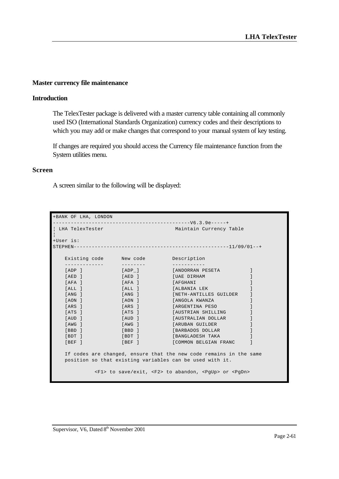#### **Master currency file maintenance**

### **Introduction**

The TelexTester package is delivered with a master currency table containing all commonly used ISO (International Standards Organization) currency codes and their descriptions to which you may add or make changes that correspond to your manual system of key testing.

If changes are required you should access the Currency file maintenance function from the System utilities menu.

#### **Screen**

A screen similar to the following will be displayed:

| +BANK OF LHA, LONDON                                                         |        |                                |  |
|------------------------------------------------------------------------------|--------|--------------------------------|--|
|                                                                              |        |                                |  |
| LHA TelexTester                                                              |        | Maintain Currency Table        |  |
| +User is:                                                                    |        |                                |  |
|                                                                              |        |                                |  |
|                                                                              |        |                                |  |
| Existing code Mew code Description                                           |        |                                |  |
|                                                                              |        |                                |  |
| [ADP]                                                                        | [ADP]  | [ANDORRAN PESETA               |  |
| [AED ]                                                                       | [AED]  | [UAE DIRHAM                    |  |
| [AFA ]                                                                       | [AFA]  | [ AFGHANI                      |  |
| SALL 1                                                                       |        | [ALL ] [ALBANIA LEK            |  |
| [ANG ]                                                                       | [ANG ] | [NETH-ANTILLES GUILDER         |  |
| [AON ]                                                                       | [AON ] | [ANGOLA KWANZA                 |  |
| [ARS ]                                                                       | [ARS]  | [ARGENTINA PESO                |  |
| [ATS ]                                                                       | TATS 1 | [AUSTRIAN SHILLING             |  |
| [AUD ]                                                                       |        | [AUD ] [AUSTRALIAN DOLLAR      |  |
| [AWG ]                                                                       |        | [AWG ] [ARUBAN GUILDER         |  |
| [BBD ]                                                                       | [BBD ] | <b>EXAMPLE SERVICES DOLLAR</b> |  |
| [BDT]                                                                        |        | [BDT ] [BANGLADESH TAKA        |  |
| [BEF ]                                                                       | [BEF]  | [COMMON BELGIAN FRANC          |  |
|                                                                              |        |                                |  |
| If codes are changed, ensure that the new code remains in the same           |        |                                |  |
| position so that existing variables can be used with it.                     |        |                                |  |
|                                                                              |        |                                |  |
| <f1> to save/exit, <f2> to abandon, <pqup> or <pqdn></pqdn></pqup></f2></f1> |        |                                |  |
|                                                                              |        |                                |  |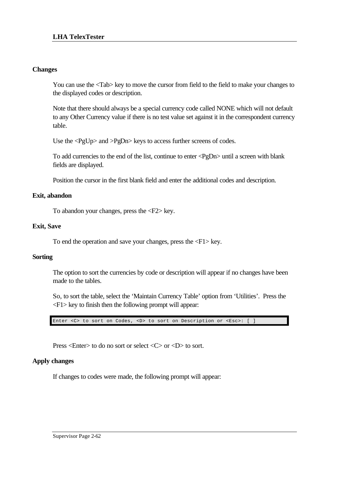## **Changes**

You can use the  $\langle \text{Tab}\rangle$  key to move the cursor from field to the field to make your changes to the displayed codes or description.

Note that there should always be a special currency code called NONE which will not default to any Other Currency value if there is no test value set against it in the correspondent currency table.

Use the <PgUp> and >PgDn> keys to access further screens of codes.

To add currencies to the end of the list, continue to enter <PgDn> until a screen with blank fields are displayed.

Position the cursor in the first blank field and enter the additional codes and description.

## **Exit, abandon**

To abandon your changes, press the <F2> key.

### **Exit, Save**

To end the operation and save your changes, press the <F1> key.

## **Sorting**

The option to sort the currencies by code or description will appear if no changes have been made to the tables.

So, to sort the table, select the 'Maintain Currency Table' option from 'Utilities'. Press the <F1> key to finish then the following prompt will appear:

Enter <C> to sort on Codes, <D> to sort on Description or <Esc>: [ ]

Press <Enter> to do no sort or select <C> or <D> to sort.

## **Apply changes**

If changes to codes were made, the following prompt will appear: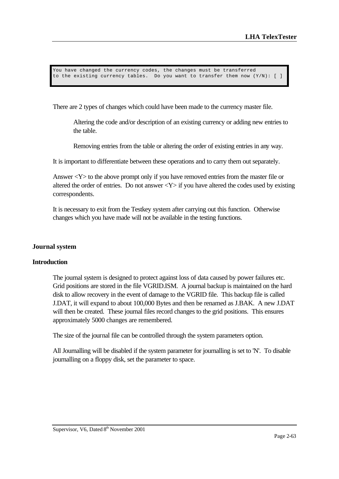You have changed the currency codes, the changes must be transferred to the existing currency tables. Do you want to transfer them now  $(Y/N)$ : [ ]

There are 2 types of changes which could have been made to the currency master file.

Altering the code and/or description of an existing currency or adding new entries to the table.

Removing entries from the table or altering the order of existing entries in any way.

It is important to differentiate between these operations and to carry them out separately.

Answer  $\langle Y \rangle$  to the above prompt only if you have removed entries from the master file or altered the order of entries. Do not answer  $<\y Y>$  if you have altered the codes used by existing correspondents.

It is necessary to exit from the Testkey system after carrying out this function. Otherwise changes which you have made will not be available in the testing functions.

#### **Journal system**

#### **Introduction**

The journal system is designed to protect against loss of data caused by power failures etc. Grid positions are stored in the file VGRID.ISM. A journal backup is maintained on the hard disk to allow recovery in the event of damage to the VGRID file. This backup file is called J.DAT, it will expand to about 100,000 Bytes and then be renamed as J.BAK. A new J.DAT will then be created. These journal files record changes to the grid positions. This ensures approximately 5000 changes are remembered.

The size of the journal file can be controlled through the system parameters option.

All Journalling will be disabled if the system parameter for journalling is set to 'N'. To disable journalling on a floppy disk, set the parameter to space.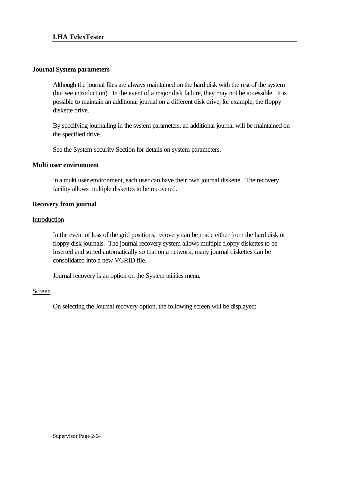### **Journal System parameters**

Although the journal files are always maintained on the hard disk with the rest of the system (but see introduction). In the event of a major disk failure, they may not be accessible. It is possible to maintain an additional journal on a different disk drive, for example, the floppy diskette drive.

By specifying journalling in the system parameters, an additional journal will be maintained on the specified drive.

See the System security Section for details on system parameters.

### **Multi user environment**

In a multi user environment, each user can have their own journal diskette. The recovery facility allows multiple diskettes to be recovered.

### **Recovery from journal**

#### Introduction

In the event of loss of the grid positions, recovery can be made either from the hard disk or floppy disk journals. The journal recovery system allows multiple floppy diskettes to be inserted and sorted automatically so that on a network, many journal diskettes can be consolidated into a new VGRID file.

Journal recovery is an option on the System utilities menu.

#### Screen

On selecting the Journal recovery option, the following screen will be displayed: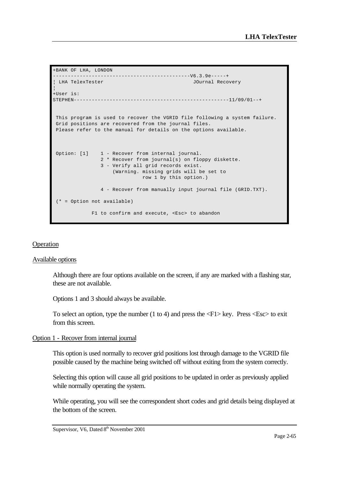```
+BANK OF LHA, LONDON 
 ----------------------------------------------V6.3.9e-----+
 LHA TelexTester JOurnal Recovery
¦
+User is: 
STEPHEN----------------------------------------------------11/09/01--+
 This program is used to recover the VGRID file following a system failure. 
 Grid positions are recovered from the journal files. 
 Please refer to the manual for details on the options available. 
Option: [1] 1 - Recover from internal journal.
                2 * Recover from journal(s) on floppy diskette. 
                3 - Verify all grid records exist. 
                    (Warning. missing grids will be set to 
                              row 1 by this option.) 
                4 - Recover from manually input journal file (GRID.TXT). 
  (* = Option not available) 
            F1 to confirm and execute, <Esc> to abandon
```
#### **Operation**

#### Available options

Although there are four options available on the screen, if any are marked with a flashing star, these are not available.

Options 1 and 3 should always be available.

To select an option, type the number  $(1 \text{ to } 4)$  and press the  $\langle F1 \rangle$  key. Press  $\langle Esc \rangle$  to exit from this screen.

#### Option 1 - Recover from internal journal

This option is used normally to recover grid positions lost through damage to the VGRID file possible caused by the machine being switched off without exiting from the system correctly.

Selecting this option will cause all grid positions to be updated in order as previously applied while normally operating the system.

While operating, you will see the correspondent short codes and grid details being displayed at the bottom of the screen.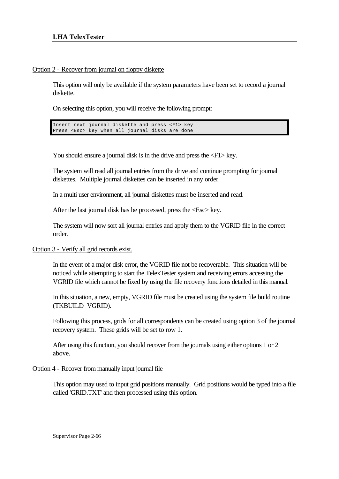### Option 2 - Recover from journal on floppy diskette

This option will only be available if the system parameters have been set to record a journal diskette.

On selecting this option, you will receive the following prompt:

Insert next journal diskette and press <F1> key Press <Esc> key when all journal disks are done

You should ensure a journal disk is in the drive and press the  $\langle F1 \rangle$  key.

The system will read all journal entries from the drive and continue prompting for journal diskettes. Multiple journal diskettes can be inserted in any order.

In a multi user environment, all journal diskettes must be inserted and read.

After the last journal disk has be processed, press the <Esc> key.

The system will now sort all journal entries and apply them to the VGRID file in the correct order.

#### Option 3 - Verify all grid records exist.

In the event of a major disk error, the VGRID file not be recoverable. This situation will be noticed while attempting to start the TelexTester system and receiving errors accessing the VGRID file which cannot be fixed by using the file recovery functions detailed in this manual.

In this situation, a new, empty, VGRID file must be created using the system file build routine (TKBUILD VGRID).

Following this process, grids for all correspondents can be created using option 3 of the journal recovery system. These grids will be set to row 1.

After using this function, you should recover from the journals using either options 1 or 2 above.

## Option 4 - Recover from manually input journal file

This option may used to input grid positions manually. Grid positions would be typed into a file called 'GRID.TXT' and then processed using this option.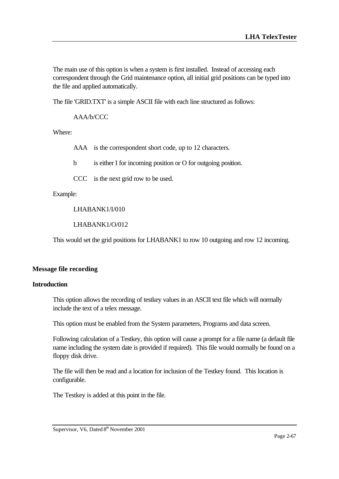The main use of this option is when a system is first installed. Instead of accessing each correspondent through the Grid maintenance option, all initial grid positions can be typed into the file and applied automatically.

The file 'GRID.TXT' is a simple ASCII file with each line structured as follows:

AAA/b/CCC

Where:

AAA is the correspondent short code, up to 12 characters.

b is either I for incoming position or O for outgoing position.

CCC is the next grid row to be used.

Example:

LHABANK1/I/010

LHABANK1/O/012

This would set the grid positions for LHABANK1 to row 10 outgoing and row 12 incoming.

#### **Message file recording**

#### **Introduction**

This option allows the recording of testkey values in an ASCII text file which will normally include the text of a telex message.

This option must be enabled from the System parameters, Programs and data screen.

Following calculation of a Testkey, this option will cause a prompt for a file name (a default file name including the system date is provided if required). This file would normally be found on a floppy disk drive.

The file will then be read and a location for inclusion of the Testkey found. This location is configurable.

The Testkey is added at this point in the file.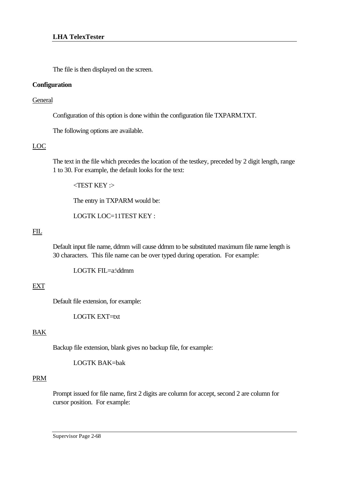The file is then displayed on the screen.

## **Configuration**

### General

Configuration of this option is done within the configuration file TXPARM.TXT.

The following options are available.

## LOC

The text in the file which precedes the location of the testkey, preceded by 2 digit length, range 1 to 30. For example, the default looks for the text:

 $\angle$ TEST KEY : $>$ 

The entry in TXPARM would be:

LOGTK LOC=11TEST KEY :

## FIL

Default input file name, ddmm will cause ddmm to be substituted maximum file name length is 30 characters. This file name can be over typed during operation. For example:

LOGTK FIL=a:\ddmm

# EXT

Default file extension, for example:

LOGTK EXT=txt

# BAK

Backup file extension, blank gives no backup file, for example:

LOGTK BAK=bak

## PRM

Prompt issued for file name, first 2 digits are column for accept, second 2 are column for cursor position. For example:

Supervisor Page 2-68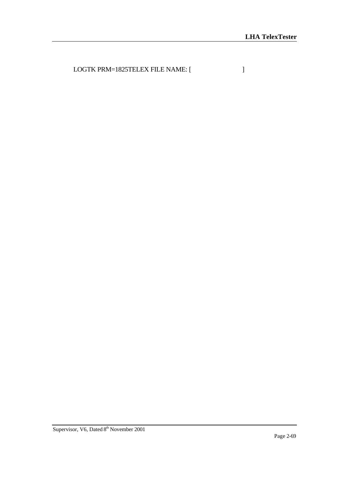LOGTK PRM=1825TELEX FILE NAME: [  $\qquad$  ]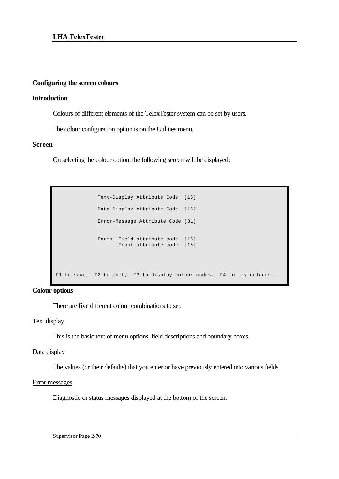#### **Configuring the screen colours**

### **Introduction**

Colours of different elements of the TelexTester system can be set by users.

The colour configuration option is on the Utilities menu.

#### **Screen**

On selecting the colour option, the following screen will be displayed:

```
 Text-Display Attribute Code [15]
               Data-Display Attribute Code [15]
              Error-Message Attribute Code [31]
               Forms. Field attribute code [15]
                     Input attribute code [15]
 F1 to save, F2 to exit, F3 to display colour codes, F4 to try colours.
```
**Colour options**

There are five different colour combinations to set:

#### Text display

This is the basic text of menu options, field descriptions and boundary boxes.

#### Data display

The values (or their defaults) that you enter or have previously entered into various fields.

#### Error messages

Diagnostic or status messages displayed at the bottom of the screen.

Supervisor Page 2-70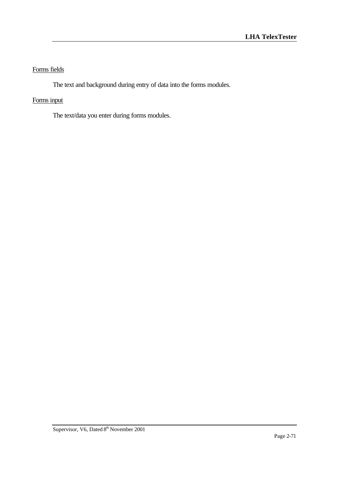# Forms fields

The text and background during entry of data into the forms modules.

# Forms input

The text/data you enter during forms modules.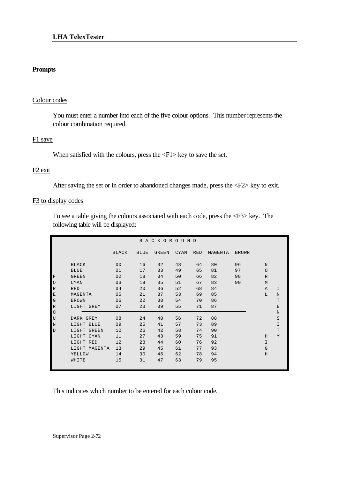## **Prompts**

#### Colour codes

You must enter a number into each of the five colour options. This number represents the colour combination required.

#### F1 save

When satisfied with the colours, press the  $\langle$ F1> key to save the set.

### F2 exit

After saving the set or in order to abandoned changes made, press the <F2> key to exit.

#### F<sub>3</sub> to display codes

To see a table giving the colours associated with each code, press the <F3> key. The following table will be displayed:

|                                  | BACKGROUND                            |                                        |                |                |                |                |                |          |                   |             |  |  |
|----------------------------------|---------------------------------------|----------------------------------------|----------------|----------------|----------------|----------------|----------------|----------|-------------------|-------------|--|--|
|                                  |                                       | <b>BLACK</b>                           | <b>BLUE</b>    | <b>GREEN</b>   | <b>CYAN</b>    | <b>RED</b>     | MAGENTA        | BROWN    |                   |             |  |  |
|                                  | <b>BLACK</b><br><b>BLUE</b>           | 0 <sub>0</sub><br>01                   | 16<br>17       | 32<br>33       | 48<br>49       | 64<br>65       | 80<br>81       | 96<br>97 | N<br>$\circ$      |             |  |  |
| $\mathbf F$<br>$\circ$           | <b>GREEN</b><br><b>CYAN</b>           | 02<br>0.3                              | 18<br>19       | 34<br>35       | 50<br>51       | 66<br>67<br>68 | 82<br>83       | 98<br>99 | $\mathbb R$<br>M  |             |  |  |
| $\mathbb{R}$<br>$\mathbf E$<br>G | <b>RED</b><br>MAGENTA<br><b>BROWN</b> | 0 <sub>4</sub><br>0 <sub>5</sub><br>06 | 20<br>21<br>22 | 36<br>37<br>38 | 52<br>53<br>54 | 69<br>70       | 84<br>85<br>86 |          | $\mathbb{A}$<br>L | I<br>N<br>T |  |  |
| $\mathbb{R}$<br>$\circ$          | LIGHT GREY                            | 07                                     | 23             | 39             | 55             | 71             | 87             |          |                   | E<br>N      |  |  |
| U<br>N                           | DARK GREY<br>LIGHT BLUE               | 08<br>09                               | 24<br>25       | 40<br>41       | 56<br>57       | 72<br>73       | 88<br>89       |          |                   | S<br>I      |  |  |
| $\mathbf{D}$                     | LIGHT GREEN<br>LIGHT CYAN             | 10<br>11                               | 26<br>27       | 42<br>43       | 58<br>59       | 74<br>75       | 90<br>91       |          | H                 | T<br>Y      |  |  |
|                                  | LIGHT RED<br>LIGHT MAGENTA            | 12<br>13                               | 28<br>29       | 44<br>45       | 60<br>61       | 76<br>77<br>78 | 92<br>93       |          | I.<br>G           |             |  |  |
|                                  | YELLOW<br>WHITE                       | 14<br>15                               | 30<br>31       | 46<br>47       | 62<br>63       | 79             | 94<br>95       |          | H                 |             |  |  |

This indicates which number to be entered for each colour code.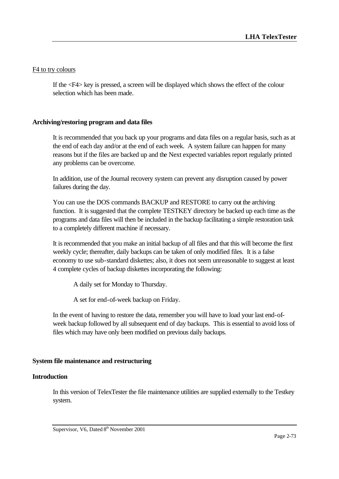### F4 to try colours

If the <F4> key is pressed, a screen will be displayed which shows the effect of the colour selection which has been made.

## **Archiving/restoring program and data files**

It is recommended that you back up your programs and data files on a regular basis, such as at the end of each day and/or at the end of each week. A system failure can happen for many reasons but if the files are backed up and the Next expected variables report regularly printed any problems can be overcome.

In addition, use of the Journal recovery system can prevent any disruption caused by power failures during the day.

You can use the DOS commands BACKUP and RESTORE to carry out the archiving function. It is suggested that the complete TESTKEY directory be backed up each time as the programs and data files will then be included in the backup facilitating a simple restoration task to a completely different machine if necessary.

It is recommended that you make an initial backup of all files and that this will become the first weekly cycle; thereafter, daily backups can be taken of only modified files. It is a false economy to use sub-standard diskettes; also, it does not seem unreasonable to suggest at least 4 complete cycles of backup diskettes incorporating the following:

A daily set for Monday to Thursday.

A set for end-of-week backup on Friday.

In the event of having to restore the data, remember you will have to load your last end-ofweek backup followed by all subsequent end of day backups. This is essential to avoid loss of files which may have only been modified on previous daily backups.

## **System file maintenance and restructuring**

#### **Introduction**

In this version of TelexTester the file maintenance utilities are supplied externally to the Testkey system.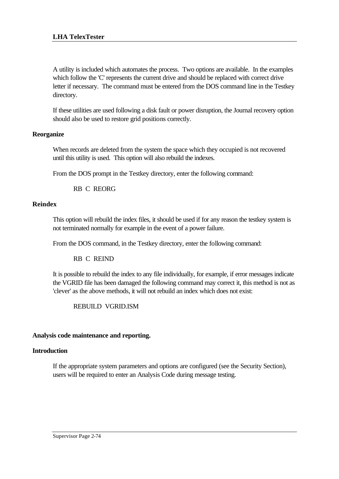A utility is included which automates the process. Two options are available. In the examples which follow the 'C' represents the current drive and should be replaced with correct drive letter if necessary. The command must be entered from the DOS command line in the Testkey directory.

If these utilities are used following a disk fault or power disruption, the Journal recovery option should also be used to restore grid positions correctly.

## **Reorganize**

When records are deleted from the system the space which they occupied is not recovered until this utility is used. This option will also rebuild the indexes.

From the DOS prompt in the Testkey directory, enter the following command:

RB C REORG

## **Reindex**

This option will rebuild the index files, it should be used if for any reason the testkey system is not terminated normally for example in the event of a power failure.

From the DOS command, in the Testkey directory, enter the following command:

RB C REIND

It is possible to rebuild the index to any file individually, for example, if error messages indicate the VGRID file has been damaged the following command may correct it, this method is not as 'clever' as the above methods, it will not rebuild an index which does not exist:

REBUILD VGRID.ISM

## **Analysis code maintenance and reporting.**

## **Introduction**

If the appropriate system parameters and options are configured (see the Security Section), users will be required to enter an Analysis Code during message testing.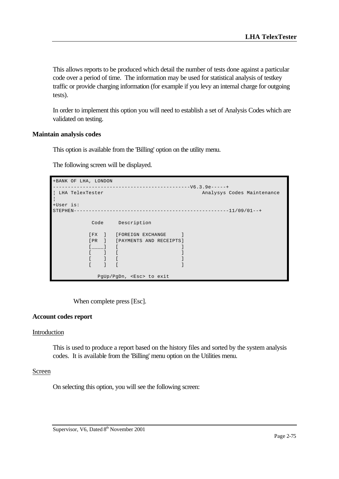This allows reports to be produced which detail the number of tests done against a particular code over a period of time. The information may be used for statistical analysis of testkey traffic or provide charging information (for example if you levy an internal charge for outgoing tests).

In order to implement this option you will need to establish a set of Analysis Codes which are validated on testing.

#### **Maintain analysis codes**

This option is available from the 'Billing' option on the utility menu.

The following screen will be displayed.

|                 | +BANK OF LHA, LONDON |                                           |  |                                |
|-----------------|----------------------|-------------------------------------------|--|--------------------------------|
|                 |                      |                                           |  | $------------V6.3.9e---+$      |
| LHA TelexTester |                      |                                           |  | Analysys Codes Maintenance     |
| +User is:       |                      |                                           |  |                                |
| STEPHEN-        |                      |                                           |  |                                |
|                 |                      |                                           |  | Code Description               |
|                 |                      |                                           |  | [FX ] [FOREIGN EXCHANGE        |
|                 |                      |                                           |  | [PR ] [PAYMENTS AND RECEIPTS]  |
|                 |                      |                                           |  |                                |
|                 |                      | $\begin{bmatrix} 1 & 1 \end{bmatrix}$     |  |                                |
|                 |                      | $\begin{bmatrix} 1 & 1 & 1 \end{bmatrix}$ |  |                                |
|                 |                      |                                           |  |                                |
|                 |                      |                                           |  | PgUp/PgDn, <esc> to exit</esc> |

When complete press [Esc].

#### **Account codes report**

#### Introduction

This is used to produce a report based on the history files and sorted by the system analysis codes. It is available from the 'Billing' menu option on the Utilities menu.

#### Screen

On selecting this option, you will see the following screen: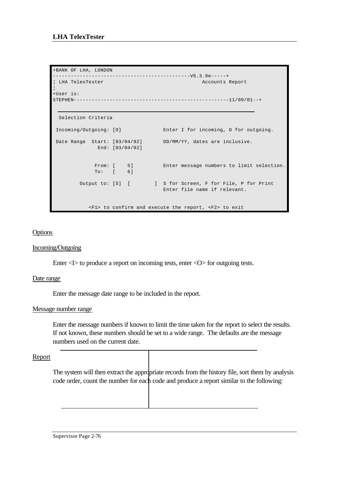```
+BANK OF LHA, LONDON 
 ----------------------------------------------V6.3.9e-----+
¦ LHA TelexTester Accounts Report 
¦
+User is: 
STEPHEN----------------------------------------------------11/09/01--+
  Selection Criteria 
 Incoming/Outgoing: [O] Enter I for incoming, O for outgoing. 
Date Range Start: [03/04/92] DD/MM/YY, dates are inclusive.
             End: [03/04/92] 
            From: [ 5] Enter message numbers to limit selection.
             To: [ 6] 
       Output to: [S] [ ] S for Screen, F for File, P for Print
                                  Enter file name if relevant. 
            <F1> to confirm and execute the report, <F2> to exit
```
### **Options**

#### Incoming/Outgoing

Enter <I> to produce a report on incoming tests, enter <O> for outgoing tests.

#### Date range

Enter the message date range to be included in the report.

#### Message number range

Enter the message numbers if known to limit the time taken for the report to select the results. If not known, these numbers should be set to a wide range. The defaults are the message numbers used on the current date.

#### Report

The system will then extract the appropriate records from the history file, sort them by analysis code order, count the number for each code and produce a report similar to the following: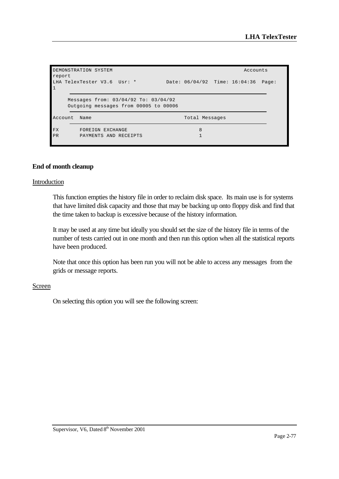```
DEMONSTRATION SYSTEM Accounts
report
LHA TelexTester V3.6 Usr: * Date: 06/04/92 Time: 16:04:36 Page: 
1
    Messages from: 03/04/92 To: 03/04/92
    Outgoing messages from 00005 to 00006
Account Name Total Messages
FX FOREIGN EXCHANGE 8
PR PAYMENTS AND RECEIPTS 1
```
#### **End of month cleanup**

#### Introduction

This function empties the history file in order to reclaim disk space. Its main use is for systems that have limited disk capacity and those that may be backing up onto floppy disk and find that the time taken to backup is excessive because of the history information.

It may be used at any time but ideally you should set the size of the history file in terms of the number of tests carried out in one month and then run this option when all the statistical reports have been produced.

Note that once this option has been run you will not be able to access any messages from the grids or message reports.

#### Screen

On selecting this option you will see the following screen: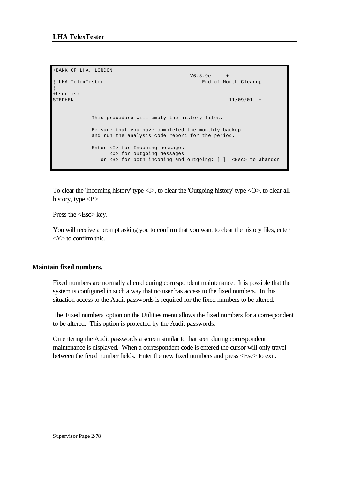```
+BANK OF LHA, LONDON 
----------------------------------------------V6.3.9e-----+
                                                  End of Month Cleanup
¦
+User is: 
STEPHEN----------------------------------------------------11/09/01--+
              This procedure will empty the history files.
              Be sure that you have completed the monthly backup
             and run the analysis code report for the period.
              Enter <I> for Incoming messages
                  <O> for outgoing messages
                 or <B> for both incoming and outgoing: [ ] <Esc> to abandon
```
To clear the 'Incoming history' type <I>, to clear the 'Outgoing history' type <O>, to clear all history, type  $\langle B \rangle$ .

Press the <Esc> key.

You will receive a prompt asking you to confirm that you want to clear the history files, enter  $<$ Y $>$  to confirm this.

## **Maintain fixed numbers.**

Fixed numbers are normally altered during correspondent maintenance. It is possible that the system is configured in such a way that no user has access to the fixed numbers. In this situation access to the Audit passwords is required for the fixed numbers to be altered.

The 'Fixed numbers' option on the Utilities menu allows the fixed numbers for a correspondent to be altered. This option is protected by the Audit passwords.

On entering the Audit passwords a screen similar to that seen during correspondent maintenance is displayed. When a correspondent code is entered the cursor will only travel between the fixed number fields. Enter the new fixed numbers and press <Esc> to exit.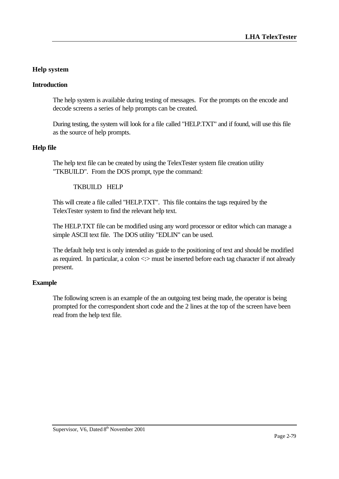# **Help system**

## **Introduction**

The help system is available during testing of messages. For the prompts on the encode and decode screens a series of help prompts can be created.

During testing, the system will look for a file called "HELP.TXT" and if found, will use this file as the source of help prompts.

## **Help file**

The help text file can be created by using the TelexTester system file creation utility "TKBUILD". From the DOS prompt, type the command:

## TKBUILD HELP

This will create a file called "HELP.TXT". This file contains the tags required by the TelexTester system to find the relevant help text.

The HELP.TXT file can be modified using any word processor or editor which can manage a simple ASCII text file. The DOS utility "EDLIN" can be used.

The default help text is only intended as guide to the positioning of text and should be modified as required. In particular, a colon <:> must be inserted before each tag character if not already present.

## **Example**

The following screen is an example of the an outgoing test being made, the operator is being prompted for the correspondent short code and the 2 lines at the top of the screen have been read from the help text file.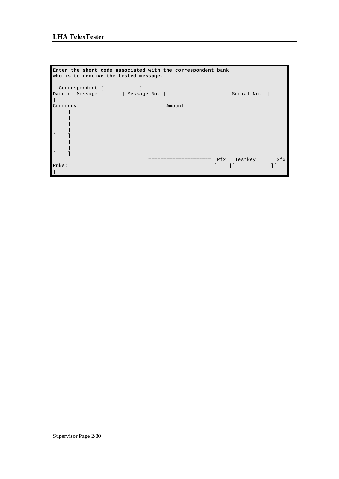## **LHA TelexTester**

```
Enter the short code associated with the correspondent bank
who is to receive the tested message.
 Correspondent [ ]
Date of Message [ ] Message No. [ ] Serial No. [ 
\, \, \,Currency Amount
\begin{bmatrix} 1 & 1 \end{bmatrix}\lbrack \begin{array}{cc} \rule{0.2cm}{0.2cm} & \rule{0.2cm}{0.2cm} \end{array} \rbrack\lbrack \begin{array}{cc} \rule{0.2cm}{0.2cm} & \rule{0.2cm}{0.2cm} \end{array} \rbrack[ ][ ][ ]\lbrack \begin{array}{cc} \rule{0.2cm}{0.2cm} & \rule{0.2cm}{0.2cm} \\ \rule{0.2cm} & \rule{0.2cm}{0.2cm} \end{array}[ ] ===================== Pfx Testkey Sfx
Rmks: [ ][ ][ 
]
```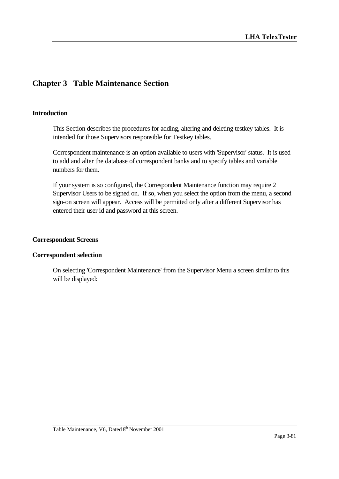# **Chapter 3 Table Maintenance Section**

#### **Introduction**

This Section describes the procedures for adding, altering and deleting testkey tables. It is intended for those Supervisors responsible for Testkey tables.

Correspondent maintenance is an option available to users with 'Supervisor' status. It is used to add and alter the database of correspondent banks and to specify tables and variable numbers for them.

If your system is so configured, the Correspondent Maintenance function may require 2 Supervisor Users to be signed on. If so, when you select the option from the menu, a second sign-on screen will appear. Access will be permitted only after a different Supervisor has entered their user id and password at this screen.

#### **Correspondent Screens**

#### **Correspondent selection**

On selecting 'Correspondent Maintenance' from the Supervisor Menu a screen similar to this will be displayed: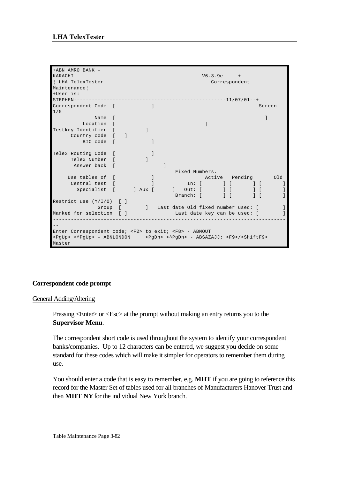```
+ABN AMRO BANK -
KARACHI-------------------------------------------V6.3.9e-----+
¦ LHA TelexTester Correspondent 
Maintenance¦
+User is: 
STEPHEN---------------------------------------------------11/07/01--+
Correspondent Code [ ] Screen Screen Screen Screen Screen Screen Screen Screen Screen Screen Screen Screen Screen Screen Screen Screen Screen Screen Screen Screen Screen Screen Screen Screen Screen Screen Screen Screen Scr
1/5
              Name [ ] b \frac{1}{2} ] b \frac{1}{2} b \frac{1}{2} b \frac{1}{2} b \frac{1}{2} b \frac{1}{2} b \frac{1}{2} b \frac{1}{2} b \frac{1}{2} b \frac{1}{2} b \frac{1}{2} b \frac{1}{2} b \frac{1}{2} b \frac{1}{2} b \frac{1}{2} 
Location [<br>
Testkey Identifier [ ]
Testkey Identifier [ ]
 Country code [ ]
 BIC code [ ]
Telex Routing Code [ ]
 Telex Number [ ]
Answer back [ ] ]
 Fixed Numbers.
Use tables of [ \qquad ] and Active Pending and Old
Central test [ [ ] ] ] ] [ ] [ ] [ ] [ ] ] [ ] ] [ ] ] [ ] ] [ ] ] [ ] ] [ ] ] [ ] ] [ ] ] [ ] ] [ ] ] [ ] ] [ ] ] [ ] ] [ ] ] [ ] ] [ ] ] [ ] ] [ ] ] [ ] ] [ ] ] [ ] ] [ ] [ ] [ ] [ ] [ ] [ ] [ ] [ ] [ ] [ ] [ ] [ ] [ ] [
Specialist [ ] Aux [ ] Out: [ ] [ ] [ ] ]
 Branch: [ ] [ ] [ ]
Restrict use (Y/I/O) [ ]
Group [ ] Last date Old fixed number used: [ ]<br>Marked for selection [ ] [ ] [ ] Last date key can be used: [ ]
                                    Marked: [ ] Last date key can be used: [ ] ]
------------------------------------------------------------------------------
--
Enter Correspondent code; <F2> to exit; <F8> - ABNOUT
<PgUp> <^PgUp> - ABNLONDON <PgDn> <^PgDn> - ABSAZAJJ; <F9>/<ShiftF9> 
Master
```
## **Correspondent code prompt**

#### General Adding/Altering

Pressing <Enter> or <Esc> at the prompt without making an entry returns you to the **Supervisor Menu**.

The correspondent short code is used throughout the system to identify your correspondent banks/companies. Up to 12 characters can be entered, we suggest you decide on some standard for these codes which will make it simpler for operators to remember them during use.

You should enter a code that is easy to remember, e.g. **MHT** if you are going to reference this record for the Master Set of tables used for all branches of Manufacturers Hanover Trust and then **MHT NY** for the individual New York branch.

Table Maintenance Page 3-82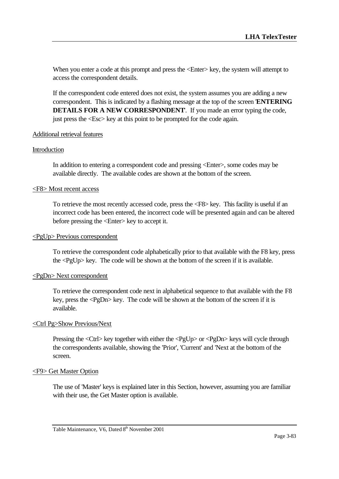When you enter a code at this prompt and press the  $\leq$ Enter $\geq$  key, the system will attempt to access the correspondent details.

If the correspondent code entered does not exist, the system assumes you are adding a new correspondent. This is indicated by a flashing message at the top of the screen '**ENTERING DETAILS FOR A NEW CORRESPONDENT**'. If you made an error typing the code, just press the <Esc> key at this point to be prompted for the code again.

#### Additional retrieval features

#### Introduction

In addition to entering a correspondent code and pressing <Enter>, some codes may be available directly. The available codes are shown at the bottom of the screen.

#### <F8> Most recent access

To retrieve the most recently accessed code, press the <F8> key. This facility is useful if an incorrect code has been entered, the incorrect code will be presented again and can be altered before pressing the <Enter> key to accept it.

#### <PgUp> Previous correspondent

To retrieve the correspondent code alphabetically prior to that available with the F8 key, press the <PgUp> key. The code will be shown at the bottom of the screen if it is available.

#### <PgDn> Next correspondent

To retrieve the correspondent code next in alphabetical sequence to that available with the F8 key, press the <PgDn> key. The code will be shown at the bottom of the screen if it is available.

#### <Ctrl Pg>Show Previous/Next

Pressing the <Ctrl> key together with either the <PgUp> or <PgDn> keys will cycle through the correspondents available, showing the 'Prior', 'Current' and 'Next at the bottom of the screen.

#### <F9> Get Master Option

The use of 'Master' keys is explained later in this Section, however, assuming you are familiar with their use, the Get Master option is available.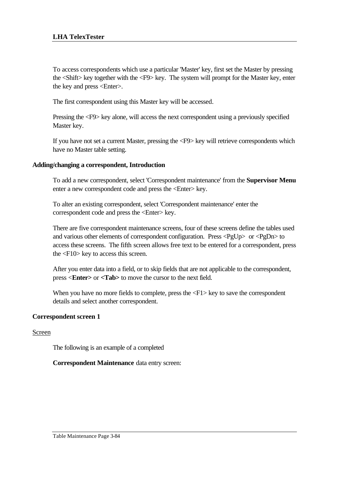To access correspondents which use a particular 'Master' key, first set the Master by pressing the <Shift> key together with the <F9> key. The system will prompt for the Master key, enter the key and press <Enter>.

The first correspondent using this Master key will be accessed.

Pressing the <F9> key alone, will access the next correspondent using a previously specified Master key.

If you have not set a current Master, pressing the <F9> key will retrieve correspondents which have no Master table setting.

### **Adding/changing a correspondent, Introduction**

To add a new correspondent, select 'Correspondent maintenance' from the **Supervisor Menu** enter a new correspondent code and press the <Enter> key.

To alter an existing correspondent, select 'Correspondent maintenance' enter the correspondent code and press the <Enter> key.

There are five correspondent maintenance screens, four of these screens define the tables used and various other elements of correspondent configuration. Press <PgUp> or <PgDn> to access these screens. The fifth screen allows free text to be entered for a correspondent, press the <F10> key to access this screen.

After you enter data into a field, or to skip fields that are not applicable to the correspondent, press <**Enter>** or **<Tab>** to move the cursor to the next field.

When you have no more fields to complete, press the  $\langle F1 \rangle$  key to save the correspondent details and select another correspondent.

## **Correspondent screen 1**

#### Screen

The following is an example of a completed

**Correspondent Maintenance** data entry screen: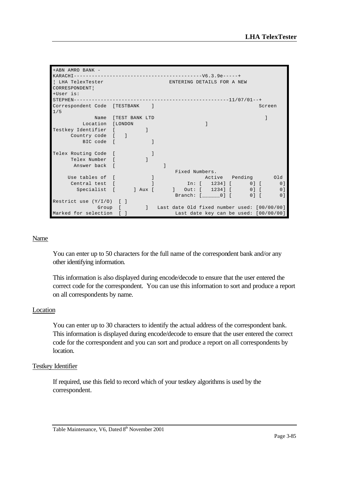| +ABN AMRO BANK -               |                            |                     |  |                |                                                                                                                                   |  |                                               |
|--------------------------------|----------------------------|---------------------|--|----------------|-----------------------------------------------------------------------------------------------------------------------------------|--|-----------------------------------------------|
|                                |                            |                     |  |                |                                                                                                                                   |  |                                               |
| LHA TelexTester                | ENTERING DETAILS FOR A NEW |                     |  |                |                                                                                                                                   |  |                                               |
| CORRESPONDENT                  |                            |                     |  |                |                                                                                                                                   |  |                                               |
| +User is:                      |                            |                     |  |                |                                                                                                                                   |  |                                               |
|                                |                            |                     |  |                |                                                                                                                                   |  |                                               |
| Correspondent Code [TESTBANK ] |                            |                     |  |                |                                                                                                                                   |  | Screen                                        |
| 1/5                            |                            |                     |  |                |                                                                                                                                   |  |                                               |
|                                |                            | Name [TEST BANK LTD |  |                |                                                                                                                                   |  |                                               |
| Location [LONDON               |                            |                     |  |                |                                                                                                                                   |  |                                               |
| Testkey Identifier [           |                            |                     |  |                |                                                                                                                                   |  |                                               |
| Country code [ ]               |                            |                     |  |                |                                                                                                                                   |  |                                               |
| BIC code [                     |                            |                     |  |                |                                                                                                                                   |  |                                               |
|                                |                            |                     |  |                |                                                                                                                                   |  |                                               |
| Telex Routing Code [           |                            |                     |  |                |                                                                                                                                   |  |                                               |
| Telex Number [                 |                            |                     |  |                |                                                                                                                                   |  |                                               |
| Answer back [                  |                            |                     |  |                |                                                                                                                                   |  |                                               |
|                                |                            |                     |  | Fixed Numbers. |                                                                                                                                   |  |                                               |
| Use tables of [                |                            |                     |  |                | Active Pending 01d                                                                                                                |  |                                               |
| Central test [                 |                            |                     |  |                | $\begin{bmatrix} \text{In:} & \text{[} & \text{1234} \text{]} & \text{[} & \text{0} \text{]} & \text{[} & \text{]} \end{bmatrix}$ |  | 0 <sup>1</sup>                                |
| Specialist [ ] Aux [           |                            |                     |  |                | 1 0ut: [ 1234] [ 0] [                                                                                                             |  | 0 <sup>1</sup>                                |
|                                |                            |                     |  |                | Branch: [ 0] [                                                                                                                    |  | $01$ $\Gamma$<br>0 <sup>1</sup>               |
| Restrict use $(Y/I/O)$ [ ]     |                            |                     |  |                |                                                                                                                                   |  |                                               |
|                                | Group [                    |                     |  |                |                                                                                                                                   |  | ] Last date Old fixed number used: [00/00/00] |
| Marked for selection [ ]       |                            |                     |  |                |                                                                                                                                   |  | Last date key can be used: [00/00/00]         |

#### Name

You can enter up to 50 characters for the full name of the correspondent bank and/or any other identifying information.

This information is also displayed during encode/decode to ensure that the user entered the correct code for the correspondent. You can use this information to sort and produce a report on all correspondents by name.

#### **Location**

You can enter up to 30 characters to identify the actual address of the correspondent bank. This information is displayed during encode/decode to ensure that the user entered the correct code for the correspondent and you can sort and produce a report on all correspondents by location.

#### Testkey Identifier

If required, use this field to record which of your testkey algorithms is used by the correspondent.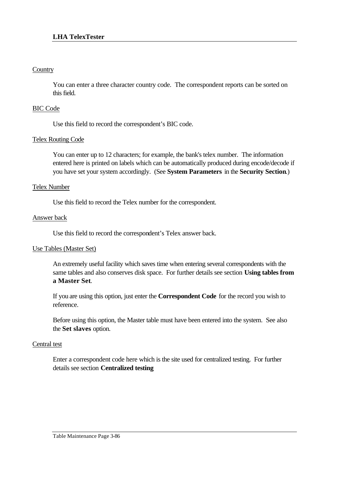## **Country**

You can enter a three character country code. The correspondent reports can be sorted on this field.

## BIC Code

Use this field to record the correspondent's BIC code.

## Telex Routing Code

You can enter up to 12 characters; for example, the bank's telex number. The information entered here is printed on labels which can be automatically produced during encode/decode if you have set your system accordingly. (See **System Parameters** in the **Security Section**.)

## Telex Number

Use this field to record the Telex number for the correspondent.

## Answer back

Use this field to record the correspondent's Telex answer back.

## Use Tables (Master Set)

An extremely useful facility which saves time when entering several correspondents with the same tables and also conserves disk space. For further details see section **Using tables from a Master Set**.

If you are using this option, just enter the **Correspondent Code** for the record you wish to reference.

Before using this option, the Master table must have been entered into the system. See also the **Set slaves** option.

## Central test

Enter a correspondent code here which is the site used for centralized testing. For further details see section **Centralized testing**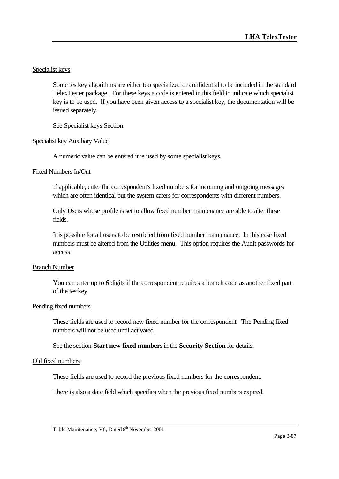## Specialist keys

Some testkey algorithms are either too specialized or confidential to be included in the standard TelexTester package. For these keys a code is entered in this field to indicate which specialist key is to be used. If you have been given access to a specialist key, the documentation will be issued separately.

See Specialist keys Section.

#### Specialist key Auxiliary Value

A numeric value can be entered it is used by some specialist keys.

### Fixed Numbers In/Out

If applicable, enter the correspondent's fixed numbers for incoming and outgoing messages which are often identical but the system caters for correspondents with different numbers.

Only Users whose profile is set to allow fixed number maintenance are able to alter these fields.

It is possible for all users to be restricted from fixed number maintenance. In this case fixed numbers must be altered from the Utilities menu. This option requires the Audit passwords for access.

#### Branch Number

You can enter up to 6 digits if the correspondent requires a branch code as another fixed part of the testkey.

#### Pending fixed numbers

These fields are used to record new fixed number for the correspondent. The Pending fixed numbers will not be used until activated.

See the section **Start new fixed numbers** in the **Security Section** for details.

#### Old fixed numbers

These fields are used to record the previous fixed numbers for the correspondent.

There is also a date field which specifies when the previous fixed numbers expired.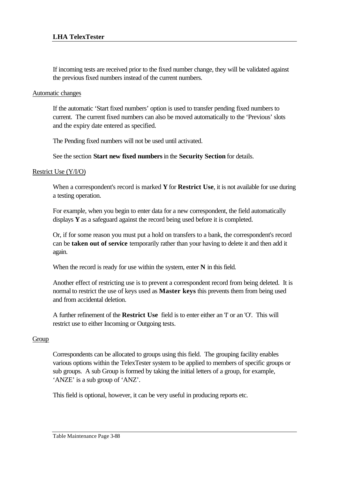If incoming tests are received prior to the fixed number change, they will be validated against the previous fixed numbers instead of the current numbers.

#### Automatic changes

If the automatic 'Start fixed numbers' option is used to transfer pending fixed numbers to current. The current fixed numbers can also be moved automatically to the 'Previous' slots and the expiry date entered as specified.

The Pending fixed numbers will not be used until activated.

See the section **Start new fixed numbers** in the **Security Section** for details.

## Restrict Use (Y/I/O)

When a correspondent's record is marked **Y** for **Restrict Use**, it is not available for use during a testing operation.

For example, when you begin to enter data for a new correspondent, the field automatically displays **Y** as a safeguard against the record being used before it is completed.

Or, if for some reason you must put a hold on transfers to a bank, the correspondent's record can be **taken out of service** temporarily rather than your having to delete it and then add it again.

When the record is ready for use within the system, enter **N** in this field.

Another effect of restricting use is to prevent a correspondent record from being deleted. It is normal to restrict the use of keys used as **Master keys** this prevents them from being used and from accidental deletion.

A further refinement of the **Restrict Use** field is to enter either an 'I' or an 'O'. This will restrict use to either Incoming or Outgoing tests.

## Group

Correspondents can be allocated to groups using this field. The grouping facility enables various options within the TelexTester system to be applied to members of specific groups or sub groups. A sub Group is formed by taking the initial letters of a group, for example, 'ANZE' is a sub group of 'ANZ'.

This field is optional, however, it can be very useful in producing reports etc.

Table Maintenance Page 3-88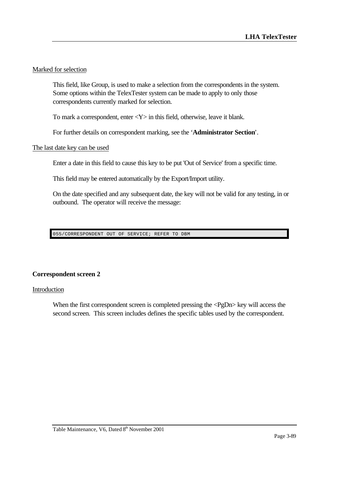## Marked for selection

This field, like Group, is used to make a selection from the correspondents in the system. Some options within the TelexTester system can be made to apply to only those correspondents currently marked for selection.

To mark a correspondent, enter  $<\mathbf{Y}>$  in this field, otherwise, leave it blank.

For further details on correspondent marking, see the '**Administrator Section**'.

### The last date key can be used

Enter a date in this field to cause this key to be put 'Out of Service' from a specific time.

This field may be entered automatically by the Export/Import utility.

On the date specified and any subsequent date, the key will not be valid for any testing, in or outbound. The operator will receive the message:

055/CORRESPONDENT OUT OF SERVICE; REFER TO DBM

## **Correspondent screen 2**

#### Introduction

When the first correspondent screen is completed pressing the <PgDn> key will access the second screen. This screen includes defines the specific tables used by the correspondent.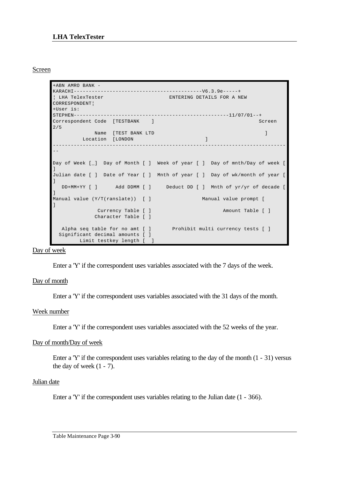### Screen

```
+ABN AMRO BANK -
KARACHI-------------------------------------------V6.3.9e-----+
¦ LHA TelexTester ENTERING DETAILS FOR A NEW 
CORRESPONDENT¦
+User is: 
STEPHEN----------------------------------------------------11/07/01--+
Correspondent Code [TESTBANK ] Screen
2/5Name [TEST BANK LTD ]
       Location [LONDON ]
------------------------------------------------------------------------------
-Day of Week [_] Day of Month [ ] Week of year [ ] Day of mnth/Day of week [ 
]
Julian date [ ] Date of Year [ ] Mnth of year [ ] Day of wk/month of year [ 
]
   DD+MM+YY [ ] Add DDMM [ ] Deduct DD [ ] Mnth of yr/yr of decade [ 
]
Manual value (Y/T(ranslate)) [ ] Manual value prompt [ 
]
           Currency Table [ ] Amount Table [ ]
           Character Table [ ]
  Alpha seq table for no amt [ ] Prohibit multi currency tests [ ]
  Significant decimal amounts [ ]
       Limit testkey length [ ]
```
Day of week

Enter a 'Y' if the correspondent uses variables associated with the 7 days of the week.

#### Day of month

Enter a 'Y' if the correspondent uses variables associated with the 31 days of the month.

#### Week number

Enter a 'Y' if the correspondent uses variables associated with the 52 weeks of the year.

#### Day of month/Day of week

Enter a 'Y' if the correspondent uses variables relating to the day of the month (1 - 31) versus the day of week  $(1 - 7)$ .

#### Julian date

Enter a 'Y' if the correspondent uses variables relating to the Julian date (1 - 366).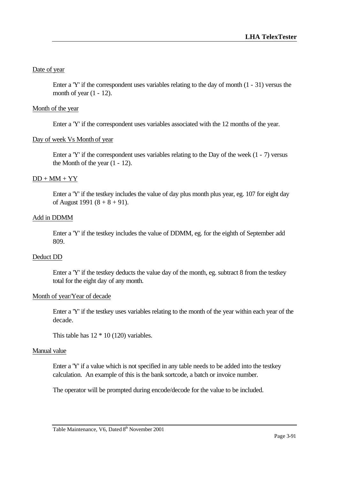## Date of year

Enter a 'Y' if the correspondent uses variables relating to the day of month (1 - 31) versus the month of year  $(1 - 12)$ .

## Month of the year

Enter a 'Y' if the correspondent uses variables associated with the 12 months of the year.

## Day of week Vs Month of year

Enter a 'Y' if the correspondent uses variables relating to the Day of the week (1 - 7) versus the Month of the year  $(1 - 12)$ .

## $DD + MM + YY$

Enter a 'Y' if the testkey includes the value of day plus month plus year, eg. 107 for eight day of August 1991  $(8 + 8 + 91)$ .

## Add in DDMM

Enter a 'Y' if the testkey includes the value of DDMM, eg. for the eighth of September add 809.

## Deduct DD

Enter a 'Y' if the testkey deducts the value day of the month, eg. subtract 8 from the testkey total for the eight day of any month.

## Month of year/Year of decade

Enter a 'Y' if the testkey uses variables relating to the month of the year within each year of the decade.

This table has  $12 * 10 (120)$  variables.

## Manual value

Enter a 'Y' if a value which is not specified in any table needs to be added into the testkey calculation. An example of this is the bank sortcode, a batch or invoice number.

The operator will be prompted during encode/decode for the value to be included.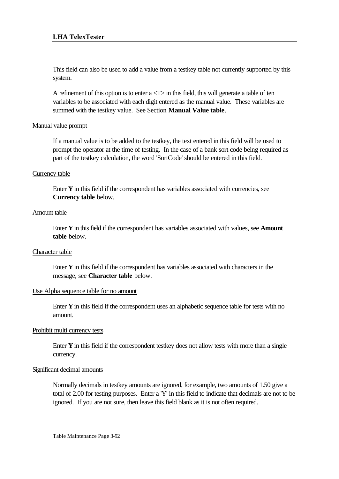This field can also be used to add a value from a testkey table not currently supported by this system.

A refinement of this option is to enter  $a < T$  in this field, this will generate a table of ten variables to be associated with each digit entered as the manual value. These variables are summed with the testkey value. See Section **Manual Value table**.

### Manual value prompt

If a manual value is to be added to the testkey, the text entered in this field will be used to prompt the operator at the time of testing. In the case of a bank sort code being required as part of the testkey calculation, the word 'SortCode' should be entered in this field.

### Currency table

Enter **Y** in this field if the correspondent has variables associated with currencies, see **Currency table** below.

### Amount table

Enter **Y** in this field if the correspondent has variables associated with values, see **Amount table** below.

#### Character table

Enter **Y** in this field if the correspondent has variables associated with characters in the message, see **Character table** below.

#### Use Alpha sequence table for no amount

Enter **Y** in this field if the correspondent uses an alphabetic sequence table for tests with no amount.

#### Prohibit multi currency tests

Enter **Y** in this field if the correspondent testkey does not allow tests with more than a single currency.

#### Significant decimal amounts

Normally decimals in testkey amounts are ignored, for example, two amounts of 1.50 give a total of 2.00 for testing purposes. Enter a 'Y' in this field to indicate that decimals are not to be ignored. If you are not sure, then leave this field blank as it is not often required.

Table Maintenance Page 3-92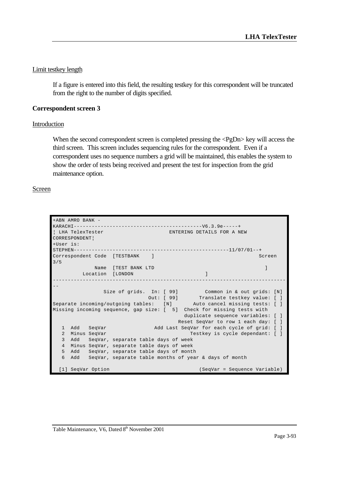### Limit testkey length

If a figure is entered into this field, the resulting testkey for this correspondent will be truncated from the right to the number of digits specified.

## **Correspondent screen 3**

#### Introduction

When the second correspondent screen is completed pressing the <PgDn> key will access the third screen. This screen includes sequencing rules for the correspondent. Even if a correspondent uses no sequence numbers a grid will be maintained, this enables the system to show the order of tests being received and present the test for inspection from the grid maintenance option.

#### Screen

| +ABN AMRO BANK -                                                       |  |  |  |  |  |  |  |  |
|------------------------------------------------------------------------|--|--|--|--|--|--|--|--|
|                                                                        |  |  |  |  |  |  |  |  |
| LHA TelexTester<br>ENTERING DETAILS FOR A NEW                          |  |  |  |  |  |  |  |  |
| CORRESPONDENT                                                          |  |  |  |  |  |  |  |  |
| +User is:                                                              |  |  |  |  |  |  |  |  |
|                                                                        |  |  |  |  |  |  |  |  |
| Correspondent Code [TESTBANK]<br>Screen                                |  |  |  |  |  |  |  |  |
| 3/5                                                                    |  |  |  |  |  |  |  |  |
| Name [TEST BANK LTD                                                    |  |  |  |  |  |  |  |  |
| Location [LONDON                                                       |  |  |  |  |  |  |  |  |
|                                                                        |  |  |  |  |  |  |  |  |
|                                                                        |  |  |  |  |  |  |  |  |
| Size of grids. In: [ 99] Common in & out grids: [N]                    |  |  |  |  |  |  |  |  |
| Out: [ 99] Translate testkey value: [ ]                                |  |  |  |  |  |  |  |  |
| Separate incoming/outgoing tables: [N] Auto cancel missing tests: []   |  |  |  |  |  |  |  |  |
| Missing incoming sequence, gap size: [ 5] Check for missing tests with |  |  |  |  |  |  |  |  |
| duplicate sequence variables: [ ]                                      |  |  |  |  |  |  |  |  |
| Reset SeqVar to row 1 each day: [ ]                                    |  |  |  |  |  |  |  |  |
| Add SeqVar<br>Add Last SeqVar for each cycle of grid: [ ]<br>1         |  |  |  |  |  |  |  |  |
| Minus SeqVar<br>Testkey is cycle dependant: [ ]<br>$\overline{2}$      |  |  |  |  |  |  |  |  |
| 3<br>bbA                                                               |  |  |  |  |  |  |  |  |
| SeqVar, separate table days of week<br><u>an</u>                       |  |  |  |  |  |  |  |  |
| Minus SeqVar, separate table days of week<br>$\overline{4}$            |  |  |  |  |  |  |  |  |
| 5<br>Add<br>SeqVar, separate table days of month                       |  |  |  |  |  |  |  |  |
| 6<br>SeqVar, separate table months of year & days of month<br>Add      |  |  |  |  |  |  |  |  |
|                                                                        |  |  |  |  |  |  |  |  |
| [1] SeqVar Option<br>(SeqVar = Sequence Variable)                      |  |  |  |  |  |  |  |  |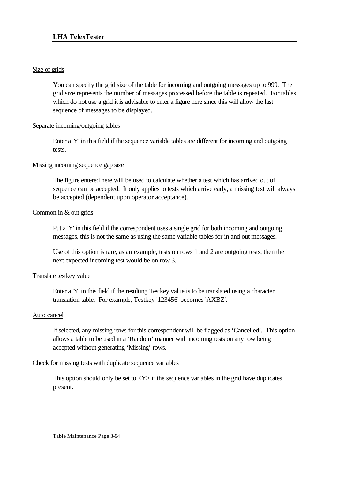## Size of grids

You can specify the grid size of the table for incoming and outgoing messages up to 999. The grid size represents the number of messages processed before the table is repeated. For tables which do not use a grid it is advisable to enter a figure here since this will allow the last sequence of messages to be displayed.

## Separate incoming/outgoing tables

Enter a 'Y' in this field if the sequence variable tables are different for incoming and outgoing tests.

## Missing incoming sequence gap size

The figure entered here will be used to calculate whether a test which has arrived out of sequence can be accepted. It only applies to tests which arrive early, a missing test will always be accepted (dependent upon operator acceptance).

## Common in & out grids

Put a 'Y' in this field if the correspondent uses a single grid for both incoming and outgoing messages, this is not the same as using the same variable tables for in and out messages.

Use of this option is rare, as an example, tests on rows 1 and 2 are outgoing tests, then the next expected incoming test would be on row 3.

## Translate testkey value

Enter a 'Y' in this field if the resulting Testkey value is to be translated using a character translation table. For example, Testkey '123456' becomes 'AXBZ'.

## Auto cancel

If selected, any missing rows for this correspondent will be flagged as 'Cancelled'. This option allows a table to be used in a 'Random' manner with incoming tests on any row being accepted without generating 'Missing' rows.

## Check for missing tests with duplicate sequence variables

This option should only be set to  $\langle Y \rangle$  if the sequence variables in the grid have duplicates present.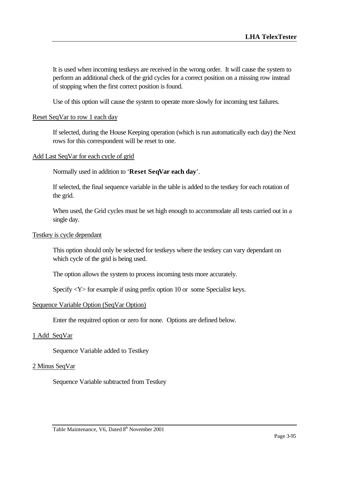It is used when incoming testkeys are received in the wrong order. It will cause the system to perform an additional check of the grid cycles for a correct position on a missing row instead of stopping when the first correct position is found.

Use of this option will cause the system to operate more slowly for incoming test failures.

#### Reset SeqVar to row 1 each day

If selected, during the House Keeping operation (which is run automatically each day) the Next rows for this correspondent will be reset to one.

#### Add Last SeqVar for each cycle of grid

Normally used in addition to '**Reset SeqVar each day**'.

If selected, the final sequence variable in the table is added to the testkey for each rotation of the grid.

When used, the Grid cycles must be set high enough to accommodate all tests carried out in a single day.

#### Testkey is cycle dependant

This option should only be selected for testkeys where the testkey can vary dependant on which cycle of the grid is being used.

The option allows the system to process incoming tests more accurately.

Specify  $\langle Y \rangle$  for example if using prefix option 10 or some Specialist keys.

#### Sequence Variable Option (SeqVar Option)

Enter the requitred option or zero for none. Options are defined below.

#### 1 Add SeqVar

Sequence Variable added to Testkey

#### 2 Minus SeqVar

Sequence Variable subtracted from Testkey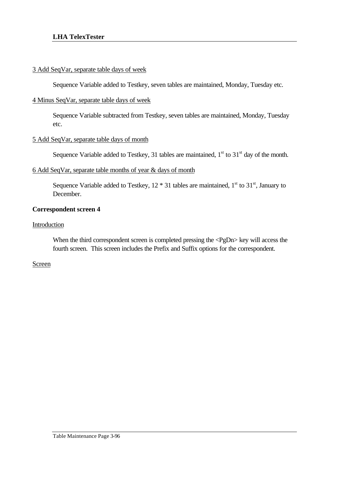## 3 Add SeqVar, separate table days of week

Sequence Variable added to Testkey, seven tables are maintained, Monday, Tuesday etc.

## 4 Minus SeqVar, separate table days of week

Sequence Variable subtracted from Testkey, seven tables are maintained, Monday, Tuesday etc.

### 5 Add SeqVar, separate table days of month

Sequence Variable added to Testkey, 31 tables are maintained,  $1<sup>st</sup>$  to  $31<sup>st</sup>$  day of the month.

### 6 Add SeqVar, separate table months of year & days of month

Sequence Variable added to Testkey,  $12 * 31$  tables are maintained,  $1<sup>st</sup>$  to  $31<sup>st</sup>$ , January to December.

## **Correspondent screen 4**

### Introduction

When the third correspondent screen is completed pressing the <PgDn> key will access the fourth screen. This screen includes the Prefix and Suffix options for the correspondent.

## **Screen**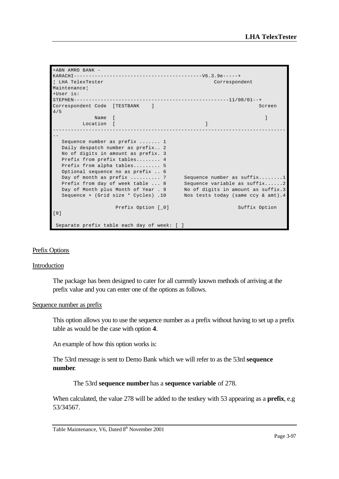+ABN AMRO BANK - KARACHI-------------------------------------------V6.3.9e-----+ ¦ LHA TelexTester Correspondent Maintenance¦ +User is: STEPHEN----------------------------------------------------11/08/01--+ Correspondent Code [TESTBANK ] Screen 4/5 name **[** ] **Name [** ] **Name [** ] **] Name [** ] **] Name is a set of the set of the set of the set of the set of the set of the set of the set of the set of the set of the set of the set of the set of the set of the set o** Location [ ] ------------------------------------------------------------------------------ -- Sequence number as prefix ....... 1 Daily despatch number as prefix.. 2 No of digits in amount as prefix. 3 Prefix from prefix tables........ 4 Prefix from alpha tables......... 5 Optional sequence no as prefix .. 6 Day of month as prefix .......... 7 Sequence number as suffix........1 Prefix from day of week table ... 8 Sequence variable as suffix......2 Day of Month plus Month of Year . 9 No of digits in amount as suffix.3 Sequence + (Grid size \* Cycles) .10 Nos tests today (same ccy & amt).4 Prefix Option [\_0] Suffix Option [0] Separate prefix table each day of week: [ ]

#### Prefix Options

#### Introduction

The package has been designed to cater for all currently known methods of arriving at the prefix value and you can enter one of the options as follows.

#### Sequence number as prefix

This option allows you to use the sequence number as a prefix without having to set up a prefix table as would be the case with option **4**.

An example of how this option works is:

The 53rd message is sent to Demo Bank which we will refer to as the 53rd **sequence number**.

#### The 53rd **sequence number** has a **sequence variable** of 278.

When calculated, the value 278 will be added to the testkey with 53 appearing as a **prefix**, e.g 53/34567.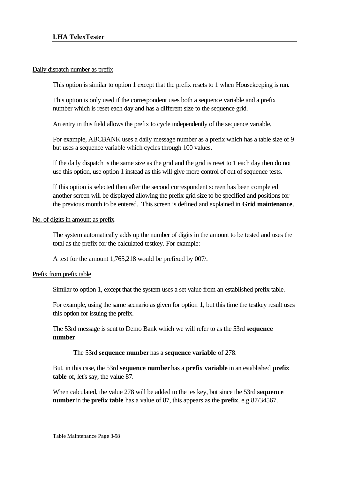### Daily dispatch number as prefix

This option is similar to option 1 except that the prefix resets to 1 when Housekeeping is run.

This option is only used if the correspondent uses both a sequence variable and a prefix number which is reset each day and has a different size to the sequence grid.

An entry in this field allows the prefix to cycle independently of the sequence variable.

For example, ABCBANK uses a daily message number as a prefix which has a table size of 9 but uses a sequence variable which cycles through 100 values.

If the daily dispatch is the same size as the grid and the grid is reset to 1 each day then do not use this option, use option 1 instead as this will give more control of out of sequence tests.

If this option is selected then after the second correspondent screen has been completed another screen will be displayed allowing the prefix grid size to be specified and positions for the previous month to be entered. This screen is defined and explained in **Grid maintenance**.

### No. of digits in amount as prefix

The system automatically adds up the number of digits in the amount to be tested and uses the total as the prefix for the calculated testkey. For example:

A test for the amount 1,765,218 would be prefixed by 007/.

## Prefix from prefix table

Similar to option 1, except that the system uses a set value from an established prefix table.

For example, using the same scenario as given for option **1**, but this time the testkey result uses this option for issuing the prefix.

The 53rd message is sent to Demo Bank which we will refer to as the 53rd **sequence number**.

## The 53rd **sequence number** has a **sequence variable** of 278.

But, in this case, the 53rd **sequence number** has a **prefix variable** in an established **prefix table** of, let's say, the value 87.

When calculated, the value 278 will be added to the testkey, but since the 53rd **sequence number** in the **prefix table** has a value of 87, this appears as the **prefix**, e.g 87/34567.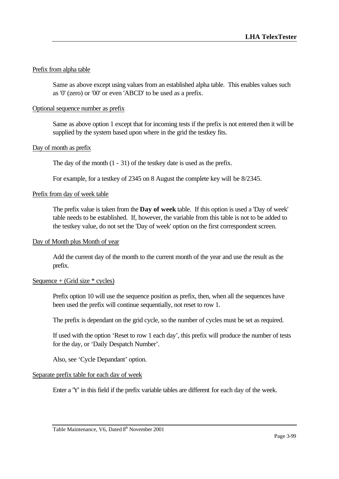## Prefix from alpha table

Same as above except using values from an established alpha table. This enables values such as '0' (zero) or '00' or even 'ABCD' to be used as a prefix.

### Optional sequence number as prefix

Same as above option 1 except that for incoming tests if the prefix is not entered then it will be supplied by the system based upon where in the grid the testkey fits.

### Day of month as prefix

The day of the month (1 - 31) of the testkey date is used as the prefix.

For example, for a testkey of 2345 on 8 August the complete key will be 8/2345.

#### Prefix from day of week table

The prefix value is taken from the **Day of week** table. If this option is used a 'Day of week' table needs to be established. If, however, the variable from this table is not to be added to the testkey value, do not set the 'Day of week' option on the first correspondent screen.

#### Day of Month plus Month of year

Add the current day of the month to the current month of the year and use the result as the prefix.

#### Sequence  $+$  (Grid size  $*$  cycles)

Prefix option 10 will use the sequence position as prefix, then, when all the sequences have been used the prefix will continue sequentially, not reset to row 1.

The prefix is dependant on the grid cycle, so the number of cycles must be set as required.

If used with the option 'Reset to row 1 each day', this prefix will produce the number of tests for the day, or 'Daily Despatch Number'.

Also, see 'Cycle Depandant' option.

#### Separate prefix table for each day of week

Enter a 'Y' in this field if the prefix variable tables are different for each day of the week.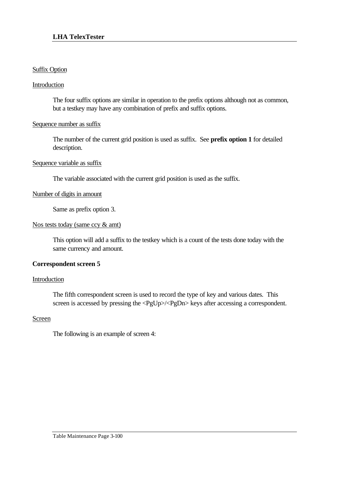## Suffix Option

## Introduction

The four suffix options are similar in operation to the prefix options although not as common, but a testkey may have any combination of prefix and suffix options.

## Sequence number as suffix

The number of the current grid position is used as suffix. See **prefix option 1** for detailed description.

### Sequence variable as suffix

The variable associated with the current grid position is used as the suffix.

## Number of digits in amount

Same as prefix option 3.

### Nos tests today (same ccy & amt)

This option will add a suffix to the testkey which is a count of the tests done today with the same currency and amount.

## **Correspondent screen 5**

#### Introduction

The fifth correspondent screen is used to record the type of key and various dates. This screen is accessed by pressing the <PgUp>/<PgDn> keys after accessing a correspondent.

#### Screen

The following is an example of screen 4: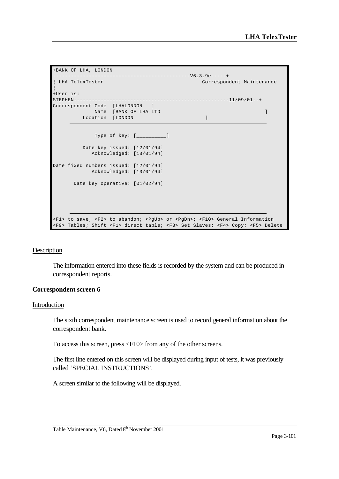```
+BANK OF LHA, LONDON 
 ----------------------------------------------V6.3.9e-----+
¦ LHA TelexTester Correspondent Maintenance 
¦
+User is: 
STEPHEN----------------------------------------------------11/09/01--+
Correspondent Code [LHALONDON ]
Name [BANK OF LHA LTD ] [ ] ] [ ] ] [ ] [ ] ] [ ] [ ] ] [ ] [ ] [ ] ] [ ] [ ] [ ] [ ] [ ] [ ] [ ] [ ] [ ] [ ] 
Location [LONDON ]
             Type of key: [__________]
          Date key issued: [12/01/94]
            Acknowledged: [13/01/94]
Date fixed numbers issued: [12/01/94]
            Acknowledged: [13/01/94]
       Date key operative: [01/02/94]
<F1> to save; <F2> to abandon; <PgUp> or <PgDn>; <F10> General Information
<F9> Tables; Shift <F1> direct table; <F3> Set Slaves; <F4> Copy; <F5> Delete
```
#### **Description**

The information entered into these fields is recorded by the system and can be produced in correspondent reports.

#### **Correspondent screen 6**

#### Introduction

The sixth correspondent maintenance screen is used to record general information about the correspondent bank.

To access this screen, press <F10> from any of the other screens.

The first line entered on this screen will be displayed during input of tests, it was previously called 'SPECIAL INSTRUCTIONS'.

A screen similar to the following will be displayed.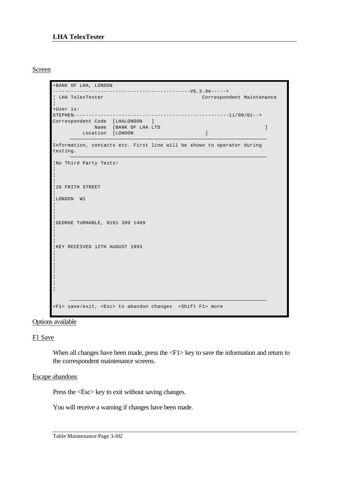### Screen

```
+BANK OF LHA, LONDON 
 ----------------------------------------------V6.3.9e-----+
¦ LHA TelexTester Correspondent Maintenance 
¦
+User is: 
STEPHEN----------------------------------------------------11/09/01--+
Correspondent Code [LHALONDON ] 
Name [BANK OF LHA LTD ]
       Location [LONDON ]
Information, contacts etc. First line will be shown to operator during 
testing.
¦No Third Party Tests! 
¦
¦ 
¦
¦26 FRITH STREET 
¦
¦LONDON W1 
¦
¦ 
¦
¦GEORGE TURNABLE, 0181 399 1489 
¦
¦ 
¦
¦KEY RECEIVED 12TH AUGUST 1993 
¦
¦ 
¦
¦ 
¦
¦ 
¦
<F1> save/exit, <Esc> to abandon changes <Shift F1> more
```
Options available

#### F1 Save

When all changes have been made, press the  $\langle F1 \rangle$  key to save the information and return to the correspondent maintenance screens.

#### Escape abandons

Press the <Esc> key to exit without saving changes.

You will receive a warning if changes have been made.

Table Maintenance Page 3-102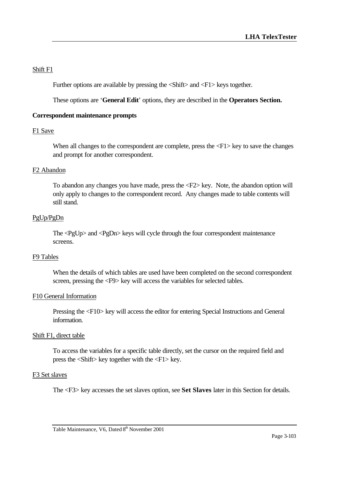## Shift F1

Further options are available by pressing the <Shift> and <F1> keys together.

These options are '**General Edit**' options, they are described in the **Operators Section.**

## **Correspondent maintenance prompts**

## F1 Save

When all changes to the correspondent are complete, press the  $\langle F1 \rangle$  key to save the changes and prompt for another correspondent.

## F2 Abandon

To abandon any changes you have made, press the <F2> key. Note, the abandon option will only apply to changes to the correspondent record. Any changes made to table contents will still stand.

## PgUp/PgDn

The <PgUp> and <PgDn> keys will cycle through the four correspondent maintenance screens.

## F9 Tables

When the details of which tables are used have been completed on the second correspondent screen, pressing the <F9> key will access the variables for selected tables.

## F10 General Information

Pressing the <F10> key will access the editor for entering Special Instructions and General information.

## Shift F1, direct table

To access the variables for a specific table directly, set the cursor on the required field and press the <Shift> key together with the <F1> key.

## F3 Set slaves

The <F3> key accesses the set slaves option, see **Set Slaves** later in this Section for details.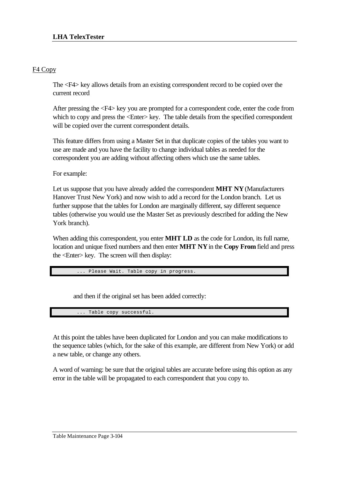## F4 Copy

The <F4> key allows details from an existing correspondent record to be copied over the current record

After pressing the <F4> key you are prompted for a correspondent code, enter the code from which to copy and press the  $\leq$  Enter $\geq$  key. The table details from the specified correspondent will be copied over the current correspondent details.

This feature differs from using a Master Set in that duplicate copies of the tables you want to use are made and you have the facility to change individual tables as needed for the correspondent you are adding without affecting others which use the same tables.

For example:

Let us suppose that you have already added the correspondent **MHT NY** (Manufacturers Hanover Trust New York) and now wish to add a record for the London branch. Let us further suppose that the tables for London are marginally different, say different sequence tables (otherwise you would use the Master Set as previously described for adding the New York branch).

When adding this correspondent, you enter **MHT LD** as the code for London, its full name, location and unique fixed numbers and then enter **MHT NY** in the **Copy From** field and press the <Enter> key. The screen will then display:

Please Wait. Table copy in progress

and then if the original set has been added correctly:

Table copy successful

At this point the tables have been duplicated for London and you can make modifications to the sequence tables (which, for the sake of this example, are different from New York) or add a new table, or change any others.

A word of warning: be sure that the original tables are accurate before using this option as any error in the table will be propagated to each correspondent that you copy to.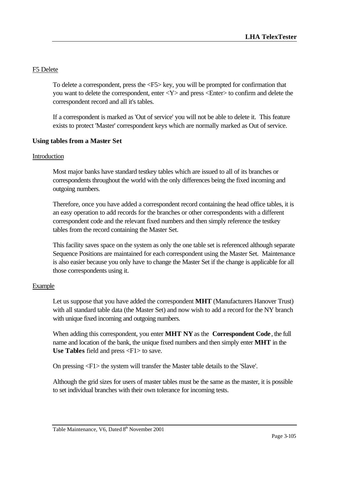## F5 Delete

To delete a correspondent, press the <F5> key, you will be prompted for confirmation that you want to delete the correspondent, enter <Y> and press <Enter> to confirm and delete the correspondent record and all it's tables.

If a correspondent is marked as 'Out of service' you will not be able to delete it. This feature exists to protect 'Master' correspondent keys which are normally marked as Out of service.

## **Using tables from a Master Set**

### Introduction

Most major banks have standard testkey tables which are issued to all of its branches or correspondents throughout the world with the only differences being the fixed incoming and outgoing numbers.

Therefore, once you have added a correspondent record containing the head office tables, it is an easy operation to add records for the branches or other correspondents with a different correspondent code and the relevant fixed numbers and then simply reference the testkey tables from the record containing the Master Set.

This facility saves space on the system as only the one table set is referenced although separate Sequence Positions are maintained for each correspondent using the Master Set. Maintenance is also easier because you only have to change the Master Set if the change is applicable for all those correspondents using it.

## Example

Let us suppose that you have added the correspondent **MHT** (Manufacturers Hanover Trust) with all standard table data (the Master Set) and now wish to add a record for the NY branch with unique fixed incoming and outgoing numbers.

When adding this correspondent, you enter **MHT NY** as the **Correspondent Code**, the full name and location of the bank, the unique fixed numbers and then simply enter **MHT** in the Use Tables field and press <F1> to save.

On pressing <F1> the system will transfer the Master table details to the 'Slave'.

Although the grid sizes for users of master tables must be the same as the master, it is possible to set individual branches with their own tolerance for incoming tests.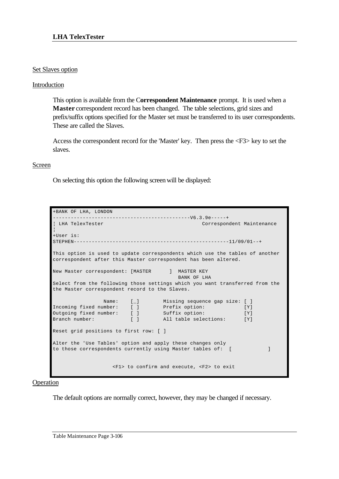## Set Slaves option

### Introduction

This option is available from the C**orrespondent Maintenance** prompt. It is used when a **Master** correspondent record has been changed. The table selections, grid sizes and prefix/suffix options specified for the Master set must be transferred to its user correspondents. These are called the Slaves.

Access the correspondent record for the 'Master' key. Then press the <F3> key to set the slaves.

### Screen

On selecting this option the following screen will be displayed:

```
+BANK OF LHA, LONDON 
    ----------------------------------------------V6.3.9e-----+
¦ LHA TelexTester Correspondent Maintenance 
¦
+User is: 
STEPHEN----------------------------------------------------11/09/01--+
This option is used to update correspondents which use the tables of another
correspondent after this Master correspondent has been altered.
New Master correspondent: [MASTER ] MASTER KEY
                                     BANK OF LHA
Select from the following those settings which you want transferred from the
the Master correspondent record to the Slaves.
Name: [_] Missing sequence gap size: [ ]
Incoming fixed number: [ ] Prefix option: [Y]
Outgoing fixed number: [ ] Suffix option: [Y]
Branch number: [ ] All table selections: [Y]
Reset grid positions to first row: [ ]
Alter the 'Use Tables' option and apply these changes only
to those correspondents currently using Master tables of: [ ]
                  <F1> to confirm and execute, <F2> to exit
```
#### Operation

The default options are normally correct, however, they may be changed if necessary.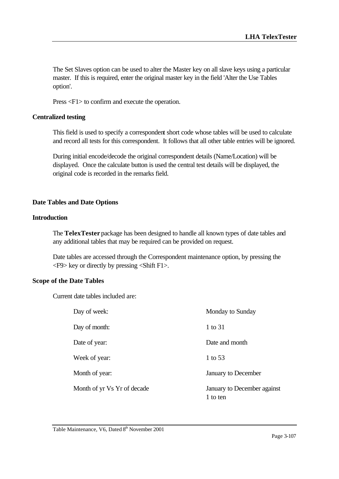The Set Slaves option can be used to alter the Master key on all slave keys using a particular master. If this is required, enter the original master key in the field 'Alter the Use Tables option'.

Press <F1> to confirm and execute the operation.

## **Centralized testing**

This field is used to specify a correspondent short code whose tables will be used to calculate and record all tests for this correspondent. It follows that all other table entries will be ignored.

During initial encode/decode the original correspondent details (Name/Location) will be displayed. Once the calculate button is used the central test details will be displayed, the original code is recorded in the remarks field.

## **Date Tables and Date Options**

### **Introduction**

The **TelexTester** package has been designed to handle all known types of date tables and any additional tables that may be required can be provided on request.

Date tables are accessed through the Correspondent maintenance option, by pressing the <F9> key or directly by pressing <Shift F1>.

#### **Scope of the Date Tables**

Current date tables included are:

| Day of week:                | Monday to Sunday                        |
|-----------------------------|-----------------------------------------|
| Day of month:               | 1 to 31                                 |
| Date of year:               | Date and month                          |
| Week of year:               | 1 to 53                                 |
| Month of year:              | January to December                     |
| Month of yr Vs Yr of decade | January to December against<br>1 to ten |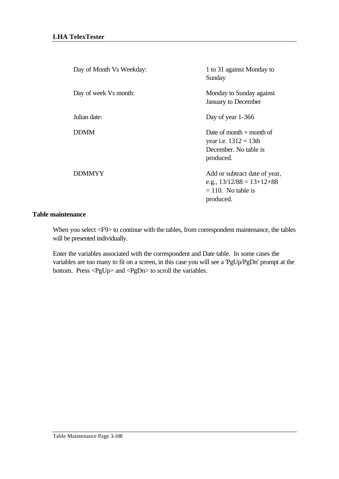| Day of Month Vs Weekday: | 1 to 31 against Monday to<br>Sunday                                                                |
|--------------------------|----------------------------------------------------------------------------------------------------|
| Day of week Vs month:    | Monday to Sunday against<br>January to December                                                    |
| Julian date:             | Day of year 1-366                                                                                  |
| <b>DDMM</b>              | Date of month $+$ month of<br>year i.e. $1312 = 13$ th<br>December. No table is<br>produced.       |
| <b>DDMMYY</b>            | Add or subtract date of year,<br>e.g., $13/12/88 = 13+12+88$<br>$= 110$ . No table is<br>produced. |

### **Table maintenance**

When you select <F9> to continue with the tables, from correspondent maintenance, the tables will be presented individually.

Enter the variables associated with the correspondent and Date table. In some cases the variables are too many to fit on a screen, in this case you will see a 'PgUp/PgDn' prompt at the bottom. Press <PgUp> and <PgDn> to scroll the variables.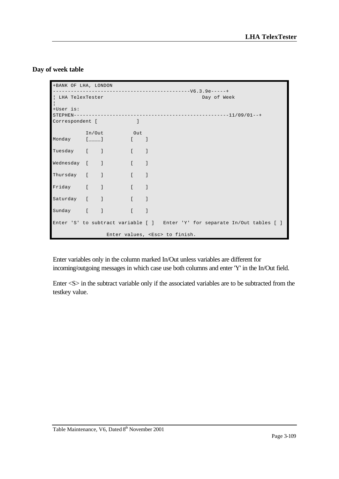## **Day of week table**

| +BANK OF LHA, LONDON |            |  |                                                                             |
|----------------------|------------|--|-----------------------------------------------------------------------------|
| LHA TelexTester      |            |  | Day of Week                                                                 |
| +User is:            |            |  |                                                                             |
| Correspondent [      |            |  |                                                                             |
|                      | In/Out Out |  |                                                                             |
| Monday [_____] [ ]   |            |  |                                                                             |
| Tuesday [ ] [ ]      |            |  |                                                                             |
| Wednesday [ ] [ ]    |            |  |                                                                             |
| Thursday [ ] [ ]     |            |  |                                                                             |
| Friday [ ] [ ]       |            |  |                                                                             |
| Saturday [ ] [ ]     |            |  |                                                                             |
| Sunday [ ] [ ]       |            |  |                                                                             |
|                      |            |  | Enter 'S' to subtract variable [ ] Enter 'Y' for separate In/Out tables [ ] |
|                      |            |  | Enter values, <esc> to finish.</esc>                                        |

Enter variables only in the column marked In/Out unless variables are different for incoming/outgoing messages in which case use both columns and enter 'Y' in the In/Out field.

Enter <S> in the subtract variable only if the associated variables are to be subtracted from the testkey value.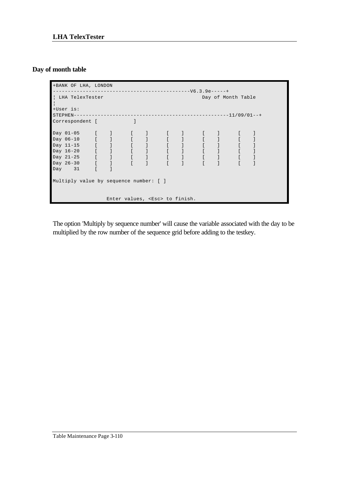# **Day of month table**

| +BANK OF LHA, LONDON                   |  |                             |                                      |                                   |                    |  |
|----------------------------------------|--|-----------------------------|--------------------------------------|-----------------------------------|--------------------|--|
|                                        |  |                             |                                      |                                   |                    |  |
| LHA TelexTester                        |  |                             |                                      |                                   | Day of Month Table |  |
| +User is:                              |  |                             |                                      |                                   |                    |  |
| STEPHEN-                               |  | --------------------------- |                                      | ----------------------11/09/01--+ |                    |  |
| Correspondent [                        |  |                             |                                      |                                   |                    |  |
|                                        |  |                             |                                      |                                   |                    |  |
|                                        |  |                             |                                      |                                   |                    |  |
|                                        |  |                             |                                      |                                   |                    |  |
|                                        |  |                             |                                      |                                   |                    |  |
|                                        |  |                             |                                      |                                   |                    |  |
|                                        |  |                             |                                      |                                   |                    |  |
| Day 31                                 |  |                             |                                      |                                   |                    |  |
| Multiply value by sequence number: [ ] |  |                             |                                      |                                   |                    |  |
|                                        |  |                             | Enter values, <esc> to finish.</esc> |                                   |                    |  |

The option 'Multiply by sequence number' will cause the variable associated with the day to be multiplied by the row number of the sequence grid before adding to the testkey.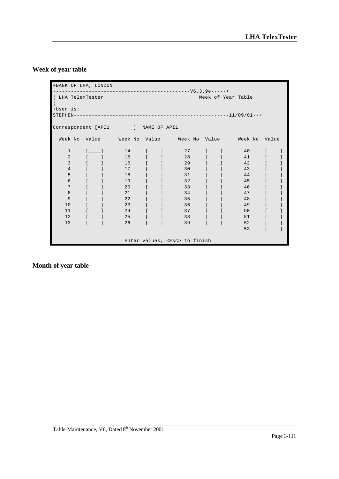# **Week of year table**

| +BANK OF LHA, LONDON               |              |                                                |                                                                             |                                       |                                                         |                                           |                                            |                                                         |                                                |  |
|------------------------------------|--------------|------------------------------------------------|-----------------------------------------------------------------------------|---------------------------------------|---------------------------------------------------------|-------------------------------------------|--------------------------------------------|---------------------------------------------------------|------------------------------------------------|--|
|                                    |              |                                                |                                                                             |                                       |                                                         |                                           |                                            |                                                         |                                                |  |
| LHA TelexTester                    |              |                                                |                                                                             |                                       |                                                         |                                           |                                            | Week of Year Table                                      |                                                |  |
| +User is:                          |              |                                                |                                                                             |                                       |                                                         |                                           |                                            |                                                         |                                                |  |
|                                    |              |                                                |                                                                             |                                       |                                                         |                                           |                                            |                                                         |                                                |  |
|                                    |              |                                                |                                                                             |                                       |                                                         |                                           |                                            |                                                         |                                                |  |
| Correspondent [API1   NAME OF API1 |              |                                                |                                                                             |                                       |                                                         |                                           |                                            |                                                         |                                                |  |
|                                    |              |                                                |                                                                             |                                       |                                                         |                                           |                                            | Week No Value Meek No Value Meek No Value Meek No Value |                                                |  |
| $\mathbf{1}$                       |              | $\begin{bmatrix} 1 & 1 \\ 1 & 1 \end{bmatrix}$ |                                                                             |                                       | 14 [ ] 27                                               | $\mathbb{R}$                              |                                            | $\frac{1}{2}$ 40                                        | $\mathbb{R}$                                   |  |
| 2                                  |              |                                                |                                                                             |                                       |                                                         |                                           |                                            | 28 [ ] 41                                               | $\begin{bmatrix} 1 & 1 \\ 1 & 1 \end{bmatrix}$ |  |
| 3                                  |              |                                                |                                                                             |                                       | 29                                                      |                                           |                                            | $\begin{bmatrix} 1 & 1 \end{bmatrix}$ 42                |                                                |  |
| $\overline{4}$                     |              |                                                | $\begin{bmatrix} 1 & 1 & 17 & 1 & 1 & 30 \end{bmatrix}$                     |                                       |                                                         |                                           |                                            | $1 \t 43$                                               |                                                |  |
| 5                                  |              |                                                | $\begin{bmatrix} 1 & 1 & 18 & 1 \end{bmatrix}$                              |                                       | 31                                                      |                                           | $\begin{bmatrix} 1 & 1 \end{bmatrix}$      | 44                                                      |                                                |  |
| б                                  |              |                                                |                                                                             |                                       | 32                                                      | $\mathbf{r}$                              |                                            | 45                                                      |                                                |  |
| 7                                  |              |                                                | 20                                                                          | $\begin{bmatrix} 1 & 1 \end{bmatrix}$ | 33                                                      |                                           |                                            | 46                                                      |                                                |  |
| 8                                  |              |                                                | $[ \qquad \qquad ] \qquad \qquad 21 \qquad [ \qquad \qquad ] \qquad \qquad$ |                                       | 34                                                      | $\mathbb{R}$                              |                                            | 47                                                      |                                                |  |
| 9                                  |              |                                                | $22$ [ ]                                                                    |                                       | 35                                                      | $\mathbf{r}$                              |                                            | 48                                                      |                                                |  |
| 10                                 |              | $\begin{bmatrix} 1 & 1 & 1 \end{bmatrix}$      |                                                                             |                                       | 36                                                      | $\begin{bmatrix} 1 & 1 & 1 \end{bmatrix}$ |                                            | 49                                                      |                                                |  |
| 11                                 |              |                                                |                                                                             |                                       | $\begin{bmatrix} 1 & 1 & 24 & 1 & 1 & 37 \end{bmatrix}$ | $\mathbf{r}$                              | <b>Contract Contract Contract Contract</b> | 50                                                      |                                                |  |
| 12                                 |              |                                                | $\begin{bmatrix} 1 & 1 & 25 & 1 \end{bmatrix}$                              |                                       | 38                                                      | $\mathbf{r}$                              |                                            | $\frac{1}{2}$ 51                                        |                                                |  |
| 13                                 | $\mathbb{R}$ |                                                | $26$ [ ]                                                                    |                                       | 39                                                      | $\Gamma$                                  |                                            | 52                                                      |                                                |  |
|                                    |              |                                                |                                                                             |                                       |                                                         |                                           |                                            | 53                                                      | $\mathbf{r}$                                   |  |
|                                    |              |                                                |                                                                             |                                       |                                                         |                                           |                                            |                                                         |                                                |  |
|                                    |              |                                                |                                                                             |                                       | Enter values, <esc> to finish</esc>                     |                                           |                                            |                                                         |                                                |  |

# **Month of year table**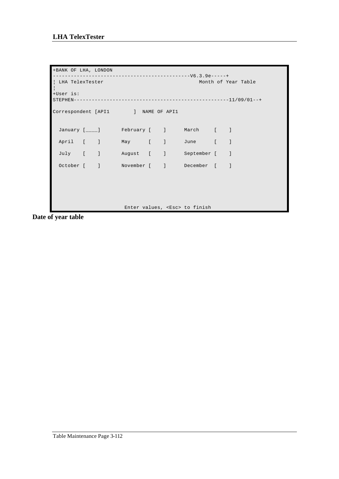```
+BANK OF LHA, LONDON 
----------------------------------------------V6.3.9e-----+
| LHA TelexTester Month of Year Table
¦
+User is: 
STEPHEN----------------------------------------------------11/09/01--+
Correspondent [API1 ] NAME OF API1
January [____] February [ ] March [ ]
 April [ ] May [ ] June [ ]
  July [ ] August [ ] September [ ]
 October [ ] November [ ] December [ ]
                  Enter values, <Esc> to finish
```
**Date of year table**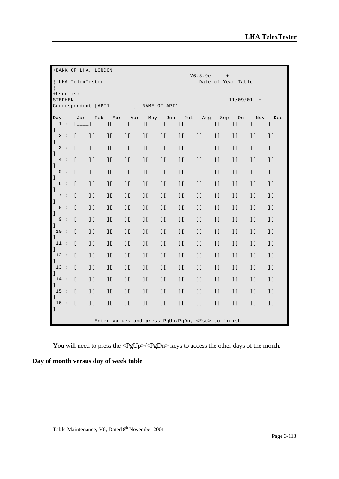|                     | +BANK OF LHA, LONDON |  |                           |                          |                                                         |                                            |                          |                          |                           |                             |                           |                           |                           |                           |
|---------------------|----------------------|--|---------------------------|--------------------------|---------------------------------------------------------|--------------------------------------------|--------------------------|--------------------------|---------------------------|-----------------------------|---------------------------|---------------------------|---------------------------|---------------------------|
| $\frac{1}{2}$       |                      |  |                           | LHA TelexTester          |                                                         |                                            |                          |                          |                           |                             |                           | Date of Year Table        |                           |                           |
| +User is:           |                      |  |                           |                          |                                                         |                                            |                          |                          |                           |                             |                           |                           |                           |                           |
|                     |                      |  |                           |                          |                                                         |                                            |                          |                          |                           |                             |                           |                           |                           |                           |
|                     |                      |  |                           |                          | Correspondent [API1   NAME OF API1                      |                                            |                          |                          |                           |                             |                           |                           |                           |                           |
| Day                 |                      |  | Jan                       | Feb                      | Mar                                                     |                                            | Apr May Jun Jul Aug      |                          |                           |                             |                           | Sep Oct                   | Nov                       | Dec                       |
| $\mathbf{I}$        | 1:                   |  | $1$ <sub>____</sub> ] $1$ |                          | $\frac{1}{2}$                                           | $\overline{\phantom{a}}$                   | $\overline{\phantom{a}}$ | $\overline{\phantom{a}}$ | $\overline{\phantom{a}}$  | $\overline{\phantom{a}1}$ [ | $\frac{1}{2}$             | $\frac{1}{2}$             | $\frac{1}{2}$             | $\overline{\phantom{a}}$  |
| $\,$ $\,$ $\,$      | 2:                   |  | $\mathfrak{r}$            | $\frac{1}{2}$            | $\frac{1}{2}$                                           | $\overline{\phantom{a} \cdot \phantom{a}}$ | $\overline{\phantom{a}}$ | $\overline{\phantom{a}}$ | $\overline{\phantom{a}}$  | $\frac{1}{2}$               | $\overline{\phantom{a}}$  | $\frac{1}{2}$             | $\frac{1}{2}$             | $\overline{\phantom{a}}$  |
| $\,$ $\,$ $\,$      | 3:                   |  | $\Gamma$                  | $\frac{1}{2}$            | $\frac{1}{2}$                                           | $\frac{1}{2}$                              | $\frac{1}{2}$            | $\overline{\phantom{a}}$ | $\overline{\phantom{a}}$  | $\overline{\phantom{a}}$    | $\overline{\phantom{a}}$  | $\overline{\phantom{a}}$  | $\overline{\phantom{a}1}$ | $\overline{\phantom{a}}$  |
|                     | 4:                   |  | $\mathbb{I}$              | $\frac{1}{2}$            | $\overline{\phantom{a}}$                                | $\frac{1}{2}$                              | $\frac{1}{2}$            | $\overline{\phantom{a}}$ | $\overline{\phantom{a}1}$ | $\overline{\phantom{a}}$    | $\overline{\phantom{a}}$  | $\overline{\phantom{a}1}$ | $\overline{\phantom{a}1}$ | $\overline{\phantom{a}}$  |
| $\,$ $\,$ $\,$      | 5:                   |  | $\Gamma$                  | $\overline{\phantom{a}}$ | $\frac{1}{2}$                                           | $\overline{\phantom{a}}$                   | $\overline{\phantom{a}}$ | $\overline{\phantom{a}}$ | $\overline{\phantom{a}}$  | $\mathbf{1}$                | $\overline{\phantom{a}}$  | $\mathbf{1}$              | $\mathbf{1}$              | $\overline{\phantom{a}}$  |
| $\overline{1}$      | 6:                   |  | $\Gamma$                  | $\overline{\phantom{a}}$ | $\frac{1}{2}$                                           | $\frac{1}{2}$                              | $\frac{1}{2}$            | $\mathbf{J}$ [           | $\overline{\phantom{a}}$  | $\overline{\phantom{a}}$    | $\overline{\phantom{a}}$  | $\overline{\phantom{a}}$  | $\overline{\phantom{a}}$  |                           |
| $\mathbf{I}$        | 7:                   |  | $\Gamma$                  | $\frac{1}{2}$            | $\frac{1}{2}$                                           | $\frac{1}{2}$                              | $\frac{1}{2}$            | $\overline{\phantom{a}}$ | $\overline{\phantom{a}}$  | $\overline{\phantom{a}}$    | $\overline{\phantom{a}}$  | $\overline{\phantom{a}}$  | $\frac{1}{2}$             | $\overline{\phantom{a}}$  |
| $\,$ $\,$           | 8:                   |  | $\Gamma$                  | $\frac{1}{2}$            | $\overline{\phantom{a}}$                                | $\frac{1}{2}$                              | $\frac{1}{2}$            | $\frac{1}{2}$            | $\overline{\phantom{a}1}$ | $\overline{\phantom{a}1}$   | $\overline{\phantom{a}1}$ | $\overline{\phantom{a}1}$ | $\overline{\phantom{a}}$  | $\overline{\phantom{a}1}$ |
| $\,$ $\,$ $\,$      | 9:                   |  | $\Gamma$                  | $\overline{\phantom{a}}$ | $\frac{1}{2}$                                           | $\frac{1}{2}$                              | $\frac{1}{2}$            | J <sub>L</sub>           | $\overline{\phantom{a}}$  | $\overline{\phantom{a}}$    | $\overline{\phantom{a}}$  | $\overline{\phantom{a}1}$ | $\overline{\phantom{a}1}$ | $\overline{\phantom{a}}$  |
| $\mathbf{l}$        | 10 :                 |  | $\mathbb{L}$              | $\overline{\phantom{a}}$ | $\overline{\phantom{a}}$                                | $\frac{1}{2}$                              | $\overline{\phantom{a}}$ | 1 <sup>1</sup>           | $\overline{\phantom{a}}$  | $\overline{\phantom{a}}$    | $\frac{1}{2}$             | $\overline{\phantom{a}}$  | $\overline{\phantom{a}}$  | $\overline{\phantom{a}}$  |
| $\mathbf{I}$        | 11:                  |  | $\mathfrak{r}$            | $\overline{\phantom{a}}$ | $\frac{1}{2}$                                           | $\overline{\phantom{a}}$                   | $\frac{1}{2}$            | $\frac{1}{2}$            | $\frac{1}{2}$             | $\frac{1}{2}$               | $\frac{1}{2}$             | $\frac{1}{2}$             | $\frac{1}{2}$             | $\frac{1}{2}$             |
| $\overline{1}$      | 12:                  |  | $\Gamma$                  | $\frac{1}{2}$            | $\frac{1}{2}$                                           | $\frac{1}{2}$                              | $\overline{\phantom{a}}$ | 1 <sup>1</sup>           | $\overline{\phantom{a}}$  | $\overline{\phantom{a}}$    | $\frac{1}{2}$             | $\frac{1}{2}$             | $\frac{1}{2}$             |                           |
| $\mathbf{I}$        | 13:                  |  | $\Gamma$                  | $\overline{\phantom{a}}$ | $\frac{1}{2}$                                           | $\overline{\phantom{a}}$                   | $\overline{\phantom{a}}$ | 1 <sup>1</sup>           | $\overline{\phantom{a}}$  | $\overline{\phantom{a}}$    | $\overline{\phantom{a}}$  | $\overline{\phantom{a}1}$ | $\overline{\phantom{a}}$  | $\overline{\phantom{a}}$  |
| $1 -$               | 14:                  |  | $\Gamma$                  | $\overline{\phantom{a}}$ | $\frac{1}{2}$                                           | $\frac{1}{2}$                              | $\overline{\phantom{a}}$ | J <sub>L</sub>           | $\overline{\phantom{a}}$  | $\overline{\phantom{a}}$    | $\overline{\phantom{a}}$  | $\overline{\phantom{a}}$  | $\overline{\phantom{a}1}$ | $\overline{\phantom{a}}$  |
| $\mathbf{1}$        |                      |  |                           |                          |                                                         |                                            |                          |                          |                           |                             |                           |                           |                           |                           |
| 15:<br>$\mathbf{I}$ |                      |  | $\Gamma$                  | $\overline{\phantom{a}}$ | $\frac{1}{2}$                                           | $\frac{1}{2}$                              | $\frac{1}{2}$            | $\frac{1}{2}$            | $\overline{\phantom{a}1}$ | $\overline{\phantom{a}1}$   | $\overline{\phantom{a}}$  | $\overline{\phantom{a}1}$ | $\overline{\phantom{a}}$  | $\overline{\phantom{a}}$  |
| $\mathbf{1}$        | 16:                  |  | $\mathfrak{r}$            | $\mathbf{1}\mathbf{1}$   | $\frac{1}{2}$                                           | $\frac{1}{2}$                              | $\frac{1}{2}$            | $\,$ I [                 | $\frac{1}{2}$             | $\frac{1}{2}$               | $\frac{1}{2}$             | $\frac{1}{2}$             | $\frac{1}{2}$             |                           |
|                     |                      |  |                           |                          | Enter values and press PqUp/PqDn, <esc> to finish</esc> |                                            |                          |                          |                           |                             |                           |                           |                           |                           |

You will need to press the <PgUp>/<PgDn> keys to access the other days of the month.

# **Day of month versus day of week table**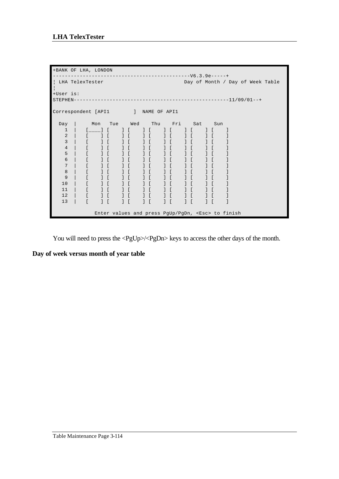| +BANK OF LHA, LONDON               |              |                                       |                |               |  |                                                                                                                                                                                                                                                                                                                                                                                                                                                                                                                                                                                              |                                 |                                               |                                                                |               |                                                         |
|------------------------------------|--------------|---------------------------------------|----------------|---------------|--|----------------------------------------------------------------------------------------------------------------------------------------------------------------------------------------------------------------------------------------------------------------------------------------------------------------------------------------------------------------------------------------------------------------------------------------------------------------------------------------------------------------------------------------------------------------------------------------------|---------------------------------|-----------------------------------------------|----------------------------------------------------------------|---------------|---------------------------------------------------------|
|                                    |              |                                       |                | ------------- |  |                                                                                                                                                                                                                                                                                                                                                                                                                                                                                                                                                                                              | ------------------V6.3.9e-----+ |                                               |                                                                |               |                                                         |
| LHA TelexTester                    |              |                                       |                |               |  |                                                                                                                                                                                                                                                                                                                                                                                                                                                                                                                                                                                              |                                 |                                               |                                                                |               | Day of Month / Day of Week Table                        |
| +User is:                          |              |                                       |                |               |  |                                                                                                                                                                                                                                                                                                                                                                                                                                                                                                                                                                                              |                                 |                                               |                                                                |               |                                                         |
|                                    |              |                                       |                |               |  |                                                                                                                                                                                                                                                                                                                                                                                                                                                                                                                                                                                              |                                 |                                               |                                                                |               |                                                         |
|                                    |              |                                       |                |               |  |                                                                                                                                                                                                                                                                                                                                                                                                                                                                                                                                                                                              |                                 |                                               |                                                                |               |                                                         |
| Correspondent [API1   NAME OF API1 |              |                                       |                |               |  |                                                                                                                                                                                                                                                                                                                                                                                                                                                                                                                                                                                              |                                 |                                               |                                                                |               |                                                         |
|                                    |              |                                       |                |               |  |                                                                                                                                                                                                                                                                                                                                                                                                                                                                                                                                                                                              |                                 |                                               |                                                                |               |                                                         |
| Day                                |              |                                       |                |               |  |                                                                                                                                                                                                                                                                                                                                                                                                                                                                                                                                                                                              | Mon Tue Wed Thu Fri Sat Sun     |                                               |                                                                |               |                                                         |
| $\mathbf 1$                        |              | $\begin{bmatrix} 1 & 1 \end{bmatrix}$ |                |               |  | $\begin{array}{ccc} 1 & 1 & 1 \end{array}$                                                                                                                                                                                                                                                                                                                                                                                                                                                                                                                                                   |                                 |                                               | $1 \quad 1 \quad 1$                                            |               |                                                         |
| 2                                  |              | $\blacksquare$ $\blacksquare$         |                |               |  | $\begin{bmatrix} 1 & 1 & 1 \end{bmatrix}$                                                                                                                                                                                                                                                                                                                                                                                                                                                                                                                                                    |                                 | $\left  \right $                              |                                                                |               |                                                         |
| 3                                  |              |                                       | 1 <sup>1</sup> |               |  | $\begin{array}{cccc} \begin{array}{cccc} \end{array} & \begin{array}{cccc} \end{array} & \begin{array}{cccc} \ \end{array} & \begin{array}{cccc} \ \end{array} & \begin{array}{cccc} \ \end{array} & \begin{array}{cccc} \ \end{array} & \begin{array}{cccc} \ \end{array} & \begin{array}{cccc} \ \end{array} & \begin{array}{cccc} \ \end{array} & \begin{array}{cccc} \ \end{array} & \begin{array}{cccc} \ \end{array} & \begin{array}{cccc} \ \end{array} & \begin{array}{cccc} \ \end{array} & \begin{array}{cccc} \ \end{array} & \begin{array}{cccc} \ \end{array} & \begin{array}{$ |                                 |                                               | $\left  \begin{array}{ccc} 1 & 1 \\ 1 & 1 \end{array} \right $ |               |                                                         |
| 4                                  | $\mathbf{r}$ |                                       | $1 \Gamma$     |               |  | $\begin{array}{ccc} 1 & 1 & 1 \end{array}$                                                                                                                                                                                                                                                                                                                                                                                                                                                                                                                                                   |                                 | $\left  \cdot \right $                        |                                                                |               |                                                         |
| 5                                  | $\Gamma$     |                                       | $\frac{1}{2}$  |               |  | $J$ $I$ $J$ $I$ $J$ $I$                                                                                                                                                                                                                                                                                                                                                                                                                                                                                                                                                                      |                                 | $\frac{1}{2}$                                 |                                                                |               |                                                         |
| 6                                  |              |                                       | 1 <sup>1</sup> |               |  | $\begin{bmatrix} 1 & 1 & 1 \end{bmatrix}$                                                                                                                                                                                                                                                                                                                                                                                                                                                                                                                                                    |                                 | $1 \Gamma$                                    |                                                                |               |                                                         |
| 7                                  |              | 1 <sup>1</sup>                        |                |               |  |                                                                                                                                                                                                                                                                                                                                                                                                                                                                                                                                                                                              |                                 | $1 \quad$ [                                   |                                                                |               |                                                         |
| 8                                  |              | $1 \Gamma$                            |                |               |  | $1$ $1$ $1$ $1$ $1$ $1$                                                                                                                                                                                                                                                                                                                                                                                                                                                                                                                                                                      |                                 |                                               | $1 \int$                                                       | $\frac{1}{2}$ |                                                         |
| 9                                  |              |                                       | 1 <sup>1</sup> |               |  | $\begin{array}{ccc} 1 & 1 & 1 \end{array}$                                                                                                                                                                                                                                                                                                                                                                                                                                                                                                                                                   |                                 | $1 \Gamma$                                    |                                                                |               |                                                         |
| 10                                 |              | 1 <sup>1</sup>                        |                |               |  |                                                                                                                                                                                                                                                                                                                                                                                                                                                                                                                                                                                              |                                 | $\left  \begin{array}{c} \end{array} \right $ |                                                                |               |                                                         |
| 11                                 | $\Gamma$     | 1 <sup>1</sup>                        |                |               |  |                                                                                                                                                                                                                                                                                                                                                                                                                                                                                                                                                                                              |                                 |                                               | $\begin{array}{ccc} & & & & \\ & & & & \end{array}$            |               |                                                         |
| 12                                 | $\mathbf{r}$ |                                       | 1 <sup>1</sup> |               |  |                                                                                                                                                                                                                                                                                                                                                                                                                                                                                                                                                                                              |                                 |                                               |                                                                |               |                                                         |
| 13                                 |              |                                       | 1 <sup>1</sup> | $1 \Gamma$    |  |                                                                                                                                                                                                                                                                                                                                                                                                                                                                                                                                                                                              | $\frac{1}{2}$                   | 1 <sup>1</sup>                                |                                                                |               |                                                         |
|                                    |              |                                       |                |               |  |                                                                                                                                                                                                                                                                                                                                                                                                                                                                                                                                                                                              |                                 |                                               |                                                                |               |                                                         |
|                                    |              |                                       |                |               |  |                                                                                                                                                                                                                                                                                                                                                                                                                                                                                                                                                                                              |                                 |                                               |                                                                |               | Enter values and press PgUp/PgDn, <esc> to finish</esc> |

You will need to press the <PgUp>/<PgDn> keys to access the other days of the month.

**Day of week versus month of year table**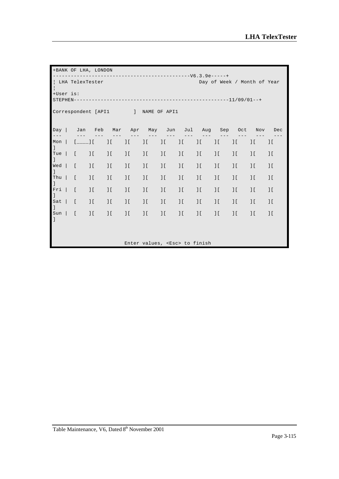|                                    |  |                                                | +BANK OF LHA, LONDON     |                                                                                                                                                                                                                                                                                                                     |                           |                             |                                     |                           |                          |                          |                             |                             |                           |
|------------------------------------|--|------------------------------------------------|--------------------------|---------------------------------------------------------------------------------------------------------------------------------------------------------------------------------------------------------------------------------------------------------------------------------------------------------------------|---------------------------|-----------------------------|-------------------------------------|---------------------------|--------------------------|--------------------------|-----------------------------|-----------------------------|---------------------------|
| $\frac{1}{2}$                      |  | LHA TelexTester                                |                          |                                                                                                                                                                                                                                                                                                                     |                           |                             |                                     |                           |                          |                          |                             | Day of Week / Month of Year |                           |
| +User is:                          |  |                                                |                          |                                                                                                                                                                                                                                                                                                                     |                           |                             |                                     |                           |                          |                          |                             |                             |                           |
| Correspondent [API1   NAME OF API1 |  |                                                |                          |                                                                                                                                                                                                                                                                                                                     |                           |                             |                                     |                           |                          |                          |                             |                             |                           |
| Day<br>$---$                       |  |                                                |                          | Jan Feb Mar Apr May Jun Jul Aug Sep Oct                                                                                                                                                                                                                                                                             |                           |                             |                                     |                           |                          |                          |                             |                             | Nov Dec                   |
| Mon<br>$\mathbf{I}$                |  | $[- \ldots ]$                                  |                          | $\frac{1}{2}$ $\frac{1}{2}$ $\frac{1}{2}$ $\frac{1}{2}$ $\frac{1}{2}$ $\frac{1}{2}$ $\frac{1}{2}$ $\frac{1}{2}$ $\frac{1}{2}$ $\frac{1}{2}$ $\frac{1}{2}$ $\frac{1}{2}$ $\frac{1}{2}$ $\frac{1}{2}$ $\frac{1}{2}$ $\frac{1}{2}$ $\frac{1}{2}$ $\frac{1}{2}$ $\frac{1}{2}$ $\frac{1}{2}$ $\frac{1}{2}$ $\frac{1}{2}$ |                           | $\frac{1}{2}$               | $\prod$                             | $\prod$                   | $\prod$                  | $\prod$                  | $\prod$                     | $\overline{\phantom{a}}$    | $\frac{1}{2}$             |
| Tue $\vert$<br>$\mathbf{1}$        |  | $\begin{bmatrix} 1 & 1 \\ 1 & 1 \end{bmatrix}$ | $\frac{1}{2}$            | $\frac{1}{2}$                                                                                                                                                                                                                                                                                                       | $\Box$                    | $\overline{\phantom{a}}$    | $\frac{1}{2}$                       | $\overline{\phantom{a}}$  | $\frac{1}{2}$            | $\prod$                  | $\overline{\phantom{a}}$    | $\frac{1}{2}$               | $\overline{\phantom{a}1}$ |
| $Wed$  <br>$\mathbf{I}$            |  | $\lceil$                                       | $\cdot$                  | $\overline{\phantom{a}}$                                                                                                                                                                                                                                                                                            | $\overline{\phantom{a}1}$ | $\overline{\phantom{a}1}$   | $\frac{1}{2}$                       | $\overline{\phantom{a}1}$ | $\cdot$                  | $\overline{\phantom{a}}$ | $\overline{\phantom{a}}$    | $\overline{\phantom{a}1}$   | $\overline{\phantom{a}1}$ |
| Thu $\vert$<br>$\mathbf{I}$        |  | $\lceil$                                       | $\frac{1}{2}$            | $\frac{1}{2}$                                                                                                                                                                                                                                                                                                       | $\frac{1}{2}$             | $\frac{1}{2}$               | $\frac{1}{2}$                       | $\overline{\phantom{a}}$  | $\overline{\phantom{a}}$ | $\overline{\phantom{a}}$ | $\overline{\phantom{a}1}$ [ | $\overline{\phantom{a}1}$   | $\overline{\phantom{a}1}$ |
| $Fri$  <br>1                       |  | $\lceil$                                       | $\frac{1}{2}$            | $\frac{1}{2}$                                                                                                                                                                                                                                                                                                       | $\frac{1}{2}$             | $\frac{1}{2}$               | $\frac{1}{2}$                       | $\overline{\phantom{a}}$  | $\frac{1}{2}$            | $\frac{1}{2}$            | $\overline{\phantom{a}}$    | $\overline{\phantom{a}}$    | $\overline{\phantom{a}1}$ |
| $Sat$ [<br>$\mathbf{I}$            |  |                                                | $\frac{1}{2}$            | $\frac{1}{2}$                                                                                                                                                                                                                                                                                                       | $\overline{\phantom{a}}$  | $\overline{\phantom{a}}$    | $\frac{1}{2}$                       | $\overline{\phantom{a}1}$ | $\frac{1}{2}$            | $\overline{\phantom{a}}$ | $\overline{\phantom{a}}$    | $\overline{\phantom{a}}$    | $\overline{\phantom{a}}$  |
| $Sun$  <br>$\mathbf{I}$            |  | $\lceil$                                       | $\overline{\phantom{a}}$ | $\frac{1}{2}$                                                                                                                                                                                                                                                                                                       | $\frac{1}{2}$             | $\overline{\phantom{a}1}$ [ | $\frac{1}{2}$                       | $\prod$                   | $\frac{1}{2}$            | $\prod$                  | $\overline{\phantom{a}1}$   | $\overline{\phantom{a}1}$ [ | $\cdot$                   |
|                                    |  |                                                |                          |                                                                                                                                                                                                                                                                                                                     |                           |                             | Enter values, <esc> to finish</esc> |                           |                          |                          |                             |                             |                           |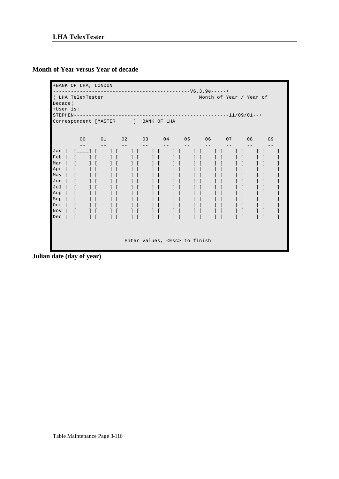## **Month of Year versus Year of decade**

```
+BANK OF LHA, LONDON 
  ----------------------------------------------V6.3.9e-----+
| LHA TelexTester Month of Year of
Decade¦
+User is: 
STEPHEN----------------------------------------------------11/09/01--+
Correspondent [MASTER ] BANK OF LHA
 00 01 02 03 04 05 06 07 08 09
 -- -- -- -- -- -- -- -- -- --
Jan | [____] [ ] [ ] [ ] [ ] [ ] [ ] [ ] [ ] [ ]
Feb | [ ] [ ] [ ] [ ] [ ] [ ] [ ] [ ] [ ] [ ]
Mar | [ ] [ ] [ ] [ ] [ ] [ ] [ ] [ ] [ ] [ ]
Apr | [ ] [ ] [ ] [ ] [ ] [ ] [ ] [ ] [ ] [ ]
May | [ ] [ ] [ ] [ ] [ ] [ ] [ ] [ ] [ ] [ ]
Jun | [ ] [ ] [ ] [ ] [ ] [ ] [ ] [ ] [ ] [ ]
Jul | [ ] [ ] [ ] [ ] [ ] [ ] [ ] [ ] [ ] [ ]
Aug | [ ] [ ] [ ] [ ] [ ] [ ] [ ] [ ] [ ] [ ]
Sep | [ ] [ ] [ ] [ ] [ ] [ ] [ ] [ ] [ ] [ ]
Oct | [ ] [ ] [ ] [ ] [ ] [ ] [ ] [ ] [ ] [ ]
Nov | [ ] [ ] [ ] [ ] [ ] [ ] [ ] [ ] [ ] [ ]
Dec | [ ] [ ] [ ] [ ] [ ] [ ] [ ] [ ] [ ] [ ]
                Enter values, <Esc> to finish
```
**Julian date (day of year)**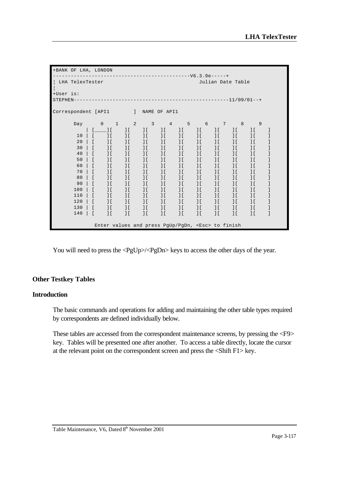| +BANK OF LHA, LONDON |                |                                                         |                             |                           |                             |                                 |                           |                             |                             |                             |  |
|----------------------|----------------|---------------------------------------------------------|-----------------------------|---------------------------|-----------------------------|---------------------------------|---------------------------|-----------------------------|-----------------------------|-----------------------------|--|
| LHA TelexTester      |                |                                                         |                             |                           |                             | ------------------V6.3.9e-----+ |                           | Julian Date Table           |                             |                             |  |
| $\frac{1}{2}$        |                |                                                         |                             |                           |                             |                                 |                           |                             |                             |                             |  |
| +User is:            |                |                                                         |                             |                           |                             |                                 |                           |                             |                             |                             |  |
| $STEPHEN---$         |                |                                                         |                             |                           |                             |                                 |                           |                             |                             |                             |  |
| Correspondent [API1  |                |                                                         |                             |                           |                             |                                 |                           |                             |                             |                             |  |
|                      |                |                                                         |                             |                           |                             |                                 |                           |                             |                             |                             |  |
| Day                  | $\overline{0}$ | $\mathbf{1}$                                            | 2                           | 3                         | $\overline{4}$              | $-5$                            | $6\overline{6}$           | 7                           | 8                           | 9                           |  |
|                      |                | $[$ $\qquad$ $]$ $[$                                    | $\frac{1}{2}$               | $\overline{\phantom{a}1}$ | $\frac{1}{2}$               | $\overline{\phantom{a}1}$       | $\overline{\phantom{a}1}$ | $\overline{\phantom{a}1}$ [ | $\overline{\phantom{a}}$    | $\overline{\phantom{a}1}$ [ |  |
| 10                   | $\sqrt{2}$     | $\overline{\phantom{a}1}$                               | $\overline{\phantom{a}}$    | $\frac{1}{2}$             | $\overline{\phantom{a}1}$   | $\overline{\phantom{a}}$        | $\overline{\phantom{a}}$  | $\overline{\phantom{a}}$    | $\overline{\phantom{a}}$    | $\frac{1}{2}$               |  |
| 20                   | L              | $\overline{\phantom{a}1}$                               | $\overline{\phantom{a}1}$   | $\overline{\phantom{a}}$  | $\frac{1}{2}$               | $\overline{\phantom{a}1}$       | 1 <sup>1</sup>            | $\overline{\phantom{a}}$    | $\overline{\phantom{a}1}$   | $\frac{1}{2}$               |  |
| 30                   | L              | $\frac{1}{2}$                                           | $\overline{\phantom{a}1}$   | $\frac{1}{2}$             | $\overline{\phantom{a}1}$   | $\frac{1}{2}$                   | 1 <sup>1</sup>            | $\overline{\phantom{a}}$    | $\overline{\phantom{a}}$    | J <sub>L</sub>              |  |
| 40                   | $\Gamma$       | $\frac{1}{2}$                                           | $\overline{\phantom{a}1}$   | $\frac{1}{2}$             | $\overline{\phantom{a}1}$   | $\frac{1}{2}$                   | $\frac{1}{2}$             | $\overline{\phantom{a}1}$ [ | $\overline{\phantom{a}1}$ [ | 1 <sup>1</sup>              |  |
| 50                   | $\Gamma$       | $\frac{1}{2}$                                           | $\overline{\phantom{a}1}$   | $\frac{1}{2}$             | 1 <sup>1</sup>              | $\frac{1}{2}$                   | $\overline{\phantom{a}}$  | $\overline{\phantom{a}1}$ [ | $\overline{1}$ [            | 1 <sup>1</sup>              |  |
| 60                   | t              | $\frac{1}{2}$                                           | $\overline{\phantom{a}1}$ [ | $\overline{\phantom{a}1}$ | $\overline{\phantom{a}1}$ [ | $\frac{1}{2}$                   | 1 <sup>1</sup>            | $\overline{\phantom{a}}$    | $\overline{\phantom{a}}$    | J <sub>L</sub>              |  |
| 70                   | $\lceil$       | 1 <sup>1</sup>                                          | $\frac{1}{2}$               | $\overline{\phantom{a}1}$ | J <sub>L</sub>              | $\overline{\phantom{a}}$        | J(f)                      | $\overline{\phantom{a}}$    | $\overline{\phantom{a}}$    | $\frac{1}{2}$               |  |
| 80                   | $\Gamma$       | $\overline{\phantom{a}1}$                               | $\overline{\phantom{a}1}$   | $\overline{\phantom{a}1}$ | $\overline{\phantom{a}1}$ [ | $\frac{1}{2}$                   | $\frac{1}{2}$             | $\overline{\phantom{a}}$    | $\overline{\phantom{a}}$    | 1 <sup>1</sup>              |  |
| 90                   | $\Gamma$       | $\frac{1}{2}$                                           | $\frac{1}{2}$               | $\frac{1}{2}$             | $\frac{1}{2}$               | $\frac{1}{2}$                   | 1 <sup>1</sup>            | $\overline{\phantom{a}1}$ [ | $\overline{1}$ [            | 1 <sup>1</sup>              |  |
| 100                  |                | $\frac{1}{2}$                                           | 1 <sup>1</sup>              | $\frac{1}{2}$             | $\frac{1}{2}$               | $\overline{\phantom{a}1}$ [     | 1 <sup>1</sup>            | 1 <sup>1</sup>              | $\overline{1}$ [            | $\frac{1}{2}$               |  |
| 110                  | $\Gamma$       | $\frac{1}{2}$                                           | $\overline{\phantom{a}1}$   | $\frac{1}{2}$             | $\frac{1}{2}$               | $\frac{1}{2}$                   | $\frac{1}{2}$             | $\overline{\phantom{a}}$    | $\overline{\phantom{a}}$    | $\frac{1}{2}$               |  |
| 120                  | $\overline{a}$ | $\frac{1}{2}$                                           | 1 <sup>1</sup>              | $\overline{\phantom{a}1}$ | $\overline{\phantom{a}1}$ [ | $\overline{\phantom{a}1}$ [     | $\frac{1}{2}$             | $\overline{\phantom{a}}$    | $\overline{\phantom{a}}$    | $\frac{1}{2}$               |  |
| 130                  |                | $\frac{1}{2}$                                           | $\overline{\phantom{a}1}$   | $\overline{\phantom{a}1}$ | $\overline{\phantom{a}1}$ [ | $\frac{1}{2}$                   | 1 <sup>1</sup>            | $\overline{\phantom{a}}$    | $\overline{\phantom{a}}$    | $\frac{1}{2}$               |  |
| 140                  | $\lceil$       | $\overline{\phantom{a}1}$                               | $\overline{\phantom{a}1}$   | $\overline{\phantom{a}1}$ | $\overline{\phantom{a}1}$   | $\overline{\phantom{a}1}$       | $\overline{\phantom{a}}$  | $\overline{\phantom{a}}$    | $\overline{\phantom{a}}$    | J(f)                        |  |
|                      |                |                                                         |                             |                           |                             |                                 |                           |                             |                             |                             |  |
|                      |                | Enter values and press PqUp/PqDn, <esc> to finish</esc> |                             |                           |                             |                                 |                           |                             |                             |                             |  |

You will need to press the <PgUp>/<PgDn> keys to access the other days of the year.

### **Other Testkey Tables**

#### **Introduction**

The basic commands and operations for adding and maintaining the other table types required by correspondents are defined individually below.

These tables are accessed from the correspondent maintenance screens, by pressing the <F9> key. Tables will be presented one after another. To access a table directly, locate the cursor at the relevant point on the correspondent screen and press the <Shift F1> key.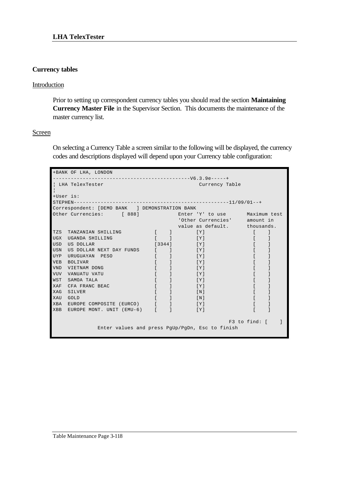#### **Currency tables**

### Introduction

Prior to setting up correspondent currency tables you should read the section **Maintaining Currency Master File** in the Supervisor Section. This documents the maintenance of the master currency list.

#### Screen

On selecting a Currency Table a screen similar to the following will be displayed, the currency codes and descriptions displayed will depend upon your Currency table configuration:

|            | +BANK OF LHA, LONDON                                  |              |                                                                        |               |  |
|------------|-------------------------------------------------------|--------------|------------------------------------------------------------------------|---------------|--|
|            |                                                       |              |                                                                        |               |  |
|            | LHA TelexTester                                       |              | Currency Table                                                         |               |  |
| +User is:  |                                                       |              |                                                                        |               |  |
|            |                                                       |              |                                                                        |               |  |
|            | Correspondent: [DEMO BANK ] DEMONSTRATION BANK        |              |                                                                        |               |  |
|            | Other Currencies: [888] Enter 'Y' to use Maximum test |              |                                                                        |               |  |
|            |                                                       |              | 'Other Currencies' amount in                                           |               |  |
|            |                                                       |              | value as default. thousands.                                           |               |  |
| TZS        | TANZANIAN SHILLING                                    |              | $\begin{pmatrix} 1 & 1 & 1 \end{pmatrix}$<br>[Y]                       |               |  |
| UGX        | UGANDA SHILLING                                       |              | $\mathbf{I}$ and $\mathbf{I}$ and $\mathbf{I}$ and $\mathbf{I}$<br>[Y] |               |  |
| USD        | US DOLLAR                                             |              | $\begin{bmatrix} 3344 \end{bmatrix}$<br>$\lceil Y \rceil$              |               |  |
| <b>USN</b> | US DOLLAR NEXT DAY FUNDS [ ]                          |              | [Y]                                                                    |               |  |
| UYP        | URUGUAYAN PESO                                        | $\mathbb{R}$ | [Y]                                                                    |               |  |
| VEB        | BOLIVAR                                               |              | [Y]                                                                    |               |  |
| <b>VND</b> | VIETNAM DONG                                          |              | $\lceil Y \rceil$                                                      |               |  |
| <b>VUV</b> | VANUATU VATU                                          |              | [Y]                                                                    |               |  |
| WST        | SAMOA TALA                                            |              | $\lceil Y \rceil$                                                      |               |  |
| XAF        | CFA FRANC BEAC                                        |              | $\lceil Y \rceil$                                                      |               |  |
| XAG        | SILVER                                                |              | [N]                                                                    |               |  |
| XAU        | GOLD                                                  |              | $\lceil N \rceil$                                                      |               |  |
|            | XBA EUROPE COMPOSITE (EURCO) [ ]                      |              | [Y]                                                                    |               |  |
| XBB        | EUROPE MONT. UNIT (EMU-6) [                           |              | $\lceil Y \rceil$                                                      |               |  |
|            |                                                       |              |                                                                        | F3 to find: [ |  |
|            |                                                       |              | Enter values and press PqUp/PqDn, Esc to finish                        |               |  |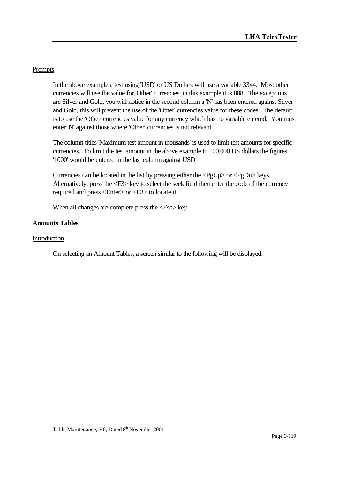## Prompts

In the above example a test using 'USD' or US Dollars will use a variable 3344. Most other currencies will use the value for 'Other' currencies, in this example it is 888. The exceptions are Silver and Gold, you will notice in the second column a 'N' has been entered against Silver and Gold, this will prevent the use of the 'Other' currencies value for these codes. The default is to use the 'Other' currencies value for any currency which has no variable entered. You must enter 'N' against those where 'Other' currencies is not relevant.

The column titles 'Maximum test amount in thousands' is used to limit test amounts for specific currencies. To limit the test amount in the above example to 100,000 US dollars the figures '1000' would be entered in the last column against USD.

Currencies can be located in the list by pressing either the <PgUp> or <PgDn> keys. Alternatively, press the <F3> key to select the seek field then enter the code of the currency required and press <Enter> or <F3> to locate it.

When all changes are complete press the  $\langle Esc \rangle$  key.

### **Amounts Tables**

#### Introduction

On selecting an Amount Tables, a screen similar to the following will be displayed: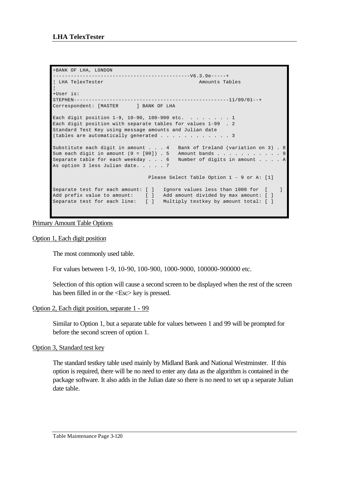```
+BANK OF LHA, LONDON 
----------------------------------------------V6.3.9e-----+
¦ LHA TelexTester Amounts Tables 
¦
+User is: 
STEPHEN----------------------------------------------------11/09/01--+
Correspondent: [MASTER ] BANK OF LHA
Each digit position 1-9, 10-90, 100-900 etc. . . . . . . . 1
Each digit position with separate tables for values 1-99 . 2
Standard Test Key using message amounts and Julian date
(tables are automatically generated \ldots, . . . . . . . . 3
Substitute each digit in amount . . . 4 Bank of Ireland (variation on 3) . 8
Sum each digit in amount (0 = [00]) . 5 Amount bands . . . . . . . . . . . 9
Separate table for each weekday . . . 6 Number of digits in amount . . . . A
As option 3 less Julian date. . . . . 7
                               Please Select Table Option 1 - 9 or A: [1]
Separate test for each amount: [ ] Ignore values less than 1000 for [ ]
Add prefix value to amount: [ ] Add amount divided by max amount: [ ]
Separate test for each line: [ ] Multiply testkey by amount total: [ ]
```
Primary Amount Table Options

#### Option 1, Each digit position

The most commonly used table.

For values between 1-9, 10-90, 100-900, 1000-9000, 100000-900000 etc.

Selection of this option will cause a second screen to be displayed when the rest of the screen has been filled in or the <Esc> key is pressed.

#### Option 2, Each digit position, separate 1 - 99

Similar to Option 1, but a separate table for values between 1 and 99 will be prompted for before the second screen of option 1.

#### Option 3, Standard test key

The standard testkey table used mainly by Midland Bank and National Westminster. If this option is required, there will be no need to enter any data as the algorithm is contained in the package software. It also adds in the Julian date so there is no need to set up a separate Julian date table.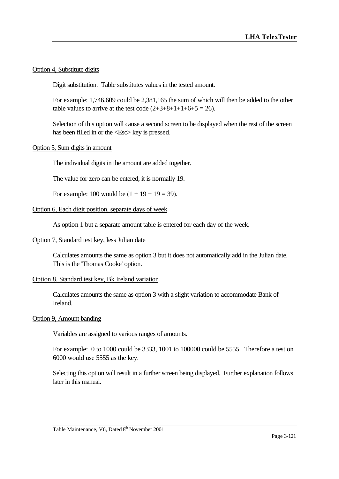#### Option 4, Substitute digits

Digit substitution. Table substitutes values in the tested amount.

For example: 1,746,609 could be 2,381,165 the sum of which will then be added to the other table values to arrive at the test code  $(2+3+8+1+1+6+5 = 26)$ .

Selection of this option will cause a second screen to be displayed when the rest of the screen has been filled in or the  $\langle$ Esc $>$  key is pressed.

#### Option 5, Sum digits in amount

The individual digits in the amount are added together.

The value for zero can be entered, it is normally 19.

For example: 100 would be  $(1 + 19 + 19 = 39)$ .

#### Option 6, Each digit position, separate days of week

As option 1 but a separate amount table is entered for each day of the week.

#### Option 7, Standard test key, less Julian date

Calculates amounts the same as option 3 but it does not automatically add in the Julian date. This is the 'Thomas Cooke' option.

#### Option 8, Standard test key, Bk Ireland variation

Calculates amounts the same as option 3 with a slight variation to accommodate Bank of Ireland.

#### Option 9, Amount banding

Variables are assigned to various ranges of amounts.

For example: 0 to 1000 could be 3333, 1001 to 100000 could be 5555. Therefore a test on 6000 would use 5555 as the key.

Selecting this option will result in a further screen being displayed. Further explanation follows later in this manual.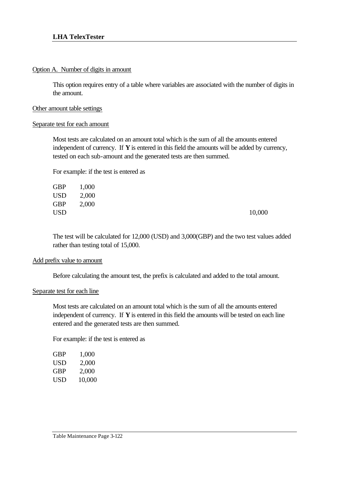#### Option A. Number of digits in amount

This option requires entry of a table where variables are associated with the number of digits in the amount.

### Other amount table settings

#### Separate test for each amount

Most tests are calculated on an amount total which is the sum of all the amounts entered independent of currency. If **Y** is entered in this field the amounts will be added by currency, tested on each sub-amount and the generated tests are then summed.

For example: if the test is entered as

| GBP | 1,000 |        |
|-----|-------|--------|
| USD | 2,000 |        |
| GBP | 2,000 |        |
| USD |       | 10,000 |
|     |       |        |

The test will be calculated for 12,000 (USD) and 3,000(GBP) and the two test values added rather than testing total of 15,000.

#### Add prefix value to amount

Before calculating the amount test, the prefix is calculated and added to the total amount.

#### Separate test for each line

Most tests are calculated on an amount total which is the sum of all the amounts entered independent of currency. If **Y** is entered in this field the amounts will be tested on each line entered and the generated tests are then summed.

For example: if the test is entered as

| GBP | 1,000  |
|-----|--------|
| USD | 2,000  |
| GBP | 2,000  |
| USD | 10,000 |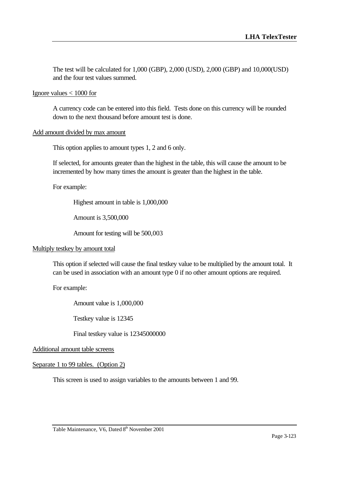The test will be calculated for 1,000 (GBP), 2,000 (USD), 2,000 (GBP) and 10,000(USD) and the four test values summed.

#### Ignore values < 1000 for

A currency code can be entered into this field. Tests done on this currency will be rounded down to the next thousand before amount test is done.

#### Add amount divided by max amount

This option applies to amount types 1, 2 and 6 only.

If selected, for amounts greater than the highest in the table, this will cause the amount to be incremented by how many times the amount is greater than the highest in the table.

For example:

Highest amount in table is 1,000,000

Amount is 3,500,000

Amount for testing will be 500,003

#### Multiply testkey by amount total

This option if selected will cause the final testkey value to be multiplied by the amount total. It can be used in association with an amount type 0 if no other amount options are required.

For example:

Amount value is 1,000,000

Testkey value is 12345

Final testkey value is 12345000000

Additional amount table screens

#### Separate 1 to 99 tables. (Option 2)

This screen is used to assign variables to the amounts between 1 and 99.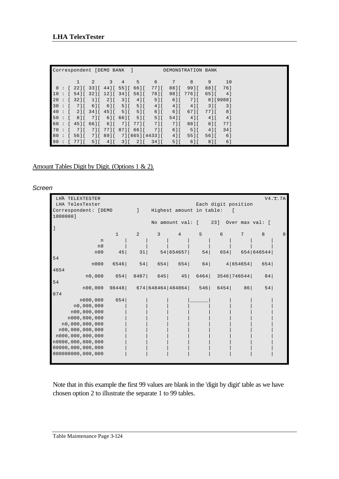|        |                |                                    | Correspondent [DEMO BANK   |                   | $\Box$                               |                | DEMONSTRATION BANK     |                               |            |         |          |  |  |
|--------|----------------|------------------------------------|----------------------------|-------------------|--------------------------------------|----------------|------------------------|-------------------------------|------------|---------|----------|--|--|
|        |                |                                    | 2                          | 3                 | 4 <sup>7</sup>                       | 5 <sup>5</sup> | - 6                    | 7                             | 8          | 9       | 10       |  |  |
|        |                |                                    |                            |                   | $0:$ [ 22] [ 33] [ 44] [ 55] [ 66] [ |                | 77][                   | 88][                          | 9911       | 8811    | 761      |  |  |
| 10     | $\ddot{\cdot}$ | 5411                               |                            | 321 [ 121 [ 341 ] |                                      | 5611           | 7811                   |                               | 9811 77611 | 6511    | 41       |  |  |
| 20:    |                | $\begin{bmatrix} 32 \end{bmatrix}$ | 111                        | 211               | 311                                  | 41             | 51                     | $61$ $\Gamma$                 | 7 I L      |         | 81「99881 |  |  |
| 30     |                | 7 ] [                              | $61$ [                     | 61                | 511                                  | 51             | $4$ ] [                | 41                            | 411        | 311     | 31       |  |  |
| 40     |                | 211                                | $34$   $6 - 45$   $6 - 16$ |                   | 511                                  | 51             | 61                     | $6$ ] [                       | $671$      | 771     | 81       |  |  |
| 50 : 1 |                | $81$ [                             | 7 ] [                      |                   | 6116611                              | 51             | 51                     | $54$ $\overline{\phantom{1}}$ | 411        | 411     | 4 1      |  |  |
|        |                | 60 : 4516611                       |                            | 61                | 711                                  | 7711           | 711                    | 711                           | 8811       | 81      | 771      |  |  |
| 70     | $\cdot$ :      | 7 I L                              |                            |                   | 71 771 871 661                       |                | 7 I L                  | $6$ ] [                       | 51         | 41      | 341      |  |  |
| 80     | $\cdot$ :      | 5611                               |                            | 71 891 1          |                                      |                | 7   [ 665   [ 4433 ] [ | 411                           | 5511       | 5611    | 6 1      |  |  |
| 90:    |                | 771                                | $5$ ] [                    | $4$ ] [           | 311                                  | $2$ ] [        | 341                    | $5$ ] [                       | $6$ ] [    | $8$ ] [ | 6]       |  |  |

# Amount Tables Digit by Digit. (Options 1 & 2).

*Screen*

| LHA TELEXTESTER      |                                  |                |                                      |           |                |                     |                 |              | V4.T.7A |
|----------------------|----------------------------------|----------------|--------------------------------------|-----------|----------------|---------------------|-----------------|--------------|---------|
| LHA TelexTester      |                                  |                |                                      |           |                | Each digit position |                 |              |         |
| Correspondent: [DEMO | - 1                              |                | Highest amount in table:             |           |                |                     |                 |              |         |
| 1000000]             |                                  |                |                                      |           |                |                     |                 |              |         |
|                      |                                  |                | No amount val: [ 23] Over max val: [ |           |                |                     |                 |              |         |
| $\mathbf{I}$         |                                  |                |                                      |           |                |                     |                 |              |         |
|                      | $\mathbf{1}$                     | $\overline{2}$ | $\overline{3}$                       | $\sim$ 4  | 5 <sup>1</sup> | $6\overline{6}$     | $7\overline{ }$ | $\mathbf{8}$ | 9       |
| n                    |                                  |                |                                      |           |                |                     |                 |              |         |
| n <sub>0</sub>       |                                  |                |                                      |           |                |                     |                 |              |         |
| n00                  | 45                               | 31             |                                      | 54 654657 | 54             | 654                 |                 | 654   646544 |         |
| 54                   |                                  |                |                                      |           |                |                     |                 |              |         |
| n000                 | 6546                             |                | 54 654 654 64 4 654654 654           |           |                |                     |                 |              |         |
| 4654                 |                                  |                |                                      |           |                |                     |                 |              |         |
| n0,000               | 654 8487 645 45 6464 3546 746544 |                |                                      |           |                |                     |                 | 84           |         |
| 54                   |                                  |                |                                      |           |                |                     |                 |              |         |
| n00,000              | $98448$ 674 648464 484864 546    |                |                                      |           |                |                     | 6454 86         | 54           |         |
| 874                  |                                  |                |                                      |           |                |                     |                 |              |         |
| n000,000             | 654                              |                |                                      |           |                |                     |                 |              |         |
| n0,000,000           |                                  |                |                                      |           |                |                     |                 |              |         |
| n00,000,000          |                                  |                |                                      |           |                |                     |                 |              |         |
| n000,000,000         |                                  |                |                                      |           |                |                     |                 |              |         |
| n0,000,000,000       |                                  |                |                                      |           |                |                     |                 |              |         |
| n00,000,000,000      |                                  |                |                                      |           |                |                     |                 |              |         |
| n000,000,000,000     |                                  |                |                                      |           |                |                     |                 |              |         |
| n0000,000,000,000    |                                  |                |                                      |           |                |                     |                 |              |         |
| 00000, 000, 000, 000 |                                  |                |                                      |           |                |                     |                 |              |         |
| 000000000,000,000    |                                  |                |                                      |           |                |                     |                 |              |         |
|                      |                                  |                |                                      |           |                |                     |                 |              |         |

Note that in this example the first 99 values are blank in the 'digit by digit' table as we have chosen option 2 to illustrate the separate 1 to 99 tables.

Table Maintenance Page 3-124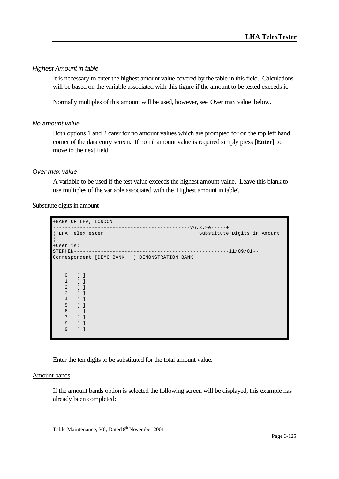#### *Highest Amount in table*

It is necessary to enter the highest amount value covered by the table in this field. Calculations will be based on the variable associated with this figure if the amount to be tested exceeds it.

Normally multiples of this amount will be used, however, see 'Over max value' below.

## *No amount value*

Both options 1 and 2 cater for no amount values which are prompted for on the top left hand corner of the data entry screen. If no nil amount value is required simply press **[Enter]** to move to the next field.

### *Over max value*

A variable to be used if the test value exceeds the highest amount value. Leave this blank to use multiples of the variable associated with the 'Highest amount in table'.

#### Substitute digits in amount

```
+BANK OF LHA, LONDON 
  ----------------------------------------------V6.3.9e-----+
¦ LHA TelexTester Substitute Digits in Amount 
¦
+User is: 
STEPHEN----------------------------------------------------11/09/01--+
Correspondent [DEMO BANK ] DEMONSTRATION BANK
   0 : [ ] 1 : [ ]
    2 : [ ]
    3 : [ ]
    4 : [ ]
    5 : [ ]
    6 : [ ]
    7 : [ ]
    8 : [ ]
    9 : [ ]
```
Enter the ten digits to be substituted for the total amount value.

#### Amount bands

If the amount bands option is selected the following screen will be displayed, this example has already been completed: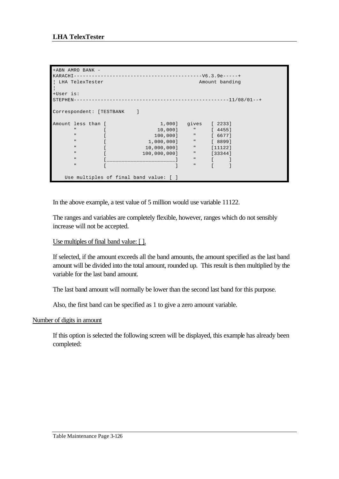```
+ABN AMRO BANK -
KARACHI-------------------------------------------V6.3.9e-----+
| LHA TelexTester Amount banding
¦
+User is: 
STRPHEN------------------------------------------------------11/08/01--+Correspondent: [TESTBANK ]
Amount less than [ 1,000] gives [ 2233]
 " [ 10,000] " [ 4455]
 " [ 100,000] " [ 6677]
 " [ 1,000,000] " [ 8899]
\blacksquare \blacksquare \blacksquare \blacksquare \blacksquare \blacksquare \blacksquare \blacksquare \blacksquare \blacksquare \blacksquare \blacksquare \blacksquare \blacksquare \blacksquare \blacksquare \blacksquare \blacksquare \blacksquare \blacksquare \blacksquare \blacksquare \blacksquare \blacksquare \blacksquare \blacksquare \blacksquare \blacksquare \blacksquare \blacksquare \blacksquare \blacks\blacksquare \blacksquare \blacksquare \blacksquare \blacksquare \blacksquare \blacksquare \blacksquare \blacksquare \blacksquare \blacksquare \blacksquare \blacksquare \blacksquare \blacksquare \blacksquare \blacksquare \blacksquare \blacksquare \blacksquare \blacksquare \blacksquare \blacksquare \blacksquare \blacksquare \blacksquare \blacksquare \blacksquare \blacksquare \blacksquare \blacksquare \blacks " [_______________________] " [ ]
" [ ] " [ ]
      Use multiples of final band value: [ ]
```
In the above example, a test value of 5 million would use variable 11122.

The ranges and variables are completely flexible, however, ranges which do not sensibly increase will not be accepted.

## Use multiples of final band value: [ ].

If selected, if the amount exceeds all the band amounts, the amount specified as the last band amount will be divided into the total amount, rounded up. This result is then multiplied by the variable for the last band amount.

The last band amount will normally be lower than the second last band for this purpose.

Also, the first band can be specified as 1 to give a zero amount variable.

#### Number of digits in amount

If this option is selected the following screen will be displayed, this example has already been completed: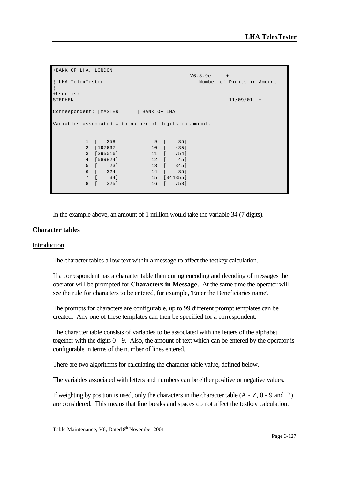```
+BANK OF LHA, LONDON 
----------------------------------------------V6.3.9e-----+
¦ LHA TelexTester Number of Digits in Amount 
¦
+User is: 
STRPHEN------------------------------------------------------11/09/01--+Correspondent: [MASTER ] BANK OF LHA
Variables associated with number of digits in amount.
         1 [ 258] 9 [ 35]
         2 [197637] 10 [ 435]
        3 [395016] 11 [<br>4 [589824] 12 [<br>5 [ 23] 13 [
 4 [589824] 12 [ 45]
 5 [ 23] 13 [ 345]
         6 [ 324] 14 [ 435]
         7 [ 34] 15 [344355]
         8 [ 325] 16 [ 753]
```
In the example above, an amount of 1 million would take the variable 34 (7 digits).

#### **Character tables**

#### Introduction

The character tables allow text within a message to affect the testkey calculation.

If a correspondent has a character table then during encoding and decoding of messages the operator will be prompted for **Characters in Message**. At the same time the operator will see the rule for characters to be entered, for example, 'Enter the Beneficiaries name'.

The prompts for characters are configurable, up to 99 different prompt templates can be created. Any one of these templates can then be specified for a correspondent.

The character table consists of variables to be associated with the letters of the alphabet together with the digits 0 - 9. Also, the amount of text which can be entered by the operator is configurable in terms of the number of lines entered.

There are two algorithms for calculating the character table value, defined below.

The variables associated with letters and numbers can be either positive or negative values.

If weighting by position is used, only the characters in the character table  $(A - Z, 0 - 9, and '?)$ are considered. This means that line breaks and spaces do not affect the testkey calculation.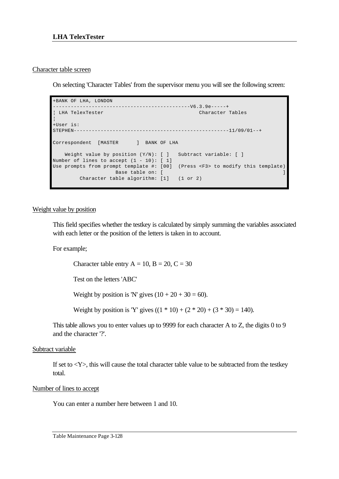#### Character table screen

On selecting 'Character Tables' from the supervisor menu you will see the following screen:

```
+BANK OF LHA, LONDON 
                               ------V6.3.9e---++¦ LHA TelexTester Character Tables 
¦
+User is: 
STEPHEN----------------------------------------------------11/09/01--+
Correspondent [MASTER ] BANK OF LHA
   Weight value by position (Y/N): [ ] Subtract variable: [ ]
Number of lines to accept (1 - 10): [1]Use prompts from prompt template #: [00] (Press <F3> to modify this template)
Base table on: [ ] [ ] Base table on: [ ] ] Base table on: [ ] ] ] \mathbb{R}Character table algorithm: [1] (1 or 2)
```
#### Weight value by position

This field specifies whether the testkey is calculated by simply summing the variables associated with each letter or the position of the letters is taken in to account.

For example;

Character table entry  $A = 10$ ,  $B = 20$ ,  $C = 30$ 

Test on the letters 'ABC'

Weight by position is 'N' gives  $(10 + 20 + 30 = 60)$ .

Weight by position is 'Y' gives  $((1 * 10) + (2 * 20) + (3 * 30) = 140)$ .

This table allows you to enter values up to 9999 for each character A to Z, the digits 0 to 9 and the character '?'.

#### Subtract variable

If set to  $\langle Y \rangle$ , this will cause the total character table value to be subtracted from the testkey total.

#### Number of lines to accept

You can enter a number here between 1 and 10.

Table Maintenance Page 3-128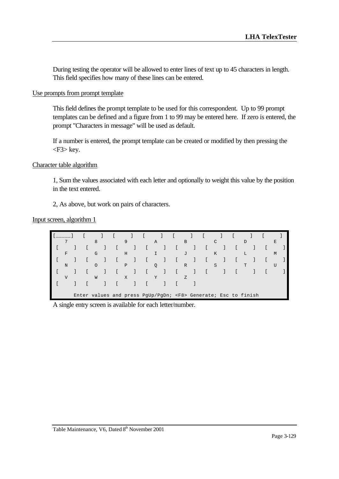During testing the operator will be allowed to enter lines of text up to 45 characters in length. This field specifies how many of these lines can be entered.

#### Use prompts from prompt template

This field defines the prompt template to be used for this correspondent. Up to 99 prompt templates can be defined and a figure from 1 to 99 may be entered here. If zero is entered, the prompt "Characters in message" will be used as default.

If a number is entered, the prompt template can be created or modified by then pressing the <F3> key.

#### Character table algorithm

1, Sum the values associated with each letter and optionally to weight this value by the position in the text entered.

2, As above, but work on pairs of characters.

#### Input screen, algorithm 1

| ¬              |  | 8 |                                                                     | 9 |  | $\mathbb{A}$ |  | B |  |   |  | D |  | E |  |
|----------------|--|---|---------------------------------------------------------------------|---|--|--------------|--|---|--|---|--|---|--|---|--|
|                |  |   |                                                                     |   |  |              |  |   |  |   |  |   |  |   |  |
| F              |  | G |                                                                     | H |  |              |  | J |  | K |  | L |  | M |  |
|                |  |   |                                                                     |   |  |              |  |   |  |   |  |   |  |   |  |
| N              |  |   |                                                                     | P |  | Q            |  | R |  | S |  | m |  |   |  |
|                |  |   |                                                                     |   |  |              |  |   |  |   |  |   |  |   |  |
| $\overline{V}$ |  | W |                                                                     | X |  | Y            |  | Z |  |   |  |   |  |   |  |
|                |  |   |                                                                     |   |  |              |  |   |  |   |  |   |  |   |  |
|                |  |   |                                                                     |   |  |              |  |   |  |   |  |   |  |   |  |
|                |  |   | Enter values and press PgUp/PgDn; <f8> Generate; Esc to finish</f8> |   |  |              |  |   |  |   |  |   |  |   |  |

A single entry screen is available for each letter/number.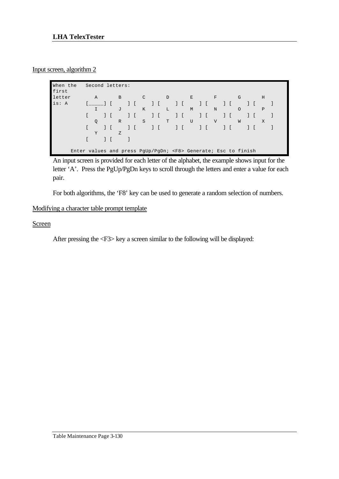## Input screen, algorithm 2

| When the<br>first |                                                                     | Second letters: |  |                |  |               |  |   |               |   |        |              |  |         |  |   |  |
|-------------------|---------------------------------------------------------------------|-----------------|--|----------------|--|---------------|--|---|---------------|---|--------|--------------|--|---------|--|---|--|
| letter            |                                                                     | $\mathbb{A}$    |  | $\overline{B}$ |  | $\mathcal{C}$ |  | D |               | E |        | $_{\rm F}$   |  | G       |  | H |  |
| is: A             |                                                                     |                 |  |                |  |               |  |   | $\frac{1}{2}$ |   | $\Box$ |              |  |         |  |   |  |
|                   |                                                                     | I               |  | J              |  | K             |  | L |               | М |        | N            |  | $\circ$ |  | P |  |
|                   |                                                                     |                 |  |                |  |               |  |   | $\mathbf{1}$  |   |        |              |  |         |  |   |  |
|                   |                                                                     | $\mathsf{Q}$    |  | $\mathbb R$    |  | S             |  | T |               | U |        | $\mathbf{V}$ |  | W       |  | X |  |
|                   |                                                                     |                 |  |                |  |               |  |   |               |   |        |              |  |         |  |   |  |
|                   |                                                                     | Y               |  | Z              |  |               |  |   |               |   |        |              |  |         |  |   |  |
|                   |                                                                     |                 |  |                |  |               |  |   |               |   |        |              |  |         |  |   |  |
|                   | Enter values and press PqUp/PqDn; <f8> Generate; Esc to finish</f8> |                 |  |                |  |               |  |   |               |   |        |              |  |         |  |   |  |

An input screen is provided for each letter of the alphabet, the example shows input for the letter 'A'. Press the PgUp/PgDn keys to scroll through the letters and enter a value for each pair.

For both algorithms, the 'F8' key can be used to generate a random selection of numbers.

# Modifying a character table prompt template

## Screen

After pressing the <F3> key a screen similar to the following will be displayed: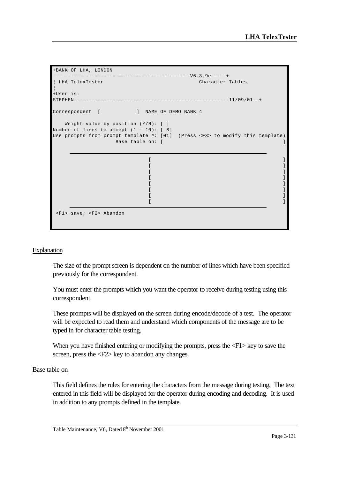```
+BANK OF LHA, LONDON 
----------------------------------------------V6.3.9e-----+
¦ LHA TelexTester Character Tables 
¦
+User is: 
STEPHEN----------------------------------------------------11/09/01--+
Correspondent [ ] NAME OF DEMO BANK 4
    Weight value by position (Y/N): [ ]
Number of lines to accept (1 - 10): [ 8]
Use prompts from prompt template #: [01] (Press <F3> to modify this template)
                     Base table on: [ ] ]
\mathbf{I} and \mathbf{I} are the contract of \mathbf{I} and \mathbf{I} are the contract of \mathbf{I}\mathbf{I} and \mathbf{I} are the contract of \mathbf{I} and \mathbf{I} are the contract of \mathbf{I}\mathbf{I} and \mathbf{I} are the contract of \mathbf{I} and \mathbf{I} are the contract of \mathbf{I}\mathbf{I} and \mathbf{I} are the contract of \mathbf{I} and \mathbf{I} are the contract of \mathbf{I}\mathbf{I} and \mathbf{I} are the contract of \mathbf{I} and \mathbf{I} are the contract of \mathbf{I}\mathbf{I} and \mathbf{I} are the contract of \mathbf{I} and \mathbf{I} are the contract of \mathbf{I}\mathbf{I} and \mathbf{I} are the contract of \mathbf{I} and \mathbf{I} are the contract of \mathbf{I}\mathbf{I} and \mathbf{I} are the contract of \mathbf{I} and \mathbf{I} are the contract of \mathbf{I} <F1> save; <F2> Abandon
```
#### Explanation

The size of the prompt screen is dependent on the number of lines which have been specified previously for the correspondent.

You must enter the prompts which you want the operator to receive during testing using this correspondent.

These prompts will be displayed on the screen during encode/decode of a test. The operator will be expected to read them and understand which components of the message are to be typed in for character table testing.

When you have finished entering or modifying the prompts, press the  $\langle F1 \rangle$  key to save the screen, press the <F2> key to abandon any changes.

#### Base table on

This field defines the rules for entering the characters from the message during testing. The text entered in this field will be displayed for the operator during encoding and decoding. It is used in addition to any prompts defined in the template.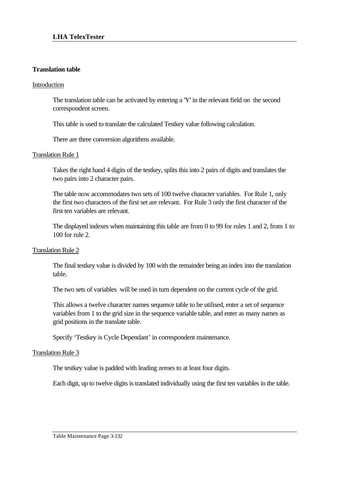## **Translation table**

#### Introduction

The translation table can be activated by entering a 'Y' in the relevant field on the second correspondent screen.

This table is used to translate the calculated Testkey value following calculation.

There are three conversion algorithms available.

#### Translation Rule 1

Takes the right hand 4 digits of the testkey, splits this into 2 pairs of digits and translates the two pairs into 2 character pairs.

The table now accommodates two sets of 100 twelve character variables. For Rule 1, only the first two characters of the first set are relevant. For Rule 3 only the first character of the first ten variables are relevant.

The displayed indexes when maintaining this table are from 0 to 99 for rules 1 and 2, from 1 to 100 for rule 2.

#### Translation Rule 2

The final testkey value is divided by 100 with the remainder being an index into the translation table.

The two sets of variables will be used in turn dependent on the current cycle of the grid.

This allows a twelve character names sequence table to be utilised, enter a set of sequence variables from 1 to the grid size in the sequence variable table, and enter as many names as grid positions in the translate table.

Specify 'Testkey is Cycle Dependant' in correspondent maintenance.

#### Translation Rule 3

The testkey value is padded with leading zeroes to at least four digits.

Each digit, up to twelve digits is translated individually using the first ten variables in the table.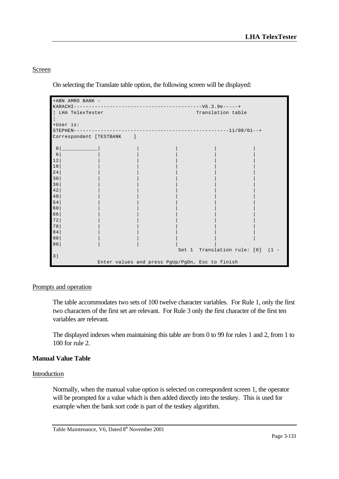## Screen

On selecting the Translate table option, the following screen will be displayed:

```
+ABN AMRO BANK -
KARACHI-------------------------------------------V6.3.9e-----+
¦ LHA TelexTester Translation table 
¦
+User is: 
STEPHEN----------------------------------------------------11/08/01--+
Correspondent [TESTBANK ]
 0|____________| | | | |
 6| | | | | |
12| | | | | |
18| | | | | |
24| | | | | |
30| | | | | |
36| | | | | |
42| | | | | |
48| | | | | |
54| | | | | |
60| | | | | |
66| | | | | |
72| | | | | |
78| | | | | |
84| | | | | |
90| | | | | |
96| | | | |
                Set 1 Translation rule: [0] (1 -
3)
      Enter values and press PgUp/PgDn, Esc to finish
```
## Prompts and operation

The table accommodates two sets of 100 twelve character variables. For Rule 1, only the first two characters of the first set are relevant. For Rule 3 only the first character of the first ten variables are relevant.

The displayed indexes when maintaining this table are from 0 to 99 for rules 1 and 2, from 1 to 100 for rule 2.

# **Manual Value Table**

## Introduction

Normally, when the manual value option is selected on correspondent screen 1, the operator will be prompted for a value which is then added directly into the testkey. This is used for example when the bank sort code is part of the testkey algorithm.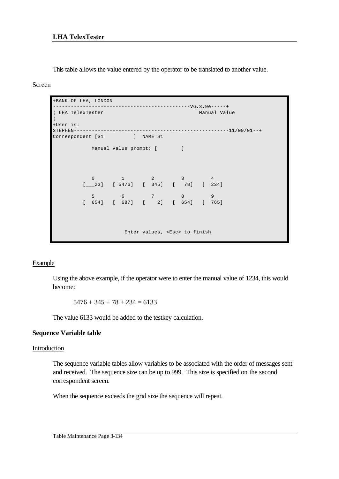This table allows the value entered by the operator to be translated to another value.

#### Screen

```
+BANK OF LHA, LONDON 
    ----------------------------------------------V6.3.9e-----+
¦ LHA TelexTester Manual Value 
¦
+User is: 
STEPHEN----------------------------------------------------11/09/01--+
Correspondent [S1 ] NAME S1
         Manual value prompt: [ ]
0 1 2 3 4
 [___23] [ 5476] [ 345] [ 78] [ 234]
         5 6 7 8 9
        [ 654] [ 687] [ 2] [ 654] [ 765]
                  Enter values, <Esc> to finish
```
## **Example**

Using the above example, if the operator were to enter the manual value of 1234, this would become:

 $5476 + 345 + 78 + 234 = 6133$ 

The value 6133 would be added to the testkey calculation.

## **Sequence Variable table**

## Introduction

The sequence variable tables allow variables to be associated with the order of messages sent and received. The sequence size can be up to 999. This size is specified on the second correspondent screen.

When the sequence exceeds the grid size the sequence will repeat.

Table Maintenance Page 3-134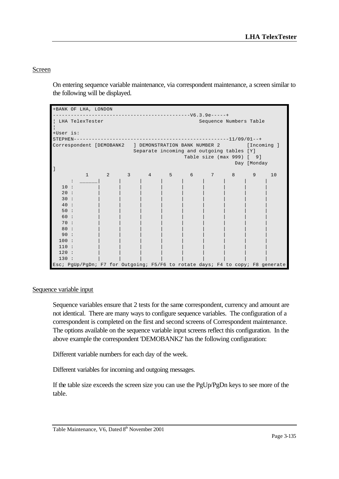## Screen

On entering sequence variable maintenance, via correspondent maintenance, a screen similar to the following will be displayed.

|                 | +BANK OF LHA, LONDON |                            |                         |    |    |                                                                    |                            |             |                                                                                |
|-----------------|----------------------|----------------------------|-------------------------|----|----|--------------------------------------------------------------------|----------------------------|-------------|--------------------------------------------------------------------------------|
|                 |                      |                            |                         |    |    |                                                                    |                            |             |                                                                                |
|                 | LHA TelexTester      |                            |                         |    |    |                                                                    | Sequence Numbers Table     |             |                                                                                |
|                 |                      |                            |                         |    |    |                                                                    |                            |             |                                                                                |
| +User is:       |                      |                            |                         |    |    |                                                                    |                            |             |                                                                                |
| $STEPHEN------$ |                      |                            |                         |    |    |                                                                    |                            |             |                                                                                |
|                 |                      |                            |                         |    |    | Correspondent [DEMOBANK2 ] DEMONSTRATION BANK NUMBER 2 [Incoming ] |                            |             |                                                                                |
|                 |                      |                            |                         |    |    | Separate incoming and outgoing tables [Y]                          |                            |             |                                                                                |
|                 |                      |                            |                         |    |    | Table size (max 999) [ 9]                                          |                            |             |                                                                                |
|                 |                      |                            |                         |    |    |                                                                    |                            | Day [Monday |                                                                                |
|                 |                      |                            |                         |    |    |                                                                    |                            |             |                                                                                |
|                 | $\mathbf{1}$         | $\overline{\phantom{0}}$ 2 | $\overline{\mathbf{3}}$ | 45 | 67 |                                                                    | $\overline{\phantom{a}}$ 8 | 9           | 10                                                                             |
|                 |                      |                            |                         |    |    |                                                                    |                            |             |                                                                                |
| 10:             |                      |                            |                         |    |    |                                                                    |                            |             |                                                                                |
| 20:             |                      |                            |                         |    |    |                                                                    |                            |             |                                                                                |
| 30:             |                      |                            |                         |    |    |                                                                    |                            |             |                                                                                |
| 40:             |                      |                            |                         |    |    |                                                                    |                            |             |                                                                                |
| 50:             |                      |                            |                         |    |    |                                                                    |                            |             |                                                                                |
| 60 :            |                      |                            |                         |    |    |                                                                    |                            |             |                                                                                |
| 70:             |                      |                            |                         |    |    |                                                                    |                            |             |                                                                                |
| 80:             |                      |                            |                         |    |    |                                                                    |                            |             |                                                                                |
| 90:             |                      |                            |                         |    |    |                                                                    |                            |             |                                                                                |
| 100:            |                      |                            |                         |    |    |                                                                    |                            |             |                                                                                |
| 110:            |                      |                            |                         |    |    |                                                                    |                            |             |                                                                                |
| 120:            |                      |                            |                         |    |    |                                                                    |                            |             |                                                                                |
| 130:            |                      |                            |                         |    |    |                                                                    |                            |             |                                                                                |
|                 |                      |                            |                         |    |    |                                                                    |                            |             | Esc; PgUp/PgDn; F7 for Outgoing; F5/F6 to rotate days; F4 to copy; F8 generate |

## Sequence variable input

Sequence variables ensure that 2 tests for the same correspondent, currency and amount are not identical. There are many ways to configure sequence variables. The configuration of a correspondent is completed on the first and second screens of Correspondent maintenance. The options available on the sequence variable input screens reflect this configuration. In the above example the correspondent 'DEMOBANK2' has the following configuration:

Different variable numbers for each day of the week.

Different variables for incoming and outgoing messages.

If the table size exceeds the screen size you can use the PgUp/PgDn keys to see more of the table.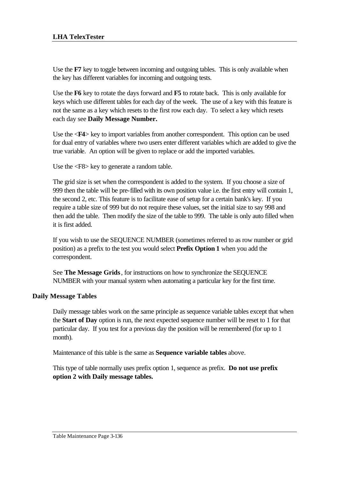Use the **F7** key to toggle between incoming and outgoing tables. This is only available when the key has different variables for incoming and outgoing tests.

Use the **F6** key to rotate the days forward and **F5** to rotate back. This is only available for keys which use different tables for each day of the week. The use of a key with this feature is not the same as a key which resets to the first row each day. To select a key which resets each day see **Daily Message Number.**

Use the <**F4**> key to import variables from another correspondent. This option can be used for dual entry of variables where two users enter different variables which are added to give the true variable. An option will be given to replace or add the imported variables.

Use the <F8> key to generate a random table.

The grid size is set when the correspondent is added to the system. If you choose a size of 999 then the table will be pre-filled with its own position value i.e. the first entry will contain 1, the second 2, etc. This feature is to facilitate ease of setup for a certain bank's key. If you require a table size of 999 but do not require these values, set the initial size to say 998 and then add the table. Then modify the size of the table to 999. The table is only auto filled when it is first added.

If you wish to use the SEQUENCE NUMBER (sometimes referred to as row number or grid position) as a prefix to the test you would select **Prefix Option 1** when you add the correspondent.

See **The Message Grids**, for instructions on how to synchronize the SEQUENCE NUMBER with your manual system when automating a particular key for the first time.

# **Daily Message Tables**

Daily message tables work on the same principle as sequence variable tables except that when the **Start of Day** option is run, the next expected sequence number will be reset to 1 for that particular day. If you test for a previous day the position will be remembered (for up to 1 month).

Maintenance of this table is the same as **Sequence variable tables** above.

This type of table normally uses prefix option 1, sequence as prefix. **Do not use prefix option 2 with Daily message tables.**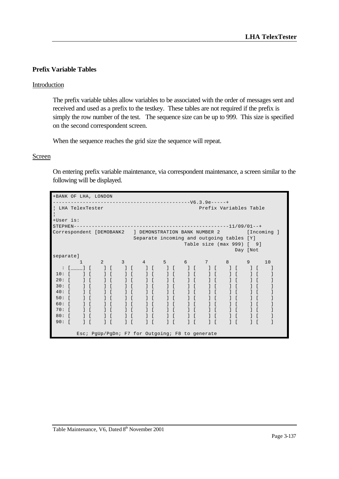## **Prefix Variable Tables**

### Introduction

The prefix variable tables allow variables to be associated with the order of messages sent and received and used as a prefix to the testkey. These tables are not required if the prefix is simply the row number of the test. The sequence size can be up to 999. This size is specified on the second correspondent screen.

When the sequence reaches the grid size the sequence will repeat.

#### **Screen**

On entering prefix variable maintenance, via correspondent maintenance, a screen similar to the following will be displayed.

| +BANK OF LHA, LONDON                                   |                                  |                |                  |                               |                |                    |                                                 |        |                               |                           |                  |              |                                               |    |            |             |  |
|--------------------------------------------------------|----------------------------------|----------------|------------------|-------------------------------|----------------|--------------------|-------------------------------------------------|--------|-------------------------------|---------------------------|------------------|--------------|-----------------------------------------------|----|------------|-------------|--|
|                                                        |                                  |                |                  |                               |                |                    |                                                 |        |                               |                           |                  |              |                                               |    |            |             |  |
| LHA TelexTester                                        |                                  |                |                  |                               |                |                    |                                                 |        |                               | Prefix Variables Table    |                  |              |                                               |    |            |             |  |
| +User is:<br>$STEPHEN---$                              |                                  |                |                  |                               |                |                    |                                                 |        |                               |                           |                  |              |                                               |    |            |             |  |
| Correspondent [DEMOBANK2 ] DEMONSTRATION BANK NUMBER 2 |                                  |                |                  |                               |                |                    |                                                 |        |                               |                           |                  |              |                                               |    |            | [Incoming ] |  |
|                                                        |                                  |                |                  |                               |                |                    | Separate incoming and outgoing tables [Y]       |        |                               |                           |                  |              |                                               |    |            |             |  |
|                                                        |                                  |                |                  |                               |                |                    |                                                 |        |                               | Table size (max 999) [ 9] |                  |              |                                               |    |            |             |  |
|                                                        |                                  |                |                  |                               |                |                    |                                                 |        |                               |                           |                  |              | Day [Not                                      |    |            |             |  |
| separate]                                              |                                  |                |                  |                               |                |                    |                                                 |        |                               |                           |                  |              |                                               |    |            |             |  |
|                                                        | 1                                | $\overline{2}$ |                  | $\overline{\phantom{a}}$ 3    | $\overline{4}$ |                    | 5                                               |        |                               | 6 7                       |                  | 8            |                                               | 9  |            | 10          |  |
| $\ddot{\cdot}$                                         | $\begin{array}{ccc} \end{array}$ |                | $\left  \right $ | $\blacksquare$ $\blacksquare$ |                | $\left  \ \right $ |                                                 | $\Box$ | $\blacksquare$ $\blacksquare$ | $\left  \right $          |                  |              | $\left  \begin{array}{c} \end{array} \right $ | -1 | $\sqrt{ }$ | 1           |  |
| 10:                                                    | $1 \Gamma$                       |                | 1 <sup>1</sup>   |                               |                | $\left  \right $   | $\Box$                                          |        | $1 \Gamma$                    |                           | $\left  \right $ |              | $\frac{1}{2}$                                 |    |            | J           |  |
| 20:                                                    | 1 <sup>1</sup>                   |                | 1 <sup>1</sup>   |                               |                | $1 \Gamma$         | $\frac{1}{2}$                                   |        |                               |                           | $1 \Gamma$       |              |                                               |    |            |             |  |
| 30:                                                    | 1 <sup>1</sup>                   |                |                  |                               |                | 1 <sup>1</sup>     |                                                 |        |                               |                           |                  |              |                                               |    |            |             |  |
| 40:                                                    |                                  |                |                  |                               |                |                    |                                                 |        |                               |                           |                  |              |                                               |    |            |             |  |
| 50:                                                    | $1-1$                            |                |                  |                               |                | $1 \Gamma$         |                                                 |        |                               |                           |                  |              |                                               |    |            |             |  |
| 60:                                                    |                                  |                |                  |                               |                | $1 \Gamma$         |                                                 |        |                               |                           |                  |              |                                               |    |            |             |  |
| 70:                                                    | 1 <sup>1</sup>                   |                |                  |                               |                | $1 \Gamma$         |                                                 |        |                               |                           |                  | $1-1$        |                                               |    |            |             |  |
| 80:                                                    |                                  |                | $1 \Gamma$       |                               |                | $1 \Gamma$         | $\mathbf{1}$                                    |        |                               |                           |                  | $\mathbf{1}$ |                                               |    |            |             |  |
| 90:<br>$\sqrt{ }$                                      | 1 <sup>1</sup>                   |                | 1 <sup>1</sup>   |                               |                | $1 \Gamma$         | $\mathbf{1}$                                    |        |                               | $1 \Gamma$                |                  | $\mathbf{1}$ |                                               |    |            |             |  |
|                                                        |                                  |                |                  |                               |                |                    | Esc; PgUp/PgDn; F7 for Outgoing; F8 to generate |        |                               |                           |                  |              |                                               |    |            |             |  |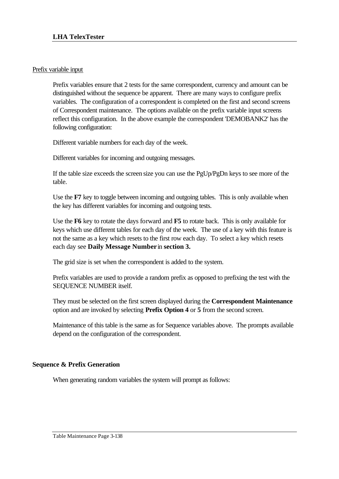## Prefix variable input

Prefix variables ensure that 2 tests for the same correspondent, currency and amount can be distinguished without the sequence be apparent. There are many ways to configure prefix variables. The configuration of a correspondent is completed on the first and second screens of Correspondent maintenance. The options available on the prefix variable input screens reflect this configuration. In the above example the correspondent 'DEMOBANK2' has the following configuration:

Different variable numbers for each day of the week.

Different variables for incoming and outgoing messages.

If the table size exceeds the screen size you can use the PgUp/PgDn keys to see more of the table.

Use the **F7** key to toggle between incoming and outgoing tables. This is only available when the key has different variables for incoming and outgoing tests.

Use the **F6** key to rotate the days forward and **F5** to rotate back. This is only available for keys which use different tables for each day of the week. The use of a key with this feature is not the same as a key which resets to the first row each day. To select a key which resets each day see **Daily Message Number** in **section 3.**

The grid size is set when the correspondent is added to the system.

Prefix variables are used to provide a random prefix as opposed to prefixing the test with the SEQUENCE NUMBER itself.

They must be selected on the first screen displayed during the **Correspondent Maintenance** option and are invoked by selecting **Prefix Option 4** or **5** from the second screen.

Maintenance of this table is the same as for Sequence variables above. The prompts available depend on the configuration of the correspondent.

## **Sequence & Prefix Generation**

When generating random variables the system will prompt as follows: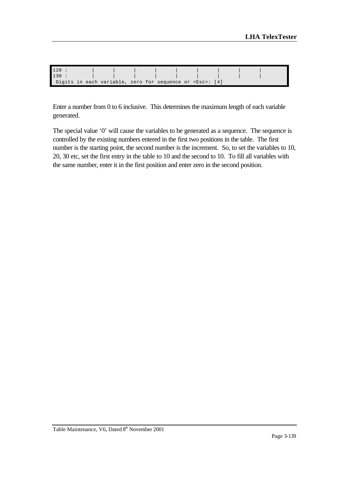| 120  |  |                                                                |  |  |  |  |  |
|------|--|----------------------------------------------------------------|--|--|--|--|--|
| 130: |  |                                                                |  |  |  |  |  |
|      |  | Digits in each variable, zero for sequence or <esc>: [4]</esc> |  |  |  |  |  |

Enter a number from 0 to 6 inclusive. This determines the maximum length of each variable generated.

The special value '0' will cause the variables to be generated as a sequence. The sequence is controlled by the existing numbers entered in the first two positions in the table. The first number is the starting point, the second number is the increment. So, to set the variables to 10, 20, 30 etc, set the first entry in the table to 10 and the second to 10. To fill all variables with the same number, enter it in the first position and enter zero in the second position.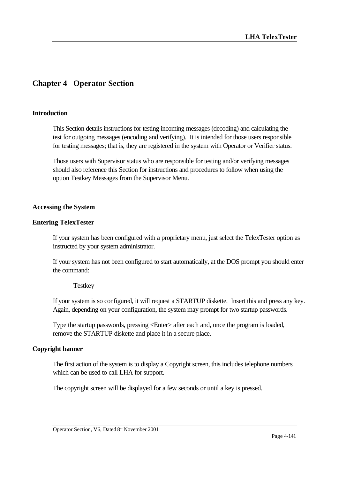# **Chapter 4 Operator Section**

#### **Introduction**

This Section details instructions for testing incoming messages (decoding) and calculating the test for outgoing messages (encoding and verifying). It is intended for those users responsible for testing messages; that is, they are registered in the system with Operator or Verifier status.

Those users with Supervisor status who are responsible for testing and/or verifying messages should also reference this Section for instructions and procedures to follow when using the option Testkey Messages from the Supervisor Menu.

#### **Accessing the System**

#### **Entering TelexTester**

If your system has been configured with a proprietary menu, just select the TelexTester option as instructed by your system administrator.

If your system has not been configured to start automatically, at the DOS prompt you should enter the command:

**Testkey** 

If your system is so configured, it will request a STARTUP diskette. Insert this and press any key. Again, depending on your configuration, the system may prompt for two startup passwords.

Type the startup passwords, pressing <Enter> after each and, once the program is loaded, remove the STARTUP diskette and place it in a secure place.

#### **Copyright banner**

The first action of the system is to display a Copyright screen, this includes telephone numbers which can be used to call LHA for support.

The copyright screen will be displayed for a few seconds or until a key is pressed.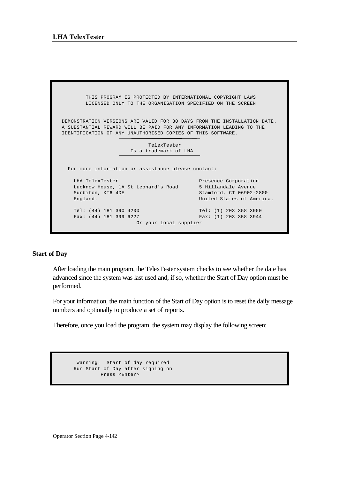THIS PROGRAM IS PROTECTED BY INTERNATIONAL COPYRIGHT LAWS LICENSED ONLY TO THE ORGANISATION SPECIFIED ON THE SCREEN DEMONSTRATION VERSIONS ARE VALID FOR 30 DAYS FROM THE INSTALLATION DATE. A SUBSTANTIAL REWARD WILL BE PAID FOR ANY INFORMATION LEADING TO THE IDENTIFICATION OF ANY UNAUTHORISED COPIES OF THIS SOFTWARE. TelexTester Is a trademark of LHA For more information or assistance please contact: LHA TelexTester **Presence Corporation**  Lucknow House, 1A St Leonard's Road 5 Hillandale Avenue Surbiton, KT6 4DE Stamford, CT 06902-2800 England. United States of America. Tel: (44) 181 390 4200 Tel: (1) 203 358 3950 Fax: (44) 181 399 6227 Fax: (1) 203 358 3944 Or your local supplier

#### **Start of Day**

After loading the main program, the TelexTester system checks to see whether the date has advanced since the system was last used and, if so, whether the Start of Day option must be performed.

For your information, the main function of the Start of Day option is to reset the daily message numbers and optionally to produce a set of reports.

Therefore, once you load the program, the system may display the following screen:

```
 Warning: Start of day required 
 Run Start of Day after signing on 
        Press <Enter>
```
Operator Section Page 4-142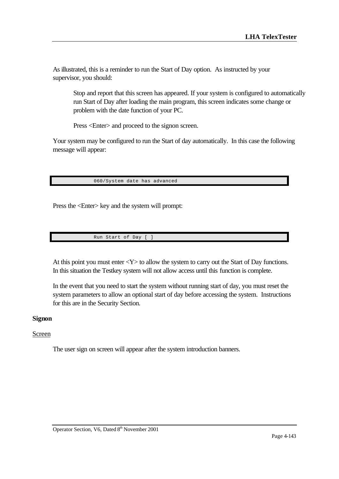As illustrated, this is a reminder to run the Start of Day option. As instructed by your supervisor, you should:

Stop and report that this screen has appeared. If your system is configured to automatically run Start of Day after loading the main program, this screen indicates some change or problem with the date function of your PC.

Press <Enter> and proceed to the signon screen.

Your system may be configured to run the Start of day automatically. In this case the following message will appear:

060/System date has advanced

Press the <Enter> key and the system will prompt:

Run Start of Day [ ]

At this point you must enter  $<\mathbf{Y}>$  to allow the system to carry out the Start of Day functions. In this situation the Testkey system will not allow access until this function is complete.

In the event that you need to start the system without running start of day, you must reset the system parameters to allow an optional start of day before accessing the system. Instructions for this are in the Security Section.

#### **Signon**

### Screen

The user sign on screen will appear after the system introduction banners.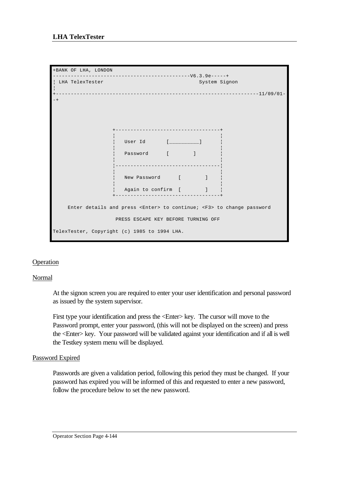

# **Operation**

### Normal

At the signon screen you are required to enter your user identification and personal password as issued by the system supervisor.

First type your identification and press the <Enter> key. The cursor will move to the Password prompt, enter your password, (this will not be displayed on the screen) and press the <Enter> key. Your password will be validated against your identification and if all is well the Testkey system menu will be displayed.

### Password Expired

Passwords are given a validation period, following this period they must be changed. If your password has expired you will be informed of this and requested to enter a new password, follow the procedure below to set the new password.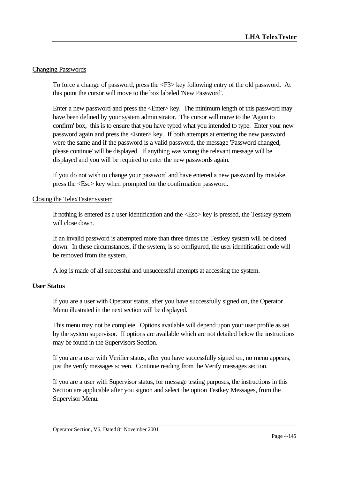# Changing Passwords

To force a change of password, press the <F3> key following entry of the old password. At this point the cursor will move to the box labeled 'New Password'.

Enter a new password and press the <Enter> key. The minimum length of this password may have been defined by your system administrator. The cursor will move to the 'Again to confirm' box, this is to ensure that you have typed what you intended to type. Enter your new password again and press the <Enter> key. If both attempts at entering the new password were the same and if the password is a valid password, the message 'Password changed, please continue' will be displayed. If anything was wrong the relevant message will be displayed and you will be required to enter the new passwords again.

If you do not wish to change your password and have entered a new password by mistake, press the <Esc> key when prompted for the confirmation password.

### Closing the TelexTester system

If nothing is entered as a user identification and the <Esc> key is pressed, the Testkey system will close down.

If an invalid password is attempted more than three times the Testkey system will be closed down. In these circumstances, if the system, is so configured, the user identification code will be removed from the system.

A log is made of all successful and unsuccessful attempts at accessing the system.

### **User Status**

If you are a user with Operator status, after you have successfully signed on, the Operator Menu illustrated in the next section will be displayed.

This menu may not be complete. Options available will depend upon your user profile as set by the system supervisor. If options are available which are not detailed below the instructions may be found in the Supervisors Section.

If you are a user with Verifier status, after you have successfully signed on, no menu appears, just the verify messages screen. Continue reading from the Verify messages section.

If you are a user with Supervisor status, for message testing purposes, the instructions in this Section are applicable after you signon and select the option Testkey Messages, from the Supervisor Menu.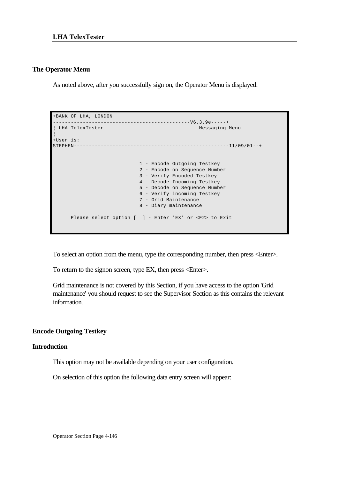### **The Operator Menu**

As noted above, after you successfully sign on, the Operator Menu is displayed.

```
+BANK OF LHA, LONDON 
  ----------------------------------------------V6.3.9e-----+
 LHA TelexTester Messaging Menu
¦
+User is: 
STEPHEN----------------------------------------------------11/09/01--+
                            1 - Encode Outgoing Testkey
                            2 - Encode on Sequence Number
                            3 - Verify Encoded Testkey
                            4 - Decode Incoming Testkey
                            5 - Decode on Sequence Number
                            6 - Verify incoming Testkey
                            7 - Grid Maintenance
                            8 - Diary maintenance
      Please select option [ ] - Enter 'EX' or <F2> to Exit
```
To select an option from the menu, type the corresponding number, then press <Enter>.

To return to the signon screen, type EX, then press <Enter>.

Grid maintenance is not covered by this Section, if you have access to the option 'Grid maintenance' you should request to see the Supervisor Section as this contains the relevant information.

# **Encode Outgoing Testkey**

### **Introduction**

This option may not be available depending on your user configuration.

On selection of this option the following data entry screen will appear:

Operator Section Page 4-146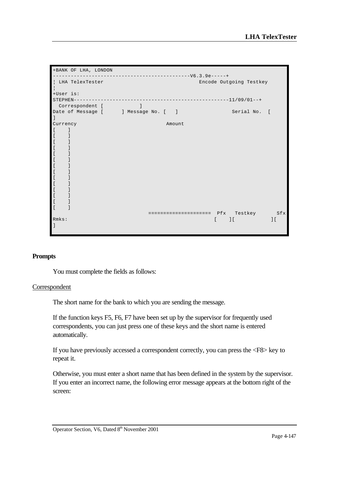

#### **Prompts**

You must complete the fields as follows:

#### Correspondent

The short name for the bank to which you are sending the message.

If the function keys F5, F6, F7 have been set up by the supervisor for frequently used correspondents, you can just press one of these keys and the short name is entered automatically.

If you have previously accessed a correspondent correctly, you can press the <F8> key to repeat it.

Otherwise, you must enter a short name that has been defined in the system by the supervisor. If you enter an incorrect name, the following error message appears at the bottom right of the screen: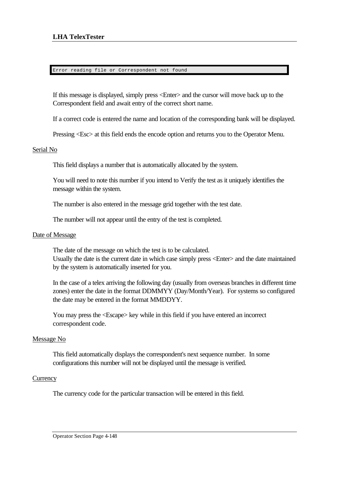#### Error reading file or Correspondent not found

If this message is displayed, simply press <Enter> and the cursor will move back up to the Correspondent field and await entry of the correct short name.

If a correct code is entered the name and location of the corresponding bank will be displayed.

Pressing <Esc> at this field ends the encode option and returns you to the Operator Menu.

### Serial No

This field displays a number that is automatically allocated by the system.

You will need to note this number if you intend to Verify the test as it uniquely identifies the message within the system.

The number is also entered in the message grid together with the test date.

The number will not appear until the entry of the test is completed.

#### Date of Message

The date of the message on which the test is to be calculated. Usually the date is the current date in which case simply press <Enter> and the date maintained by the system is automatically inserted for you.

In the case of a telex arriving the following day (usually from overseas branches in different time zones) enter the date in the format DDMMYY (Day/Month/Year). For systems so configured the date may be entered in the format MMDDYY.

You may press the  $\leq$ Escape $>$  key while in this field if you have entered an incorrect correspondent code.

#### Message No

This field automatically displays the correspondent's next sequence number. In some configurations this number will not be displayed until the message is verified.

#### **Currency**

The currency code for the particular transaction will be entered in this field.

Operator Section Page 4-148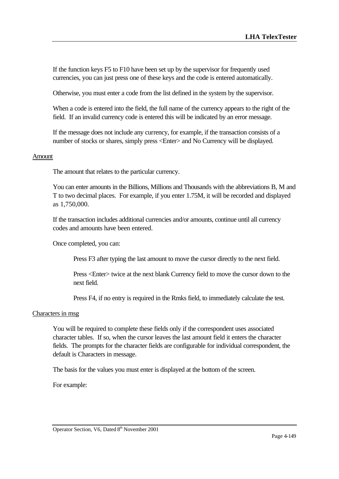If the function keys F5 to F10 have been set up by the supervisor for frequently used currencies, you can just press one of these keys and the code is entered automatically.

Otherwise, you must enter a code from the list defined in the system by the supervisor.

When a code is entered into the field, the full name of the currency appears to the right of the field. If an invalid currency code is entered this will be indicated by an error message.

If the message does not include any currency, for example, if the transaction consists of a number of stocks or shares, simply press <Enter> and No Currency will be displayed.

#### Amount

The amount that relates to the particular currency.

You can enter amounts in the Billions, Millions and Thousands with the abbreviations B, M and T to two decimal places. For example, if you enter 1.75M, it will be recorded and displayed as 1,750,000.

If the transaction includes additional currencies and/or amounts, continue until all currency codes and amounts have been entered.

Once completed, you can:

Press F3 after typing the last amount to move the cursor directly to the next field.

Press <Enter> twice at the next blank Currency field to move the cursor down to the next field.

Press F4, if no entry is required in the Rmks field, to immediately calculate the test.

#### Characters in msg

You will be required to complete these fields only if the correspondent uses associated character tables. If so, when the cursor leaves the last amount field it enters the character fields. The prompts for the character fields are configurable for individual correspondent, the default is Characters in message.

The basis for the values you must enter is displayed at the bottom of the screen.

For example: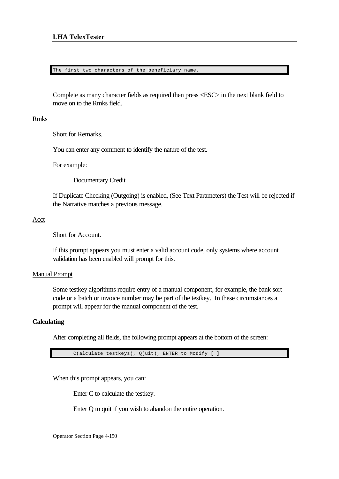#### The first two characters of the beneficiary name

Complete as many character fields as required then press <ESC> in the next blank field to move on to the Rmks field.

#### Rmks

Short for Remarks.

You can enter any comment to identify the nature of the test.

For example:

Documentary Credit

If Duplicate Checking (Outgoing) is enabled, (See Text Parameters) the Test will be rejected if the Narrative matches a previous message.

#### Acct

Short for Account.

If this prompt appears you must enter a valid account code, only systems where account validation has been enabled will prompt for this.

#### Manual Prompt

Some testkey algorithms require entry of a manual component, for example, the bank sort code or a batch or invoice number may be part of the testkey. In these circumstances a prompt will appear for the manual component of the test.

### **Calculating**

After completing all fields, the following prompt appears at the bottom of the screen:

C(alculate testkeys), Q(uit), ENTER to Modify [ ]

When this prompt appears, you can:

Enter C to calculate the testkey.

Enter Q to quit if you wish to abandon the entire operation.

Operator Section Page 4-150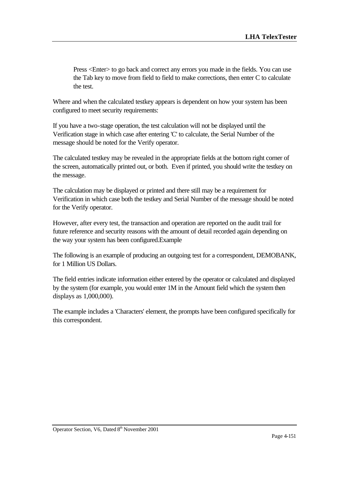Press <Enter> to go back and correct any errors you made in the fields. You can use the Tab key to move from field to field to make corrections, then enter C to calculate the test.

Where and when the calculated testkey appears is dependent on how your system has been configured to meet security requirements:

If you have a two-stage operation, the test calculation will not be displayed until the Verification stage in which case after entering 'C' to calculate, the Serial Number of the message should be noted for the Verify operator.

The calculated testkey may be revealed in the appropriate fields at the bottom right corner of the screen, automatically printed out, or both. Even if printed, you should write the testkey on the message.

The calculation may be displayed or printed and there still may be a requirement for Verification in which case both the testkey and Serial Number of the message should be noted for the Verify operator.

However, after every test, the transaction and operation are reported on the audit trail for future reference and security reasons with the amount of detail recorded again depending on the way your system has been configured.Example

The following is an example of producing an outgoing test for a correspondent, DEMOBANK, for 1 Million US Dollars.

The field entries indicate information either entered by the operator or calculated and displayed by the system (for example, you would enter 1M in the Amount field which the system then displays as 1,000,000).

The example includes a 'Characters' element, the prompts have been configured specifically for this correspondent.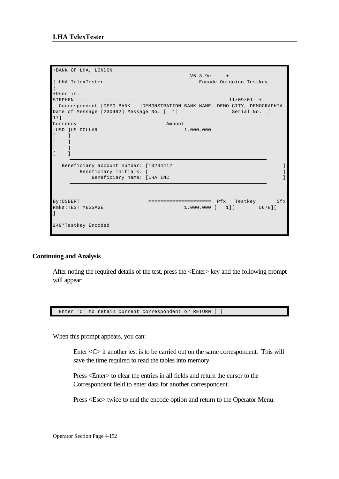```
+BANK OF LHA, LONDON 
----------------------------------------------V6.3.9e-----+
¦ LHA TelexTester Encode Outgoing Testkey 
¦
+User is: 
STEPHEN----------------------------------------------------11/09/01--+
 Correspondent [DEMO BANK ]DEMONSTRATION BANK NAME, DEMO CITY, DEMOGRAPHIA
Date of Message [230492] Message No. [ 1] Serial No. [
17]
Currency Amount
[USD ]US DOLLAR 1,000,000
[ ][- ]\lceil \lceil \lceil\begin{bmatrix} 1 & 1 \end{bmatrix}Beneficiary account number: [10234412 ]
    Beneficiary initials: [ ]
        Beneficiary name: [LHA INC ]
By:OSBERT ======================== Pfx Testkey Sfx
-<br>Rmks:TEST MESSAGE 1,000,000 [ 1][ 5678][
]
249*Testkey Encoded
```
#### **Continuing and Analysis**

After noting the required details of the test, press the <Enter> key and the following prompt will appear:



When this prompt appears, you can:

Enter <C> if another test is to be carried out on the same correspondent. This will save the time required to read the tables into memory.

Press <Enter> to clear the entries in all fields and return the cursor to the Correspondent field to enter data for another correspondent.

Press <Esc> twice to end the encode option and return to the Operator Menu.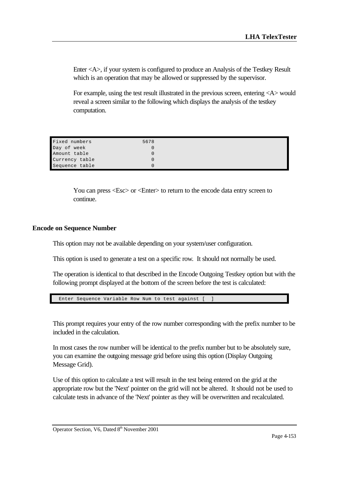Enter <A>, if your system is configured to produce an Analysis of the Testkey Result which is an operation that may be allowed or suppressed by the supervisor.

For example, using the test result illustrated in the previous screen, entering <A> would reveal a screen similar to the following which displays the analysis of the testkey computation.

| Fixed numbers  | 5678 |  |
|----------------|------|--|
|                |      |  |
| Day of week    |      |  |
| Amount table   |      |  |
| Currency table |      |  |
| Sequence table |      |  |

You can press <Esc> or <Enter> to return to the encode data entry screen to continue.

#### **Encode on Sequence Number**

This option may not be available depending on your system/user configuration.

This option is used to generate a test on a specific row. It should not normally be used.

The operation is identical to that described in the Encode Outgoing Testkey option but with the following prompt displayed at the bottom of the screen before the test is calculated:

Enter Sequence Variable Row Num to test against [ ]

This prompt requires your entry of the row number corresponding with the prefix number to be included in the calculation.

In most cases the row number will be identical to the prefix number but to be absolutely sure, you can examine the outgoing message grid before using this option (Display Outgoing Message Grid).

Use of this option to calculate a test will result in the test being entered on the grid at the appropriate row but the 'Next' pointer on the grid will not be altered. It should not be used to calculate tests in advance of the 'Next' pointer as they will be overwritten and recalculated.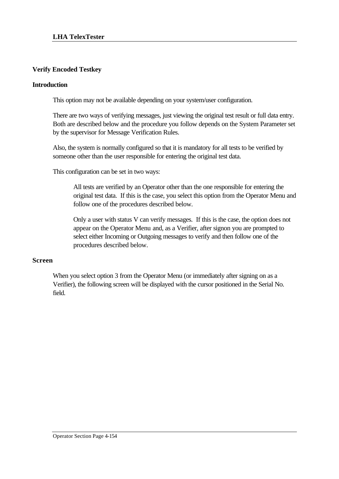# **Verify Encoded Testkey**

### **Introduction**

This option may not be available depending on your system/user configuration.

There are two ways of verifying messages, just viewing the original test result or full data entry. Both are described below and the procedure you follow depends on the System Parameter set by the supervisor for Message Verification Rules.

Also, the system is normally configured so that it is mandatory for all tests to be verified by someone other than the user responsible for entering the original test data.

This configuration can be set in two ways:

All tests are verified by an Operator other than the one responsible for entering the original test data. If this is the case, you select this option from the Operator Menu and follow one of the procedures described below.

Only a user with status V can verify messages. If this is the case, the option does not appear on the Operator Menu and, as a Verifier, after signon you are prompted to select either Incoming or Outgoing messages to verify and then follow one of the procedures described below.

### **Screen**

When you select option 3 from the Operator Menu (or immediately after signing on as a Verifier), the following screen will be displayed with the cursor positioned in the Serial No. field.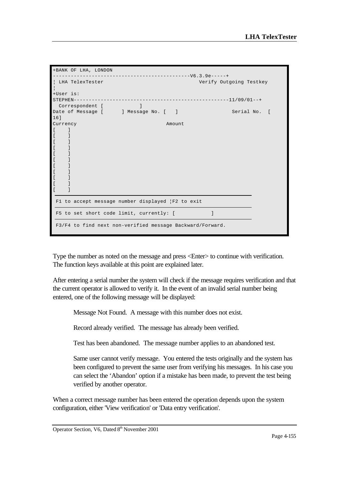|                                             | +BANK OF LHA, LONDON |                                                                                                                                                                                                                                |                                          |                                                           |   |                         |  |
|---------------------------------------------|----------------------|--------------------------------------------------------------------------------------------------------------------------------------------------------------------------------------------------------------------------------|------------------------------------------|-----------------------------------------------------------|---|-------------------------|--|
|                                             |                      |                                                                                                                                                                                                                                |                                          | $----------V6.3.9e---++$                                  |   |                         |  |
|                                             | LHA TelexTester      |                                                                                                                                                                                                                                |                                          |                                                           |   | Verify Outgoing Testkey |  |
| +User is:                                   |                      |                                                                                                                                                                                                                                |                                          |                                                           |   |                         |  |
|                                             | $STEPHEN---$         |                                                                                                                                                                                                                                |                                          |                                                           |   |                         |  |
|                                             | Correspondent [      | and the contract of the property of the contract of the contract of the contract of the contract of the contract of the contract of the contract of the contract of the contract of the contract of the contract of the contra |                                          |                                                           |   |                         |  |
| $16$ ]                                      |                      |                                                                                                                                                                                                                                | Date of Message [ ] Message No. [ ]      |                                                           |   | Serial No. [            |  |
| Currency                                    |                      |                                                                                                                                                                                                                                |                                          | Amount.                                                   |   |                         |  |
| $\overline{a}$                              |                      |                                                                                                                                                                                                                                |                                          |                                                           |   |                         |  |
| $\overline{L}$                              |                      |                                                                                                                                                                                                                                |                                          |                                                           |   |                         |  |
| $\lbrack$                                   |                      |                                                                                                                                                                                                                                |                                          |                                                           |   |                         |  |
| $\lceil$                                    |                      |                                                                                                                                                                                                                                |                                          |                                                           |   |                         |  |
| $\lbrack$                                   |                      |                                                                                                                                                                                                                                |                                          |                                                           |   |                         |  |
| $\lbrack$                                   |                      |                                                                                                                                                                                                                                |                                          |                                                           |   |                         |  |
| $\begin{bmatrix} \phantom{-} \end{bmatrix}$ |                      |                                                                                                                                                                                                                                |                                          |                                                           |   |                         |  |
| $\overline{[}$                              |                      |                                                                                                                                                                                                                                |                                          |                                                           |   |                         |  |
| $\lceil$                                    |                      |                                                                                                                                                                                                                                |                                          |                                                           |   |                         |  |
| $\lbrack$                                   |                      |                                                                                                                                                                                                                                |                                          |                                                           |   |                         |  |
|                                             |                      |                                                                                                                                                                                                                                |                                          |                                                           |   |                         |  |
|                                             |                      |                                                                                                                                                                                                                                |                                          | F1 to accept message number displayed   F2 to exit        |   |                         |  |
|                                             |                      |                                                                                                                                                                                                                                |                                          |                                                           |   |                         |  |
|                                             |                      |                                                                                                                                                                                                                                | F5 to set short code limit, currently: [ |                                                           | 1 |                         |  |
|                                             |                      |                                                                                                                                                                                                                                |                                          | F3/F4 to find next non-verified message Backward/Forward. |   |                         |  |

Type the number as noted on the message and press <Enter> to continue with verification. The function keys available at this point are explained later.

After entering a serial number the system will check if the message requires verification and that the current operator is allowed to verify it. In the event of an invalid serial number being entered, one of the following message will be displayed:

Message Not Found. A message with this number does not exist.

Record already verified. The message has already been verified.

Test has been abandoned. The message number applies to an abandoned test.

Same user cannot verify message. You entered the tests originally and the system has been configured to prevent the same user from verifying his messages. In his case you can select the 'Abandon' option if a mistake has been made, to prevent the test being verified by another operator.

When a correct message number has been entered the operation depends upon the system configuration, either 'View verification' or 'Data entry verification'.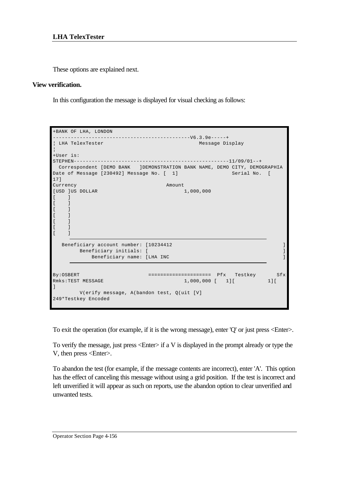These options are explained next.

### **View verification.**

In this configuration the message is displayed for visual checking as follows:

```
+BANK OF LHA, LONDON 
 ----------------------------------------------V6.3.9e-----+
| LHA TelexTester Message Display
¦
+User is: 
STEPHEN----------------------------------------------------11/09/01--+
 Correspondent [DEMO BANK ]DEMONSTRATION BANK NAME, DEMO CITY, DEMOGRAPHIA
Date of Message [230492] Message No. [ 1] Serial No. [
17]
Currency Amount
[USD ]US DOLLAR 1,000,000
\lceil \lceil \lceil\sqrt{ }[ ][ ]\lceil \rceil\lceil \rceil\lceil \rceilBeneficiary account number: [10234412 ]
     Beneficiary initials: [ ]
      Beneficiary name: [LHA INC ]
By:OSBERT ===================== Pfx Testkey Sfx
Rmks:TEST MESSAGE 1,000,000 [ 1][ 1][ 
\mathbb{I} V(erify message, A(bandon test, Q(uit [V]
249*Testkey Encoded
```
To exit the operation (for example, if it is the wrong message), enter 'Q' or just press <Enter>.

To verify the message, just press  $\leq$  Enter $>$  if a V is displayed in the prompt already or type the V, then press <Enter>.

To abandon the test (for example, if the message contents are incorrect), enter 'A'. This option has the effect of canceling this message without using a grid position. If the test is incorrect and left unverified it will appear as such on reports, use the abandon option to clear unverified and unwanted tests.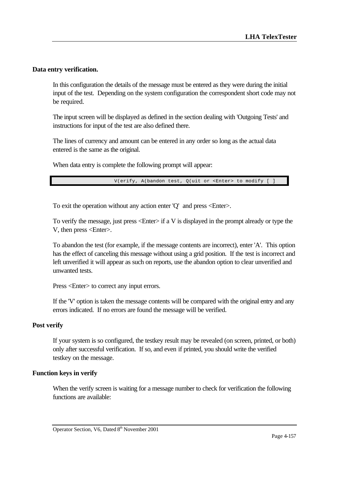# **Data entry verification.**

In this configuration the details of the message must be entered as they were during the initial input of the test. Depending on the system configuration the correspondent short code may not be required.

The input screen will be displayed as defined in the section dealing with 'Outgoing Tests' and instructions for input of the test are also defined there.

The lines of currency and amount can be entered in any order so long as the actual data entered is the same as the original.

When data entry is complete the following prompt will appear:

V(erify, A(bandon test, Q(uit or <Enter> to modify [ ]

To exit the operation without any action enter 'Q' and press <Enter>.

To verify the message, just press  $\leq$  Enter $>$  if a V is displayed in the prompt already or type the V, then press <Enter>.

To abandon the test (for example, if the message contents are incorrect), enter 'A'. This option has the effect of canceling this message without using a grid position. If the test is incorrect and left unverified it will appear as such on reports, use the abandon option to clear unverified and unwanted tests.

Press <Enter> to correct any input errors.

If the 'V' option is taken the message contents will be compared with the original entry and any errors indicated. If no errors are found the message will be verified.

#### **Post verify**

If your system is so configured, the testkey result may be revealed (on screen, printed, or both) only after successful verification. If so, and even if printed, you should write the verified testkey on the message.

### **Function keys in verify**

When the verify screen is waiting for a message number to check for verification the following functions are available: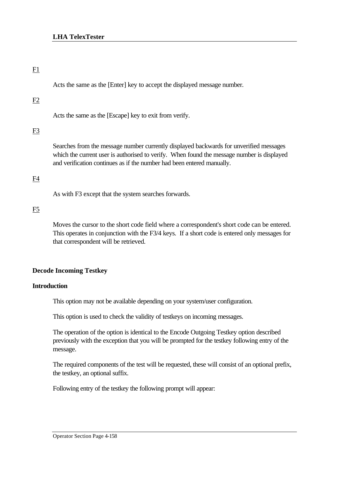### F1

Acts the same as the [Enter] key to accept the displayed message number.

### F2

Acts the same as the [Escape] key to exit from verify.

# $F<sub>3</sub>$

Searches from the message number currently displayed backwards for unverified messages which the current user is authorised to verify. When found the message number is displayed and verification continues as if the number had been entered manually.

### F4

As with F3 except that the system searches forwards.

### F5

Moves the cursor to the short code field where a correspondent's short code can be entered. This operates in conjunction with the F3/4 keys. If a short code is entered only messages for that correspondent will be retrieved.

### **Decode Incoming Testkey**

### **Introduction**

This option may not be available depending on your system/user configuration.

This option is used to check the validity of testkeys on incoming messages.

The operation of the option is identical to the Encode Outgoing Testkey option described previously with the exception that you will be prompted for the testkey following entry of the message.

The required components of the test will be requested, these will consist of an optional prefix, the testkey, an optional suffix.

Following entry of the testkey the following prompt will appear:

Operator Section Page 4-158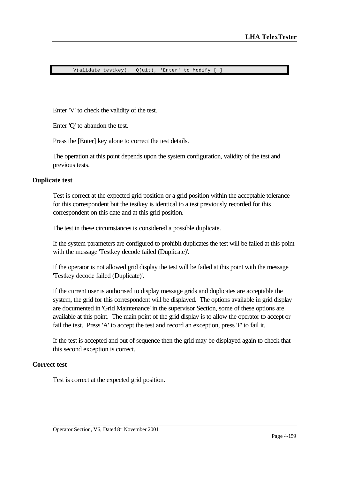V(alidate testkey), Q(uit), 'Enter' to Modify [ ]

Enter 'V' to check the validity of the test.

Enter 'Q' to abandon the test.

Press the [Enter] key alone to correct the test details.

The operation at this point depends upon the system configuration, validity of the test and previous tests.

#### **Duplicate test**

Test is correct at the expected grid position or a grid position within the acceptable tolerance for this correspondent but the testkey is identical to a test previously recorded for this correspondent on this date and at this grid position.

The test in these circumstances is considered a possible duplicate.

If the system parameters are configured to prohibit duplicates the test will be failed at this point with the message 'Testkey decode failed (Duplicate)'.

If the operator is not allowed grid display the test will be failed at this point with the message 'Testkey decode failed (Duplicate)'.

If the current user is authorised to display message grids and duplicates are acceptable the system, the grid for this correspondent will be displayed. The options available in grid display are documented in 'Grid Maintenance' in the supervisor Section, some of these options are available at this point. The main point of the grid display is to allow the operator to accept or fail the test. Press 'A' to accept the test and record an exception, press 'F' to fail it.

If the test is accepted and out of sequence then the grid may be displayed again to check that this second exception is correct.

### **Correct test**

Test is correct at the expected grid position.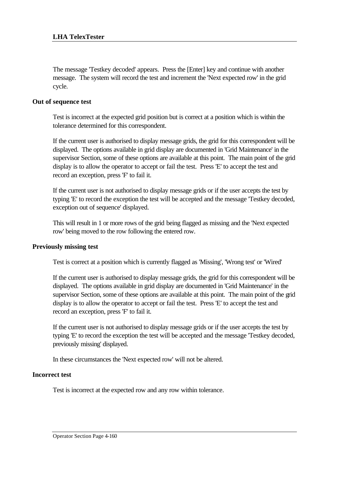The message 'Testkey decoded' appears. Press the [Enter] key and continue with another message. The system will record the test and increment the 'Next expected row' in the grid cycle.

### **Out of sequence test**

Test is incorrect at the expected grid position but is correct at a position which is within the tolerance determined for this correspondent.

If the current user is authorised to display message grids, the grid for this correspondent will be displayed. The options available in grid display are documented in 'Grid Maintenance' in the supervisor Section, some of these options are available at this point. The main point of the grid display is to allow the operator to accept or fail the test. Press 'E' to accept the test and record an exception, press 'F' to fail it.

If the current user is not authorised to display message grids or if the user accepts the test by typing 'E' to record the exception the test will be accepted and the message 'Testkey decoded, exception out of sequence' displayed.

This will result in 1 or more rows of the grid being flagged as missing and the 'Next expected row' being moved to the row following the entered row.

#### **Previously missing test**

Test is correct at a position which is currently flagged as 'Missing', 'Wrong test' or 'Wired'

If the current user is authorised to display message grids, the grid for this correspondent will be displayed. The options available in grid display are documented in 'Grid Maintenance' in the supervisor Section, some of these options are available at this point. The main point of the grid display is to allow the operator to accept or fail the test. Press 'E' to accept the test and record an exception, press 'F' to fail it.

If the current user is not authorised to display message grids or if the user accepts the test by typing 'E' to record the exception the test will be accepted and the message 'Testkey decoded, previously missing' displayed.

In these circumstances the 'Next expected row' will not be altered.

### **Incorrect test**

Test is incorrect at the expected row and any row within tolerance.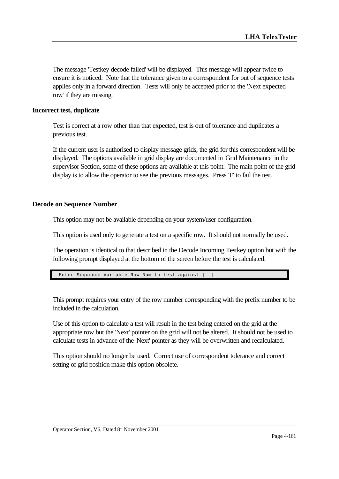The message 'Testkey decode failed' will be displayed. This message will appear twice to ensure it is noticed. Note that the tolerance given to a correspondent for out of sequence tests applies only in a forward direction. Tests will only be accepted prior to the 'Next expected row' if they are missing.

### **Incorrect test, duplicate**

Test is correct at a row other than that expected, test is out of tolerance and duplicates a previous test.

If the current user is authorised to display message grids, the grid for this correspondent will be displayed. The options available in grid display are documented in 'Grid Maintenance' in the supervisor Section, some of these options are available at this point. The main point of the grid display is to allow the operator to see the previous messages. Press 'F' to fail the test.

### **Decode on Sequence Number**

This option may not be available depending on your system/user configuration.

This option is used only to generate a test on a specific row. It should not normally be used.

The operation is identical to that described in the Decode Incoming Testkey option but with the following prompt displayed at the bottom of the screen before the test is calculated:

Enter Sequence Variable Row Num to test against [ ]

This prompt requires your entry of the row number corresponding with the prefix number to be included in the calculation.

Use of this option to calculate a test will result in the test being entered on the grid at the appropriate row but the 'Next' pointer on the grid will not be altered. It should not be used to calculate tests in advance of the 'Next' pointer as they will be overwritten and recalculated.

This option should no longer be used. Correct use of correspondent tolerance and correct setting of grid position make this option obsolete.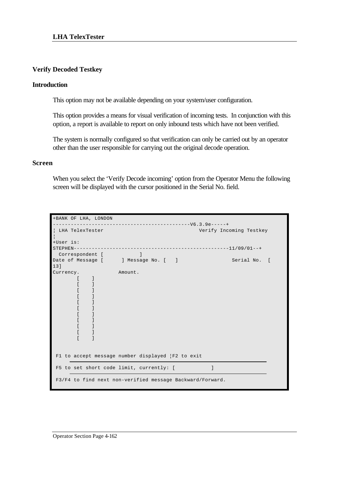# **Verify Decoded Testkey**

### **Introduction**

This option may not be available depending on your system/user configuration.

This option provides a means for visual verification of incoming tests. In conjunction with this option, a report is available to report on only inbound tests which have not been verified.

The system is normally configured so that verification can only be carried out by an operator other than the user responsible for carrying out the original decode operation.

#### **Screen**

When you select the 'Verify Decode incoming' option from the Operator Menu the following screen will be displayed with the cursor positioned in the Serial No. field.

| +BANK OF LHA, LONDON                                                             |                                                           |
|----------------------------------------------------------------------------------|-----------------------------------------------------------|
|                                                                                  |                                                           |
| LHA TelexTester                                                                  | Verify Incoming Testkey                                   |
| +User is:<br>$STEPHEN---$<br>Correspondent [ [ [ ]                               |                                                           |
| Date of Message [ ] Message No. [ ]<br>13]                                       | Serial No. [                                              |
| Currency.<br>$\Box$<br>$\lceil$<br>-1<br>-1<br>$\blacksquare$<br>- 1<br>$\lceil$ | Amount.                                                   |
|                                                                                  | F1 to accept message number displayed   F2 to exit        |
| F5 to set short code limit, currently: [                                         |                                                           |
|                                                                                  | F3/F4 to find next non-verified message Backward/Forward. |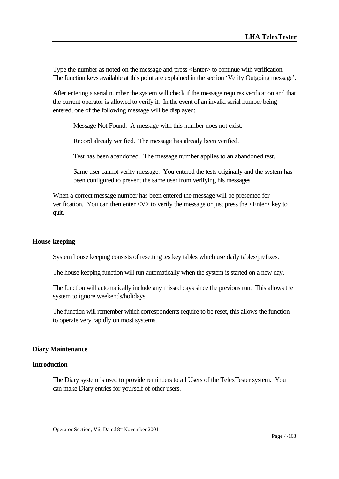Type the number as noted on the message and press <Enter> to continue with verification. The function keys available at this point are explained in the section 'Verify Outgoing message'.

After entering a serial number the system will check if the message requires verification and that the current operator is allowed to verify it. In the event of an invalid serial number being entered, one of the following message will be displayed:

Message Not Found. A message with this number does not exist.

Record already verified. The message has already been verified.

Test has been abandoned. The message number applies to an abandoned test.

Same user cannot verify message. You entered the tests originally and the system has been configured to prevent the same user from verifying his messages.

When a correct message number has been entered the message will be presented for verification. You can then enter <V> to verify the message or just press the <Enter> key to quit.

#### **House-keeping**

System house keeping consists of resetting testkey tables which use daily tables/prefixes.

The house keeping function will run automatically when the system is started on a new day.

The function will automatically include any missed days since the previous run. This allows the system to ignore weekends/holidays.

The function will remember which correspondents require to be reset, this allows the function to operate very rapidly on most systems.

#### **Diary Maintenance**

### **Introduction**

The Diary system is used to provide reminders to all Users of the TelexTester system. You can make Diary entries for yourself of other users.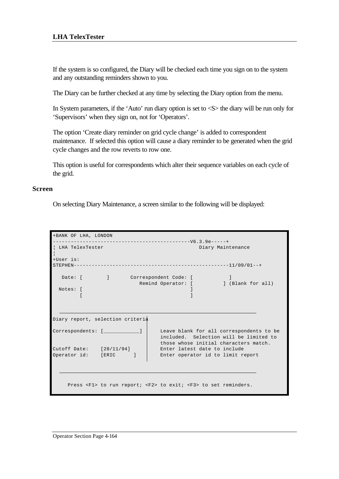If the system is so configured, the Diary will be checked each time you sign on to the system and any outstanding reminders shown to you.

The Diary can be further checked at any time by selecting the Diary option from the menu.

In System parameters, if the 'Auto' run diary option is set to <S> the diary will be run only for 'Supervisors' when they sign on, not for 'Operators'.

The option 'Create diary reminder on grid cycle change' is added to correspondent maintenance. If selected this option will cause a diary reminder to be generated when the grid cycle changes and the row reverts to row one.

This option is useful for correspondents which alter their sequence variables on each cycle of the grid.

#### **Screen**

On selecting Diary Maintenance, a screen similar to the following will be displayed:

| +BANK OF LHA, LONDON                                                 |                                                                                                                                                      |
|----------------------------------------------------------------------|------------------------------------------------------------------------------------------------------------------------------------------------------|
| ! LHA TelexTester                                                    | Diary Maintenance                                                                                                                                    |
| +User is:                                                            |                                                                                                                                                      |
| Notes: [                                                             | Date: [ ] Correspondent Code: [<br>Remind Operator: [ ] (Blank for all)                                                                              |
| Diary report, selection criteria<br>$Correspondents: [$ $__________$ | Leave blank for all correspondents to be                                                                                                             |
| Cutoff Date: $[28/11/94]$<br>Operator id: [ERIC]                     | included. Selection will be limited to<br>those whose initial characters match.<br>Enter latest date to include<br>Enter operator id to limit report |
|                                                                      | Press <f1> to run report; <f2> to exit; <f3> to set reminders.</f3></f2></f1>                                                                        |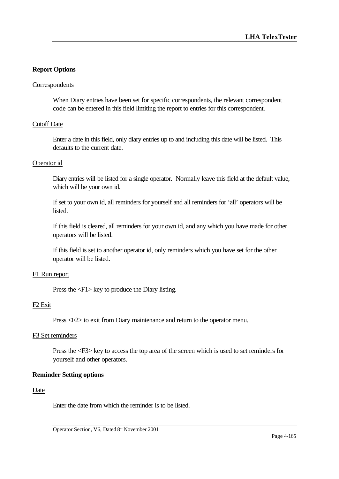# **Report Options**

#### Correspondents

When Diary entries have been set for specific correspondents, the relevant correspondent code can be entered in this field limiting the report to entries for this correspondent.

### Cutoff Date

Enter a date in this field, only diary entries up to and including this date will be listed. This defaults to the current date.

#### Operator id

Diary entries will be listed for a single operator. Normally leave this field at the default value, which will be your own id.

If set to your own id, all reminders for yourself and all reminders for 'all' operators will be listed.

If this field is cleared, all reminders for your own id, and any which you have made for other operators will be listed.

If this field is set to another operator id, only reminders which you have set for the other operator will be listed.

#### F1 Run report

Press the <F1> key to produce the Diary listing.

#### F2 Exit

Press <F2> to exit from Diary maintenance and return to the operator menu.

#### F3 Set reminders

Press the <F3> key to access the top area of the screen which is used to set reminders for yourself and other operators.

### **Reminder Setting options**

#### Date

Enter the date from which the reminder is to be listed.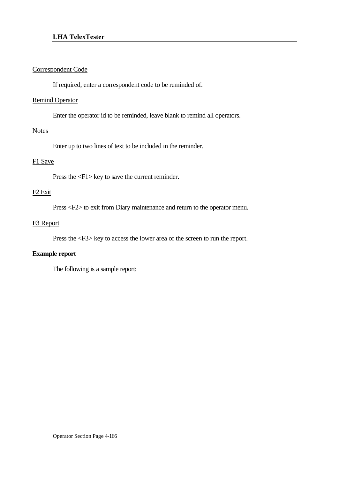# Correspondent Code

If required, enter a correspondent code to be reminded of.

### Remind Operator

Enter the operator id to be reminded, leave blank to remind all operators.

### **Notes**

Enter up to two lines of text to be included in the reminder.

# F1 Save

Press the <F1> key to save the current reminder.

# F2 Exit

Press <F2> to exit from Diary maintenance and return to the operator menu.

# F3 Report

Press the <F3> key to access the lower area of the screen to run the report.

### **Example report**

The following is a sample report: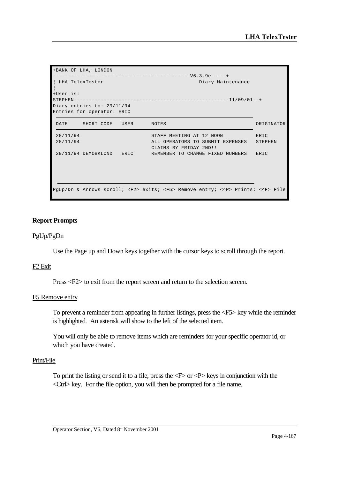| +BANK OF LHA, LONDON       |                                                                                                      |            |
|----------------------------|------------------------------------------------------------------------------------------------------|------------|
|                            |                                                                                                      |            |
| LHA TelexTester            | Diary Maintenance                                                                                    |            |
| +User is:                  |                                                                                                      |            |
|                            |                                                                                                      |            |
| Diary entries to: 29/11/94 |                                                                                                      |            |
| Entries for operator: ERIC |                                                                                                      |            |
| DATE SHORT CODE USER NOTES |                                                                                                      | ORIGINATOR |
| 28/11/94                   | STAFF MEETING AT 12 NOON                                                                             | ERIC       |
| 28/11/94                   | ALL OPERATORS TO SUBMIT EXPENSES<br>CLAIMS BY FRIDAY 2ND!!                                           | STEPHEN    |
|                            | 29/11/94 DEMOBKLOND ERIC REMEMBER TO CHANGE FIXED NUMBERS                                            | ERIC       |
|                            |                                                                                                      |            |
|                            |                                                                                                      |            |
|                            |                                                                                                      |            |
|                            | PgUp/Dn & Arrows scroll; <f2> exits; <f5> Remove entry; &lt;^P&gt; Prints; &lt;^F&gt; File</f5></f2> |            |

#### **Report Prompts**

#### PgUp/PgDn

Use the Page up and Down keys together with the cursor keys to scroll through the report.

#### F2 Exit

Press <F2> to exit from the report screen and return to the selection screen.

#### F5 Remove entry

To prevent a reminder from appearing in further listings, press the <F5> key while the reminder is highlighted. An asterisk will show to the left of the selected item.

You will only be able to remove items which are reminders for your specific operator id, or which you have created.

#### Print/File

To print the listing or send it to a file, press the  $\langle F \rangle$  or  $\langle P \rangle$  keys in conjunction with the <Ctrl> key. For the file option, you will then be prompted for a file name.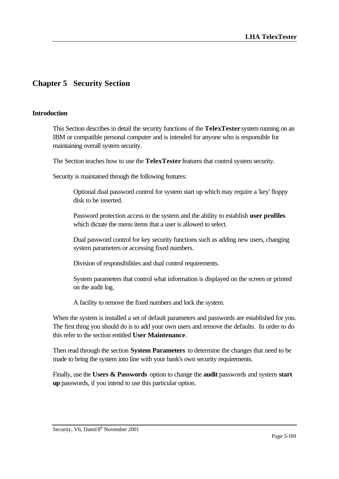# **Chapter 5 Security Section**

### **Introduction**

This Section describes in detail the security functions of the **TelexTester** system running on an IBM or compatible personal computer and is intended for anyone who is responsible for maintaining overall system security.

The Section teaches how to use the **TelexTester** features that control system security.

Security is maintained through the following features:

Optional dual password control for system start up which may require a 'key' floppy disk to be inserted.

Password protection access to the system and the ability to establish **user profiles** which dictate the menu items that a user is allowed to select.

Dual password control for key security functions such as adding new users, changing system parameters or accessing fixed numbers.

Division of responsibilities and dual control requirements.

System parameters that control what information is displayed on the screen or printed on the audit log.

A facility to remove the fixed numbers and lock the system.

When the system is installed a set of default parameters and passwords are established for you. The first thing you should do is to add your own users and remove the defaults. In order to do this refer to the section entitled **User Maintenance**.

Then read through the section **System Parameters** to determine the changes that need to be made to bring the system into line with your bank's own security requirements.

Finally, use the **Users & Passwords** option to change the **audit** passwords and system **start up** passwords, if you intend to use this particular option.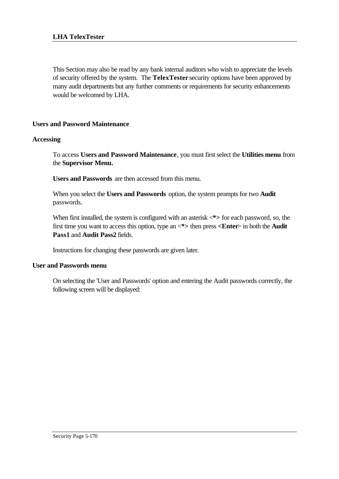This Section may also be read by any bank internal auditors who wish to appreciate the levels of security offered by the system. The **TelexTester** security options have been approved by many audit departments but any further comments or requirements for security enhancements would be welcomed by LHA.

# **Users and Password Maintenance**

# **Accessing**

To access **Users and Password Maintenance**, you must first select the **Utilities menu** from the **Supervisor Menu.**

**Users and Passwords** are then accessed from this menu.

When you select the **Users and Passwords** option, the system prompts for two **Audit** passwords.

When first installed, the system is configured with an asterisk  $\langle * \rangle$  for each password, so, the first time you want to access this option, type an <**\*>** then press **<Enter**> in both the **Audit Pass1** and **Audit Pass2** fields.

Instructions for changing these passwords are given later.

### **User and Passwords menu**

On selecting the 'User and Passwords' option and entering the Audit passwords correctly, the following screen will be displayed: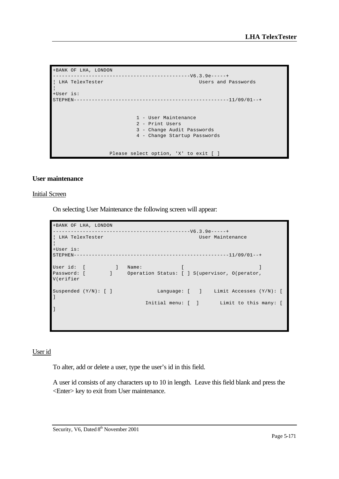```
+BANK OF LHA, LONDON 
----------------------------------------------V6.3.9e-----+
                                                 Users and Passwords
¦
+User is: 
STEPHEN----------------------------------------------------11/09/01--+
                             1 - User Maintenance
                             2 - Print Users
                            3 - Change Audit Passwords
                             4 - Change Startup Passwords
                   Please select option, 'X' to exit [ ]
```
#### **User maintenance**

#### Initial Screen

On selecting User Maintenance the following screen will appear:

```
+BANK OF LHA, LONDON 
                  ----------------------------------------------V6.3.9e-----+
¦ LHA TelexTester User Maintenance 
¦
+User is: 
STEPHEN----------------------------------------------------11/09/01--+
User id: [ ] Name: [ ] ] [ ] [ ] [ ] ] [ ] ] [ ] ] [ ] ] [ ] ] [ ] ] [ ] ] [ ] ] 
Password: [ ] Operation Status: [ ] S(upervisor, O(perator, 
V(erifier
Suspended (Y/N): [ ] Language: [ ] Limit Accesses (Y/N): [
]
                            Initial menu: [ ] Limit to this many: [ 
]
```
#### User id

To alter, add or delete a user, type the user's id in this field.

A user id consists of any characters up to 10 in length. Leave this field blank and press the <Enter> key to exit from User maintenance.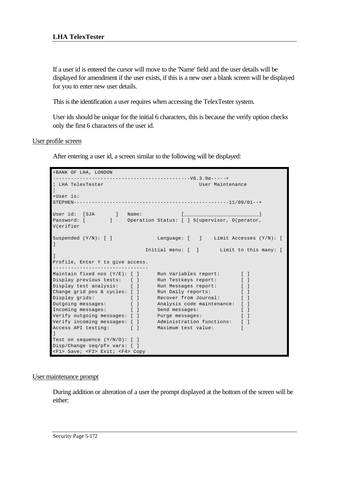### **LHA TelexTester**

If a user id is entered the cursor will move to the 'Name' field and the user details will be displayed for amendment if the user exists, if this is a new user a blank screen will be displayed for you to enter new user details.

This is the identification a user requires when accessing the TelexTester system.

User ids should be unique for the initial 6 characters, this is because the verify option checks only the first 6 characters of the user id.

User profile screen

After entering a user id, a screen similar to the following will be displayed:

```
+BANK OF LHA, LONDON 
----------------------------------------------V6.3.9e-----+
¦ LHA TelexTester User Maintenance 
¦
+User is: 
STEPHEN----------------------------------------------------11/09/01--+
User id: [SJA ] Name: [________________________]
Password: [ ] Operation Status: [ ] S(upervisor, O(perator, 
V(erifier
                           Language: [ ] Limit Accesses (Y/N): [
Suspended (Y/N): [ ]
                        Initial menu: [ ] Limit to this many: [
]
Profile, Enter Y to give access.
--------------------------------
Maintain fixed nos (Y/E): [ ] Run Variables report: [ ]
Display previous tests: [ ] Run Testkeys report: [ ]
Display test analysis: [ ] Run Messages report: [ ]
Change grid pos & cycles: [ ] Run Daily reports: [ ]
Display grids: [ ] Recover from Journal: [ ]
Outgoing messages: [ ] Analysis code maintenance: [ ]
Incoming messages: [ ] Send messages: [ ]
Verify outgoing messages: [ ] Purge messages: [ ]
Verify incoming messages: [ ] Administration functions: [ ]
Access API testing: [ ] Maximum test value: [ 
]
Test on sequence (Y/N/O): [ ]
Disp/Change seq/pfx vars: [ ]
<F1> Save; <F2> Exit; <F4> Copy
```
#### User maintenance prompt

During addition or alteration of a user the prompt displayed at the bottom of the screen will be either: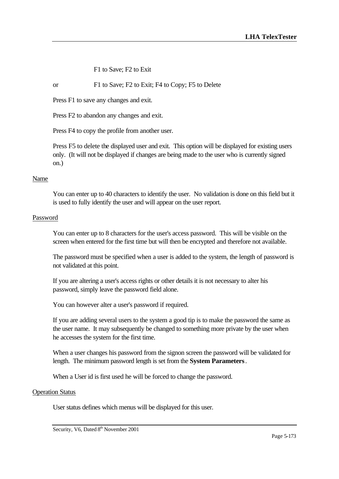F1 to Save; F2 to Exit

#### or F1 to Save; F2 to Exit; F4 to Copy; F5 to Delete

Press F1 to save any changes and exit.

Press F2 to abandon any changes and exit.

Press F4 to copy the profile from another user.

Press F5 to delete the displayed user and exit. This option will be displayed for existing users only. (It will not be displayed if changes are being made to the user who is currently signed on.)

#### Name

You can enter up to 40 characters to identify the user. No validation is done on this field but it is used to fully identify the user and will appear on the user report.

#### Password

You can enter up to 8 characters for the user's access password. This will be visible on the screen when entered for the first time but will then be encrypted and therefore not available.

The password must be specified when a user is added to the system, the length of password is not validated at this point.

If you are altering a user's access rights or other details it is not necessary to alter his password, simply leave the password field alone.

You can however alter a user's password if required.

If you are adding several users to the system a good tip is to make the password the same as the user name. It may subsequently be changed to something more private by the user when he accesses the system for the first time.

When a user changes his password from the signon screen the password will be validated for length. The minimum password length is set from the **System Parameters**.

When a User id is first used he will be forced to change the password.

#### Operation Status

User status defines which menus will be displayed for this user.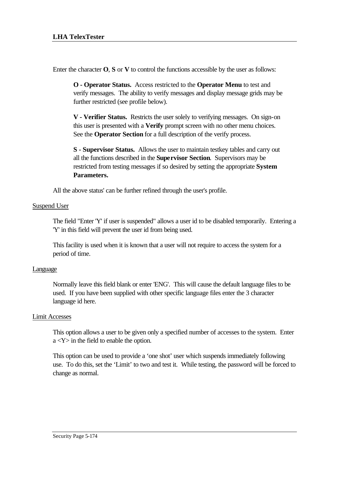Enter the character **O**, **S** or **V** to control the functions accessible by the user as follows:

**O - Operator Status.** Access restricted to the **Operator Menu** to test and verify messages. The ability to verify messages and display message grids may be further restricted (see profile below).

**V - Verifier Status.** Restricts the user solely to verifying messages. On sign-on this user is presented with a **Verify** prompt screen with no other menu choices. See the **Operator Section** for a full description of the verify process.

**S - Supervisor Status.** Allows the user to maintain testkey tables and carry out all the functions described in the **Supervisor Section**. Supervisors may be restricted from testing messages if so desired by setting the appropriate **System Parameters.**

All the above status' can be further refined through the user's profile.

### Suspend User

The field "Enter 'Y' if user is suspended" allows a user id to be disabled temporarily. Entering a 'Y' in this field will prevent the user id from being used.

This facility is used when it is known that a user will not require to access the system for a period of time.

### Language

Normally leave this field blank or enter 'ENG'. This will cause the default language files to be used. If you have been supplied with other specific language files enter the 3 character language id here.

### Limit Accesses

This option allows a user to be given only a specified number of accesses to the system. Enter a <Y> in the field to enable the option.

This option can be used to provide a 'one shot' user which suspends immediately following use. To do this, set the 'Limit' to two and test it. While testing, the password will be forced to change as normal.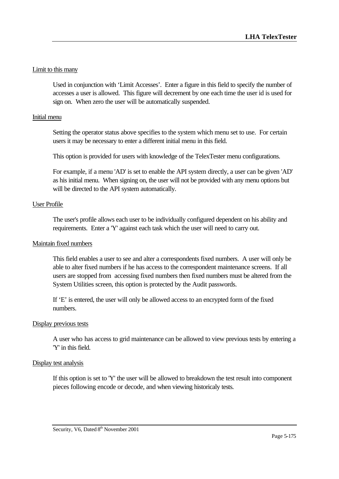### Limit to this many

Used in conjunction with 'Limit Accesses'. Enter a figure in this field to specify the number of accesses a user is allowed. This figure will decrement by one each time the user id is used for sign on. When zero the user will be automatically suspended.

#### Initial menu

Setting the operator status above specifies to the system which menu set to use. For certain users it may be necessary to enter a different initial menu in this field.

This option is provided for users with knowledge of the TelexTester menu configurations.

For example, if a menu 'AD' is set to enable the API system directly, a user can be given 'AD' as his initial menu. When signing on, the user will not be provided with any menu options but will be directed to the API system automatically.

### User Profile

The user's profile allows each user to be individually configured dependent on his ability and requirements. Enter a 'Y' against each task which the user will need to carry out.

#### Maintain fixed numbers

This field enables a user to see and alter a correspondents fixed numbers. A user will only be able to alter fixed numbers if he has access to the correspondent maintenance screens. If all users are stopped from accessing fixed numbers then fixed numbers must be altered from the System Utilities screen, this option is protected by the Audit passwords.

If 'E' is entered, the user will only be allowed access to an encrypted form of the fixed numbers.

#### Display previous tests

A user who has access to grid maintenance can be allowed to view previous tests by entering a 'Y' in this field.

#### Display test analysis

If this option is set to 'Y' the user will be allowed to breakdown the test result into component pieces following encode or decode, and when viewing historicaly tests.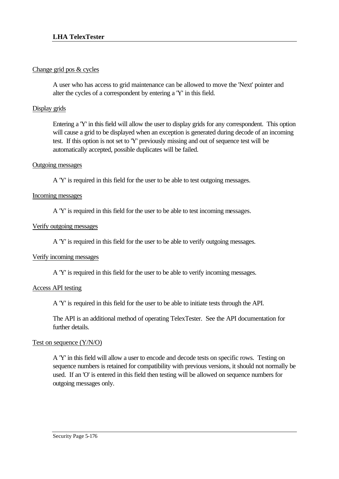### Change grid pos & cycles

A user who has access to grid maintenance can be allowed to move the 'Next' pointer and alter the cycles of a correspondent by entering a 'Y' in this field.

# Display grids

Entering a 'Y' in this field will allow the user to display grids for any correspondent. This option will cause a grid to be displayed when an exception is generated during decode of an incoming test. If this option is not set to 'Y' previously missing and out of sequence test will be automatically accepted, possible duplicates will be failed.

### Outgoing messages

A 'Y' is required in this field for the user to be able to test outgoing messages.

### Incoming messages

A 'Y' is required in this field for the user to be able to test incoming messages.

# Verify outgoing messages

A 'Y' is required in this field for the user to be able to verify outgoing messages.

### Verify incoming messages

A 'Y' is required in this field for the user to be able to verify incoming messages.

# Access API testing

A 'Y' is required in this field for the user to be able to initiate tests through the API.

The API is an additional method of operating TelexTester. See the API documentation for further details.

# Test on sequence (Y/N/O)

A 'Y' in this field will allow a user to encode and decode tests on specific rows. Testing on sequence numbers is retained for compatibility with previous versions, it should not normally be used. If an 'O' is entered in this field then testing will be allowed on sequence numbers for outgoing messages only.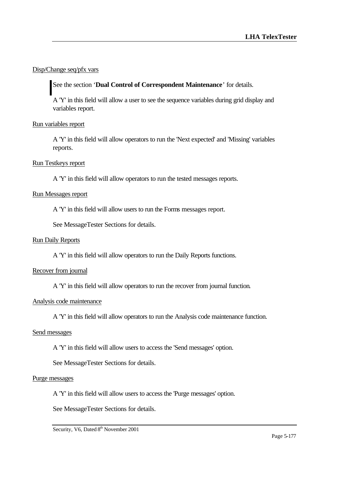# Disp/Change seq/pfx vars

See the section '**Dual Control of Correspondent Maintenance**' for details.

A 'Y' in this field will allow a user to see the sequence variables during grid display and variables report.

### Run variables report

A 'Y' in this field will allow operators to run the 'Next expected' and 'Missing' variables reports.

### Run Testkeys report

A 'Y' in this field will allow operators to run the tested messages reports.

#### Run Messages report

A 'Y' in this field will allow users to run the Forms messages report.

See MessageTester Sections for details.

#### Run Daily Reports

A 'Y' in this field will allow operators to run the Daily Reports functions.

### Recover from journal

A 'Y' in this field will allow operators to run the recover from journal function.

#### Analysis code maintenance

A 'Y' in this field will allow operators to run the Analysis code maintenance function.

#### Send messages

A 'Y' in this field will allow users to access the 'Send messages' option.

See MessageTester Sections for details.

#### Purge messages

A 'Y' in this field will allow users to access the 'Purge messages' option.

See MessageTester Sections for details.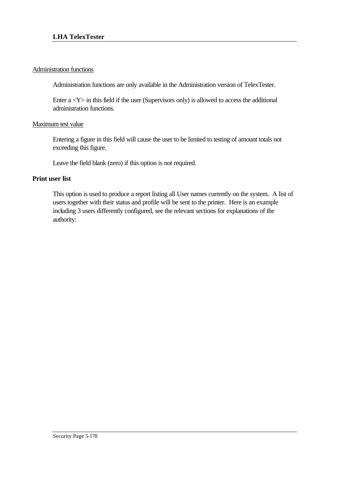### Administration functions

Administration functions are only available in the Administration version of TelexTester.

Enter  $a *Y* > in this field if the user (Supervisors only) is allowed to access the additional$ administration functions.

### Maximum test value

Entering a figure in this field will cause the user to be limited to testing of amount totals not exceeding this figure.

Leave the field blank (zero) if this option is not required.

### **Print user list**

This option is used to produce a report listing all User names currently on the system. A list of users together with their status and profile will be sent to the printer. Here is an example including 3 users differently configured, see the relevant sections for explanations of the authority: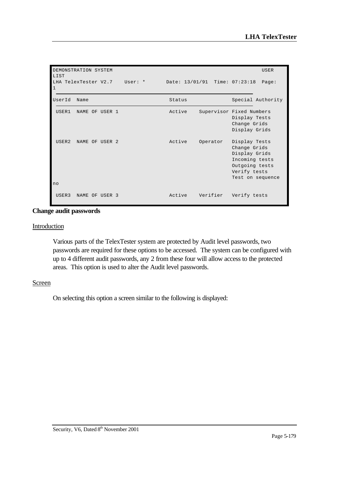| DEMONSTRATION SYSTEM<br><b>USER</b><br>LIST |                              |  |        |          |                                                                                                                        |  |
|---------------------------------------------|------------------------------|--|--------|----------|------------------------------------------------------------------------------------------------------------------------|--|
| $\mathbf{1}$                                | LHA TelexTester V2.7 User: * |  |        |          | Date: 13/01/91 Time: 07:23:18 Page:                                                                                    |  |
| UserId                                      | Name                         |  | Status |          | Special Authority                                                                                                      |  |
| USER1                                       | NAME OF USER 1               |  | Active |          | Supervisor Fixed Numbers<br>Display Tests<br>Change Grids<br>Display Grids                                             |  |
| USER <sub>2</sub>                           | NAME OF USER 2               |  | Active | Operator | Display Tests<br>Change Grids<br>Display Grids<br>Incoming tests<br>Outgoing tests<br>Verify tests<br>Test on sequence |  |
| no                                          |                              |  |        |          |                                                                                                                        |  |
| USER3                                       | NAME OF USER 3               |  | Active | Verifier | Verify tests                                                                                                           |  |

### **Change audit passwords**

#### **Introduction**

Various parts of the TelexTester system are protected by Audit level passwords, two passwords are required for these options to be accessed. The system can be configured with up to 4 different audit passwords, any 2 from these four will allow access to the protected areas. This option is used to alter the Audit level passwords.

### **Screen**

On selecting this option a screen similar to the following is displayed: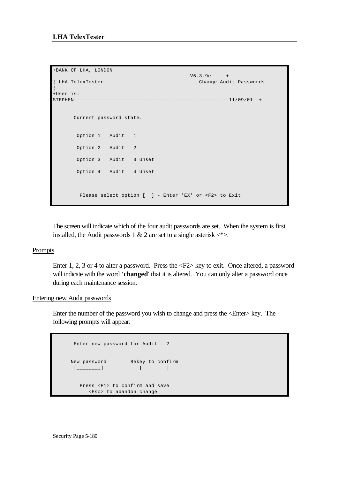```
+BANK OF LHA, LONDON 
----------------------------------------------V6.3.9e-----+
¦ LHA TelexTester Change Audit Passwords 
¦
+User is: 
STEPHEN----------------------------------------------------11/09/01--+
       Current password state.
       Option 1 Audit 1
       Option 2 Audit 2
        Option 3 Audit 3 Unset
        Option 4 Audit 4 Unset
        Please select option [ \vert - Enter 'EX' or <F2> to Exit
```
The screen will indicate which of the four audit passwords are set. When the system is first installed, the Audit passwords 1 & 2 are set to a single asterisk  $\langle\text{*}\rangle$ .

### Prompts

Enter 1, 2, 3 or 4 to alter a password. Press the <F2> key to exit. Once altered, a password will indicate with the word '**changed**' that it is altered. You can only alter a password once during each maintenance session.

### Entering new Audit passwords

Enter the number of the password you wish to change and press the <Enter> key. The following prompts will appear:

```
 Enter new password for Audit 2 
 New password Rekey to confirm 
 [ ] ] [ ] [ ] [ ] [ ] [ ] [ ] [ ] [ ] [ ] [ ] [ ] [ ] [ ] [ ] [ ] [ ] [ ] [ ] [ ] [ ] [ ] [ ] [ ] [ ] [ ] [ ]  Press <F1> to confirm and save 
         <Esc> to abandon change
```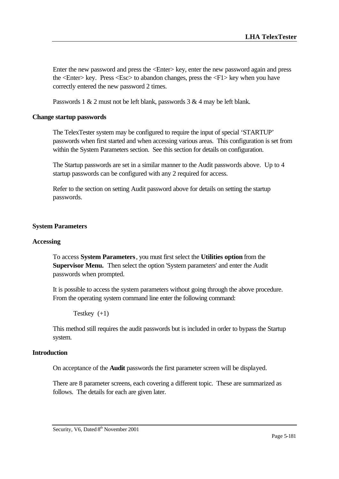Enter the new password and press the <Enter> key, enter the new password again and press the <Enter> key. Press <Esc> to abandon changes, press the <F1> key when you have correctly entered the new password 2 times.

Passwords 1 & 2 must not be left blank, passwords 3 & 4 may be left blank.

## **Change startup passwords**

The TelexTester system may be configured to require the input of special 'STARTUP' passwords when first started and when accessing various areas. This configuration is set from within the System Parameters section. See this section for details on configuration.

The Startup passwords are set in a similar manner to the Audit passwords above. Up to 4 startup passwords can be configured with any 2 required for access.

Refer to the section on setting Audit password above for details on setting the startup passwords.

## **System Parameters**

### **Accessing**

To access **System Parameters**, you must first select the **Utilities option** from the **Supervisor Menu.** Then select the option 'System parameters' and enter the Audit passwords when prompted.

It is possible to access the system parameters without going through the above procedure. From the operating system command line enter the following command:

Testkey  $(+1)$ 

This method still requires the audit passwords but is included in order to bypass the Startup system.

### **Introduction**

On acceptance of the **Audit** passwords the first parameter screen will be displayed.

There are 8 parameter screens, each covering a different topic. These are summarized as follows. The details for each are given later.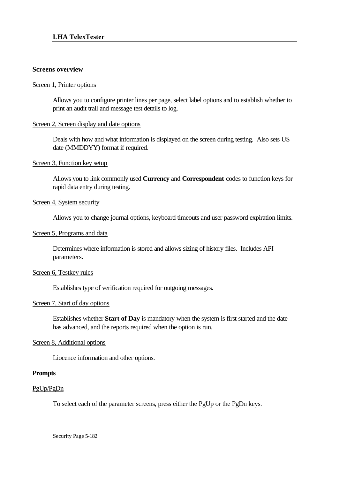#### **Screens overview**

#### Screen 1, Printer options

Allows you to configure printer lines per page, select label options and to establish whether to print an audit trail and message test details to log.

### Screen 2, Screen display and date options

Deals with how and what information is displayed on the screen during testing. Also sets US date (MMDDYY) format if required.

### Screen 3, Function key setup

Allows you to link commonly used **Currency** and **Correspondent** codes to function keys for rapid data entry during testing.

### Screen 4, System security

Allows you to change journal options, keyboard timeouts and user password expiration limits.

### Screen 5, Programs and data

Determines where information is stored and allows sizing of history files. Includes API parameters.

### Screen 6, Testkey rules

Establishes type of verification required for outgoing messages.

# Screen 7, Start of day options

Establishes whether **Start of Day** is mandatory when the system is first started and the date has advanced, and the reports required when the option is run.

# Screen 8, Additional options

Liocence information and other options.

### **Prompts**

### PgUp/PgDn

To select each of the parameter screens, press either the PgUp or the PgDn keys.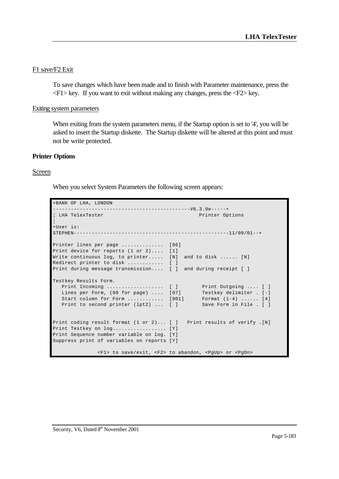## F1 save/F2 Exit

To save changes which have been made and to finish with Parameter maintenance, press the  $\langle F1 \rangle$  key. If you want to exit without making any changes, press the  $\langle F2 \rangle$  key.

#### Exiting system parameters

When exiting from the system parameters menu, if the Startup option is set to '4', you will be asked to insert the Startup diskette. The Startup diskette will be altered at this point and must not be write protected.

#### **Printer Options**

#### Screen

When you select System Parameters the following screen appears:

```
+BANK OF LHA, LONDON 
                                   ---------V6.3.9e-----+¦ LHA TelexTester Printer Options 
¦
+User is: 
STEPHEN----------------------------------------------------11/09/01--+
Printer lines per page ............... [66]
Print device for reports (1 or 2).... [1]
Write continuous log, to printer..... [N] and to disk ...... [N]
Redirect printer to disk ............. [ ]
Print during message transmission.... [ ] and during receipt [ ]
Testkey Results Form.
   Print Incoming ................... [ ] Print Outgoing .... [ ]
  Lines per Form, (99 \text{ for page}) \dots [07] Start column for Form ............ [001] Format (1-4) ...... [4]
  Print to second printer (lpt2) ... [ ] Save Form in File . [ ]
Print coding result format (1 or 2)... [ ] Print results of verify .[N]
Print Testkey on log.................. [Y]
Print Sequence number variable on log. [Y]
Suppress print of variables on reports [Y]
               <F1> to save/exit, <F2> to abandon, <PgUp> or <PgDn>
```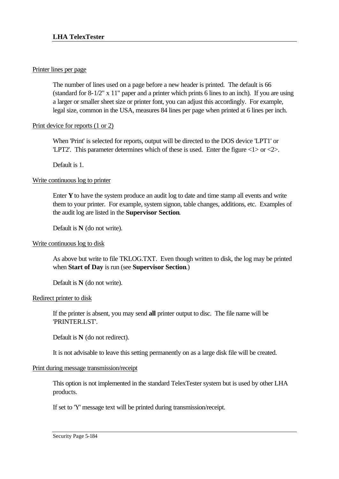### Printer lines per page

The number of lines used on a page before a new header is printed. The default is 66 (standard for 8-1/2" x 11" paper and a printer which prints 6 lines to an inch). If you are using a larger or smaller sheet size or printer font, you can adjust this accordingly. For example, legal size, common in the USA, measures 84 lines per page when printed at 6 lines per inch.

# Print device for reports (1 or 2)

When 'Print' is selected for reports, output will be directed to the DOS device 'LPT1' or 'LPT2'. This parameter determines which of these is used. Enter the figure  $\langle 1 \rangle$  or  $\langle 2 \rangle$ .

Default is 1.

## Write continuous log to printer

Enter  $Y$  to have the system produce an audit log to date and time stamp all events and write them to your printer. For example, system signon, table changes, additions, etc. Examples of the audit log are listed in the **Supervisor Section**.

Default is **N** (do not write).

# Write continuous log to disk

As above but write to file TKLOG.TXT. Even though written to disk, the log may be printed when **Start of Day** is run (see **Supervisor Section**.)

Default is **N** (do not write).

### Redirect printer to disk

If the printer is absent, you may send **all** printer output to disc. The file name will be 'PRINTER.LST'.

Default is **N** (do not redirect).

It is not advisable to leave this setting permanently on as a large disk file will be created.

# Print during message transmission/receipt

This option is not implemented in the standard TelexTester system but is used by other LHA products.

If set to 'Y' message text will be printed during transmission/receipt.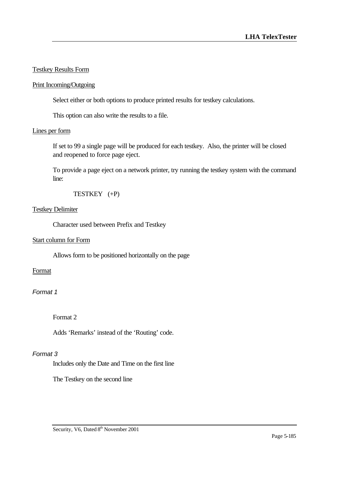## Testkey Results Form

### Print Incoming/Outgoing

Select either or both options to produce printed results for testkey calculations.

This option can also write the results to a file.

#### Lines per form

If set to 99 a single page will be produced for each testkey. Also, the printer will be closed and reopened to force page eject.

To provide a page eject on a network printer, try running the testkey system with the command line:

TESTKEY (+P)

#### Testkey Delimiter

Character used between Prefix and Testkey

#### Start column for Form

Allows form to be positioned horizontally on the page

# Format

### *Format 1*

Format 2

Adds 'Remarks' instead of the 'Routing' code.

### *Format 3*

Includes only the Date and Time on the first line

The Testkey on the second line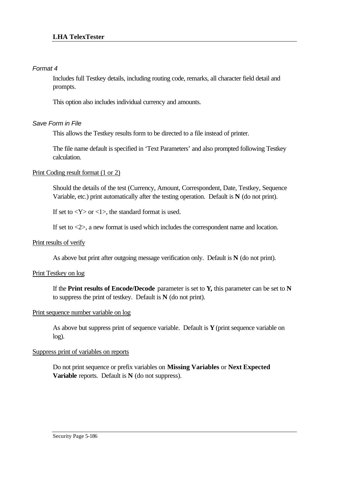## *Format 4*

Includes full Testkey details, including routing code, remarks, all character field detail and prompts.

This option also includes individual currency and amounts.

# *Save Form in File*

This allows the Testkey results form to be directed to a file instead of printer.

The file name default is specified in 'Text Parameters' and also prompted following Testkey calculation.

## Print Coding result format (1 or 2)

Should the details of the test (Currency, Amount, Correspondent, Date, Testkey, Sequence Variable, etc.) print automatically after the testing operation. Default is **N** (do not print).

If set to  $\langle Y \rangle$  or  $\langle 1 \rangle$ , the standard format is used.

If set to <2>, a new format is used which includes the correspondent name and location.

### Print results of verify

As above but print after outgoing message verification only. Default is **N** (do not print).

### Print Testkey on log

If the **Print results of Encode/Decode** parameter is set to **Y,** this parameter can be set to **N**  to suppress the print of testkey. Default is **N** (do not print).

### Print sequence number variable on log

As above but suppress print of sequence variable. Default is **Y** (print sequence variable on log).

## Suppress print of variables on reports

Do not print sequence or prefix variables on **Missing Variables** or **Next Expected Variable** reports. Default is **N** (do not suppress).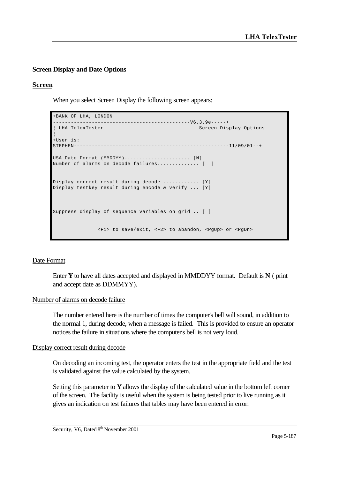# **Screen Display and Date Options**

### **Screen**

When you select Screen Display the following screen appears:

```
+BANK OF LHA, LONDON 
                                -------------V6.3.99-----++¦ LHA TelexTester Screen Display Options 
¦
+User is: 
STEPHEN----------------------------------------------------11/09/01--+
USA Date Format (MMDDYY)...................... [N]
Number of alarms on decode failures.............. [ ]
Display correct result during decode ............ [Y]
Display testkey result during encode & verify ... [Y]
Suppress display of sequence variables on grid .. [ ]
               <F1> to save/exit, <F2> to abandon, <PgUp> or <PgDn>
```
### Date Format

Enter **Y** to have all dates accepted and displayed in MMDDYY format. Default is **N** ( print and accept date as DDMMYY).

### Number of alarms on decode failure

The number entered here is the number of times the computer's bell will sound, in addition to the normal 1, during decode, when a message is failed. This is provided to ensure an operator notices the failure in situations where the computer's bell is not very loud.

### Display correct result during decode

On decoding an incoming test, the operator enters the test in the appropriate field and the test is validated against the value calculated by the system.

Setting this parameter to **Y** allows the display of the calculated value in the bottom left corner of the screen. The facility is useful when the system is being tested prior to live running as it gives an indication on test failures that tables may have been entered in error.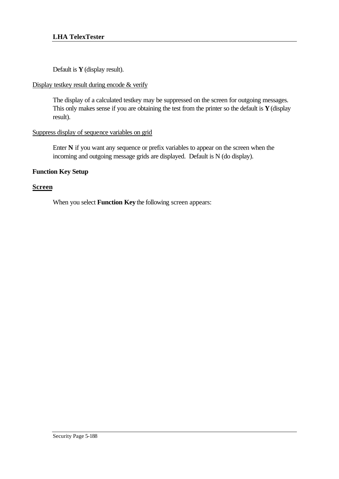Default is **Y** (display result).

# Display testkey result during encode & verify

The display of a calculated testkey may be suppressed on the screen for outgoing messages. This only makes sense if you are obtaining the test from the printer so the default is **Y** (display result).

# Suppress display of sequence variables on grid

Enter **N** if you want any sequence or prefix variables to appear on the screen when the incoming and outgoing message grids are displayed. Default is N (do display).

# **Function Key Setup**

# **Screen**

When you select **Function Key** the following screen appears: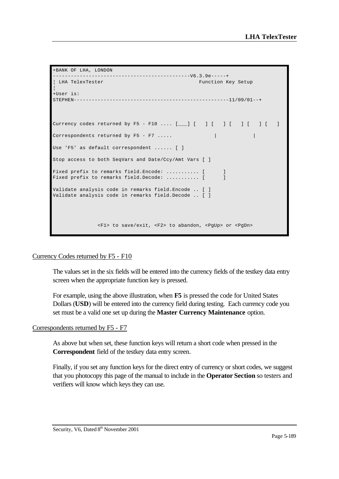```
+BANK OF LHA, LONDON 
 ----------------------------------------------V6.3.9e-----+
| LHA TelexTester Function Key Setup
¦
+User is: 
STEPHEN----------------------------------------------------11/09/01--+
Currency codes returned by F5 - F10 .... [__] [ ] [ ] [ ] [ ] [ ] [
Correspondents returned by F5 - F7.....
Use 'F5' as default correspondent ...... [ ]
Stop access to both SeqVars and Date/Ccy/Amt Vars [ ]
Fixed prefix to remarks field. Encode: ............... [ ]
Fixed prefix to remarks field.Decode: ............ [ ]
Validate analysis code in remarks field.Encode .. [ ]
Validate analysis code in remarks field.Decode .. [ ]
              <F1> to save/exit, <F2> to abandon, <PgUp> or <PgDn>
```
### Currency Codes returned by F5 - F10

The values set in the six fields will be entered into the currency fields of the testkey data entry screen when the appropriate function key is pressed.

For example, using the above illustration, when **F5** is pressed the code for United States Dollars (**USD**) will be entered into the currency field during testing. Each currency code you set must be a valid one set up during the **Master Currency Maintenance** option.

### Correspondents returned by F5 - F7

As above but when set, these function keys will return a short code when pressed in the **Correspondent** field of the testkey data entry screen.

Finally, if you set any function keys for the direct entry of currency or short codes, we suggest that you photocopy this page of the manual to include in the **Operator Section** so testers and verifiers will know which keys they can use.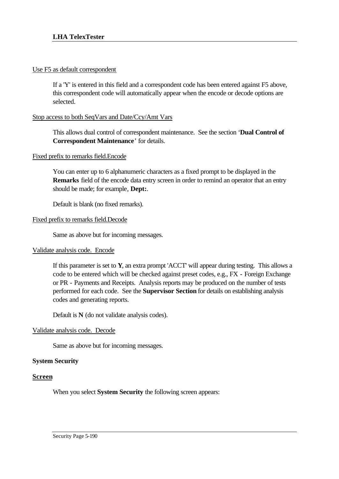## Use F5 as default correspondent

If a 'Y' is entered in this field and a correspondent code has been entered against F5 above, this correspondent code will automatically appear when the encode or decode options are selected.

### Stop access to both SeqVars and Date/Ccy/Amt Vars

This allows dual control of correspondent maintenance. See the section '**Dual Control of Correspondent Maintenance**' for details.

## Fixed prefix to remarks field.Encode

You can enter up to 6 alphanumeric characters as a fixed prompt to be displayed in the **Remarks** field of the encode data entry screen in order to remind an operator that an entry should be made; for example, **Dept:**.

Default is blank (no fixed remarks).

## Fixed prefix to remarks field.Decode

Same as above but for incoming messages.

# Validate analysis code. Encode

If this parameter is set to **Y**, an extra prompt 'ACCT' will appear during testing. This allows a code to be entered which will be checked against preset codes, e.g., FX - Foreign Exchange or PR - Payments and Receipts. Analysis reports may be produced on the number of tests performed for each code. See the **Supervisor Section** for details on establishing analysis codes and generating reports.

Default is **N** (do not validate analysis codes).

### Validate analysis code. Decode

Same as above but for incoming messages.

### **System Security**

### **Screen**

When you select **System Security** the following screen appears: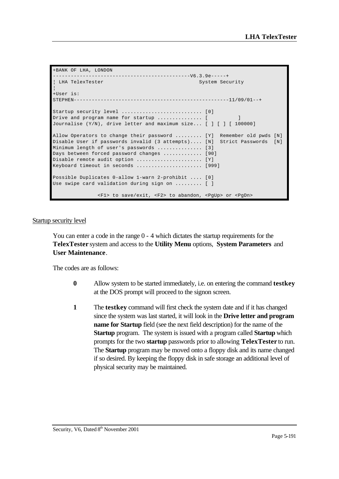```
+BANK OF LHA, LONDON 
  ----------------------------------------------V6.3.9e-----+
| LHA TelexTester System Security
¦
+User is: 
STRPHEN------------------------------------------------------11/09/01--+Startup security level ........................... [0]
Drive and program name for startup ............... [ ]
Journalise (Y/N), drive letter and maximum size... [ ] [ ] [ 100000]
Allow Operators to change their password ......... [Y] Remember old pwds [N]
Disable User if passwords invalid (3 attempts).... [N] Strict Passwords [N]
Minimum length of user's passwords ................ [3]
Days between forced password changes ............. [90]
Disable remote audit option \dots\dots\dots\dots\dots\dots. [Y]
Keyboard timeout in seconds ...................... [999]
Possible Duplicates 0-allow 1-warn 2-prohibit .... [0]
Use swipe card validation during sign on ......... [ ]
               <F1> to save/exit, <F2> to abandon, <PgUp> or <PgDn>
```
#### Startup security level

You can enter a code in the range 0 - 4 which dictates the startup requirements for the **TelexTester** system and access to the **Utility Menu** options, **System Parameters** and **User Maintenance**.

The codes are as follows:

- **0** Allow system to be started immediately, i.e. on entering the command **testkey** at the DOS prompt will proceed to the signon screen.
- **1** The **testkey** command will first check the system date and if it has changed since the system was last started, it will look in the **Drive letter and program name for Startup** field (see the next field description) for the name of the **Startup** program. The system is issued with a program called **Startup** which prompts for the two **startup** passwords prior to allowing **TelexTester** to run. The **Startup** program may be moved onto a floppy disk and its name changed if so desired. By keeping the floppy disk in safe storage an additional level of physical security may be maintained.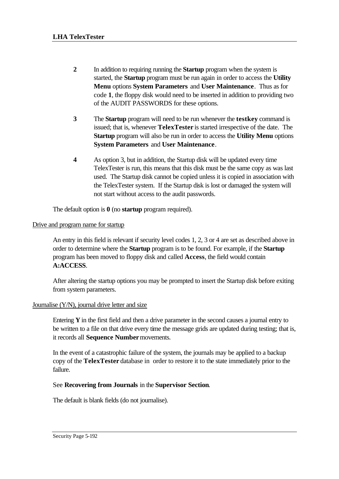- **2** In addition to requiring running the **Startup** program when the system is started, the **Startup** program must be run again in order to access the **Utility Menu** options **System Parameters** and **User Maintenance**. Thus as for code **1**, the floppy disk would need to be inserted in addition to providing two of the AUDIT PASSWORDS for these options.
- **3** The **Startup** program will need to be run whenever the **testkey** command is issued; that is, whenever **TelexTester** is started irrespective of the date. The **Startup** program will also be run in order to access the **Utility Menu** options **System Parameters** and **User Maintenance**.
- **4** As option 3, but in addition, the Startup disk will be updated every time TelexTester is run, this means that this disk must be the same copy as was last used. The Startup disk cannot be copied unless it is copied in association with the TelexTester system. If the Startup disk is lost or damaged the system will not start without access to the audit passwords.

The default option is **0** (no **startup** program required).

## Drive and program name for startup

An entry in this field is relevant if security level codes 1, 2, 3 or 4 are set as described above in order to determine where the **Startup** program is to be found. For example, if the **Startup** program has been moved to floppy disk and called **Access**, the field would contain **A:ACCESS**.

After altering the startup options you may be prompted to insert the Startup disk before exiting from system parameters.

### Journalise (Y/N), journal drive letter and size

Entering **Y** in the first field and then a drive parameter in the second causes a journal entry to be written to a file on that drive every time the message grids are updated during testing; that is, it records all **Sequence Number** movements.

In the event of a catastrophic failure of the system, the journals may be applied to a backup copy of the **TelexTester** database in order to restore it to the state immediately prior to the failure.

# See **Recovering from Journals** in the **Supervisor Section**.

The default is blank fields (do not journalise).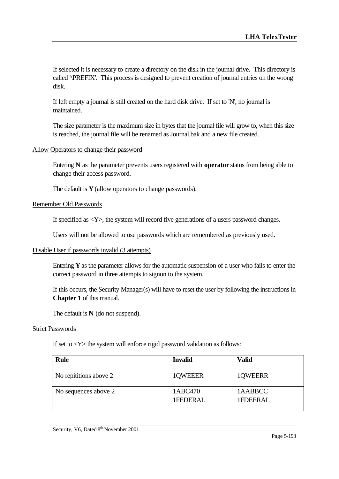If selected it is necessary to create a directory on the disk in the journal drive. This directory is called '\PREFIX'. This process is designed to prevent creation of journal entries on the wrong disk.

If left empty a journal is still created on the hard disk drive. If set to 'N', no journal is maintained.

The size parameter is the maximum size in bytes that the journal file will grow to, when this size is reached, the journal file will be renamed as Journal.bak and a new file created.

### Allow Operators to change their password

Entering **N** as the parameter prevents users registered with **operator** status from being able to change their access password.

The default is **Y** (allow operators to change passwords).

#### Remember Old Passwords

If specified as <Y>, the system will record five generations of a users password changes.

Users will not be allowed to use passwords which are remembered as previously used.

#### Disable User if passwords invalid (3 attempts)

Entering **Y** as the parameter allows for the automatic suspension of a user who fails to enter the correct password in three attempts to signon to the system.

If this occurs, the Security Manager(s) will have to reset the user by following the instructions in **Chapter 1** of this manual.

The default is **N** (do not suspend).

### Strict Passwords

If set to  $\langle Y \rangle$  the system will enforce rigid password validation as follows:

| <b>Rule</b>            | <b>Invalid</b>      | <b>Valid</b>        |
|------------------------|---------------------|---------------------|
| No repititions above 2 | 1QWEEER             | 1QWEERR             |
| No sequences above 2   | 1ABC470<br>1FEDERAL | 1AABBCC<br>1FDEERAL |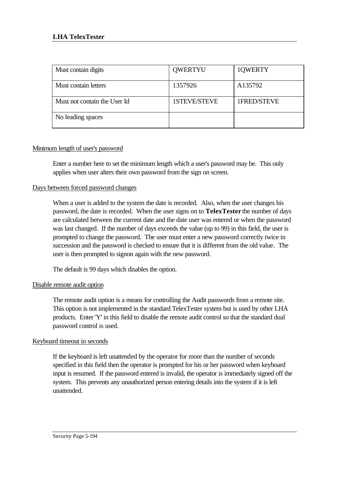| Must contain digits          | <b>QWERTYU</b>      | 1QWERTY     |
|------------------------------|---------------------|-------------|
| Must contain letters         | 1357926             | A135792     |
| Must not contain the User Id | <b>1STEVE/STEVE</b> | 1FRED/STEVE |
| No leading spaces            |                     |             |

# Minimum length of user's password

Enter a number here to set the minimum length which a user's password may be. This only applies when user alters their own password from the sign on screen.

## Days between forced password changes

When a user is added to the system the date is recorded. Also, when the user changes his password, the date is recorded. When the user signs on to **TelexTester** the number of days are calculated between the current date and the date user was entered or when the password was last changed. If the number of days exceeds the value (up to 99) in this field, the user is prompted to change the password. The user must enter a new password correctly twice in succession and the password is checked to ensure that it is different from the old value. The user is then prompted to signon again with the new password.

The default is 99 days which disables the option.

### Disable remote audit option

The remote audit option is a means for controlling the Audit passwords from a remote site. This option is not implemented in the standard TelexTester system but is used by other LHA products. Enter 'Y' in this field to disable the remote audit control so that the standard dual password control is used.

### Keyboard timeout in seconds

If the keyboard is left unattended by the operator for more than the number of seconds specified in this field then the operator is prompted for his or her password when keyboard input is resumed. If the password entered is invalid, the operator is immediately signed off the system. This prevents any unauthorized person entering details into the system if it is left unattended.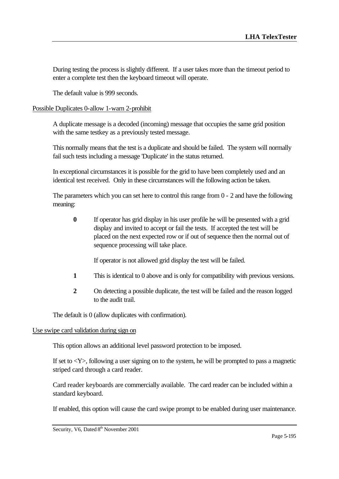During testing the process is slightly different. If a user takes more than the timeout period to enter a complete test then the keyboard timeout will operate.

The default value is 999 seconds.

## Possible Duplicates 0-allow 1-warn 2-prohibit

A duplicate message is a decoded (incoming) message that occupies the same grid position with the same testkey as a previously tested message.

This normally means that the test is a duplicate and should be failed. The system will normally fail such tests including a message 'Duplicate' in the status returned.

In exceptional circumstances it is possible for the grid to have been completely used and an identical test received. Only in these circumstances will the following action be taken.

The parameters which you can set here to control this range from 0 - 2 and have the following meaning:

**0** If operator has grid display in his user profile he will be presented with a grid display and invited to accept or fail the tests. If accepted the test will be placed on the next expected row or if out of sequence then the normal out of sequence processing will take place.

If operator is not allowed grid display the test will be failed.

- **1** This is identical to 0 above and is only for compatibility with previous versions.
- **2** On detecting a possible duplicate, the test will be failed and the reason logged to the audit trail.

The default is 0 (allow duplicates with confirmation).

### Use swipe card validation during sign on

This option allows an additional level password protection to be imposed.

If set to  $\langle Y \rangle$ , following a user signing on to the system, he will be prompted to pass a magnetic striped card through a card reader.

Card reader keyboards are commercially available. The card reader can be included within a standard keyboard.

If enabled, this option will cause the card swipe prompt to be enabled during user maintenance.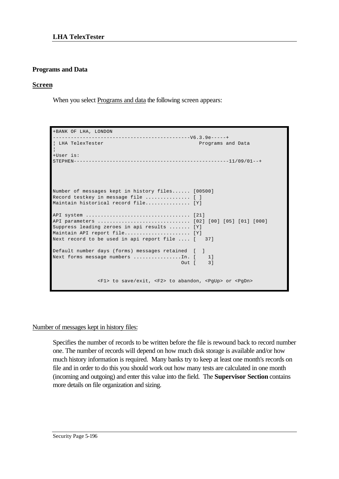## **Programs and Data**

### **Screen**

When you select Programs and data the following screen appears:

```
+BANK OF LHA, LONDON 
      ----------------------------------------------V6.3.9e-----+
¦ LHA TelexTester Programs and Data 
¦
+User is: 
STEPHEN----------------------------------------------------11/09/01--+
Number of messages kept in history files...... [00500]
Record testkey in message file ................ [ ]
Maintain historical record file................ [Y]
API system ................................... [21]
API parameters ............................... [02] [00] [05] [01] [000]
Suppress leading zeroes in api results ....... [Y]
Maintain API report file...................... [Y]
Next record to be used in api report file .... [ 37]
Default number days (forms) messages retained [ ]
Next forms message numbers ...............In. [ 1]
                                          Out [ 3]
               <F1> to save/exit, <F2> to abandon, <PgUp> or <PgDn>
```
Number of messages kept in history files:

Specifies the number of records to be written before the file is rewound back to record number one. The number of records will depend on how much disk storage is available and/or how much history information is required. Many banks try to keep at least one month's records on file and in order to do this you should work out how many tests are calculated in one month (incoming and outgoing) and enter this value into the field. The **Supervisor Section** contains more details on file organization and sizing.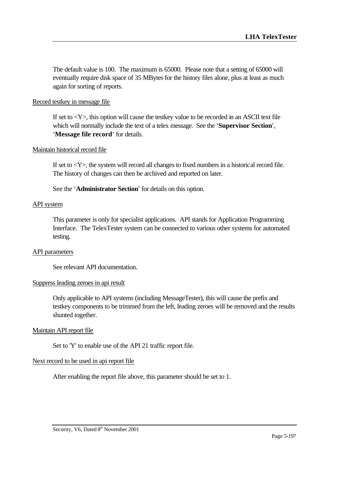The default value is 100. The maximum is 65000. Please note that a setting of 65000 will eventually require disk space of 35 MBytes for the history files alone, plus at least as much again for sorting of reports.

### Record testkey in message file

If set to  $\langle Y \rangle$ , this option will cause the testkey value to be recorded in an ASCII text file which will normally include the text of a telex message. See the '**Supervisor Section**', '**Message file record**' for details.

### Maintain historical record file

If set to  $\langle Y \rangle$ , the system will record all changes to fixed numbers in a historical record file. The history of changes can then be archived and reported on later.

See the '**Administrator Section**' for details on this option.

### API system

This parameter is only for specialist applications. API stands for Application Programming Interface. The TelexTester system can be connected to various other systems for automated testing.

### API parameters

See relevant API documentation.

### Suppress leading zeroes in api result

Only applicable to API systems (including MessageTester), this will cause the prefix and testkey components to be trimmed from the left, leading zeroes will be removed and the results shunted together.

### Maintain API report file

Set to 'Y' to enable use of the API 21 traffic report file.

### Next record to be used in api report file

After enabling the report file above, this parameter should be set to 1.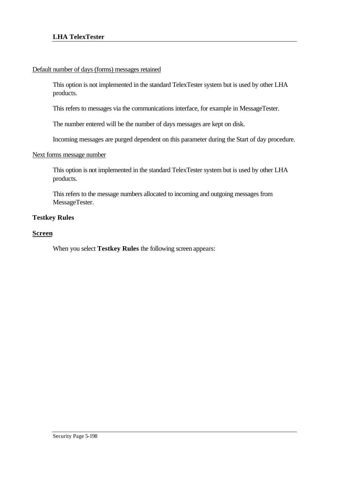## Default number of days (forms) messages retained

This option is not implemented in the standard TelexTester system but is used by other LHA products.

This refers to messages via the communications interface, for example in MessageTester.

The number entered will be the number of days messages are kept on disk.

Incoming messages are purged dependent on this parameter during the Start of day procedure.

### Next forms message number

This option is not implemented in the standard TelexTester system but is used by other LHA products.

This refers to the message numbers allocated to incoming and outgoing messages from MessageTester.

## **Testkey Rules**

### **Screen**

When you select **Testkey Rules** the following screen appears: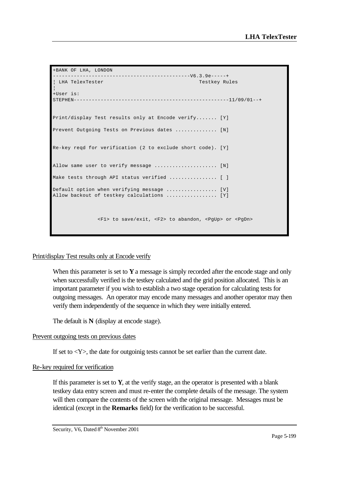```
+BANK OF LHA, LONDON 
  ----------------------------------------------V6.3.9e-----+
| LHA TelexTester Testkey Rules
¦
+User is: 
STEPHEN----------------------------------------------------11/09/01--+
Print/display Test results only at Encode verify....... [Y]
Prevent Outgoing Tests on Previous dates ............... [N]
Re-key reqd for verification (2 to exclude short code). [Y]
Allow same user to verify message ........................ [N]
Make tests through API status verified ................ [ ]
Default option when verifying message ................... [V]
Allow backout of testkey calculations ..................... [Y]
               <F1> to save/exit, <F2> to abandon, <PgUp> or <PgDn>
```
### Print/display Test results only at Encode verify

When this parameter is set to **Y** a message is simply recorded after the encode stage and only when successfully verified is the testkey calculated and the grid position allocated. This is an important parameter if you wish to establish a two stage operation for calculating tests for outgoing messages. An operator may encode many messages and another operator may then verify them independently of the sequence in which they were initially entered.

The default is **N** (display at encode stage).

### Prevent outgoing tests on previous dates

If set to  $\langle Y \rangle$ , the date for outgoinig tests cannot be set earlier than the current date.

### Re-key required for verification

If this parameter is set to  $Y$ , at the verify stage, an the operator is presented with a blank testkey data entry screen and must re-enter the complete details of the message. The system will then compare the contents of the screen with the original message. Messages must be identical (except in the **Remarks** field) for the verification to be successful.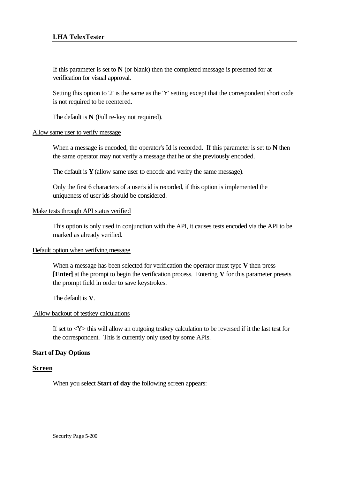## **LHA TelexTester**

If this parameter is set to  $N$  (or blank) then the completed message is presented for at verification for visual approval.

Setting this option to '2' is the same as the 'Y' setting except that the correspondent short code is not required to be reentered.

The default is **N** (Full re-key not required).

#### Allow same user to verify message

When a message is encoded, the operator's Id is recorded. If this parameter is set to **N** then the same operator may not verify a message that he or she previously encoded.

The default is **Y** (allow same user to encode and verify the same message).

Only the first 6 characters of a user's id is recorded, if this option is implemented the uniqueness of user ids should be considered.

### Make tests through API status verified

This option is only used in conjunction with the API, it causes tests encoded via the API to be marked as already verified.

#### Default option when verifying message

When a message has been selected for verification the operator must type **V** then press **[Enter]** at the prompt to begin the verification process. Entering **V** for this parameter presets the prompt field in order to save keystrokes.

The default is **V**.

### Allow backout of testkey calculations

If set to  $\langle Y \rangle$  this will allow an outgoing testkey calculation to be reversed if it the last test for the correspondent. This is currently only used by some APIs.

### **Start of Day Options**

### **Screen**

When you select **Start of day** the following screen appears: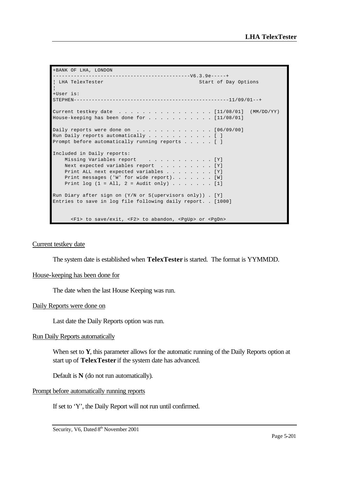```
+BANK OF LHA, LONDON 
  ----------------------------------------------V6.3.9e-----+
| LHA TelexTester Start of Day Options
¦
+User is:<br>STEPHEN-----------
                         STEPHEN----------------------------------------------------11/09/01--+
Current testkey date . . . . . . . . . . . . . . . . . [11/08/01] (MM/DD/YY)
House-keeping has been done for . . . . . . . . . . . [11/08/01]
Daily reports were done on \ldots \ldots \ldots \ldots \ldots [06/09/00]
Run Daily reports automatically \ldots . . . . . . . . [ ]
Prompt before automatically running reports . . . . . [ ]
Included in Daily reports:
   Missing Variables report . . . . . . . . . . . [Y]
   Next expected variables report . . . . . . . . . [Y]
   Print ALL next expected variables . . . . . . . . [Y]
   Print messages ('W' for wide report). . . . . . . [W]
   Print log (1 = All, 2 = Adult only) . . . . . . . [1]Run Diary after sign on (Y/N or S(upervisors only)) . [Y]
Entries to save in log file following daily report. . [1000]
       <F1> to save/exit, <F2> to abandon, <PgUp> or <PgDn>
```
#### Current testkey date

The system date is established when **TelexTester** is started. The format is YYMMDD.

#### House-keeping has been done for

The date when the last House Keeping was run.

#### Daily Reports were done on

Last date the Daily Reports option was run.

### Run Daily Reports automatically

When set to **Y**, this parameter allows for the automatic running of the Daily Reports option at start up of **TelexTester** if the system date has advanced.

Default is **N** (do not run automatically).

#### Prompt before automatically running reports

If set to 'Y', the Daily Report will not run until confirmed.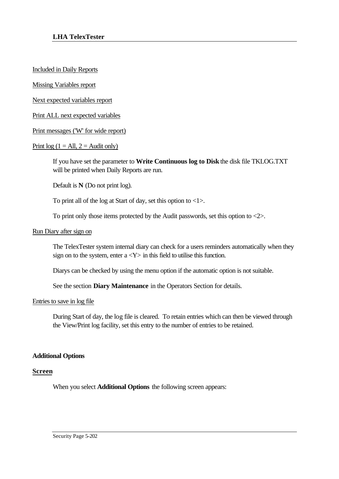Included in Daily Reports

Missing Variables report

Next expected variables report

Print ALL next expected variables

Print messages ('W' for wide report)

## Print  $log(1 = All, 2 = Audit only)$

If you have set the parameter to **Write Continuous log to Disk** the disk file TKLOG.TXT will be printed when Daily Reports are run.

Default is **N** (Do not print log).

To print all of the log at Start of day, set this option to  $\langle 1 \rangle$ .

To print only those items protected by the Audit passwords, set this option to <2>.

### Run Diary after sign on

The TelexTester system internal diary can check for a users reminders automatically when they sign on to the system, enter  $a < Y$  in this field to utilise this function.

Diarys can be checked by using the menu option if the automatic option is not suitable.

See the section **Diary Maintenance** in the Operators Section for details.

### Entries to save in log file

During Start of day, the log file is cleared. To retain entries which can then be viewed through the View/Print log facility, set this entry to the number of entries to be retained.

### **Additional Options**

### **Screen**

When you select **Additional Options** the following screen appears: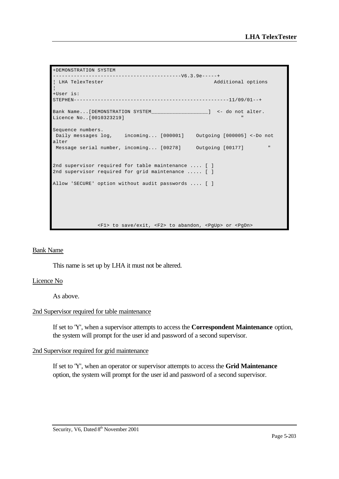```
+DEMONSTRATION SYSTEM 
-------------------------------------------V6.3.9e-----+
¦ LHA TelexTester Additional options 
¦
+User is: 
STEPHEN----------------------------------------------------11/09/01--+
Bank Name...[DEMONSTRATION SYSTEM____________________] <- do not alter.
Licence No..[0010323219]
Sequence numbers.
 Daily messages log, incoming... [000001] Outgoing [000005] <-Do not 
alter
Message serial number, incoming... [00278] Outgoing [00177] "
2nd supervisor required for table maintenance .... [ ]
2nd supervisor required for grid maintenance ..... [ ]
Allow 'SECURE' option without audit passwords .... [ ]
               <F1> to save/exit, <F2> to abandon, <PgUp> or <PgDn>
```
### Bank Name

This name is set up by LHA it must not be altered.

#### Licence No

As above.

### 2nd Supervisor required for table maintenance

If set to 'Y', when a supervisor attempts to access the **Correspondent Maintenance** option, the system will prompt for the user id and password of a second supervisor.

#### 2nd Supervisor required for grid maintenance

If set to 'Y', when an operator or supervisor attempts to access the **Grid Maintenance** option, the system will prompt for the user id and password of a second supervisor.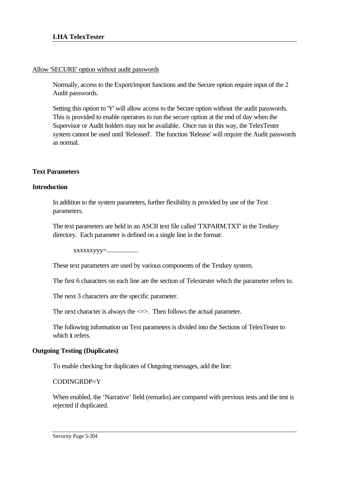### Allow 'SECURE' option without audit passwords

Normally, access to the Export/import functions and the Secure option require input of the 2 Audit passwords.

Setting this option to 'Y' will allow access to the Secure option without the audit passwords. This is provided to enable operators to run the secure option at the end of day when the Supervisor or Audit holders may not be available. Once run in this way, the TelexTester system cannot be used until 'Released'. The function 'Release' will require the Audit passwords as normal.

# **Text Parameters**

# **Introduction**

In addition to the system parameters, further flexibility is provided by use of the Text parameters.

The text parameters are held in an ASCII text file called 'TXPARM.TXT' in the Testkey directory. Each parameter is defined on a single line in the format:

xxxxxxyyy=....................

These text parameters are used by various components of the Testkey system.

The first 6 characters on each line are the section of Telextester which the parameter refers to.

The next 3 characters are the specific parameter.

The next character is always the  $\leq$  >. Then follows the actual parameter.

The following information on Text parameters is divided into the Sections of TelexTester to which it refers.

# **Outgoing Testing (Duplicates)**

To enable checking for duplicates of Outgoing messages, add the line:

CODINGRDP=Y

When enabled, the 'Narrative' field (remarks) are compared with previous tests and the test is rejected if duplicated.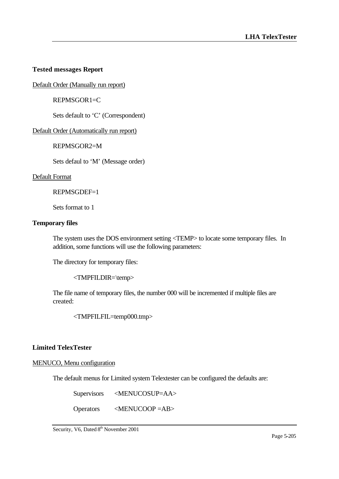# **Tested messages Report**

Default Order (Manually run report)

REPMSGOR1=C

Sets default to 'C' (Correspondent)

Default Order (Automatically run report)

REPMSGOR2=M

Sets defaul to 'M' (Message order)

### Default Format

REPMSGDEF=1

Sets format to 1

### **Temporary files**

The system uses the DOS environment setting <TEMP> to locate some temporary files. In addition, some functions will use the following parameters:

The directory for temporary files:

<TMPFILDIR=\temp>

The file name of temporary files, the number 000 will be incremented if multiple files are created:

<TMPFILFIL=temp000.tmp>

# **Limited TelexTester**

### MENUCO, Menu configuration

The default menus for Limited system Telextester can be configured the defaults are:

Supervisors <MENUCOSUP=AA>

Operators <MENUCOOP =AB>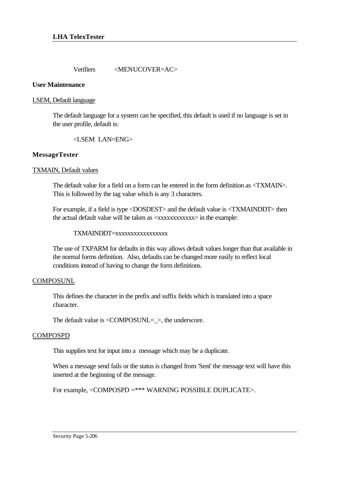Verifiers <MENUCOVER=AC>

### **User Maintenance**

### LSEM, Default language

The default language for a system can be specified, this default is used if no language is set in the user profile, default is:

<LSEM LAN=ENG>

# **MessageTester**

## TXMAIN, Default values

The default value for a field on a form can be entered in the form definition as <TXMAIN>. This is followed by the tag value which is any 3 characters.

For example, if a field is type <DOSDEST> and the default value is <TXMAINDDT> then the actual default value will be taken as <xxxxxxxxxxxxx> in the example:

## TXMAINDDT=xxxxxxxxxxxxxxxxx

The use of TXPARM for defaults in this way allows default values longer than that available in the normal forms definition. Also, defaults can be changed more easily to reflect local conditions instead of having to change the form definitions.

### **COMPOSUNL**

This defines the character in the prefix and suffix fields which is translated into a space character.

The default value is <COMPOSUNL=\_>, the underscore.

# COMPOSPD

This supplies text for input into a message which may be a duplicate.

When a message send fails or the status is changed from 'Sent' the message text will have this inserted at the beginning of the message.

For example, <COMPOSPD =\*\*\* WARNING POSSIBLE DUPLICATE>.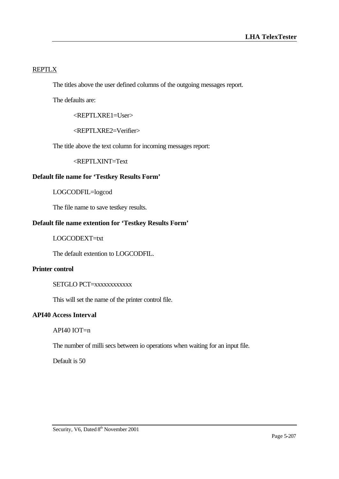# REPTLX

The titles above the user defined columns of the outgoing messages report.

The defaults are:

<REPTLXRE1=User>

<REPTLXRE2=Verifier>

The title above the text column for incoming messages report:

<REPTLXINT=Text

# **Default file name for 'Testkey Results Form'**

LOGCODFIL=logcod

The file name to save testkey results.

# **Default file name extention for 'Testkey Results Form'**

## LOGCODEXT=txt

The default extention to LOGCODFIL.

### **Printer control**

## SETGLO PCT=xxxxxxxxxxx

This will set the name of the printer control file.

## **API40 Access Interval**

API40 IOT=n

The number of milli secs between io operations when waiting for an input file.

Default is 50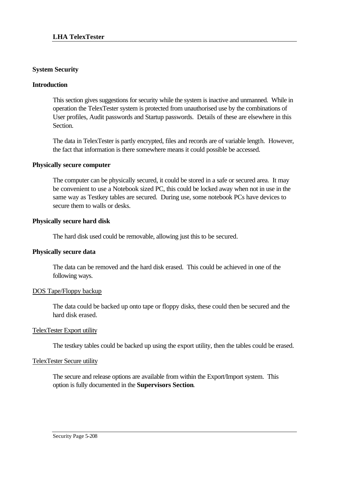# **System Security**

### **Introduction**

This section gives suggestions for security while the system is inactive and unmanned. While in operation the TelexTester system is protected from unauthorised use by the combinations of User profiles, Audit passwords and Startup passwords. Details of these are elsewhere in this Section.

The data in TelexTester is partly encrypted, files and records are of variable length. However, the fact that information is there somewhere means it could possible be accessed.

### **Physically secure computer**

The computer can be physically secured, it could be stored in a safe or secured area. It may be convenient to use a Notebook sized PC, this could be locked away when not in use in the same way as Testkey tables are secured. During use, some notebook PCs have devices to secure them to walls or desks.

## **Physically secure hard disk**

The hard disk used could be removable, allowing just this to be secured.

# **Physically secure data**

The data can be removed and the hard disk erased. This could be achieved in one of the following ways.

### DOS Tape/Floppy backup

The data could be backed up onto tape or floppy disks, these could then be secured and the hard disk erased.

### TelexTester Export utility

The testkey tables could be backed up using the export utility, then the tables could be erased.

### TelexTester Secure utility

The secure and release options are available from within the Export/Import system. This option is fully documented in the **Supervisors Section**.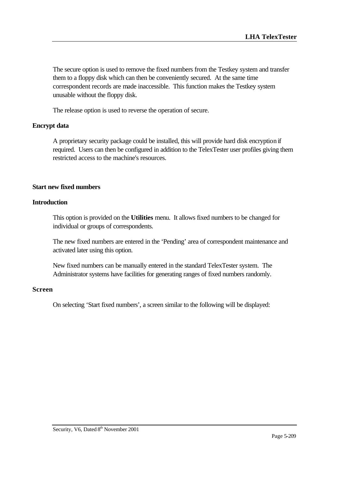The secure option is used to remove the fixed numbers from the Testkey system and transfer them to a floppy disk which can then be conveniently secured. At the same time correspondent records are made inaccessible. This function makes the Testkey system unusable without the floppy disk.

The release option is used to reverse the operation of secure.

## **Encrypt data**

A proprietary security package could be installed, this will provide hard disk encryption if required. Users can then be configured in addition to the TelexTester user profiles giving them restricted access to the machine's resources.

## **Start new fixed numbers**

### **Introduction**

This option is provided on the **Utilities** menu. It allows fixed numbers to be changed for individual or groups of correspondents.

The new fixed numbers are entered in the 'Pending' area of correspondent maintenance and activated later using this option.

New fixed numbers can be manually entered in the standard TelexTester system. The Administrator systems have facilities for generating ranges of fixed numbers randomly.

## **Screen**

On selecting 'Start fixed numbers', a screen similar to the following will be displayed: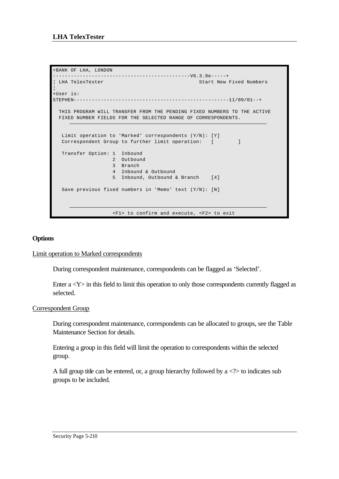```
+BANK OF LHA, LONDON 
----------------------------------------------V6.3.9e-----+
                                                Start New Fixed Numbers
¦
+User is: 
STEPHEN----------------------------------------------------11/09/01--+
  THIS PROGRAM WILL TRANSFER FROM THE PENDING FIXED NUMBERS TO THE ACTIVE 
  FIXED NUMBER FIELDS FOR THE SELECTED RANGE OF CORRESPONDENTS. 
   Limit operation to 'Marked' correspondents (Y/N): [Y] 
  Correspondent Group to further limit operation: [ ]
   Transfer Option: 1 Inbound 
                     2 Outbound 
                    3 Branch 
                    4 Inbound & Outbound 
                    5 Inbound, Outbound & Branch [4] 
   Save previous fixed numbers in 'Memo' text (Y/N): [N] 
                     <F1> to confirm and execute, <F2> to exit
```
# **Options**

### Limit operation to Marked correspondents

During correspondent maintenance, correspondents can be flagged as 'Selected'.

Enter  $a < Y$  in this field to limit this operation to only those correspondents currently flagged as selected.

# Correspondent Group

During correspondent maintenance, correspondents can be allocated to groups, see the Table Maintenance Section for details.

Entering a group in this field will limit the operation to correspondents within the selected group.

A full group title can be entered, or, a group hierarchy followed by  $a \ll 1$  to indicates sub groups to be included.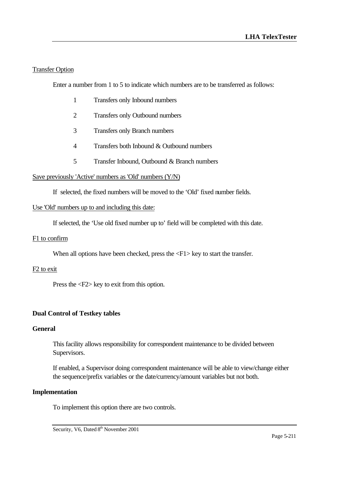# Transfer Option

Enter a number from 1 to 5 to indicate which numbers are to be transferred as follows:

- 1 Transfers only Inbound numbers
- 2 Transfers only Outbound numbers
- 3 Transfers only Branch numbers
- 4 Transfers both Inbound & Outbound numbers
- 5 Transfer Inbound, Outbound & Branch numbers

# Save previously 'Active' numbers as 'Old' numbers (Y/N)

If selected, the fixed numbers will be moved to the 'Old' fixed number fields.

## Use 'Old' numbers up to and including this date:

If selected, the 'Use old fixed number up to' field will be completed with this date.

## F1 to confirm

When all options have been checked, press the  $\langle F1 \rangle$  key to start the transfer.

### F2 to exit

Press the <F2> key to exit from this option.

# **Dual Control of Testkey tables**

### **General**

This facility allows responsibility for correspondent maintenance to be divided between Supervisors.

If enabled, a Supervisor doing correspondent maintenance will be able to view/change either the sequence/prefix variables or the date/currency/amount variables but not both.

### **Implementation**

To implement this option there are two controls.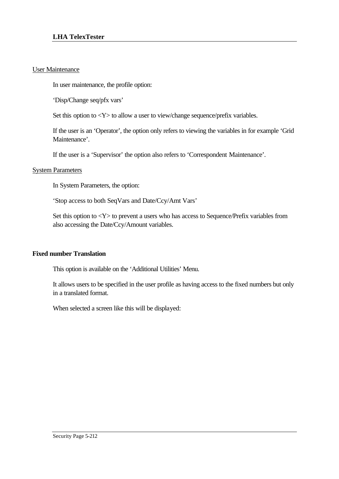## User Maintenance

In user maintenance, the profile option:

'Disp/Change seq/pfx vars'

Set this option to  $\langle Y \rangle$  to allow a user to view/change sequence/prefix variables.

If the user is an 'Operator', the option only refers to viewing the variables in for example 'Grid Maintenance'.

If the user is a 'Supervisor' the option also refers to 'Correspondent Maintenance'.

# System Parameters

In System Parameters, the option:

'Stop access to both SeqVars and Date/Ccy/Amt Vars'

Set this option to  $\langle Y \rangle$  to prevent a users who has access to Sequence/Prefix variables from also accessing the Date/Ccy/Amount variables.

# **Fixed number Translation**

This option is available on the 'Additional Utilities' Menu.

It allows users to be specified in the user profile as having access to the fixed numbers but only in a translated format.

When selected a screen like this will be displayed: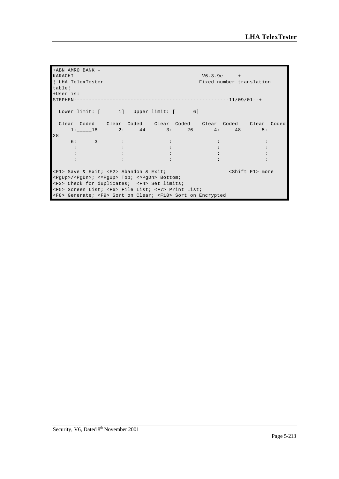```
+ABN AMRO BANK -
KARACHI-------------------------------------------V6.3.9e-----+
                                       Fixed number translation
table¦
+User is: 
STEPHEN----------------------------------------------------11/09/01--+
 Lower limit: [ 1] Upper limit: [ 6]
 Clear Coded Clear Coded Clear Coded Clear Coded Clear Coded
 1:_____18 2: 44 3: 26 4: 48 5: 
28
     6: 3 : : : :
 : : : : :
 : : : : :
 : : : : :
<F1> Save & Exit; <F2> Abandon & Exit; <separation of the set of the set of the set of the set of the set of the set of the set of the set of the set of the set of the set of the set of the set of the set of the set of the
<PgUp>/<PgDn>; <^PgUp> Top; <^PgDn> Bottom; 
<F3> Check for duplicates; <F4> Set limits; 
<F5> Screen List; <F6> File List; <F7> Print List; 
<F8> Generate; <F9> Sort on Clear; <F10> Sort on Encrypted
```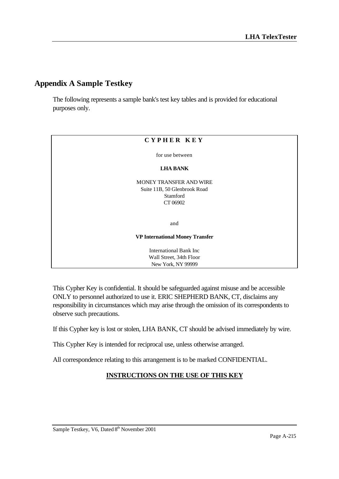## **Appendix A Sample Testkey**

The following represents a sample bank's test key tables and is provided for educational purposes only.

| CYPHER KEY                                                                      |
|---------------------------------------------------------------------------------|
| for use between                                                                 |
| <b>LHA BANK</b>                                                                 |
| MONEY TRANSFER AND WIRE<br>Suite 11B, 50 Glenbrook Road<br>Stamford<br>CT 06902 |
| and                                                                             |
| <b>VP International Money Transfer</b>                                          |
| <b>International Bank Inc</b><br>Wall Street, 34th Floor<br>New York, NY 99999  |

This Cypher Key is confidential. It should be safeguarded against misuse and be accessible ONLY to personnel authorized to use it. ERIC SHEPHERD BANK, CT, disclaims any responsibility in circumstances which may arise through the omission of its correspondents to observe such precautions.

If this Cypher key is lost or stolen, LHA BANK, CT should be advised immediately by wire.

This Cypher Key is intended for reciprocal use, unless otherwise arranged.

All correspondence relating to this arrangement is to be marked CONFIDENTIAL.

## **INSTRUCTIONS ON THE USE OF THIS KEY**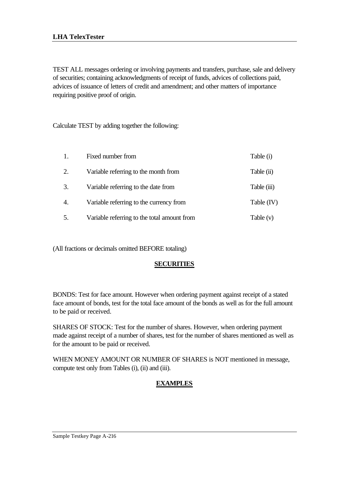TEST ALL messages ordering or involving payments and transfers, purchase, sale and delivery of securities; containing acknowledgments of receipt of funds, advices of collections paid, advices of issuance of letters of credit and amendment; and other matters of importance requiring positive proof of origin.

Calculate TEST by adding together the following:

| 1.               | Fixed number from                           | Table (i)    |
|------------------|---------------------------------------------|--------------|
| 2.               | Variable referring to the month from        | Table (ii)   |
| 3.               | Variable referring to the date from         | Table (iii)  |
| $\overline{4}$ . | Variable referring to the currency from     | Table $(IV)$ |
| 5.               | Variable referring to the total amount from | Table (v)    |

(All fractions or decimals omitted BEFORE totaling)

## **SECURITIES**

BONDS: Test for face amount. However when ordering payment against receipt of a stated face amount of bonds, test for the total face amount of the bonds as well as for the full amount to be paid or received.

SHARES OF STOCK: Test for the number of shares. However, when ordering payment made against receipt of a number of shares, test for the number of shares mentioned as well as for the amount to be paid or received.

WHEN MONEY AMOUNT OR NUMBER OF SHARES is NOT mentioned in message, compute test only from Tables (i), (ii) and (iii).

## **EXAMPLES**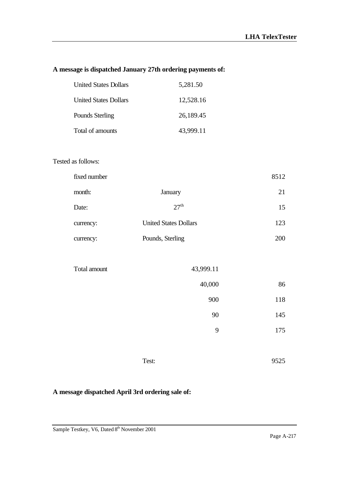## **A message is dispatched January 27th ordering payments of:**

| <b>United States Dollars</b> | 5,281.50  |
|------------------------------|-----------|
| <b>United States Dollars</b> | 12,528.16 |
| Pounds Sterling              | 26,189.45 |
| Total of amounts             | 43,999.11 |

## Tested as follows:

| fixed number |                              | 8512 |
|--------------|------------------------------|------|
| month:       | January                      | 21   |
| Date:        | 27 <sup>th</sup>             | 15   |
| currency:    | <b>United States Dollars</b> | 123  |
| currency:    | Pounds, Sterling             | 200  |

| Total amount | 43,999.11 |     |
|--------------|-----------|-----|
|              | 40,000    | 86  |
|              | 900       | 118 |
|              | 90        | 145 |
|              | 9         | 175 |
|              |           |     |

Test: 9525

## **A message dispatched April 3rd ordering sale of:**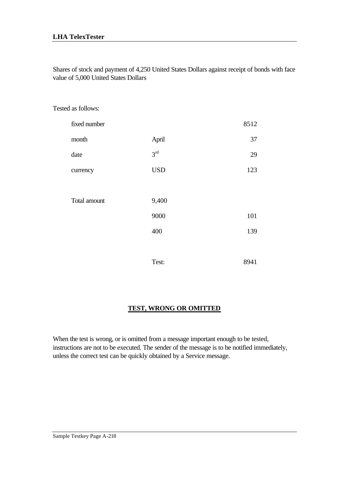## **LHA TelexTester**

Shares of stock and payment of 4,250 United States Dollars against receipt of bonds with face value of 5,000 United States Dollars

Tested as follows:

| fixed number |                 | 8512 |
|--------------|-----------------|------|
| month        | April           | 37   |
| date         | 3 <sup>rd</sup> | 29   |
| currency     | <b>USD</b>      | 123  |
|              |                 |      |
| Total amount | 9,400           |      |
|              | 9000            | 101  |
|              | 400             | 139  |
|              |                 |      |
|              | Test:           | 8941 |

## **TEST, WRONG OR OMITTED**

When the test is wrong, or is omitted from a message important enough to be tested, instructions are not to be executed. The sender of the message is to be notified immediately, unless the correct test can be quickly obtained by a Service message.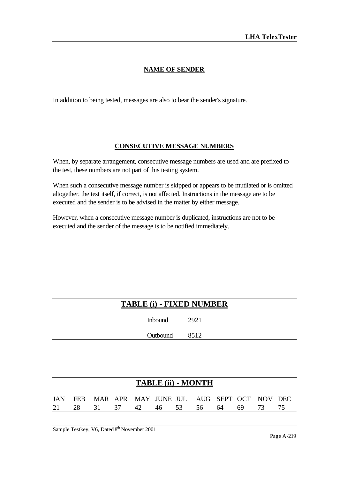## **NAME OF SENDER**

In addition to being tested, messages are also to bear the sender's signature.

## **CONSECUTIVE MESSAGE NUMBERS**

When, by separate arrangement, consecutive message numbers are used and are prefixed to the test, these numbers are not part of this testing system.

When such a consecutive message number is skipped or appears to be mutilated or is omitted altogether, the test itself, if correct, is not affected. Instructions in the message are to be executed and the sender is to be advised in the matter by either message.

However, when a consecutive message number is duplicated, instructions are not to be executed and the sender of the message is to be notified immediately.

| TABLE (i) - FIXED NUMBER |      |
|--------------------------|------|
| Inbound                  | 2921 |
| Outbound 8512            |      |

|  |  |  | <b>TABLE (ii) - MONTH</b>                          |  |  |
|--|--|--|----------------------------------------------------|--|--|
|  |  |  | JIAN FEB MAR APR MAY JUNE JUL AUG SEPT OCT NOV DEC |  |  |
|  |  |  | 21 28 31 37 42 46 53 56 64 69 73 75                |  |  |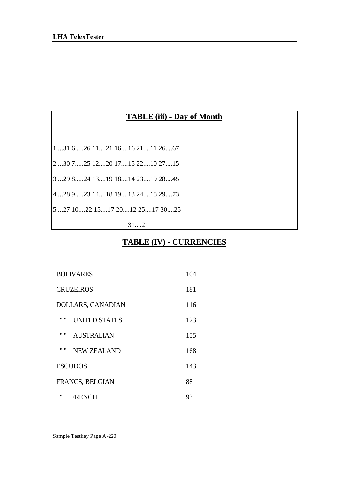## **TABLE (iii) - Day of Month**

1....31 6.....26 11....21 16....16 21....11 26....67

2 ...30 7.....25 12....20 17....15 22....10 27....15

3 ...29 8.....24 13....19 18....14 23....19 28....45

4 ...28 9.....23 14....18 19....13 24....18 29....73

5 ...27 10....22 15....17 20....12 25....17 30....25

31....21

## **TABLE (IV) - CURRENCIES**

| <b>BOLIVARES</b>              |     |
|-------------------------------|-----|
| <b>CRUZEIROS</b>              | 181 |
| DOLLARS, CANADIAN             |     |
| 11.11<br><b>UNITED STATES</b> | 123 |
| 11.11<br><b>AUSTRALIAN</b>    | 155 |
| 11.11<br><b>NEW ZEALAND</b>   | 168 |
| <b>ESCUDOS</b>                | 143 |
| FRANCS, BELGIAN<br>88         |     |
| "<br><b>FRENCH</b>            | 93  |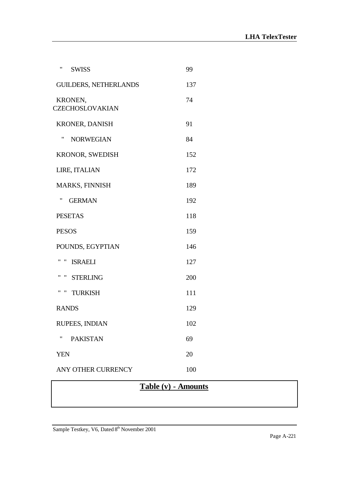| $^{\prime\prime}$<br><b>SWISS</b>        | 99  |
|------------------------------------------|-----|
| <b>GUILDERS, NETHERLANDS</b>             | 137 |
| KRONEN,<br><b>CZECHOSLOVAKIAN</b>        | 74  |
| <b>KRONER, DANISH</b>                    | 91  |
| "<br><b>NORWEGIAN</b>                    | 84  |
| <b>KRONOR, SWEDISH</b>                   | 152 |
| LIRE, ITALIAN                            | 172 |
| <b>MARKS, FINNISH</b>                    | 189 |
| 11<br><b>GERMAN</b>                      | 192 |
| <b>PESETAS</b>                           | 118 |
| <b>PESOS</b>                             | 159 |
| POUNDS, EGYPTIAN                         | 146 |
| $^{\bullet}$<br>"<br><b>ISRAELI</b>      | 127 |
| " STERLING                               | 200 |
| $^{\prime\prime}$<br>"<br><b>TURKISH</b> | 111 |
| <b>RANDS</b>                             | 129 |
| RUPEES, INDIAN                           | 102 |
| "<br><b>PAKISTAN</b>                     | 69  |
| <b>YEN</b>                               | 20  |
| ANY OTHER CURRENCY                       | 100 |
|                                          |     |

# **Table (v) - Amounts**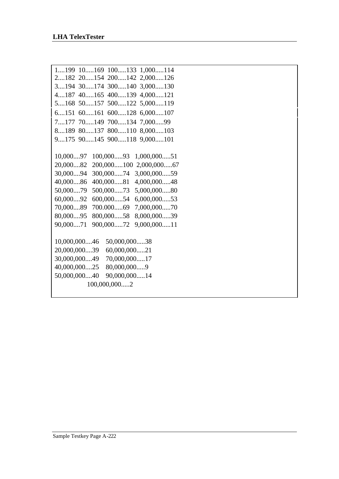| 1199 10169<br>100133 1,000114                |
|----------------------------------------------|
| 2182 20154<br>200142<br>2,000126             |
| 3194 30174<br>300140<br>3,000130             |
| 40165<br>400139<br>4,000121<br>4187          |
| 5,000119<br>50157<br>500122<br>5168          |
| $600$ 128<br>$6,000$ 107<br>6151<br>$60$ 161 |
| 70149<br>700134<br>7177<br>7,00099           |
| 8,000103<br>80137<br>800110<br>8189          |
| 90145<br>900118<br>9,000101<br>9175          |
|                                              |
| 10,00097<br>100,00093<br>$1,000,000$ 51      |
| 2,000,00067<br>20,00082<br>200,000100        |
| 30,00094<br>300,00074<br>3,000,00059         |
| 40,00086<br>400,00081<br>4,000,00048         |
| 5,000,00080<br>50,00079<br>500,00073         |
| 60,00092<br>6,000,00053<br>600,00054         |
| 70,00089<br>700.00069<br>7,000,00070         |
| 80,00095<br>8,000,00039<br>800,00058         |
| 90,00071<br>900,00072<br>9,000,00011         |
|                                              |
| 10,000,00046<br>50,000,00038                 |
| 60,000,00021<br>20,000,00039                 |
| 30,000,00049<br>70,000,00017                 |
| 40,000,00025<br>80,000,0009                  |
| 50,000,00040<br>90,000,00014                 |
| 100,000,0002                                 |
|                                              |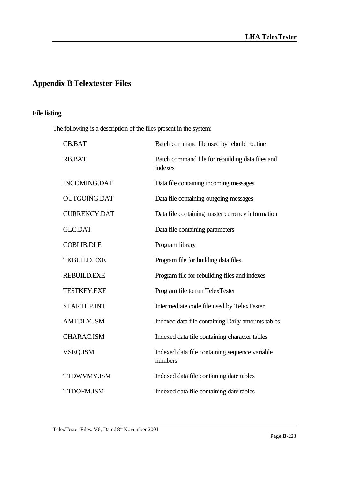# **Appendix B Telextester Files**

## **File listing**

The following is a description of the files present in the system:

| <b>CB.BAT</b>       | Batch command file used by rebuild routine                  |
|---------------------|-------------------------------------------------------------|
| RB.BAT              | Batch command file for rebuilding data files and<br>indexes |
| <b>INCOMING.DAT</b> | Data file containing incoming messages                      |
| <b>OUTGOING.DAT</b> | Data file containing outgoing messages                      |
| <b>CURRENCY.DAT</b> | Data file containing master currency information            |
| <b>GLC.DAT</b>      | Data file containing parameters                             |
| <b>COBLIB.DLE</b>   | Program library                                             |
| <b>TKBUILD.EXE</b>  | Program file for building data files                        |
| <b>REBUILD.EXE</b>  | Program file for rebuilding files and indexes               |
| <b>TESTKEY.EXE</b>  | Program file to run TelexTester                             |
| <b>STARTUP.INT</b>  | Intermediate code file used by TelexTester                  |
| <b>AMTDLY.ISM</b>   | Indexed data file containing Daily amounts tables           |
| <b>CHARAC.ISM</b>   | Indexed data file containing character tables               |
| VSEQ.ISM            | Indexed data file containing sequence variable<br>numbers   |
| TTDWVMY.ISM         | Indexed data file containing date tables                    |
| <b>TTDOFM.ISM</b>   | Indexed data file containing date tables                    |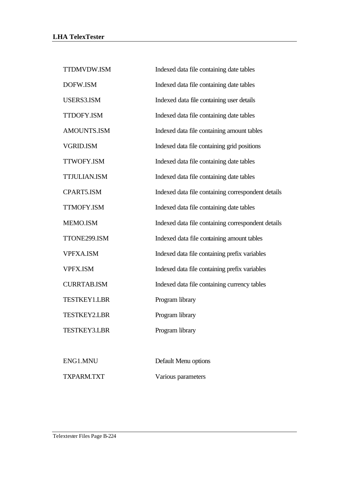| TTDMVDW.ISM         | Indexed data file containing date tables           |
|---------------------|----------------------------------------------------|
| DOFW.ISM            | Indexed data file containing date tables           |
| USERS3.ISM          | Indexed data file containing user details          |
| <b>TTDOFY.ISM</b>   | Indexed data file containing date tables           |
| AMOUNTS.ISM         | Indexed data file containing amount tables         |
| <b>VGRID.ISM</b>    | Indexed data file containing grid positions        |
| TTWOFY.ISM          | Indexed data file containing date tables           |
| <b>TTJULIAN.ISM</b> | Indexed data file containing date tables           |
| CPART5.ISM          | Indexed data file containing correspondent details |
| TTMOFY.ISM          | Indexed data file containing date tables           |
| MEMO.ISM            | Indexed data file containing correspondent details |
| TTONE299.ISM        | Indexed data file containing amount tables         |
| <b>VPFXA.ISM</b>    | Indexed data file containing prefix variables      |
| <b>VPFX.ISM</b>     | Indexed data file containing prefix variables      |
| <b>CURRTAB.ISM</b>  | Indexed data file containing currency tables       |
| <b>TESTKEY1.LBR</b> | Program library                                    |
| <b>TESTKEY2.LBR</b> | Program library                                    |
| <b>TESTKEY3.LBR</b> | Program library                                    |
|                     |                                                    |
| ENG1.MNU            | Default Menu options                               |
| TXPARM.TXT          | Various parameters                                 |

Telextester Files Page B-224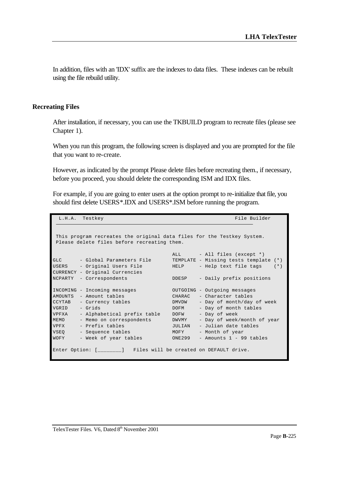In addition, files with an 'IDX' suffix are the indexes to data files. These indexes can be rebuilt using the file rebuild utility.

### **Recreating Files**

After installation, if necessary, you can use the TKBUILD program to recreate files (please see Chapter 1).

When you run this program, the following screen is displayed and you are prompted for the file that you want to re-create.

However, as indicated by the prompt Please delete files before recreating them., if necessary, before you proceed, you should delete the corresponding ISM and IDX files.

For example, if you are going to enter users at the option prompt to re-initialize that file, you should first delete USERS\*.IDX and USERS\*.ISM before running the program.

```
L.H.A. Testkey File Builder
 This program recreates the original data files for the Testkey System.
 Please delete files before recreating them.
                                 ALL - All files (except *)
GLC - Global Parameters File TEMPLATE - Missing tests template (*)
USERS - Original Users File HELP - Help text file tags (*)
CURRENCY - Original Currencies
NCPARTY - Correspondents DDESP - Daily prefix positions
INCOMING - Incoming messages OUTGOING - Outgoing messages
AMOUNTS - Amount tables CHARAC - Character tables
CCYTAB - Currency tables DMVDW - Day of month/day of week
VGRID - Grids DOFM - Day of month tables
VPFXA - Alphabetical prefix table DOFW - Day of week
MEMO - Memo on correspondents bWVMY - Day of week/month of year<br>VPFX - Prefix tables JULIAN - Julian date tables<br>VCFX - MORY - Month of year
VPFX - Prefix tables JULIAN - Julian date tables
VSEQ - Sequence tables MOFY - Month of year
WOFY - Week of year tables ONE299 - Amounts 1 - 99 tables
Enter Option: [________] Files will be created on DEFAULT drive.
```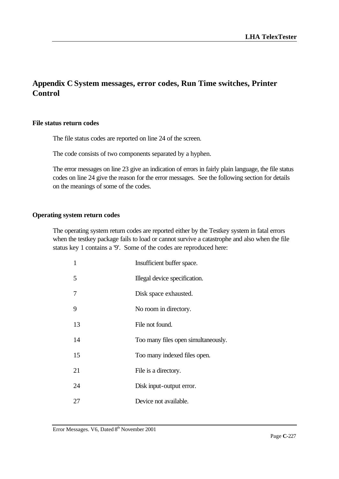## **Appendix C System messages, error codes, Run Time switches, Printer Control**

#### **File status return codes**

The file status codes are reported on line 24 of the screen.

The code consists of two components separated by a hyphen.

The error messages on line 23 give an indication of errors in fairly plain language, the file status codes on line 24 give the reason for the error messages. See the following section for details on the meanings of some of the codes.

### **Operating system return codes**

The operating system return codes are reported either by the Testkey system in fatal errors when the testkey package fails to load or cannot survive a catastrophe and also when the file status key 1 contains a '9'. Some of the codes are reproduced here:

| 1  | Insufficient buffer space.          |
|----|-------------------------------------|
| 5  | Illegal device specification.       |
| 7  | Disk space exhausted.               |
| 9  | No room in directory.               |
| 13 | File not found.                     |
| 14 | Too many files open simultaneously. |
| 15 | Too many indexed files open.        |
| 21 | File is a directory.                |
| 24 | Disk input-output error.            |
| 27 | Device not available.               |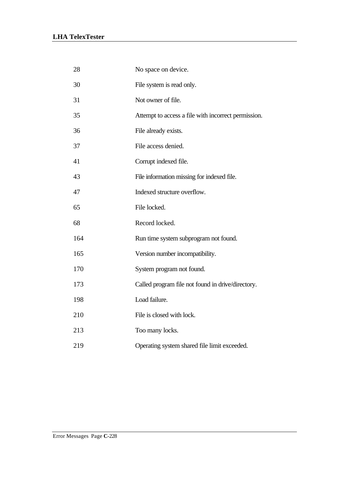| 28  | No space on device.                                 |
|-----|-----------------------------------------------------|
| 30  | File system is read only.                           |
| 31  | Not owner of file.                                  |
| 35  | Attempt to access a file with incorrect permission. |
| 36  | File already exists.                                |
| 37  | File access denied.                                 |
| 41  | Corrupt indexed file.                               |
| 43  | File information missing for indexed file.          |
| 47  | Indexed structure overflow.                         |
| 65  | File locked.                                        |
| 68  | Record locked.                                      |
| 164 | Run time system subprogram not found.               |
| 165 | Version number incompatibility.                     |
| 170 | System program not found.                           |
| 173 | Called program file not found in drive/directory.   |
| 198 | Load failure.                                       |
| 210 | File is closed with lock.                           |
| 213 | Too many locks.                                     |
| 219 | Operating system shared file limit exceeded.        |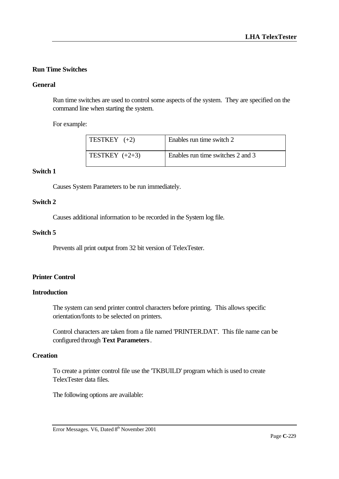## **Run Time Switches**

## **General**

Run time switches are used to control some aspects of the system. They are specified on the command line when starting the system.

For example:

| TESTKEY $(+2)$   | Enables run time switch 2         |
|------------------|-----------------------------------|
| TESTKEY $(+2+3)$ | Enables run time switches 2 and 3 |

## **Switch 1**

Causes System Parameters to be run immediately.

#### **Switch 2**

Causes additional information to be recorded in the System log file.

### **Switch 5**

Prevents all print output from 32 bit version of TelexTester.

## **Printer Control**

## **Introduction**

The system can send printer control characters before printing. This allows specific orientation/fonts to be selected on printers.

Control characters are taken from a file named 'PRINTER.DAT'. This file name can be configured through **Text Parameters**.

## **Creation**

To create a printer control file use the 'TKBUILD' program which is used to create TelexTester data files.

The following options are available:

Error Messages. V6, Dated 8<sup>th</sup> November 2001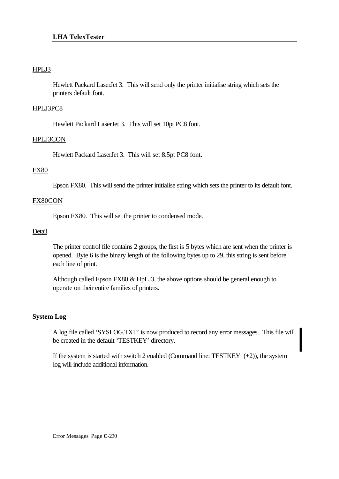## HPLJ3

Hewlett Packard LaserJet 3. This will send only the printer initialise string which sets the printers default font.

## HPLJ3PC8

Hewlett Packard LaserJet 3. This will set 10pt PC8 font.

## HPLJ3CON

Hewlett Packard LaserJet 3. This will set 8.5pt PC8 font.

## FX80

Epson FX80. This will send the printer initialise string which sets the printer to its default font.

### FX80CON

Epson FX80. This will set the printer to condensed mode.

### Detail

The printer control file contains 2 groups, the first is 5 bytes which are sent when the printer is opened. Byte 6 is the binary length of the following bytes up to 29, this string is sent before each line of print.

Although called Epson FX80 & HpLJ3, the above options should be general enough to operate on their entire families of printers.

## **System Log**

A log file called 'SYSLOG.TXT' is now produced to record any error messages. This file will be created in the default 'TESTKEY' directory.

If the system is started with switch 2 enabled (Command line: TESTKEY  $(+2)$ ), the system log will include additional information.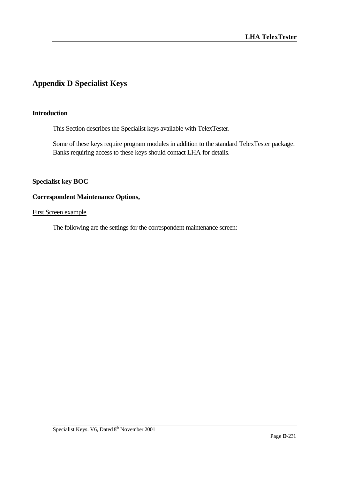## **Appendix D Specialist Keys**

## **Introduction**

This Section describes the Specialist keys available with TelexTester.

Some of these keys require program modules in addition to the standard TelexTester package. Banks requiring access to these keys should contact LHA for details.

## **Specialist key BOC**

## **Correspondent Maintenance Options,**

#### First Screen example

The following are the settings for the correspondent maintenance screen: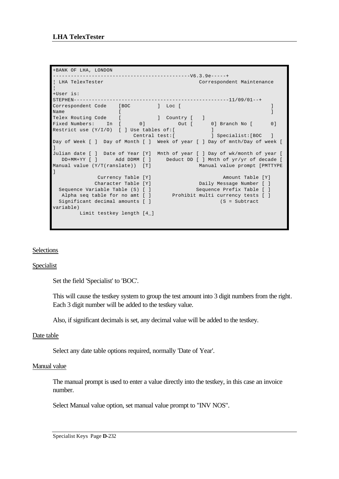```
+BANK OF LHA, LONDON 
----------------------------------------------V6.3.9e-----+
¦ LHA TelexTester Correspondent Maintenance 
¦
+User is: 
STEPHEN----------------------------------------------------11/09/01--+
Correspondent Code [BOC ] Loc [ ]
Name [\quadTelex Routing Code [ ] [ ] Country [ ]
Fixed Numbers: In [ 0] Out [ 0] Branch No [ 0]
Restrict use (Y/I/O) [ ] Use tables of:[ ]
 Central test:[ ] Specialist:[BOC ]
Day of Week [ ] Day of Month [ ] Week of year [ ] Day of mnth/Day of week [ 
]
Julian date [ ] Date of Year [Y] Mnth of year [ ] Day of wk/month of year [ 
 DD+MM+YY [ ] Add DDMM [ ] Deduct DD [ ] Mnth of yr/yr of decade [ 
Manual value (Y/T(ranslate)) [T] Manual value prompt [PMTTYPE 
]
 Currency Table [Y] Amount Table [Y]
 Character Table [Y] Daily Message Number [ ]
Sequence Variable Table (S) [ ] Sequence Prefix Table [ ]
Alpha seq table for no amt [ ] Prohibit multi currency tests [ ]
Significant decimal amounts [ ] (S = Subtract
variable)
       Limit testkey length [4_]
```
## Selections

### Specialist

Set the field 'Specialist' to 'BOC'.

This will cause the testkey system to group the test amount into 3 digit numbers from the right. Each 3 digit number will be added to the testkey value.

Also, if significant decimals is set, any decimal value will be added to the testkey.

### Date table

Select any date table options required, normally 'Date of Year'.

### Manual value

The manual prompt is used to enter a value directly into the testkey, in this case an invoice number.

Select Manual value option, set manual value prompt to "INV NOS".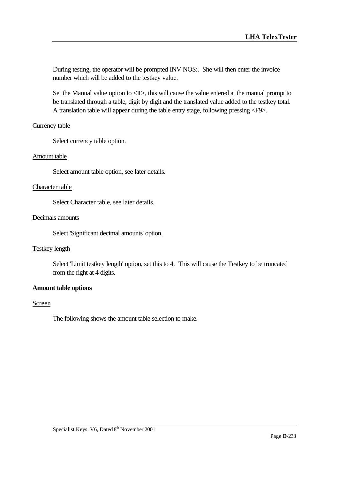During testing, the operator will be prompted INV NOS:. She will then enter the invoice number which will be added to the testkey value.

Set the Manual value option to  $\langle T \rangle$ , this will cause the value entered at the manual prompt to be translated through a table, digit by digit and the translated value added to the testkey total. A translation table will appear during the table entry stage, following pressing <F9>.

### Currency table

Select currency table option.

#### Amount table

Select amount table option, see later details.

#### Character table

Select Character table, see later details.

#### Decimals amounts

Select 'Significant decimal amounts' option.

#### Testkey length

Select 'Limit testkey length' option, set this to 4. This will cause the Testkey to be truncated from the right at 4 digits.

### **Amount table options**

#### Screen

The following shows the amount table selection to make.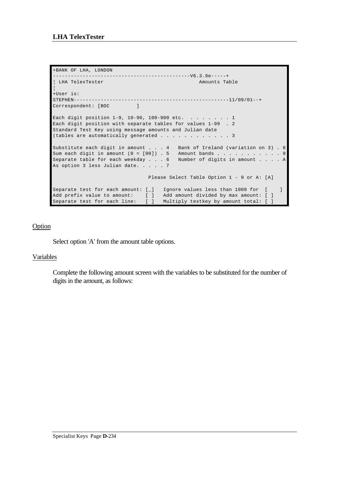```
+BANK OF LHA, LONDON 
 ----------------------------------------------V6.3.9e-----+
| LHA TelexTester Amounts Table
¦
+User is: 
STEPHEN----------------------------------------------------11/09/01--+
Correspondent: [BOC ]
Each digit position 1-9, 10-90, 100-900 etc. . . . . . . . 1
Each digit position with separate tables for values 1-99 . 2
Standard Test Key using message amounts and Julian date
(tables are automatically generated . . . . . . . . . . . 3
Substitute each digit in amount . . . 4 Bank of Ireland (variation on 3) . 8
Sum each digit in amount (0 = [00]) . 5 Amount bands . . . . . . . . . . . 9
Separate table for each weekday . . . 6 Number of digits in amount . . . . A
As option 3 less Julian date. . . . . 7
                               Please Select Table Option 1 - 9 or A: [A]
Separate test for each amount: [_] Ignore values less than 1000 for [ ]
Add prefix value to amount: [ ] Add amount divided by max amount: [ ]
Separate test for each line: [ ] Multiply testkey by amount total: [ ]
```
## Option

Select option 'A' from the amount table options.

## Variables

Complete the following amount screen with the variables to be substituted for the number of digits in the amount, as follows: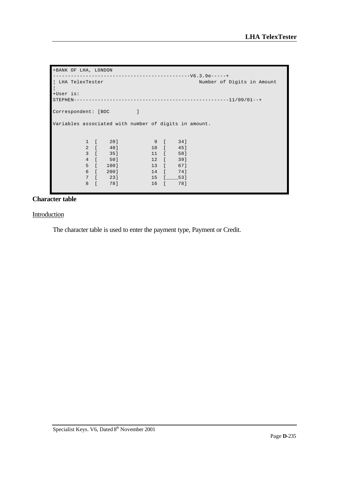```
+BANK OF LHA, LONDON 
----------------------------------------------V6.3.9e-----+
¦ LHA TelexTester Number of Digits in Amount 
¦
+User is: 
STEPHEN----------------------------------------------------11/09/01--+
Correspondent: [BOC ]
Variables associated with number of digits in amount.
 1 [ 20] 9 [ 34]
 2 [ 40] 10 [ 45]
 3 [ 35] 11 [ 58]
 4 [ 50] 12 [ 39]
 5 [ 100] 13 [ 67]
       6 [ 200] 14 [ 74]<br>7 [ 23] 15 [ 53]
             7 [ 23] 15 [____53]
        8 [ 78] 16 [ 78]
```
## **Character table**

#### Introduction

The character table is used to enter the payment type, Payment or Credit.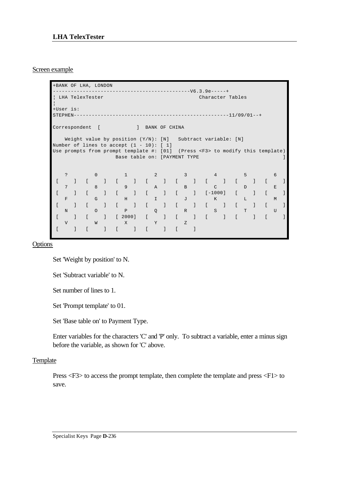### Screen example

+BANK OF LHA, LONDON ----------------------------------------------V6.3.9e-----+ ¦ LHA TelexTester Character Tables ¦ +User is: STEPHEN----------------------------------------------------11/09/01--+ Correspondent [ ] BANK OF CHINA Weight value by position (Y/N): [N] Subtract variable: [N] Number of lines to accept  $(1 - 10)$ : [ 1] Use prompts from prompt template #: [01] (Press <F3> to modify this template) Base table on: [PAYMENT TYPE ] ? 0 1 2 3 4 5 6 [ ] [ ] [ ] [ ] [ ] [ ] [ ] [ ] 7 8 9 A B C D E [ ] [ ] [ ] [ ] [ ] [-1000] [ ] [ ] F G H I J K L M [ ] [ ] [ ] [ ] [ ] [ ] [ ] [ ] N O P Q R S T U [ ] [ ] [ 2000] [ ] [ ] [ ] [ ] [ ] V W X Y Z [ ] [ ] [ ] [ ] [ ]

**Options** 

Set 'Weight by position' to N.

Set 'Subtract variable' to N.

Set number of lines to 1.

Set 'Prompt template' to 01.

Set 'Base table on' to Payment Type.

Enter variables for the characters 'C' and 'P' only. To subtract a variable, enter a minus sign before the variable, as shown for 'C' above.

### **Template**

Press <F3> to access the prompt template, then complete the template and press <F1> to save.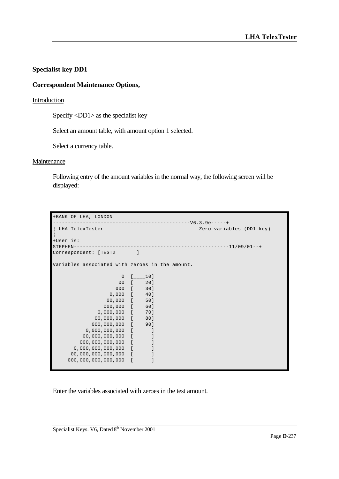## **Specialist key DD1**

## **Correspondent Maintenance Options,**

## **Introduction**

Specify <DD1> as the specialist key

Select an amount table, with amount option 1 selected.

Select a currency table.

### **Maintenance**

Following entry of the amount variables in the normal way, the following screen will be displayed:

| +BANK OF LHA, LONDON                            |                |                   |                                                                      |
|-------------------------------------------------|----------------|-------------------|----------------------------------------------------------------------|
| LHA TelexTester                                 |                |                   | ---------------------------V6.3.9e-----+<br>Zero variables (DD1 key) |
| +User is:<br>STEPHEN-                           |                |                   |                                                                      |
| Correspondent: [TEST2 ]                         |                |                   |                                                                      |
| Variables associated with zeroes in the amount. |                |                   |                                                                      |
|                                                 |                | $0 \quad [\_\_1]$ |                                                                      |
| $00$ [                                          |                | 20]               |                                                                      |
|                                                 |                | 000 [ 30]         |                                                                      |
| $0,000$ [                                       |                | 40]               |                                                                      |
| 00,000 [                                        |                | 50]               |                                                                      |
| 000,000 [                                       |                | 60]               |                                                                      |
| $0,000,000$ [ 70]                               |                |                   |                                                                      |
| 00,000,000 [ 80]                                |                |                   |                                                                      |
| 000,000,000 [ 90]                               |                |                   |                                                                      |
| $0,000,000,000$ [                               |                | - 1               |                                                                      |
| $00,000,000,000$ [                              |                | -1                |                                                                      |
| $000, 000, 000, 000$ [                          |                | $\mathbf{I}$      |                                                                      |
| $0,000,000,000,000$ [                           |                |                   |                                                                      |
| $00,000,000,000,000$ [                          |                | J                 |                                                                      |
| 000, 000, 000, 000, 000                         | $\blacksquare$ |                   |                                                                      |
|                                                 |                |                   |                                                                      |

Enter the variables associated with zeroes in the test amount.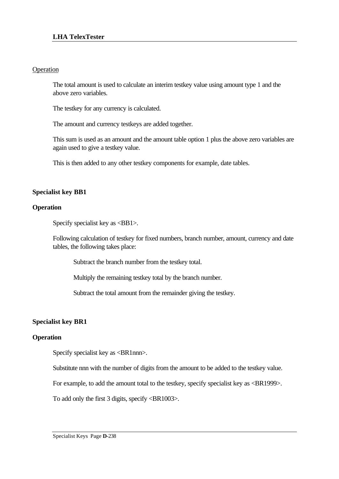## Operation

The total amount is used to calculate an interim testkey value using amount type 1 and the above zero variables.

The testkey for any currency is calculated.

The amount and currency testkeys are added together.

This sum is used as an amount and the amount table option 1 plus the above zero variables are again used to give a testkey value.

This is then added to any other testkey components for example, date tables.

## **Specialist key BB1**

## **Operation**

Specify specialist key as <BB1>.

Following calculation of testkey for fixed numbers, branch number, amount, currency and date tables, the following takes place:

Subtract the branch number from the testkey total.

Multiply the remaining testkey total by the branch number.

Subtract the total amount from the remainder giving the testkey.

## **Specialist key BR1**

## **Operation**

Specify specialist key as <BR1nnn>.

Substitute nnn with the number of digits from the amount to be added to the testkey value.

For example, to add the amount total to the testkey, specify specialist key as <BR1999>.

To add only the first 3 digits, specify <BR1003>.

Specialist Keys Page **D**-238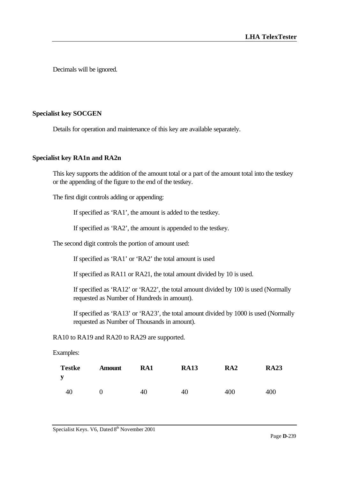Decimals will be ignored.

## **Specialist key SOCGEN**

Details for operation and maintenance of this key are available separately.

### **Specialist key RA1n and RA2n**

This key supports the addition of the amount total or a part of the amount total into the testkey or the appending of the figure to the end of the testkey.

The first digit controls adding or appending:

If specified as 'RA1', the amount is added to the testkey.

If specified as 'RA2', the amount is appended to the testkey.

The second digit controls the portion of amount used:

If specified as 'RA1' or 'RA2' the total amount is used

If specified as RA11 or RA21, the total amount divided by 10 is used.

If specified as 'RA12' or 'RA22', the total amount divided by 100 is used (Normally requested as Number of Hundreds in amount).

If specified as 'RA13' or 'RA23', the total amount divided by 1000 is used (Normally requested as Number of Thousands in amount).

RA10 to RA19 and RA20 to RA29 are supported.

Examples:

| <b>Testke</b><br>y | <b>Amount</b> | RA1 | <b>RA13</b> | RA <sub>2</sub> | <b>RA23</b> |
|--------------------|---------------|-----|-------------|-----------------|-------------|
| 40                 |               | 40  | 40          | 400             | 400         |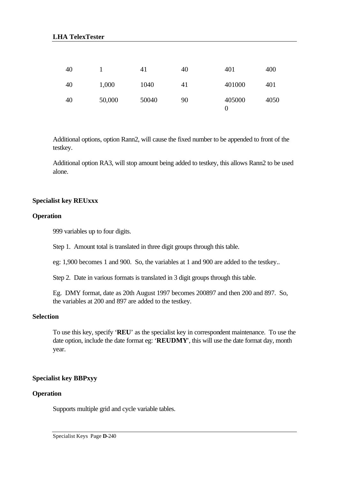| 40 |        | 41    | 40 | 401         | 400  |
|----|--------|-------|----|-------------|------|
| 40 | 1,000  | 1040  | 41 | 401000      | 401  |
| 40 | 50,000 | 50040 | 90 | 405000<br>0 | 4050 |

Additional options, option Rann2, will cause the fixed number to be appended to front of the testkey.

Additional option RA3, will stop amount being added to testkey, this allows Rann2 to be used alone.

### **Specialist key REUxxx**

## **Operation**

999 variables up to four digits.

Step 1. Amount total is translated in three digit groups through this table.

eg: 1,900 becomes 1 and 900. So, the variables at 1 and 900 are added to the testkey..

Step 2. Date in various formats is translated in 3 digit groups through this table.

Eg. DMY format, date as 20th August 1997 becomes 200897 and then 200 and 897. So, the variables at 200 and 897 are added to the testkey.

## **Selection**

To use this key, specify '**REU**' as the specialist key in correspondent maintenance. To use the date option, include the date format eg: '**REUDMY**', this will use the date format day, month year.

## **Specialist key BBPxyy**

### **Operation**

Supports multiple grid and cycle variable tables.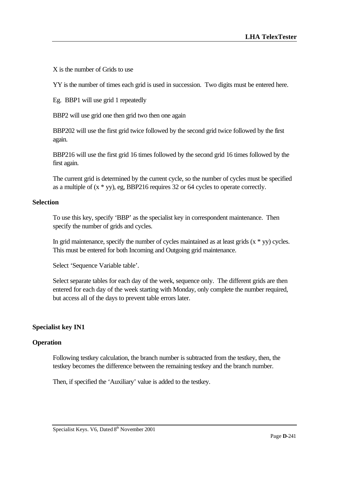X is the number of Grids to use

YY is the number of times each grid is used in succession. Two digits must be entered here.

Eg. BBP1 will use grid 1 repeatedly

BBP2 will use grid one then grid two then one again

BBP202 will use the first grid twice followed by the second grid twice followed by the first again.

BBP216 will use the first grid 16 times followed by the second grid 16 times followed by the first again.

The current grid is determined by the current cycle, so the number of cycles must be specified as a multiple of (x \* yy), eg, BBP216 requires 32 or 64 cycles to operate correctly.

### **Selection**

To use this key, specify 'BBP' as the specialist key in correspondent maintenance. Then specify the number of grids and cycles.

In grid maintenance, specify the number of cycles maintained as at least grids  $(x * yy)$  cycles. This must be entered for both Incoming and Outgoing grid maintenance.

Select 'Sequence Variable table'.

Select separate tables for each day of the week, sequence only. The different grids are then entered for each day of the week starting with Monday, only complete the number required, but access all of the days to prevent table errors later.

## **Specialist key IN1**

### **Operation**

Following testkey calculation, the branch number is subtracted from the testkey, then, the testkey becomes the difference between the remaining testkey and the branch number.

Then, if specified the 'Auxiliary' value is added to the testkey.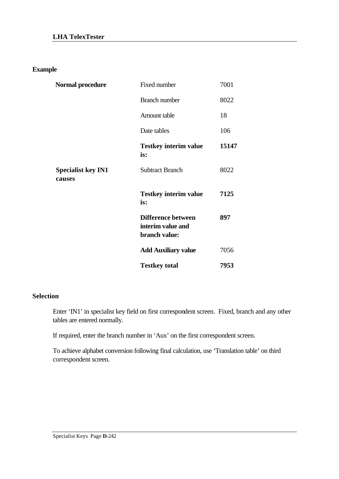**Example**

| Normal procedure                    | Fixed number                                                    | 7001  |
|-------------------------------------|-----------------------------------------------------------------|-------|
|                                     | <b>Branch number</b>                                            | 8022  |
|                                     | Amount table                                                    | 18    |
|                                     | Date tables                                                     | 106   |
|                                     | <b>Testkey interim value</b><br>is:                             | 15147 |
| <b>Specialist key IN1</b><br>causes | <b>Subtract Branch</b>                                          | 8022  |
|                                     | <b>Testkey interim value</b><br>is:                             | 7125  |
|                                     | <b>Difference between</b><br>interim value and<br>branch value: | 897   |
|                                     | <b>Add Auxiliary value</b>                                      | 7056  |
|                                     | <b>Testkey total</b>                                            | 7953  |

## **Selection**

Enter 'IN1' in specialist key field on first correspondent screen. Fixed, branch and any other tables are entered normally.

If required, enter the branch number in 'Aux' on the first correspondent screen.

To achieve alphabet conversion following final calculation, use 'Translation table' on third correspondent screen.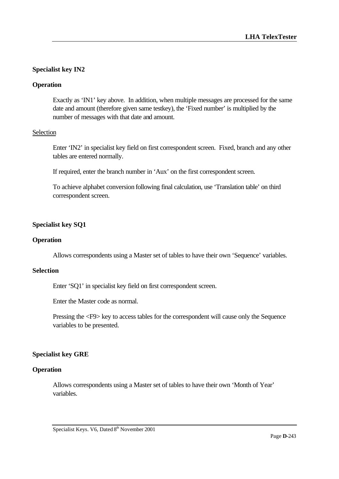## **Specialist key IN2**

## **Operation**

Exactly as 'IN1' key above. In addition, when multiple messages are processed for the same date and amount (therefore given same testkey), the 'Fixed number' is multiplied by the number of messages with that date and amount.

### Selection

Enter 'IN2' in specialist key field on first correspondent screen. Fixed, branch and any other tables are entered normally.

If required, enter the branch number in 'Aux' on the first correspondent screen.

To achieve alphabet conversion following final calculation, use 'Translation table' on third correspondent screen.

## **Specialist key SQ1**

## **Operation**

Allows correspondents using a Master set of tables to have their own 'Sequence' variables.

## **Selection**

Enter 'SQ1' in specialist key field on first correspondent screen.

Enter the Master code as normal.

Pressing the <F9> key to access tables for the correspondent will cause only the Sequence variables to be presented.

## **Specialist key GRE**

### **Operation**

Allows correspondents using a Master set of tables to have their own 'Month of Year' variables.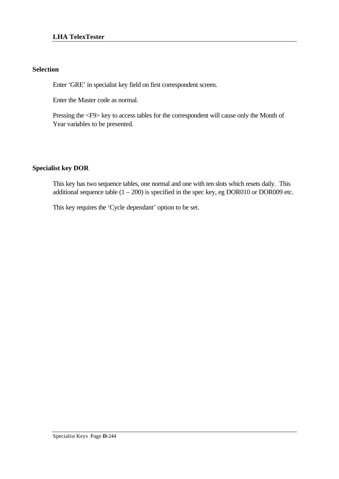## **Selection**

Enter 'GRE' in specialist key field on first correspondent screen.

Enter the Master code as normal.

Pressing the <F9> key to access tables for the correspondent will cause only the Month of Year variables to be presented.

## **Specialist key DOR**

This key has two sequence tables, one normal and one with ten slots which resets daily. This additional sequence table  $(1 - 200)$  is specified in the spec key, eg DOR010 or DOR009 etc.

This key requires the 'Cycle dependant' option to be set.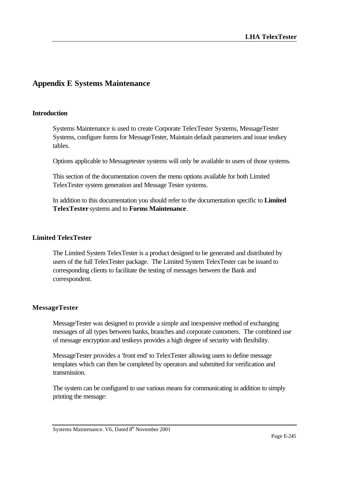## **Appendix E Systems Maintenance**

### **Introduction**

Systems Maintenance is used to create Corporate TelexTester Systems, MessageTester Systems, configure forms for MessageTester, Maintain default parameters and issue testkey tables.

Options applicable to Messagetester systems will only be available to users of those systems.

This section of the documentation covers the menu options available for both Limited TelexTester system generation and Message Tester systems.

In addition to this documentation you should refer to the documentation specific to **Limited TelexTester** systems and to **Forms Maintenance**.

## **Limited TelexTester**

The Limited System TelexTester is a product designed to be generated and distributed by users of the full TelexTester package. The Limited System TelexTester can be issued to corresponding clients to facilitate the testing of messages between the Bank and correspondent.

## **MessageTester**

MessageTester was designed to provide a simple and inexpensive method of exchanging messages of all types between banks, branches and corporate customers. The combined use of message encryption and testkeys provides a high degree of security with flexibility.

MessageTester provides a 'front end' to TelexTester allowing users to define message templates which can then be completed by operators and submitted for verification and transmission.

The system can be configured to use various means for communicating in addition to simply printing the message:

Systems Maintenance. V6, Dated 8<sup>th</sup> November 2001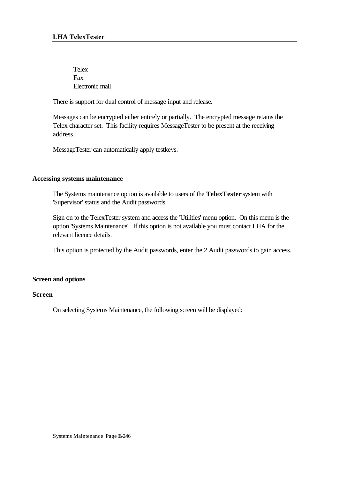Telex Fax Electronic mail

There is support for dual control of message input and release.

Messages can be encrypted either entirely or partially. The encrypted message retains the Telex character set. This facility requires MessageTester to be present at the receiving address.

MessageTester can automatically apply testkeys.

### **Accessing systems maintenance**

The Systems maintenance option is available to users of the **TelexTester** system with 'Supervisor' status and the Audit passwords.

Sign on to the TelexTester system and access the 'Utilities' menu option. On this menu is the option 'Systems Maintenance'. If this option is not available you must contact LHA for the relevant licence details.

This option is protected by the Audit passwords, enter the 2 Audit passwords to gain access.

### **Screen and options**

### **Screen**

On selecting Systems Maintenance, the following screen will be displayed: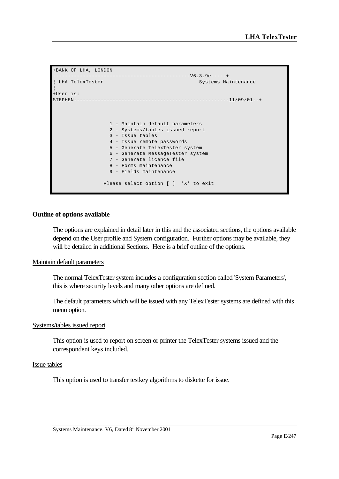+BANK OF LHA, LONDON ----------------------------------------------V6.3.9e-----+ Systems Maintenance ¦ +User is: STEPHEN----------------------------------------------------11/09/01--+ 1 - Maintain default parameters 2 - Systems/tables issued report 3 - Issue tables 4 - Issue remote passwords 5 - Generate TelexTester system 6 - Generate MessageTester system 7 - Generate licence file 8 - Forms maintenance 9 - Fields maintenance Please select option [ ] 'X' to exit

### **Outline of options available**

The options are explained in detail later in this and the associated sections, the options available depend on the User profile and System configuration. Further options may be available, they will be detailed in additional Sections. Here is a brief outline of the options.

#### Maintain default parameters

The normal TelexTester system includes a configuration section called 'System Parameters', this is where security levels and many other options are defined.

The default parameters which will be issued with any TelexTester systems are defined with this menu option.

#### Systems/tables issued report

This option is used to report on screen or printer the TelexTester systems issued and the correspondent keys included.

#### Issue tables

This option is used to transfer testkey algorithms to diskette for issue.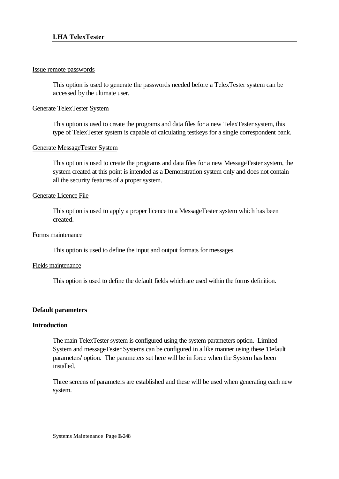### Issue remote passwords

This option is used to generate the passwords needed before a TelexTester system can be accessed by the ultimate user.

## Generate TelexTester System

This option is used to create the programs and data files for a new TelexTester system, this type of TelexTester system is capable of calculating testkeys for a single correspondent bank.

## Generate MessageTester System

This option is used to create the programs and data files for a new MessageTester system, the system created at this point is intended as a Demonstration system only and does not contain all the security features of a proper system.

### Generate Licence File

This option is used to apply a proper licence to a MessageTester system which has been created.

### Forms maintenance

This option is used to define the input and output formats for messages.

### Fields maintenance

This option is used to define the default fields which are used within the forms definition.

### **Default parameters**

### **Introduction**

The main TelexTester system is configured using the system parameters option. Limited System and messageTester Systems can be configured in a like manner using these 'Default parameters' option. The parameters set here will be in force when the System has been installed.

Three screens of parameters are established and these will be used when generating each new system.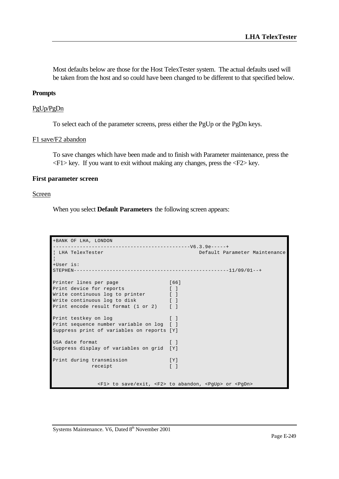Most defaults below are those for the Host TelexTester system. The actual defaults used will be taken from the host and so could have been changed to be different to that specified below.

#### **Prompts**

#### PgUp/PgDn

To select each of the parameter screens, press either the PgUp or the PgDn keys.

#### F1 save/F2 abandon

To save changes which have been made and to finish with Parameter maintenance, press the  $\langle F1 \rangle$  key. If you want to exit without making any changes, press the  $\langle F2 \rangle$  key.

#### **First parameter screen**

#### Screen

When you select **Default Parameters** the following screen appears:

```
+BANK OF LHA, LONDON 
----------------------------------------------V6.3.9e-----+
¦ LHA TelexTester Default Parameter Maintenance 
¦
+User is: 
STEPHEN----------------------------------------------------11/09/01--+
Printer lines per page [66]
Print device for reports [ ]
Write continuous log to printer [ ]
Write continuous log to disk [ ]
Print encode result format (1 or 2) [ ]
Print testkey on log [ ]
Print sequence number variable on log [ ]
Suppress print of variables on reports [Y]
USA date format [ ]
Suppress display of variables on grid [Y]
Print during transmission [Y]
          receipt [ ]
             <F1> to save/exit, <F2> to abandon, <PgUp> or <PgDn>
```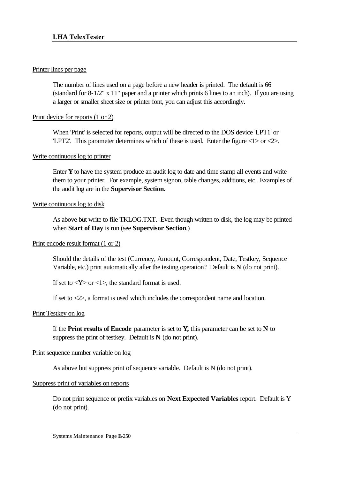## Printer lines per page

The number of lines used on a page before a new header is printed. The default is 66 (standard for 8-1/2" x 11" paper and a printer which prints 6 lines to an inch). If you are using a larger or smaller sheet size or printer font, you can adjust this accordingly.

## Print device for reports (1 or 2)

When 'Print' is selected for reports, output will be directed to the DOS device 'LPT1' or 'LPT2'. This parameter determines which of these is used. Enter the figure <1> or <2>.

## Write continuous log to printer

Enter **Y** to have the system produce an audit log to date and time stamp all events and write them to your printer. For example, system signon, table changes, additions, etc. Examples of the audit log are in the **Supervisor Section.**

## Write continuous log to disk

As above but write to file TKLOG.TXT. Even though written to disk, the log may be printed when **Start of Day** is run (see **Supervisor Section**.)

### Print encode result format (1 or 2)

Should the details of the test (Currency, Amount, Correspondent, Date, Testkey, Sequence Variable, etc.) print automatically after the testing operation? Default is **N** (do not print).

If set to  $\langle Y \rangle$  or  $\langle 1 \rangle$ , the standard format is used.

If set to <2>, a format is used which includes the correspondent name and location.

## Print Testkey on log

If the **Print results of Encode** parameter is set to **Y,** this parameter can be set to **N** to suppress the print of testkey. Default is **N** (do not print).

## Print sequence number variable on log

As above but suppress print of sequence variable. Default is N (do not print).

### Suppress print of variables on reports

Do not print sequence or prefix variables on **Next Expected Variables** report. Default is Y (do not print).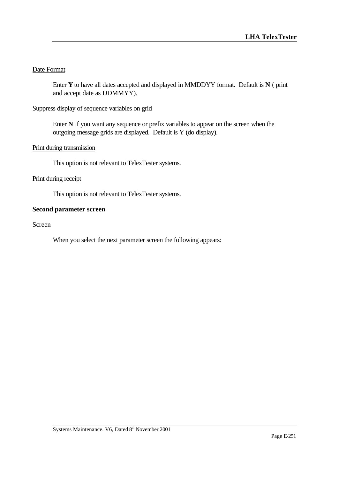# Date Format

Enter **Y** to have all dates accepted and displayed in MMDDYY format. Default is **N** ( print and accept date as DDMMYY).

# Suppress display of sequence variables on grid

Enter **N** if you want any sequence or prefix variables to appear on the screen when the outgoing message grids are displayed. Default is Y (do display).

# Print during transmission

This option is not relevant to TelexTester systems.

## Print during receipt

This option is not relevant to TelexTester systems.

### **Second parameter screen**

### **Screen**

When you select the next parameter screen the following appears: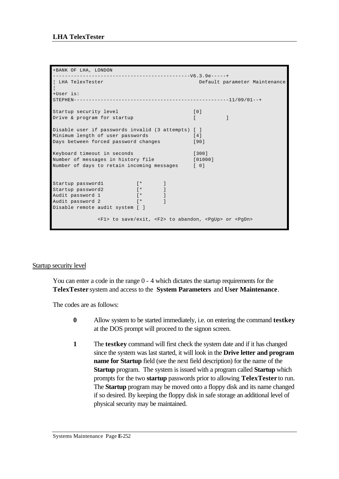```
+BANK OF LHA, LONDON 
----------------------------------------------V6.3.9e-----+
¦ LHA TelexTester Default parameter Maintenance 
¦
+User is: 
STEPHEN----------------------------------------------------11/09/01--+
Startup security level [0]
Drive & program for startup [ [ ]
Disable user if passwords invalid (3 attempts) [ ]
Minimum length of user passwords [4]
Days between forced password changes [90]
Keyboard timeout in seconds [300]
Number of messages in history file [01000]
Number of days to retain incoming messages [ 0]
Startup password1 [* ]
Startup password2 [* ]
Audit password 1 [* ]
Audit password 2 [* ]
Disable remote audit system [ ]
            <F1> to save/exit, <F2> to abandon, <PgUp> or <PgDn>
```
### Startup security level

You can enter a code in the range 0 - 4 which dictates the startup requirements for the **TelexTester** system and access to the **System Parameters** and **User Maintenance**.

The codes are as follows:

- **0** Allow system to be started immediately, i.e. on entering the command **testkey** at the DOS prompt will proceed to the signon screen.
- **1** The **testkey** command will first check the system date and if it has changed since the system was last started, it will look in the **Drive letter and program name for Startup** field (see the next field description) for the name of the **Startup** program. The system is issued with a program called **Startup** which prompts for the two **startup** passwords prior to allowing **TelexTester** to run. The **Startup** program may be moved onto a floppy disk and its name changed if so desired. By keeping the floppy disk in safe storage an additional level of physical security may be maintained.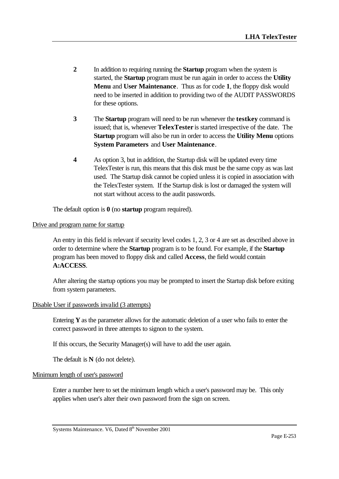- **2** In addition to requiring running the **Startup** program when the system is started, the **Startup** program must be run again in order to access the **Utility Menu** and **User Maintenance**. Thus as for code **1**, the floppy disk would need to be inserted in addition to providing two of the AUDIT PASSWORDS for these options.
- **3** The **Startup** program will need to be run whenever the **testkey** command is issued; that is, whenever **TelexTester** is started irrespective of the date. The **Startup** program will also be run in order to access the **Utility Menu** options **System Parameters** and **User Maintenance**.
- **4** As option 3, but in addition, the Startup disk will be updated every time TelexTester is run, this means that this disk must be the same copy as was last used. The Startup disk cannot be copied unless it is copied in association with the TelexTester system. If the Startup disk is lost or damaged the system will not start without access to the audit passwords.

The default option is **0** (no **startup** program required).

### Drive and program name for startup

An entry in this field is relevant if security level codes 1, 2, 3 or 4 are set as described above in order to determine where the **Startup** program is to be found. For example, if the **Startup** program has been moved to floppy disk and called **Access**, the field would contain **A:ACCESS**.

After altering the startup options you may be prompted to insert the Startup disk before exiting from system parameters.

### Disable User if passwords invalid (3 attempts)

Entering **Y** as the parameter allows for the automatic deletion of a user who fails to enter the correct password in three attempts to signon to the system.

If this occurs, the Security Manager(s) will have to add the user again.

The default is **N** (do not delete).

### Minimum length of user's password

Enter a number here to set the minimum length which a user's password may be. This only applies when user's alter their own password from the sign on screen.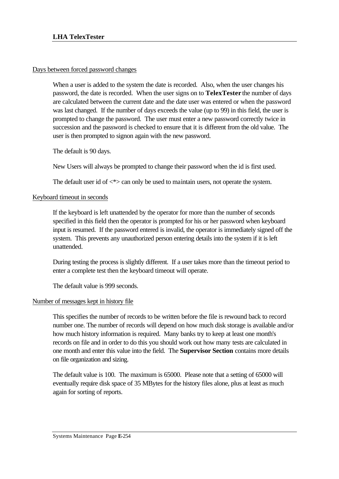# Days between forced password changes

When a user is added to the system the date is recorded. Also, when the user changes his password, the date is recorded. When the user signs on to **TelexTester** the number of days are calculated between the current date and the date user was entered or when the password was last changed. If the number of days exceeds the value (up to 99) in this field, the user is prompted to change the password. The user must enter a new password correctly twice in succession and the password is checked to ensure that it is different from the old value. The user is then prompted to signon again with the new password.

The default is 90 days.

New Users will always be prompted to change their password when the id is first used.

The default user id of  $\langle\cdot\rangle$  can only be used to maintain users, not operate the system.

# Keyboard timeout in seconds

If the keyboard is left unattended by the operator for more than the number of seconds specified in this field then the operator is prompted for his or her password when keyboard input is resumed. If the password entered is invalid, the operator is immediately signed off the system. This prevents any unauthorized person entering details into the system if it is left unattended.

During testing the process is slightly different. If a user takes more than the timeout period to enter a complete test then the keyboard timeout will operate.

The default value is 999 seconds.

### Number of messages kept in history file

This specifies the number of records to be written before the file is rewound back to record number one. The number of records will depend on how much disk storage is available and/or how much history information is required. Many banks try to keep at least one month's records on file and in order to do this you should work out how many tests are calculated in one month and enter this value into the field. The **Supervisor Section** contains more details on file organization and sizing.

The default value is 100. The maximum is 65000. Please note that a setting of 65000 will eventually require disk space of 35 MBytes for the history files alone, plus at least as much again for sorting of reports.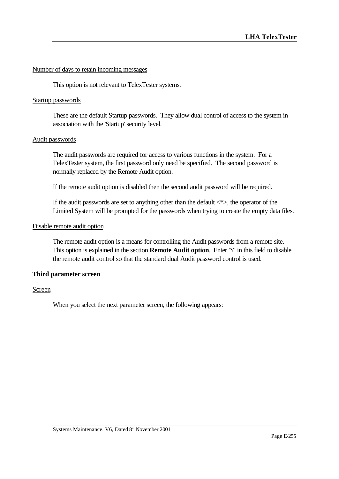## Number of days to retain incoming messages

This option is not relevant to TelexTester systems.

### Startup passwords

These are the default Startup passwords. They allow dual control of access to the system in association with the 'Startup' security level.

#### Audit passwords

The audit passwords are required for access to various functions in the system. For a TelexTester system, the first password only need be specified. The second password is normally replaced by the Remote Audit option.

If the remote audit option is disabled then the second audit password will be required.

If the audit passwords are set to anything other than the default  $\langle * \rangle$ , the operator of the Limited System will be prompted for the passwords when trying to create the empty data files.

#### Disable remote audit option

The remote audit option is a means for controlling the Audit passwords from a remote site. This option is explained in the section **Remote Audit option**. Enter 'Y' in this field to disable the remote audit control so that the standard dual Audit password control is used.

### **Third parameter screen**

## Screen

When you select the next parameter screen, the following appears: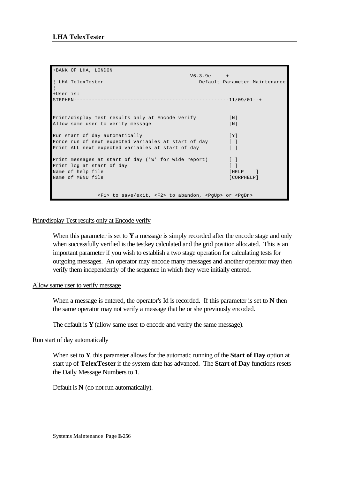```
+BANK OF LHA, LONDON 
----------------------------------------------V6.3.9e-----+
¦ LHA TelexTester Default Parameter Maintenance 
¦
+User is: 
STRPHEN------------------------------------------------------11/09/01--+Print/display Test results only at Encode verify [N]
Allow same user to verify message [N]
Run start of day automatically example of [Y]Force run of next expected variables at start of day [ ]
Print ALL next expected variables at start of day [ ]
Print messages at start of day ('W' for wide report) [ ]
Print log at start of day [ ]
Name of help file [HELP ]
Name of MENU file [CORPHELP]
            <F1> to save/exit, <F2> to abandon, <PgUp> or <PgDn>
```
# Print/display Test results only at Encode verify

When this parameter is set to **Y** a message is simply recorded after the encode stage and only when successfully verified is the testkey calculated and the grid position allocated. This is an important parameter if you wish to establish a two stage operation for calculating tests for outgoing messages. An operator may encode many messages and another operator may then verify them independently of the sequence in which they were initially entered.

### Allow same user to verify message

When a message is entered, the operator's Id is recorded. If this parameter is set to **N** then the same operator may not verify a message that he or she previously encoded.

The default is  $Y$  (allow same user to encode and verify the same message).

# Run start of day automatically

When set to **Y**, this parameter allows for the automatic running of the **Start of Day** option at start up of **TelexTester** if the system date has advanced. The **Start of Day** functions resets the Daily Message Numbers to 1.

Default is **N** (do not run automatically).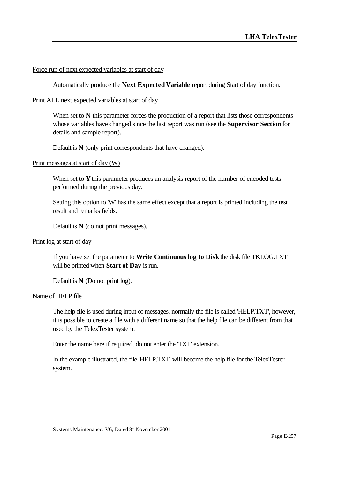# Force run of next expected variables at start of day

Automatically produce the **Next Expected Variable** report during Start of day function.

# Print ALL next expected variables at start of day

When set to N this parameter forces the production of a report that lists those correspondents whose variables have changed since the last report was run (see the **Supervisor Section** for details and sample report).

Default is **N** (only print correspondents that have changed).

### Print messages at start of day (W)

When set to **Y** this parameter produces an analysis report of the number of encoded tests performed during the previous day.

Setting this option to 'W' has the same effect except that a report is printed including the test result and remarks fields.

Default is **N** (do not print messages).

## Print log at start of day

If you have set the parameter to **Write Continuous log to Disk** the disk file TKLOG.TXT will be printed when **Start of Day** is run.

Default is **N** (Do not print log).

### Name of HELP file

The help file is used during input of messages, normally the file is called 'HELP.TXT', however, it is possible to create a file with a different name so that the help file can be different from that used by the TelexTester system.

Enter the name here if required, do not enter the 'TXT' extension.

In the example illustrated, the file 'HELP.TXT' will become the help file for the TelexTester system.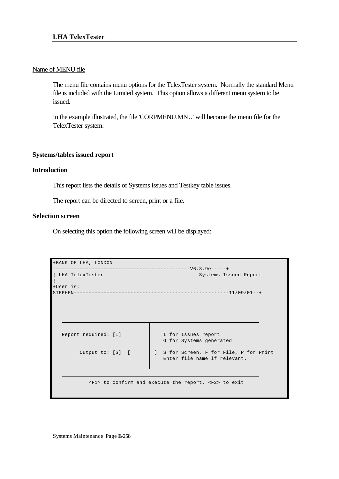## Name of MENU file

The menu file contains menu options for the TelexTester system. Normally the standard Menu file is included with the Limited system. This option allows a different menu system to be issued.

In the example illustrated, the file 'CORPMENU.MNU' will become the menu file for the TelexTester system.

# **Systems/tables issued report**

### **Introduction**

This report lists the details of Systems issues and Testkey table issues.

The report can be directed to screen, print or a file.

# **Selection screen**

On selecting this option the following screen will be displayed:

| +BANK OF LHA, LONDON |                                                                                      |
|----------------------|--------------------------------------------------------------------------------------|
|                      |                                                                                      |
| LHA TelexTester      | Systems Issued Report                                                                |
| +User is:            |                                                                                      |
|                      |                                                                                      |
|                      |                                                                                      |
|                      |                                                                                      |
|                      |                                                                                      |
|                      |                                                                                      |
|                      |                                                                                      |
|                      |                                                                                      |
|                      |                                                                                      |
| Report required: [I] | I for Issues report                                                                  |
|                      |                                                                                      |
|                      | G for Systems generated                                                              |
|                      |                                                                                      |
| Output to: [S] [     | ] S for Screen, F for File, P for Print                                              |
|                      | Enter file name if relevant.                                                         |
|                      |                                                                                      |
|                      |                                                                                      |
|                      |                                                                                      |
|                      |                                                                                      |
|                      | $\langle F1 \rangle$ to confirm and execute the report, $\langle F2 \rangle$ to exit |
|                      |                                                                                      |
|                      |                                                                                      |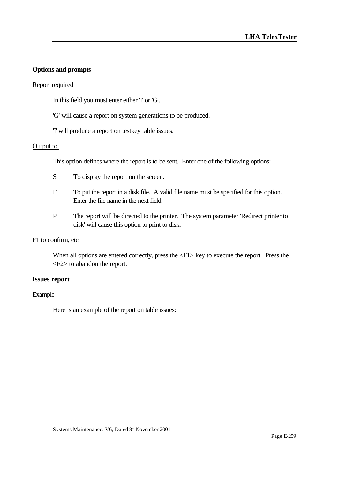# **Options and prompts**

# Report required

In this field you must enter either 'I' or 'G'.

- 'G' will cause a report on system generations to be produced.
- 'I' will produce a report on testkey table issues.

# Output to.

This option defines where the report is to be sent. Enter one of the following options:

- S To display the report on the screen.
- F To put the report in a disk file. A valid file name must be specified for this option. Enter the file name in the next field.
- P The report will be directed to the printer. The system parameter 'Redirect printer to disk' will cause this option to print to disk.

# F1 to confirm, etc

When all options are entered correctly, press the  $\langle F1 \rangle$  key to execute the report. Press the <F2> to abandon the report.

### **Issues report**

### Example

Here is an example of the report on table issues: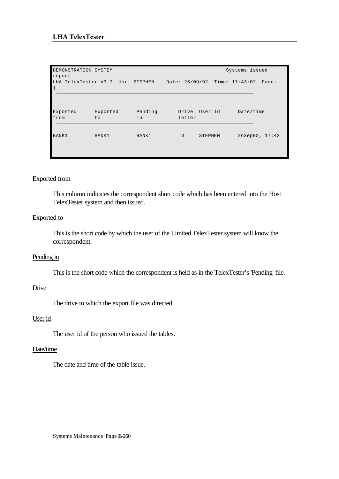| DEMONSTRATION SYSTEM<br>report |                                   |               |                               |                | Systems issued |  |
|--------------------------------|-----------------------------------|---------------|-------------------------------|----------------|----------------|--|
| $\mathbf{1}$                   | LHA TelexTester V3.7 Usr: STEPHEN |               | Date: 26/09/92 Time: 17:43:02 |                | Page:          |  |
| Exported<br>from               | Exported<br>to.                   | Pending<br>in | Drive<br>letter               | User id        | Date/time      |  |
| BANK1                          | BANK1                             | BANK1         | D                             | <b>STEPHEN</b> | 26Sep92, 17:42 |  |

# Exported from

This column indicates the correspondent short code which has been entered into the Host TelexTester system and then issued.

### Exported to

This is the short code by which the user of the Limited TelexTester system will know the correspondent.

### Pending in

This is the short code which the correspondent is held as in the TelexTester's 'Pending' file.

### **Drive**

The drive to which the export file was directed.

### User id

The user id of the person who issued the tables.

# Date/time

The date and time of the table issue.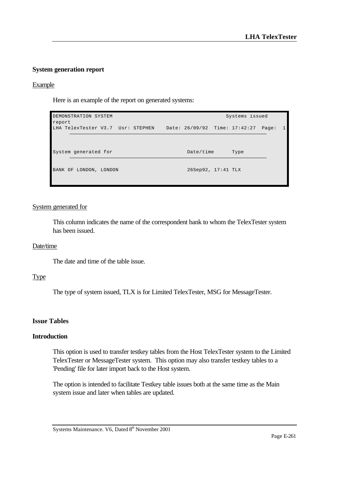# **System generation report**

### Example

Here is an example of the report on generated systems:

| DEMONSTRATION SYSTEM<br>report    | Systems issued                         |   |
|-----------------------------------|----------------------------------------|---|
| LHA TelexTester V3.7 Usr: STEPHEN | Date: 26/09/92 Time: 17:42:27<br>Page: | 1 |
|                                   |                                        |   |
| System generated for              | Date/time<br>Type                      |   |
| BANK OF LONDON, LONDON            | 26Sep92, 17:41 TLX                     |   |

#### System generated for

This column indicates the name of the correspondent bank to whom the TelexTester system has been issued.

#### Date/time

The date and time of the table issue.

### Type

The type of system issued, TLX is for Limited TelexTester, MSG for MessageTester.

# **Issue Tables**

## **Introduction**

This option is used to transfer testkey tables from the Host TelexTester system to the Limited TelexTester or MessageTester system. This option may also transfer testkey tables to a 'Pending' file for later import back to the Host system.

The option is intended to facilitate Testkey table issues both at the same time as the Main system issue and later when tables are updated.

Systems Maintenance. V6, Dated 8<sup>th</sup> November 2001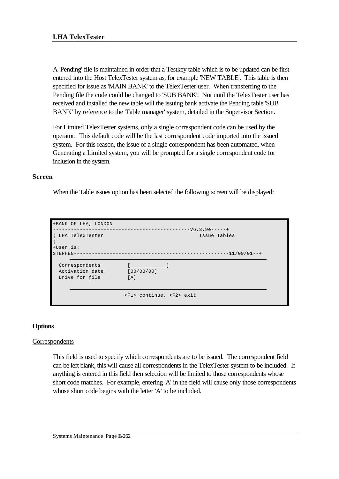A 'Pending' file is maintained in order that a Testkey table which is to be updated can be first entered into the Host TelexTester system as, for example 'NEW TABLE'. This table is then specified for issue as 'MAIN BANK' to the TelexTester user. When transferring to the Pending file the code could be changed to 'SUB BANK'. Not until the TelexTester user has received and installed the new table will the issuing bank activate the Pending table 'SUB BANK' by reference to the 'Table manager' system, detailed in the Supervisor Section.

For Limited TelexTester systems, only a single correspondent code can be used by the operator. This default code will be the last correspondent code imported into the issued system. For this reason, the issue of a single correspondent has been automated, when Generating a Limited system, you will be prompted for a single correspondent code for inclusion in the system.

# **Screen**

When the Table issues option has been selected the following screen will be displayed:

| +BANK OF LHA, LONDON<br>LHA TelexTester             | Issue Tables                       |  |  |
|-----------------------------------------------------|------------------------------------|--|--|
| +User is:<br>$STEPHEN---$                           |                                    |  |  |
| Correspondents<br>Activation date<br>Drive for file | [00/00/00]<br>[A]                  |  |  |
|                                                     | <f1> continue, <f2> exit</f2></f1> |  |  |

# **Options**

# Correspondents

This field is used to specify which correspondents are to be issued. The correspondent field can be left blank, this will cause all correspondents in the TelexTester system to be included. If anything is entered in this field then selection will be limited to those correspondents whose short code matches. For example, entering 'A' in the field will cause only those correspondents whose short code begins with the letter 'A' to be included.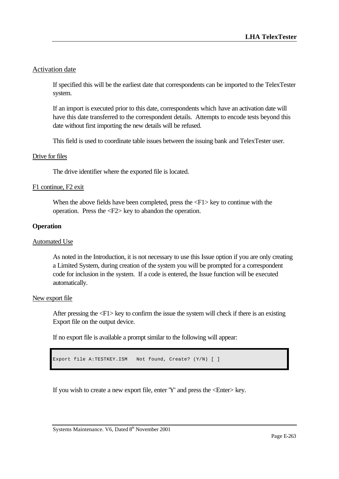# Activation date

If specified this will be the earliest date that correspondents can be imported to the TelexTester system.

If an import is executed prior to this date, correspondents which have an activation date will have this date transferred to the correspondent details. Attempts to encode tests beyond this date without first importing the new details will be refused.

This field is used to coordinate table issues between the issuing bank and TelexTester user.

### Drive for files

The drive identifier where the exported file is located.

# F1 continue, F2 exit

When the above fields have been completed, press the  $\langle F1 \rangle$  key to continue with the operation. Press the <F2> key to abandon the operation.

# **Operation**

## Automated Use

As noted in the Introduction, it is not necessary to use this Issue option if you are only creating a Limited System, during creation of the system you will be prompted for a correspondent code for inclusion in the system. If a code is entered, the Issue function will be executed automatically.

### New export file

After pressing the <F1> key to confirm the issue the system will check if there is an existing Export file on the output device.

If no export file is available a prompt similar to the following will appear:

```
Export file A:TESTKEY.ISM Not found, Create? (Y/N) [ ]
```
If you wish to create a new export file, enter 'Y' and press the <Enter> key.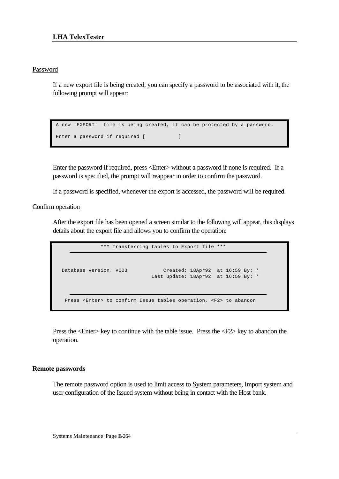# Password

If a new export file is being created, you can specify a password to be associated with it, the following prompt will appear:

```
 A new 'EXPORT' file is being created, it can be protected by a password.
Enter a password if required [ \qquad ]
```
Enter the password if required, press <Enter> without a password if none is required. If a password is specified, the prompt will reappear in order to confirm the password.

If a password is specified, whenever the export is accessed, the password will be required.

Confirm operation

After the export file has been opened a screen similar to the following will appear, this displays details about the export file and allows you to confirm the operation:

```
 *** Transferring tables to Export file ***
 Database version: VC03 Created: 18Apr92 at 16:59 By: *
 Last update: 18Apr92 at 16:59 By: *
    Press <Enter> to confirm Issue tables operation, <F2> to abandon
```
Press the <Enter> key to continue with the table issue. Press the <F2> key to abandon the operation.

### **Remote passwords**

The remote password option is used to limit access to System parameters, Import system and user configuration of the Issued system without being in contact with the Host bank.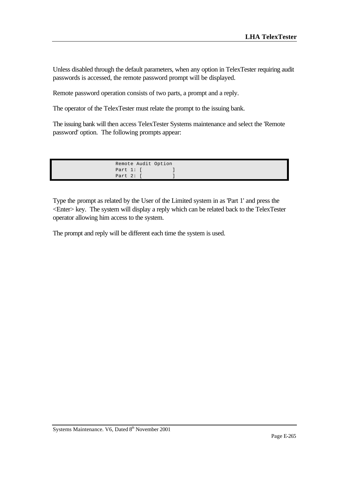Unless disabled through the default parameters, when any option in TelexTester requiring audit passwords is accessed, the remote password prompt will be displayed.

Remote password operation consists of two parts, a prompt and a reply.

The operator of the TelexTester must relate the prompt to the issuing bank.

The issuing bank will then access TelexTester Systems maintenance and select the 'Remote password' option. The following prompts appear:

| Remote Audit Option |  |  |
|---------------------|--|--|
| Part $1:$ [         |  |  |
| Part $2:$           |  |  |

Type the prompt as related by the User of the Limited system in as 'Part 1' and press the <Enter> key. The system will display a reply which can be related back to the TelexTester operator allowing him access to the system.

The prompt and reply will be different each time the system is used.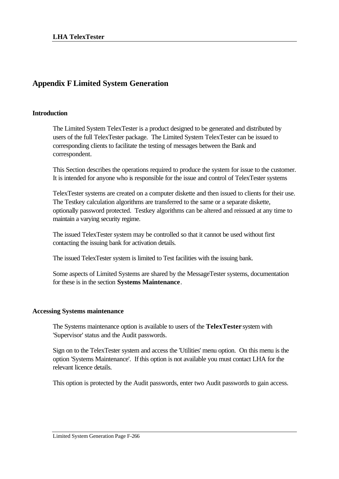# **Appendix F Limited System Generation**

# **Introduction**

The Limited System TelexTester is a product designed to be generated and distributed by users of the full TelexTester package. The Limited System TelexTester can be issued to corresponding clients to facilitate the testing of messages between the Bank and correspondent.

This Section describes the operations required to produce the system for issue to the customer. It is intended for anyone who is responsible for the issue and control of TelexTester systems

TelexTester systems are created on a computer diskette and then issued to clients for their use. The Testkey calculation algorithms are transferred to the same or a separate diskette, optionally password protected. Testkey algorithms can be altered and reissued at any time to maintain a varying security regime.

The issued TelexTester system may be controlled so that it cannot be used without first contacting the issuing bank for activation details.

The issued TelexTester system is limited to Test facilities with the issuing bank.

Some aspects of Limited Systems are shared by the MessageTester systems, documentation for these is in the section **Systems Maintenance**.

# **Accessing Systems maintenance**

The Systems maintenance option is available to users of the **TelexTester** system with 'Supervisor' status and the Audit passwords.

Sign on to the TelexTester system and access the 'Utilities' menu option. On this menu is the option 'Systems Maintenance'. If this option is not available you must contact LHA for the relevant licence details.

This option is protected by the Audit passwords, enter two Audit passwords to gain access.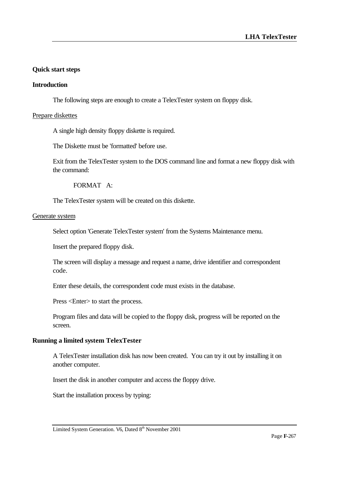# **Quick start steps**

## **Introduction**

The following steps are enough to create a TelexTester system on floppy disk.

### Prepare diskettes

A single high density floppy diskette is required.

The Diskette must be 'formatted' before use.

Exit from the TelexTester system to the DOS command line and format a new floppy disk with the command:

FORMAT A:

The TelexTester system will be created on this diskette.

#### Generate system

Select option 'Generate TelexTester system' from the Systems Maintenance menu.

Insert the prepared floppy disk.

The screen will display a message and request a name, drive identifier and correspondent code.

Enter these details, the correspondent code must exists in the database.

Press <Enter> to start the process.

Program files and data will be copied to the floppy disk, progress will be reported on the screen.

### **Running a limited system TelexTester**

A TelexTester installation disk has now been created. You can try it out by installing it on another computer.

Insert the disk in another computer and access the floppy drive.

Start the installation process by typing: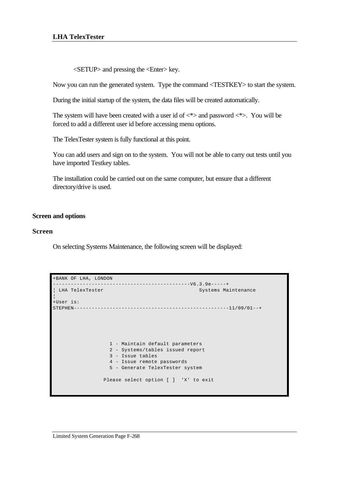## **LHA TelexTester**

<SETUP> and pressing the <Enter> key.

Now you can run the generated system. Type the command <TESTKEY> to start the system.

During the initial startup of the system, the data files will be created automatically.

The system will have been created with a user id of  $\langle * \rangle$  and password  $\langle * \rangle$ . You will be forced to add a different user id before accessing menu options.

The TelexTester system is fully functional at this point.

You can add users and sign on to the system. You will not be able to carry out tests until you have imported Testkey tables.

The installation could be carried out on the same computer, but ensure that a different directory/drive is used.

### **Screen and options**

#### **Screen**

On selecting Systems Maintenance, the following screen will be displayed:

```
+BANK OF LHA, LONDON 
                             ----------------------------------------------V6.3.9e-----+
¦ LHA TelexTester Systems Maintenance 
¦
+User is: 
STEPHEN----------------------------------------------------11/09/01--+
                    1 - Maintain default parameters
                   2 - Systems/tables issued report
                   3 - Issue tables
                   4 - Issue remote passwords
                   5 - Generate TelexTester system
                  Please select option [ ] 'X' to exit
```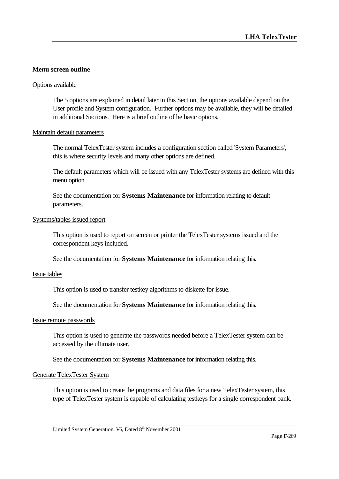# **Menu screen outline**

#### Options available

The 5 options are explained in detail later in this Section, the options available depend on the User profile and System configuration. Further options may be available, they will be detailed in additional Sections. Here is a brief outline of he basic options.

#### Maintain default parameters

The normal TelexTester system includes a configuration section called 'System Parameters', this is where security levels and many other options are defined.

The default parameters which will be issued with any TelexTester systems are defined with this menu option.

See the documentation for **Systems Maintenance** for information relating to default parameters.

#### Systems/tables issued report

This option is used to report on screen or printer the TelexTester systems issued and the correspondent keys included.

See the documentation for **Systems Maintenance** for information relating this.

#### Issue tables

This option is used to transfer testkey algorithms to diskette for issue.

See the documentation for **Systems Maintenance** for information relating this.

#### Issue remote passwords

This option is used to generate the passwords needed before a TelexTester system can be accessed by the ultimate user.

See the documentation for **Systems Maintenance** for information relating this.

#### Generate TelexTester System

This option is used to create the programs and data files for a new TelexTester system, this type of TelexTester system is capable of calculating testkeys for a single correspondent bank.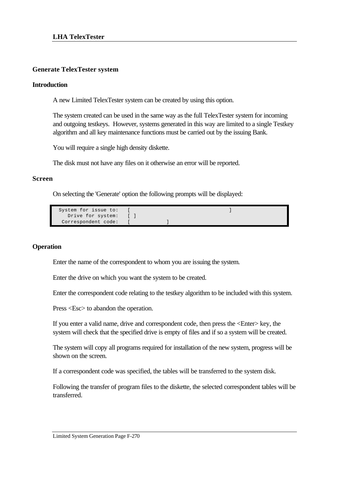# **Generate TelexTester system**

# **Introduction**

A new Limited TelexTester system can be created by using this option.

The system created can be used in the same way as the full TelexTester system for incoming and outgoing testkeys. However, systems generated in this way are limited to a single Testkey algorithm and all key maintenance functions must be carried out by the issuing Bank.

You will require a single high density diskette.

The disk must not have any files on it otherwise an error will be reported.

### **Screen**

On selecting the 'Generate' option the following prompts will be displayed:

```
System for issue to: [ ]
 Drive for system: [ ]
Correspondent code:
```
## **Operation**

Enter the name of the correspondent to whom you are issuing the system.

Enter the drive on which you want the system to be created.

Enter the correspondent code relating to the testkey algorithm to be included with this system.

Press <Esc> to abandon the operation.

If you enter a valid name, drive and correspondent code, then press the <Enter> key, the system will check that the specified drive is empty of files and if so a system will be created.

The system will copy all programs required for installation of the new system, progress will be shown on the screen.

If a correspondent code was specified, the tables will be transferred to the system disk.

Following the transfer of program files to the diskette, the selected correspondent tables will be transferred.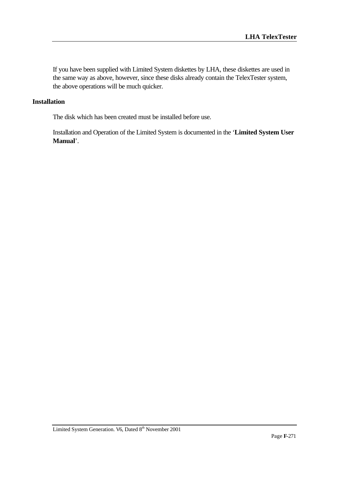If you have been supplied with Limited System diskettes by LHA, these diskettes are used in the same way as above, however, since these disks already contain the TelexTester system, the above operations will be much quicker.

## **Installation**

The disk which has been created must be installed before use.

Installation and Operation of the Limited System is documented in the '**Limited System User Manual**'.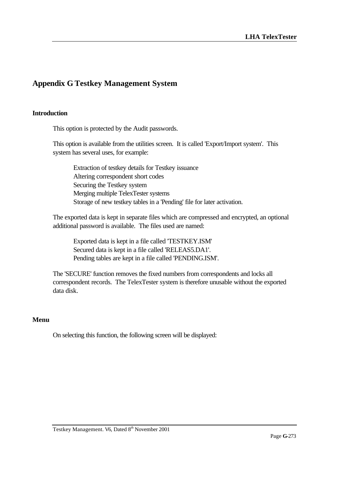# **Appendix G Testkey Management System**

# **Introduction**

This option is protected by the Audit passwords.

This option is available from the utilities screen. It is called 'Export/Import system'. This system has several uses, for example:

Extraction of testkey details for Testkey issuance Altering correspondent short codes Securing the Testkey system Merging multiple TelexTester systems Storage of new testkey tables in a 'Pending' file for later activation.

The exported data is kept in separate files which are compressed and encrypted, an optional additional password is available. The files used are named:

Exported data is kept in a file called 'TESTKEY.ISM' Secured data is kept in a file called 'RELEAS5.DA1'. Pending tables are kept in a file called 'PENDING.ISM'.

The 'SECURE' function removes the fixed numbers from correspondents and locks all correspondent records. The TelexTester system is therefore unusable without the exported data disk.

### **Menu**

On selecting this function, the following screen will be displayed: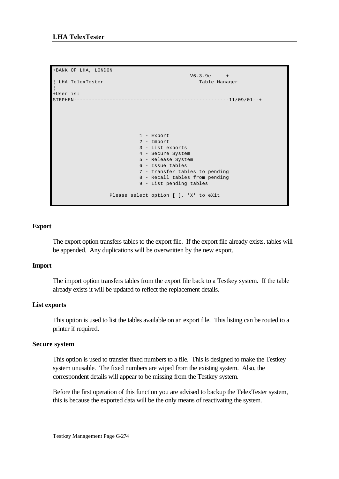```
+BANK OF LHA, LONDON 
----------------------------------------------V6.3.9e-----+
| LHA TelexTester Table Manager
¦
+User is: 
STEPHEN----------------------------------------------------11/09/01--+
                            1 - Export
                            2 - Import
                            3 - List exports
                            4 - Secure System
                            5 - Release System
                            6 - Issue tables
                            7 - Transfer tables to pending
                            8 - Recall tables from pending
                            9 - List pending tables
                   Please select option [ ], 'X' to eXit
```
# **Export**

The export option transfers tables to the export file. If the export file already exists, tables will be appended. Any duplications will be overwritten by the new export.

# **Import**

The import option transfers tables from the export file back to a Testkey system. If the table already exists it will be updated to reflect the replacement details.

# **List exports**

This option is used to list the tables available on an export file. This listing can be routed to a printer if required.

# **Secure system**

This option is used to transfer fixed numbers to a file. This is designed to make the Testkey system unusable. The fixed numbers are wiped from the existing system. Also, the correspondent details will appear to be missing from the Testkey system.

Before the first operation of this function you are advised to backup the TelexTester system, this is because the exported data will be the only means of reactivating the system.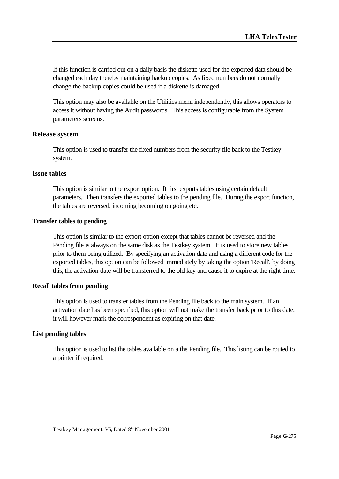If this function is carried out on a daily basis the diskette used for the exported data should be changed each day thereby maintaining backup copies. As fixed numbers do not normally change the backup copies could be used if a diskette is damaged.

This option may also be available on the Utilities menu independently, this allows operators to access it without having the Audit passwords. This access is configurable from the System parameters screens.

# **Release system**

This option is used to transfer the fixed numbers from the security file back to the Testkey system.

# **Issue tables**

This option is similar to the export option. It first exports tables using certain default parameters. Then transfers the exported tables to the pending file. During the export function, the tables are reversed, incoming becoming outgoing etc.

## **Transfer tables to pending**

This option is similar to the export option except that tables cannot be reversed and the Pending file is always on the same disk as the Testkey system. It is used to store new tables prior to them being utilized. By specifying an activation date and using a different code for the exported tables, this option can be followed immediately by taking the option 'Recall', by doing this, the activation date will be transferred to the old key and cause it to expire at the right time.

### **Recall tables from pending**

This option is used to transfer tables from the Pending file back to the main system. If an activation date has been specified, this option will not make the transfer back prior to this date, it will however mark the correspondent as expiring on that date.

### **List pending tables**

This option is used to list the tables available on a the Pending file. This listing can be routed to a printer if required.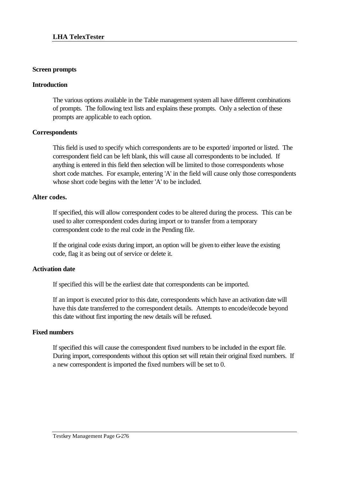## **Screen prompts**

# **Introduction**

The various options available in the Table management system all have different combinations of prompts. The following text lists and explains these prompts. Only a selection of these prompts are applicable to each option.

# **Correspondents**

This field is used to specify which correspondents are to be exported/ imported or listed. The correspondent field can be left blank, this will cause all correspondents to be included. If anything is entered in this field then selection will be limited to those correspondents whose short code matches. For example, entering 'A' in the field will cause only those correspondents whose short code begins with the letter 'A' to be included.

# **Alter codes.**

If specified, this will allow correspondent codes to be altered during the process. This can be used to alter correspondent codes during import or to transfer from a temporary correspondent code to the real code in the Pending file.

If the original code exists during import, an option will be given to either leave the existing code, flag it as being out of service or delete it.

# **Activation date**

If specified this will be the earliest date that correspondents can be imported.

If an import is executed prior to this date, correspondents which have an activation date will have this date transferred to the correspondent details. Attempts to encode/decode beyond this date without first importing the new details will be refused.

### **Fixed numbers**

If specified this will cause the correspondent fixed numbers to be included in the export file. During import, correspondents without this option set will retain their original fixed numbers. If a new correspondent is imported the fixed numbers will be set to 0.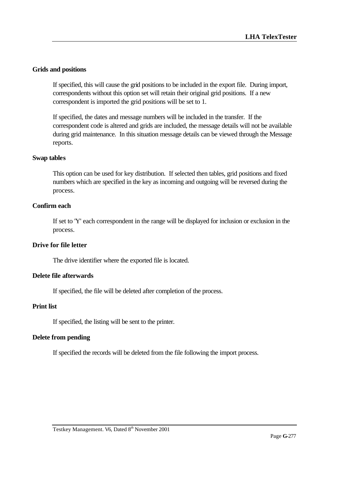# **Grids and positions**

If specified, this will cause the grid positions to be included in the export file. During import, correspondents without this option set will retain their original grid positions. If a new correspondent is imported the grid positions will be set to 1.

If specified, the dates and message numbers will be included in the transfer. If the correspondent code is altered and grids are included, the message details will not be available during grid maintenance. In this situation message details can be viewed through the Message reports.

# **Swap tables**

This option can be used for key distribution. If selected then tables, grid positions and fixed numbers which are specified in the key as incoming and outgoing will be reversed during the process.

# **Confirm each**

If set to 'Y' each correspondent in the range will be displayed for inclusion or exclusion in the process.

# **Drive for file letter**

The drive identifier where the exported file is located.

# **Delete file afterwards**

If specified, the file will be deleted after completion of the process.

# **Print list**

If specified, the listing will be sent to the printer.

# **Delete from pending**

If specified the records will be deleted from the file following the import process.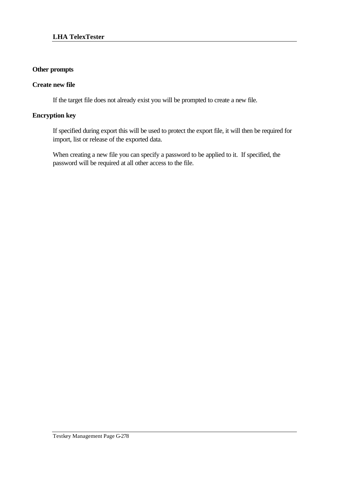# **Other prompts**

# **Create new file**

If the target file does not already exist you will be prompted to create a new file.

# **Encryption key**

If specified during export this will be used to protect the export file, it will then be required for import, list or release of the exported data.

When creating a new file you can specify a password to be applied to it. If specified, the password will be required at all other access to the file.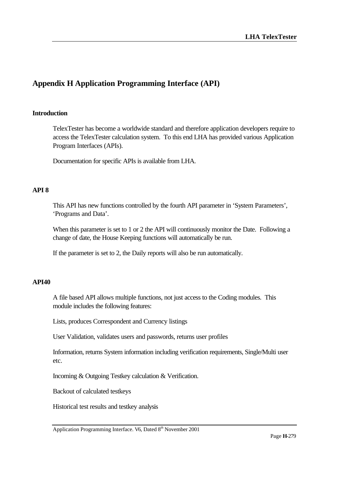# **Appendix H Application Programming Interface (API)**

### **Introduction**

TelexTester has become a worldwide standard and therefore application developers require to access the TelexTester calculation system. To this end LHA has provided various Application Program Interfaces (APIs).

Documentation for specific APIs is available from LHA.

### **API 8**

This API has new functions controlled by the fourth API parameter in 'System Parameters', 'Programs and Data'.

When this parameter is set to 1 or 2 the API will continuously monitor the Date. Following a change of date, the House Keeping functions will automatically be run.

If the parameter is set to 2, the Daily reports will also be run automatically.

### **API40**

A file based API allows multiple functions, not just access to the Coding modules. This module includes the following features:

Lists, produces Correspondent and Currency listings

User Validation, validates users and passwords, returns user profiles

Information, returns System information including verification requirements, Single/Multi user etc.

Incoming & Outgoing Testkey calculation & Verification.

Backout of calculated testkeys

Historical test results and testkey analysis

Application Programming Interface. V6, Dated 8<sup>th</sup> November 2001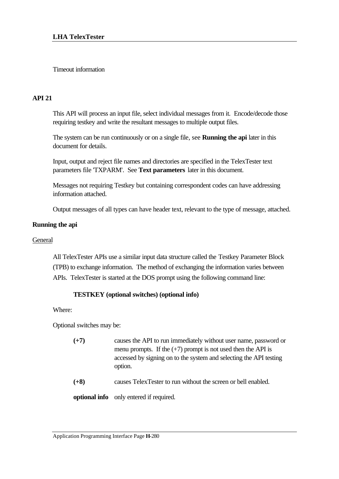# Timeout information

# **API 21**

This API will process an input file, select individual messages from it. Encode/decode those requiring testkey and write the resultant messages to multiple output files.

The system can be run continuously or on a single file, see **Running the api** later in this document for details.

Input, output and reject file names and directories are specified in the TelexTester text parameters file 'TXPARM'. See **Text parameters** later in this document.

Messages not requiring Testkey but containing correspondent codes can have addressing information attached.

Output messages of all types can have header text, relevant to the type of message, attached.

# **Running the api**

## **General**

All TelexTester APIs use a similar input data structure called the Testkey Parameter Block (TPB) to exchange information. The method of exchanging the information varies between APIs. TelexTester is started at the DOS prompt using the following command line:

# **TESTKEY (optional switches) (optional info)**

Where:

Optional switches may be:

- **(+7)** causes the API to run immediately without user name, password or menu prompts. If the  $(+7)$  prompt is not used then the API is accessed by signing on to the system and selecting the API testing option.
- **(+8)** causes TelexTester to run without the screen or bell enabled.

**optional info** only entered if required.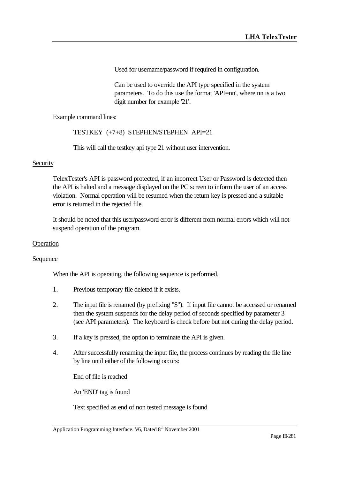Used for username/password if required in configuration.

Can be used to override the API type specified in the system parameters. To do this use the format 'API=nn', where nn is a two digit number for example '21'.

Example command lines:

TESTKEY (+7+8) STEPHEN/STEPHEN API=21

This will call the testkey api type 21 without user intervention.

### **Security**

TelexTester's API is password protected, if an incorrect User or Password is detected then the API is halted and a message displayed on the PC screen to inform the user of an access violation. Normal operation will be resumed when the return key is pressed and a suitable error is returned in the rejected file.

It should be noted that this user/password error is different from normal errors which will not suspend operation of the program.

### **Operation**

### Sequence

When the API is operating, the following sequence is performed.

- 1. Previous temporary file deleted if it exists.
- 2. The input file is renamed (by prefixing "\$"). If input file cannot be accessed or renamed then the system suspends for the delay period of seconds specified by parameter 3 (see API parameters). The keyboard is check before but not during the delay period.
- 3. If a key is pressed, the option to terminate the API is given.
- 4. After successfully renaming the input file, the process continues by reading the file line by line until either of the following occurs:

End of file is reached

An 'END' tag is found

Text specified as end of non tested message is found

Application Programming Interface. V6, Dated  $8<sup>th</sup>$  November 2001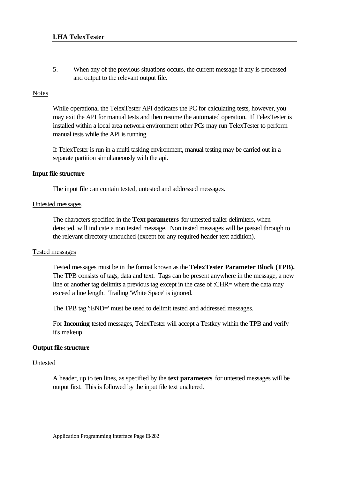5. When any of the previous situations occurs, the current message if any is processed and output to the relevant output file.

# Notes

While operational the TelexTester API dedicates the PC for calculating tests, however, you may exit the API for manual tests and then resume the automated operation. If TelexTester is installed within a local area network environment other PCs may run TelexTester to perform manual tests while the API is running.

If TelexTester is run in a multi tasking environment, manual testing may be carried out in a separate partition simultaneously with the api.

# **Input file structure**

The input file can contain tested, untested and addressed messages.

### Untested messages

The characters specified in the **Text parameters** for untested trailer delimiters, when detected, will indicate a non tested message. Non tested messages will be passed through to the relevant directory untouched (except for any required header text addition).

### Tested messages

Tested messages must be in the format known as the **TelexTester Parameter Block (TPB).** The TPB consists of tags, data and text. Tags can be present anywhere in the message, a new line or another tag delimits a previous tag except in the case of :CHR= where the data may exceed a line length. Trailing 'White Space' is ignored.

The TPB tag ':END=' must be used to delimit tested and addressed messages.

For **Incoming** tested messages, TelexTester will accept a Testkey within the TPB and verify it's makeup.

# **Output file structure**

### Untested

A header, up to ten lines, as specified by the **text parameters** for untested messages will be output first. This is followed by the input file text unaltered.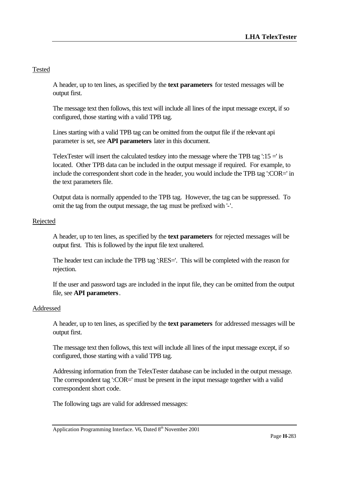# Tested

A header, up to ten lines, as specified by the **text parameters** for tested messages will be output first.

The message text then follows, this text will include all lines of the input message except, if so configured, those starting with a valid TPB tag.

Lines starting with a valid TPB tag can be omitted from the output file if the relevant api parameter is set, see **API parameters** later in this document.

TelexTester will insert the calculated testkey into the message where the TPB tag  $\cdot 15 =$  is located. Other TPB data can be included in the output message if required. For example, to include the correspondent short code in the header, you would include the TPB tag ':COR=' in the text parameters file.

Output data is normally appended to the TPB tag. However, the tag can be suppressed. To omit the tag from the output message, the tag must be prefixed with '-'.

# Rejected

A header, up to ten lines, as specified by the **text parameters** for rejected messages will be output first. This is followed by the input file text unaltered.

The header text can include the TPB tag ':RES='. This will be completed with the reason for rejection.

If the user and password tags are included in the input file, they can be omitted from the output file, see **API parameters**.

# Addressed

A header, up to ten lines, as specified by the **text parameters** for addressed messages will be output first.

The message text then follows, this text will include all lines of the input message except, if so configured, those starting with a valid TPB tag.

Addressing information from the TelexTester database can be included in the output message. The correspondent tag ':COR=' must be present in the input message together with a valid correspondent short code.

The following tags are valid for addressed messages: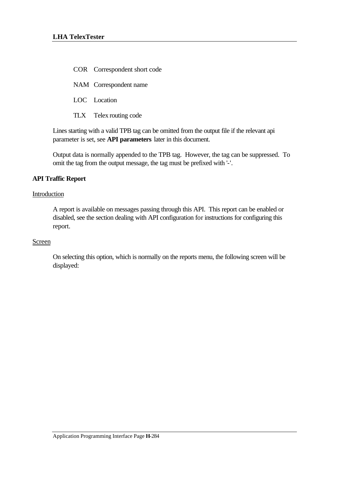COR Correspondent short code

NAM Correspondent name

LOC Location

TLX Telex routing code

Lines starting with a valid TPB tag can be omitted from the output file if the relevant api parameter is set, see **API parameters** later in this document.

Output data is normally appended to the TPB tag. However, the tag can be suppressed. To omit the tag from the output message, the tag must be prefixed with '-'.

# **API Traffic Report**

### Introduction

A report is available on messages passing through this API. This report can be enabled or disabled, see the section dealing with API configuration for instructions for configuring this report.

### Screen

On selecting this option, which is normally on the reports menu, the following screen will be displayed: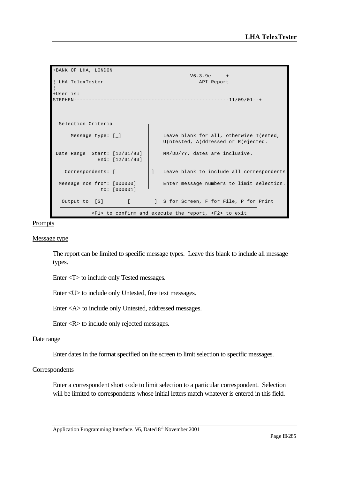```
+BANK OF LHA, LONDON 
  ----------------------------------------------V6.3.9e-----+
 LHA TelexTester API Report
¦
+User is: 
STEPHEN----------------------------------------------------11/09/01--+
  Selection Criteria 
     Message type: [ ] Leave blank for all, otherwise T(ested,
                                 U(ntested, A(ddressed or R(ejected. 
Date Range Start: [12/31/93] | MM/DD/YY, dates are inclusive.
             End: [12/31/93] 
   Correspondents: [ ] Leave blank to include all correspondents
  Message nos from: [000000] Enter message numbers to limit selection. 
             to: [000001] 
  Output to: [S] [ ] S for Screen, F for File, P for Print
            <F1> to confirm and execute the report, <F2> to exit
```
Prompts

#### Message type

The report can be limited to specific message types. Leave this blank to include all message types.

Enter <T> to include only Tested messages.

Enter <U> to include only Untested, free text messages.

Enter <A> to include only Untested, addressed messages.

Enter <R> to include only rejected messages.

### Date range

Enter dates in the format specified on the screen to limit selection to specific messages.

### Correspondents

Enter a correspondent short code to limit selection to a particular correspondent. Selection will be limited to correspondents whose initial letters match whatever is entered in this field.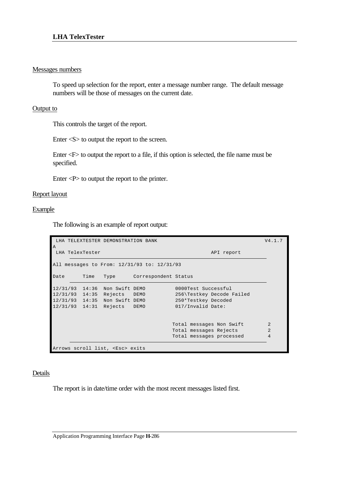## Messages numbers

To speed up selection for the report, enter a message number range. The default message numbers will be those of messages on the current date.

# Output to

This controls the target of the report.

Enter <S> to output the report to the screen.

Enter <F> to output the report to a file, if this option is selected, the file name must be specified.

Enter <P> to output the report to the printer.

# Report layout

Example

The following is an example of report output:

|                    |                 | LHA TELEXTESTER DEMONSTRATION BANK |                                             |                           | V4.1.7         |
|--------------------|-----------------|------------------------------------|---------------------------------------------|---------------------------|----------------|
| $\overline{A}$     | LHA TelexTester |                                    |                                             | API report                |                |
|                    |                 |                                    | All messages to From: 12/31/93 to: 12/31/93 |                           |                |
| Date               | Time            | Type                               | Correspondent Status                        |                           |                |
| 12/31/93           | 14:36           | Non Swift DEMO                     |                                             | 0000Test Successful       |                |
| 12/31/93           | 14:35           | Rejects DEMO                       |                                             | 256\Testkey Decode Failed |                |
| 12/31/93           |                 | 14:35 Non Swift DEMO               |                                             | 250*Testkey Decoded       |                |
| $12/31/93$ $14:31$ |                 | Rejects                            | DEMO                                        | 017/Invalid Date:         |                |
|                    |                 |                                    |                                             | Total messages Non Swift  | $\overline{2}$ |
|                    |                 |                                    |                                             | Total messages Rejects    | $\overline{a}$ |
|                    |                 |                                    |                                             | Total messages processed  | 4              |

# Details

The report is in date/time order with the most recent messages listed first.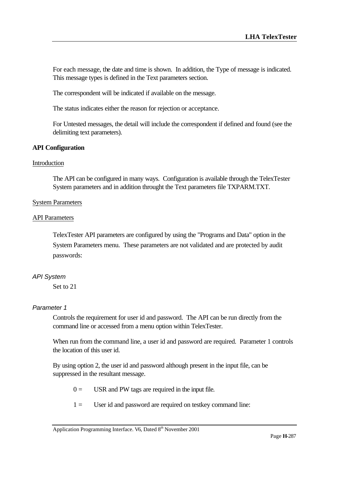For each message, the date and time is shown. In addition, the Type of message is indicated. This message types is defined in the Text parameters section.

The correspondent will be indicated if available on the message.

The status indicates either the reason for rejection or acceptance.

For Untested messages, the detail will include the correspondent if defined and found (see the delimiting text parameters).

# **API Configuration**

#### **Introduction**

The API can be configured in many ways. Configuration is available through the TelexTester System parameters and in addition throught the Text parameters file TXPARM.TXT.

#### System Parameters

#### API Parameters

TelexTester API parameters are configured by using the "Programs and Data" option in the System Parameters menu. These parameters are not validated and are protected by audit passwords:

#### *API System*

Set to 21

#### *Parameter 1*

Controls the requirement for user id and password. The API can be run directly from the command line or accessed from a menu option within TelexTester.

When run from the command line, a user id and password are required. Parameter 1 controls the location of this user id.

By using option 2, the user id and password although present in the input file, can be suppressed in the resultant message.

 $0 =$  USR and PW tags are required in the input file.

 $1 =$  User id and password are required on testkey command line: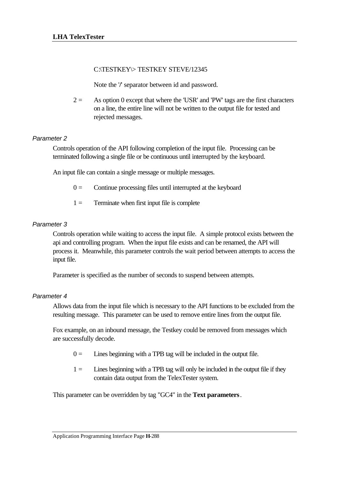# C:\TESTKEY\> TESTKEY STEVE/12345

Note the '**/**' separator between id and password.

 $2 =$  As option 0 except that where the 'USR' and 'PW' tags are the first characters on a line, the entire line will not be written to the output file for tested and rejected messages.

# *Parameter 2*

Controls operation of the API following completion of the input file. Processing can be terminated following a single file or be continuous until interrupted by the keyboard.

An input file can contain a single message or multiple messages.

- $0 =$  Continue processing files until interrupted at the keyboard
- $1 =$  Terminate when first input file is complete

# *Parameter 3*

Controls operation while waiting to access the input file. A simple protocol exists between the api and controlling program. When the input file exists and can be renamed, the API will process it. Meanwhile, this parameter controls the wait period between attempts to access the input file.

Parameter is specified as the number of seconds to suspend between attempts.

# *Parameter 4*

Allows data from the input file which is necessary to the API functions to be excluded from the resulting message. This parameter can be used to remove entire lines from the output file.

Fox example, on an inbound message, the Testkey could be removed from messages which are successfully decode.

- $0 =$  Lines beginning with a TPB tag will be included in the output file.
- $1 =$  Lines beginning with a TPB tag will only be included in the output file if they contain data output from the TelexTester system.

This parameter can be overridden by tag "GC4" in the **Text parameters**.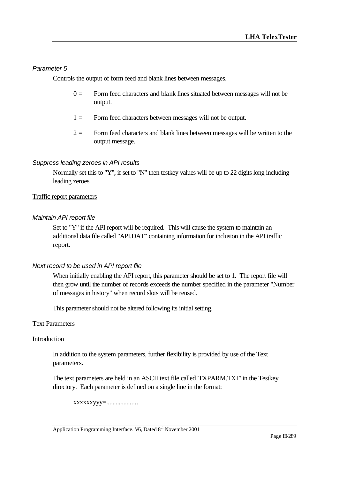#### *Parameter 5*

Controls the output of form feed and blank lines between messages.

- $0 =$  Form feed characters and blank lines situated between messages will not be output.
- 1 = Form feed characters between messages will not be output.
- $2 =$  Form feed characters and blank lines between messages will be written to the output message.

#### *Suppress leading zeroes in API results*

Normally set this to "Y", if set to "N" then testkey values will be up to 22 digits long including leading zeroes.

#### Traffic report parameters

#### *Maintain API report file*

Set to "Y" if the API report will be required. This will cause the system to maintain an additional data file called "API.DAT" containing information for inclusion in the API traffic report.

#### *Next record to be used in API report file*

When initially enabling the API report, this parameter should be set to 1. The report file will then grow until the number of records exceeds the number specified in the parameter "Number of messages in history" when record slots will be reused.

This parameter should not be altered following its initial setting.

#### Text Parameters

#### Introduction

In addition to the system parameters, further flexibility is provided by use of the Text parameters.

The text parameters are held in an ASCII text file called 'TXPARM.TXT' in the Testkey directory. Each parameter is defined on a single line in the format:

xxxxxxyyy=....................

Application Programming Interface. V6, Dated 8<sup>th</sup> November 2001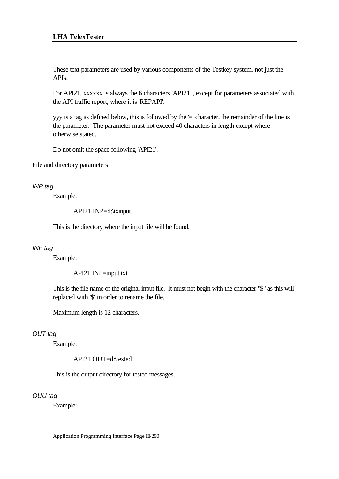These text parameters are used by various components of the Testkey system, not just the APIs.

For API21, xxxxxx is always the **6** characters 'API21 ', except for parameters associated with the API traffic report, where it is 'REPAPI'.

yyy is a tag as defined below, this is followed by the '=' character, the remainder of the line is the parameter. The parameter must not exceed 40 characters in length except where otherwise stated.

Do not omit the space following 'API21'.

#### File and directory parameters

### *INP tag*

Example:

API21 INP=d:\txinput

This is the directory where the input file will be found.

# *INF tag*

Example:

API21 INF=input.txt

This is the file name of the original input file. It must not begin with the character "\$" as this will replaced with '\$' in order to rename the file.

Maximum length is 12 characters.

# *OUT tag*

Example:

API21 OUT=d:\tested

This is the output directory for tested messages.

# *OUU tag*

Example: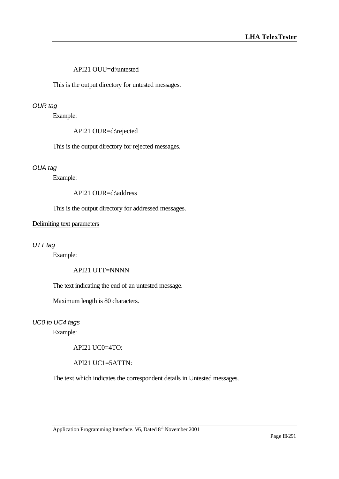## API21 OUU=d:\untested

This is the output directory for untested messages.

#### *OUR tag*

Example:

API21 OUR=d:\rejected

This is the output directory for rejected messages.

#### *OUA tag*

Example:

API21 OUR=d:\address

This is the output directory for addressed messages.

#### Delimiting text parameters

#### *UTT tag*

Example:

#### API21 UTT=NNNN

The text indicating the end of an untested message.

Maximum length is 80 characters.

# *UC0 to UC4 tags*

Example:

API21 UC0=4TO:

API21 UC1=5ATTN:

The text which indicates the correspondent details in Untested messages.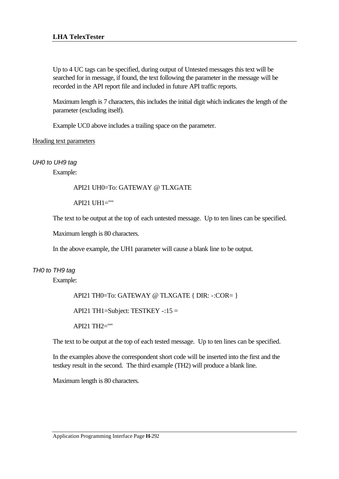Up to 4 UC tags can be specified, during output of Untested messages this text will be searched for in message, if found, the text following the parameter in the message will be recorded in the API report file and included in future API traffic reports.

Maximum length is 7 characters, this includes the initial digit which indicates the length of the parameter (excluding itself).

Example UC0 above includes a trailing space on the parameter.

# Heading text parameters

*UH0 to UH9 tag*

Example:

# API21 UH0=To: GATEWAY @ TLXGATE

API21 UH1=""

The text to be output at the top of each untested message. Up to ten lines can be specified.

Maximum length is 80 characters.

In the above example, the UH1 parameter will cause a blank line to be output.

# *TH0 to TH9 tag*

Example:

```
API21 TH0=To: GATEWAY @ TLXGATE { DIR: -:COR= }
```
API21 TH1=Subject: TESTKEY -:15 =

API21 TH2=""

The text to be output at the top of each tested message. Up to ten lines can be specified.

In the examples above the correspondent short code will be inserted into the first and the testkey result in the second. The third example (TH2) will produce a blank line.

Maximum length is 80 characters.

Application Programming Interface Page **H**-292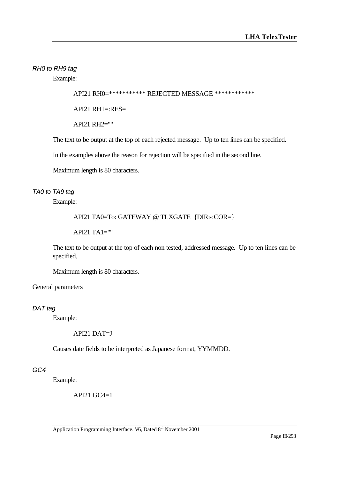*RH0 to RH9 tag*

Example:

API21 RH0=\*\*\*\*\*\*\*\*\*\*\*\* REJECTED MESSAGE \*\*\*\*\*\*\*\*\*\*\*\*\*

API21 RH1=:RES=

API21 RH2=""

The text to be output at the top of each rejected message. Up to ten lines can be specified.

In the examples above the reason for rejection will be specified in the second line.

Maximum length is 80 characters.

# *TA0 to TA9 tag*

Example:

### API21 TA0=To: GATEWAY @ TLXGATE {DIR:-:COR=}

 $API21 TA1 = "$ 

The text to be output at the top of each non tested, addressed message. Up to ten lines can be specified.

Maximum length is 80 characters.

#### General parameters

*DAT tag*

Example:

API21 DAT=J

Causes date fields to be interpreted as Japanese format, YYMMDD.

# *GC4*

Example:

API21 GC4=1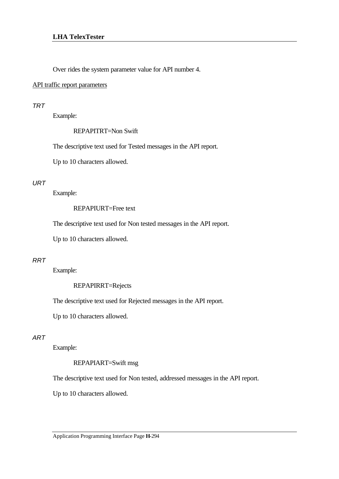Over rides the system parameter value for API number 4.

#### API traffic report parameters

#### *TRT*

Example:

REPAPITRT=Non Swift

The descriptive text used for Tested messages in the API report.

Up to 10 characters allowed.

# *URT*

Example:

## REPAPIURT=Free text

The descriptive text used for Non tested messages in the API report.

Up to 10 characters allowed.

#### *RRT*

Example:

REPAPIRRT=Rejects

The descriptive text used for Rejected messages in the API report.

Up to 10 characters allowed.

#### *ART*

Example:

REPAPIART=Swift msg

The descriptive text used for Non tested, addressed messages in the API report.

Up to 10 characters allowed.

Application Programming Interface Page **H**-294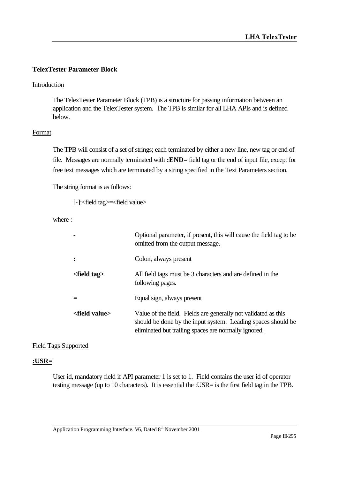# **TelexTester Parameter Block**

# Introduction

The TelexTester Parameter Block (TPB) is a structure for passing information between an application and the TelexTester system. The TPB is similar for all LHA APIs and is defined below.

# **Format**

The TPB will consist of a set of strings; each terminated by either a new line, new tag or end of file. Messages are normally terminated with **:END=** field tag or the end of input file, except for free text messages which are terminated by a string specified in the Text Parameters section.

The string format is as follows:

```
[-]:<field tag>=<field value>
```
where :-

|                          | Optional parameter, if present, this will cause the field tag to be<br>omitted from the output message.                                                                                |
|--------------------------|----------------------------------------------------------------------------------------------------------------------------------------------------------------------------------------|
|                          | Colon, always present                                                                                                                                                                  |
| $\epsilon$ -field tag    | All field tags must be 3 characters and are defined in the<br>following pages.                                                                                                         |
|                          | Equal sign, always present                                                                                                                                                             |
| <field value=""></field> | Value of the field. Fields are generally not validated as this<br>should be done by the input system. Leading spaces should be<br>eliminated but trailing spaces are normally ignored. |

# Field Tags Supported

# **:USR=**

User id, mandatory field if API parameter 1 is set to 1. Field contains the user id of operator testing message (up to 10 characters). It is essential the :USR= is the first field tag in the TPB.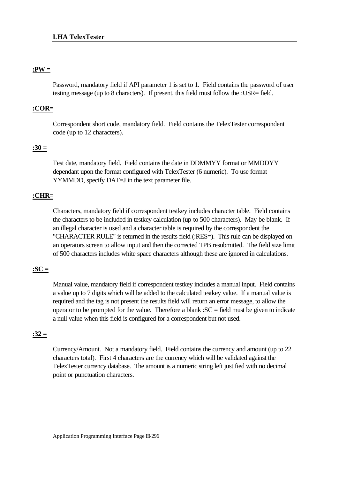# **:PW =**

Password, mandatory field if API parameter 1 is set to 1. Field contains the password of user testing message (up to 8 characters). If present, this field must follow the :USR= field.

# **:COR=**

Correspondent short code, mandatory field. Field contains the TelexTester correspondent code (up to 12 characters).

# **:30 =**

Test date, mandatory field. Field contains the date in DDMMYY format or MMDDYY dependant upon the format configured with TelexTester (6 numeric). To use format YYMMDD, specify DAT=J in the text parameter file.

# **:CHR=**

Characters, mandatory field if correspondent testkey includes character table. Field contains the characters to be included in testkey calculation (up to 500 characters). May be blank. If an illegal character is used and a character table is required by the correspondent the "CHARACTER RULE" is returned in the results field (:RES=). This rule can be displayed on an operators screen to allow input and then the corrected TPB resubmitted. The field size limit of 500 characters includes white space characters although these are ignored in calculations.

# **:SC =**

Manual value, mandatory field if correspondent testkey includes a manual input. Field contains a value up to 7 digits which will be added to the calculated testkey value. If a manual value is required and the tag is not present the results field will return an error message, to allow the operator to be prompted for the value. Therefore a blank : $SC =$  field must be given to indicate a null value when this field is configured for a correspondent but not used.

# **:32 =**

Currency/Amount. Not a mandatory field. Field contains the currency and amount (up to 22 characters total). First 4 characters are the currency which will be validated against the TelexTester currency database. The amount is a numeric string left justified with no decimal point or punctuation characters.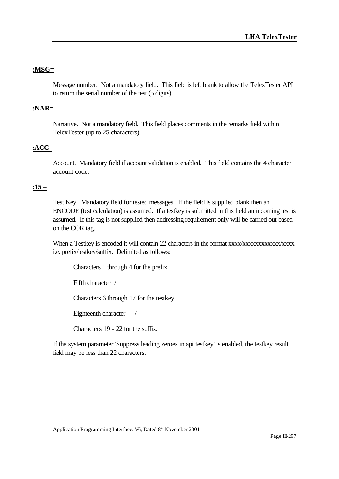# **:MSG=**

Message number. Not a mandatory field. This field is left blank to allow the TelexTester API to return the serial number of the test (5 digits).

# **:NAR=**

Narrative. Not a mandatory field. This field places comments in the remarks field within TelexTester (up to 25 characters).

# **:ACC=**

Account. Mandatory field if account validation is enabled. This field contains the 4 character account code.

# **:15 =**

Test Key. Mandatory field for tested messages. If the field is supplied blank then an ENCODE (test calculation) is assumed. If a testkey is submitted in this field an incoming test is assumed. If this tag is not supplied then addressing requirement only will be carried out based on the COR tag.

When a Testkey is encoded it will contain 22 characters in the format xxxx/xxxxxxxxxxxx/xxxx i.e. prefix/testkey/suffix. Delimited as follows:

Characters 1 through 4 for the prefix

Fifth character /

Characters 6 through 17 for the testkey.

Eighteenth character /

Characters 19 - 22 for the suffix.

If the system parameter 'Suppress leading zeroes in api testkey' is enabled, the testkey result field may be less than 22 characters.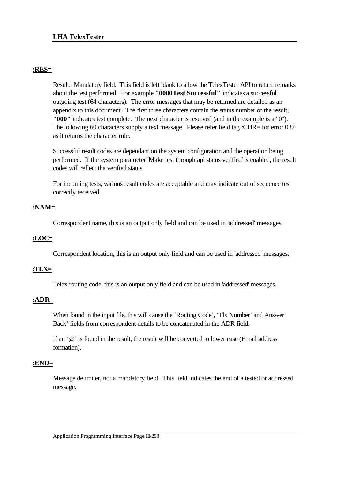# **:RES=**

Result. Mandatory field. This field is left blank to allow the TelexTester API to return remarks about the test performed. For example **"0000Test Successful"** indicates a successful outgoing test (64 characters). The error messages that may be returned are detailed as an appendix to this document. The first three characters contain the status number of the result; **"000"** indicates test complete. The next character is reserved (and in the example is a "0"). The following 60 characters supply a text message. Please refer field tag :CHR= for error 037 as it returns the character rule.

Successful result codes are dependant on the system configuration and the operation being performed. If the system parameter 'Make test through api status verified' is enabled, the result codes will reflect the verified status.

For incoming tests, various result codes are acceptable and may indicate out of sequence test correctly received.

# **:NAM=**

Correspondent name, this is an output only field and can be used in 'addressed' messages.

# **:LOC=**

Correspondent location, this is an output only field and can be used in 'addressed' messages.

# **:TLX=**

Telex routing code, this is an output only field and can be used in 'addressed' messages.

# **:ADR=**

When found in the input file, this will cause the 'Routing Code', 'Tlx Number' and Answer Back' fields from correspondent details to be concatenated in the ADR field.

If an  $\omega$  is found in the result, the result will be converted to lower case (Email address formation).

# **:END=**

Message delimiter, not a mandatory field. This field indicates the end of a tested or addressed message.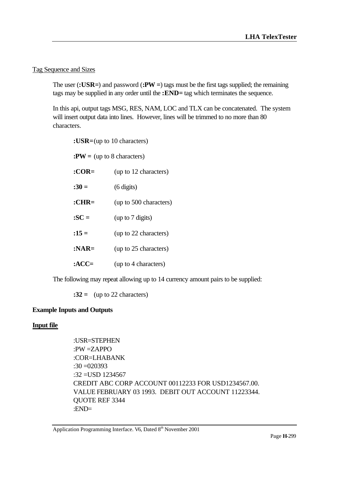# Tag Sequence and Sizes

The user (**:USR=**) and password (**:PW =**) tags must be the first tags supplied; the remaining tags may be supplied in any order until the **:END=** tag which terminates the sequence.

In this api, output tags MSG, RES, NAM, LOC and TLX can be concatenated. The system will insert output data into lines. However, lines will be trimmed to no more than 80 characters.

| : $USR = (up to 10 characters)$ |                        |
|---------------------------------|------------------------|
| $PW = (up to 8 characters)$     |                        |
| $: COR =$                       | (up to 12 characters)  |
| $:30=$                          | $(6 \text{ digits})$   |
| $:CHR=$                         | (up to 500 characters) |
| $:SC =$                         | (up to 7 digits)       |
| $:15=$                          | (up to 22 characters)  |
| $:NAR=$                         | (up to 25 characters)  |
| :ACC $=$                        | (up to 4 characters)   |

The following may repeat allowing up to 14 currency amount pairs to be supplied:

**:32 =** (up to 22 characters)

# **Example Inputs and Outputs**

# **Input file**

:USR=STEPHEN :PW =ZAPPO :COR=LHABANK :30 =020393 :32 =USD 1234567 CREDIT ABC CORP ACCOUNT 00112233 FOR USD1234567.00. VALUE FEBRUARY 03 1993. DEBIT OUT ACCOUNT 11223344. QUOTE REF 3344 :END=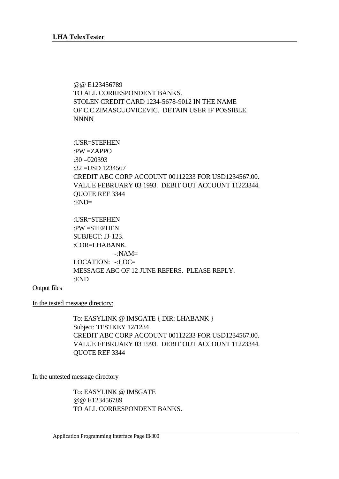@@ E123456789 TO ALL CORRESPONDENT BANKS. STOLEN CREDIT CARD 1234-5678-9012 IN THE NAME OF C.C.ZIMASCUOVICEVIC. DETAIN USER IF POSSIBLE. NNNN

:USR=STEPHEN :PW =ZAPPO  $:30 = 020393$ :32 =USD 1234567 CREDIT ABC CORP ACCOUNT 00112233 FOR USD1234567.00. VALUE FEBRUARY 03 1993. DEBIT OUT ACCOUNT 11223344. QUOTE REF 3344 :END=

:USR=STEPHEN :PW =STEPHEN SUBJECT: JJ-123. :COR=LHABANK. -:NAM= LOCATION: -:LOC= MESSAGE ABC OF 12 JUNE REFERS. PLEASE REPLY. :END

Output files

In the tested message directory:

To: EASYLINK @ IMSGATE { DIR: LHABANK } Subject: TESTKEY 12/1234 CREDIT ABC CORP ACCOUNT 00112233 FOR USD1234567.00. VALUE FEBRUARY 03 1993. DEBIT OUT ACCOUNT 11223344. QUOTE REF 3344

In the untested message directory

To: EASYLINK @ IMSGATE @@ E123456789 TO ALL CORRESPONDENT BANKS.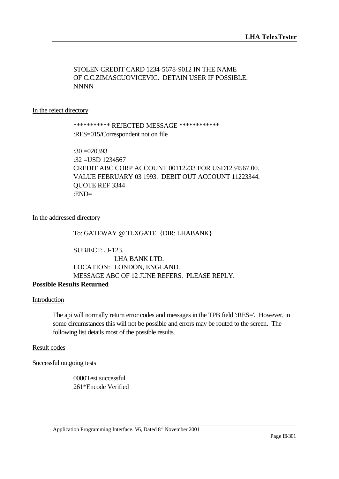# STOLEN CREDIT CARD 1234-5678-9012 IN THE NAME OF C.C.ZIMASCUOVICEVIC. DETAIN USER IF POSSIBLE. NNNN

#### In the reject directory

# \*\*\*\*\*\*\*\*\*\*\* REJECTED MESSAGE \*\*\*\*\*\*\*\*\*\*\*\* :RES=015/Correspondent not on file

:30 =020393  $:32 = USD$  1234567 CREDIT ABC CORP ACCOUNT 00112233 FOR USD1234567.00. VALUE FEBRUARY 03 1993. DEBIT OUT ACCOUNT 11223344. QUOTE REF 3344 :END=

### In the addressed directory

### To: GATEWAY @ TLXGATE {DIR: LHABANK}

SUBJECT: JJ-123. LHA BANK LTD. LOCATION: LONDON, ENGLAND. MESSAGE ABC OF 12 JUNE REFERS. PLEASE REPLY.

# **Possible Results Returned**

#### Introduction

The api will normally return error codes and messages in the TPB field ':RES='. However, in some circumstances this will not be possible and errors may be routed to the screen. The following list details most of the possible results.

#### Result codes

Successful outgoing tests

0000Test successful 261\*Encode Verified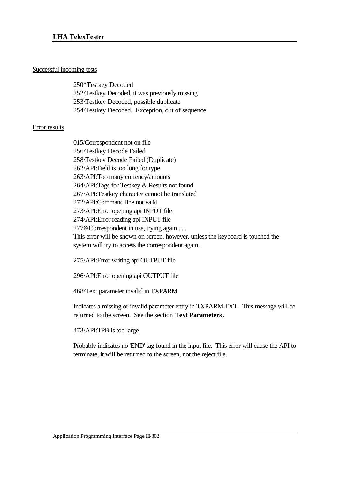### Successful incoming tests

250\*Testkey Decoded 252\Testkey Decoded, it was previously missing 253\Testkey Decoded, possible duplicate 254\Testkey Decoded. Exception, out of sequence

### Error results

015/Correspondent not on file 256\Testkey Decode Failed 258\Testkey Decode Failed (Duplicate) 262\API:Field is too long for type 263\API:Too many currency/amounts 264\API:Tags for Testkey & Results not found 267\API:Testkey character cannot be translated 272\API:Command line not valid 273\API:Error opening api INPUT file 274\API:Error reading api INPUT file 277&Correspondent in use, trying again . . . This error will be shown on screen, however, unless the keyboard is touched the system will try to access the correspondent again.

275\API:Error writing api OUTPUT file

296\API:Error opening api OUTPUT file

468\Text parameter invalid in TXPARM

Indicates a missing or invalid parameter entry in TXPARM.TXT. This message will be returned to the screen. See the section **Text Parameters**.

473\API:TPB is too large

Probably indicates no 'END' tag found in the input file. This error will cause the API to terminate, it will be returned to the screen, not the reject file.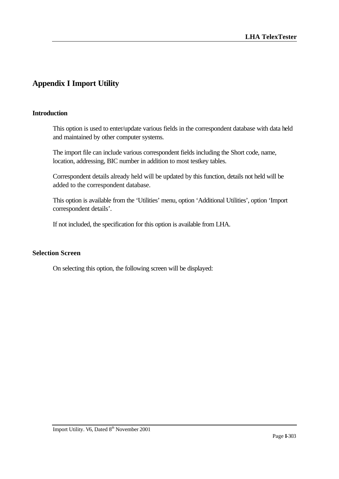# **Appendix I Import Utility**

### **Introduction**

This option is used to enter/update various fields in the correspondent database with data held and maintained by other computer systems.

The import file can include various correspondent fields including the Short code, name, location, addressing, BIC number in addition to most testkey tables.

Correspondent details already held will be updated by this function, details not held will be added to the correspondent database.

This option is available from the 'Utilities' menu, option 'Additional Utilities', option 'Import correspondent details'.

If not included, the specification for this option is available from LHA.

### **Selection Screen**

On selecting this option, the following screen will be displayed: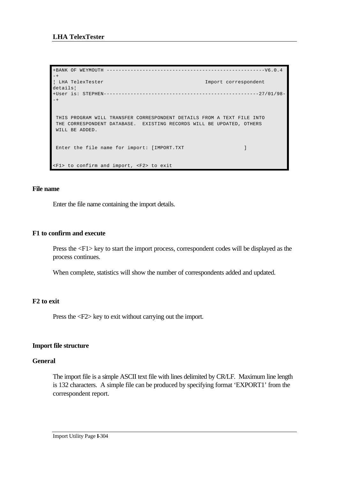```
+BANK OF WEYMOUTH -----------------------------------------------------V6.0.4 
-+
¦ LHA TelexTester Import correspondent 
details¦
+User is: STEPHEN----------------------------------------------------27/01/98-
-+
 THIS PROGRAM WILL TRANSFER CORRESPONDENT DETAILS FROM A TEXT FILE INTO
 THE CORRESPONDENT DATABASE. EXISTING RECORDS WILL BE UPDATED, OTHERS
 WILL BE ADDED.
Enter the file name for import: [IMPORT.TXT ]
<F1> to confirm and import, <F2> to exit
```
#### **File name**

Enter the file name containing the import details.

#### **F1 to confirm and execute**

Press the <F1> key to start the import process, correspondent codes will be displayed as the process continues.

When complete, statistics will show the number of correspondents added and updated.

#### **F2 to exit**

Press the <F2> key to exit without carrying out the import.

#### **Import file structure**

#### **General**

The import file is a simple ASCII text file with lines delimited by CR/LF. Maximum line length is 132 characters. A simple file can be produced by specifying format 'EXPORT1' from the correspondent report.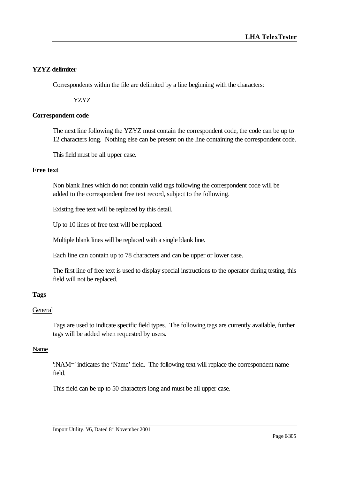# **YZYZ delimiter**

Correspondents within the file are delimited by a line beginning with the characters:

YZYZ

# **Correspondent code**

The next line following the YZYZ must contain the correspondent code, the code can be up to 12 characters long. Nothing else can be present on the line containing the correspondent code.

This field must be all upper case.

# **Free text**

Non blank lines which do not contain valid tags following the correspondent code will be added to the correspondent free text record, subject to the following.

Existing free text will be replaced by this detail.

Up to 10 lines of free text will be replaced.

Multiple blank lines will be replaced with a single blank line.

Each line can contain up to 78 characters and can be upper or lower case.

The first line of free text is used to display special instructions to the operator during testing, this field will not be replaced.

# **Tags**

# **General**

Tags are used to indicate specific field types. The following tags are currently available, further tags will be added when requested by users.

# Name

':NAM=' indicates the 'Name' field. The following text will replace the correspondent name field.

This field can be up to 50 characters long and must be all upper case.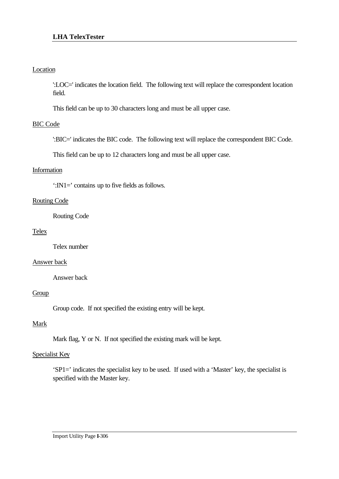# Location

':LOC=' indicates the location field. The following text will replace the correspondent location field.

This field can be up to 30 characters long and must be all upper case.

### BIC Code

':BIC=' indicates the BIC code. The following text will replace the correspondent BIC Code.

This field can be up to 12 characters long and must be all upper case.

## Information

':IN1=' contains up to five fields as follows.

#### Routing Code

Routing Code

### Telex

Telex number

#### Answer back

Answer back

## Group

Group code. If not specified the existing entry will be kept.

# Mark

Mark flag, Y or N. If not specified the existing mark will be kept.

#### Specialist Key

'SP1=' indicates the specialist key to be used. If used with a 'Master' key, the specialist is specified with the Master key.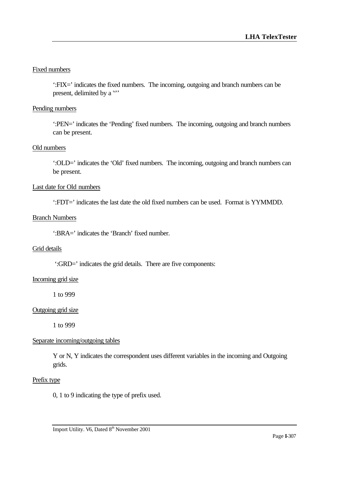# Fixed numbers

':FIX=' indicates the fixed numbers. The incoming, outgoing and branch numbers can be present, delimited by a ""

# Pending numbers

':PEN=' indicates the 'Pending' fixed numbers. The incoming, outgoing and branch numbers can be present.

# Old numbers

':OLD=' indicates the 'Old' fixed numbers. The incoming, outgoing and branch numbers can be present.

# Last date for Old numbers

':FDT=' indicates the last date the old fixed numbers can be used. Format is YYMMDD.

# Branch Numbers

':BRA=' indicates the 'Branch' fixed number.

# Grid details

':GRD=' indicates the grid details. There are five components:

# Incoming grid size

1 to 999

#### Outgoing grid size

1 to 999

# Separate incoming/outgoing tables

Y or N, Y indicates the correspondent uses different variables in the incoming and Outgoing grids.

#### Prefix type

0, 1 to 9 indicating the type of prefix used.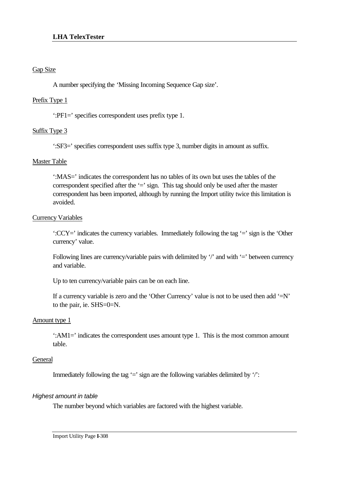# Gap Size

A number specifying the 'Missing Incoming Sequence Gap size'.

# Prefix Type 1

':PF1=' specifies correspondent uses prefix type 1.

# Suffix Type 3

':SF3=' specifies correspondent uses suffix type 3, number digits in amount as suffix.

# Master Table

':MAS=' indicates the correspondent has no tables of its own but uses the tables of the correspondent specified after the  $\equiv$  sign. This tag should only be used after the master correspondent has been imported, although by running the Import utility twice this limitation is avoided.

# Currency Variables

':CCY=' indicates the currency variables. Immediately following the tag '=' sign is the 'Other currency' value.

Following lines are currency/variable pairs with delimited by  $\gamma$  and with  $=$  between currency and variable.

Up to ten currency/variable pairs can be on each line.

If a currency variable is zero and the 'Other Currency' value is not to be used then add  $=$ N' to the pair, ie. SHS=0=N.

# Amount type 1

':AM1=' indicates the correspondent uses amount type 1. This is the most common amount table.

# **General**

Immediately following the tag '=' sign are the following variables delimited by '/':

# *Highest amount in table*

The number beyond which variables are factored with the highest variable.

Import Utility Page **I**-308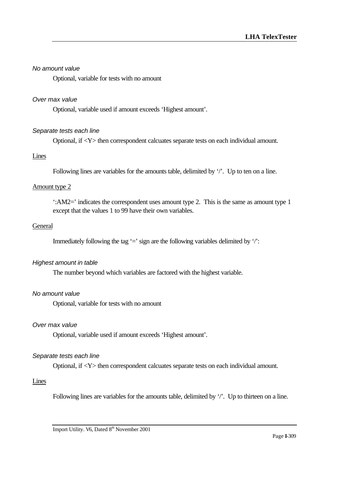#### *No amount value*

Optional, variable for tests with no amount

#### *Over max value*

Optional, variable used if amount exceeds 'Highest amount'.

#### *Separate tests each line*

Optional, if <Y> then correspondent calcuates separate tests on each individual amount.

#### Lines

Following lines are variables for the amounts table, delimited by '/'. Up to ten on a line.

#### Amount type 2

':AM2=' indicates the correspondent uses amount type 2. This is the same as amount type 1 except that the values 1 to 99 have their own variables.

#### **General**

Immediately following the tag  $\dot{=}$  sign are the following variables delimited by  $\dot{\ }$ :

#### *Highest amount in table*

The number beyond which variables are factored with the highest variable.

#### *No amount value*

Optional, variable for tests with no amount

#### *Over max value*

Optional, variable used if amount exceeds 'Highest amount'.

#### *Separate tests each line*

Optional, if <Y> then correspondent calcuates separate tests on each individual amount.

#### Lines

Following lines are variables for the amounts table, delimited by '/'. Up to thirteen on a line.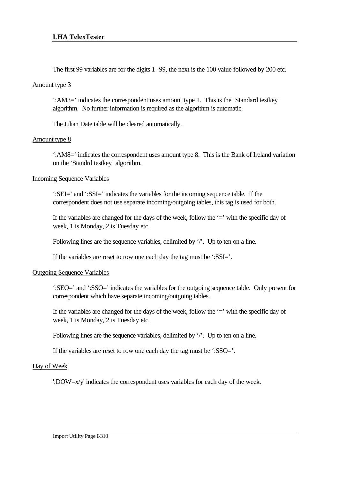The first 99 variables are for the digits 1 -99, the next is the 100 value followed by 200 etc.

### Amount type 3

':AM3=' indicates the correspondent uses amount type 1. This is the 'Standard testkey' algorithm. No further information is required as the algorithm is automatic.

The Julian Date table will be cleared automatically.

# Amount type 8

':AM8=' indicates the correspondent uses amount type 8. This is the Bank of Ireland variation on the 'Standrd testkey' algorithm.

# Incoming Sequence Variables

':SEI=' and ':SSI=' indicates the variables for the incoming sequence table. If the correspondent does not use separate incoming/outgoing tables, this tag is used for both.

If the variables are changed for the days of the week, follow the  $\dot{=}$  with the specific day of week, 1 is Monday, 2 is Tuesday etc.

Following lines are the sequence variables, delimited by '/'. Up to ten on a line.

If the variables are reset to row one each day the tag must be ':SSI='.

# Outgoing Sequence Variables

':SEO=' and ':SSO=' indicates the variables for the outgoing sequence table. Only present for correspondent which have separate incoming/outgoing tables.

If the variables are changed for the days of the week, follow the  $\dot{=}$  with the specific day of week, 1 is Monday, 2 is Tuesday etc.

Following lines are the sequence variables, delimited by '/'. Up to ten on a line.

If the variables are reset to row one each day the tag must be ':SSO='.

# Day of Week

':DOW=x/y' indicates the correspondent uses variables for each day of the week.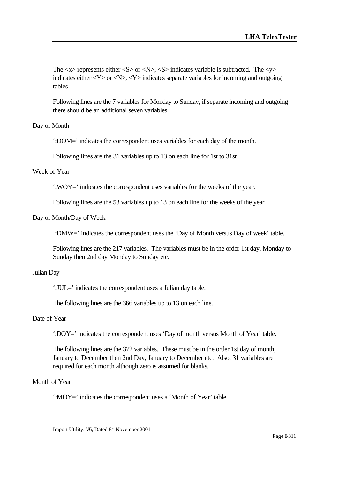The  $\langle x \rangle$  represents either  $\langle S \rangle$  or  $\langle N \rangle$ ,  $\langle S \rangle$  indicates variable is subtracted. The  $\langle y \rangle$ indicates either  $\langle Y \rangle$  or  $\langle N \rangle$ ,  $\langle Y \rangle$  indicates separate variables for incoming and outgoing tables

Following lines are the 7 variables for Monday to Sunday, if separate incoming and outgoing there should be an additional seven variables.

# Day of Month

':DOM=' indicates the correspondent uses variables for each day of the month.

Following lines are the 31 variables up to 13 on each line for 1st to 31st.

#### Week of Year

':WOY=' indicates the correspondent uses variables for the weeks of the year.

Following lines are the 53 variables up to 13 on each line for the weeks of the year.

### Day of Month/Day of Week

':DMW=' indicates the correspondent uses the 'Day of Month versus Day of week' table.

Following lines are the 217 variables. The variables must be in the order 1st day, Monday to Sunday then 2nd day Monday to Sunday etc.

#### Julian Day

':JUL=' indicates the correspondent uses a Julian day table.

The following lines are the 366 variables up to 13 on each line.

#### Date of Year

':DOY=' indicates the correspondent uses 'Day of month versus Month of Year' table.

The following lines are the 372 variables. These must be in the order 1st day of month, January to December then 2nd Day, January to December etc. Also, 31 variables are required for each month although zero is assumed for blanks.

#### Month of Year

':MOY=' indicates the correspondent uses a 'Month of Year' table.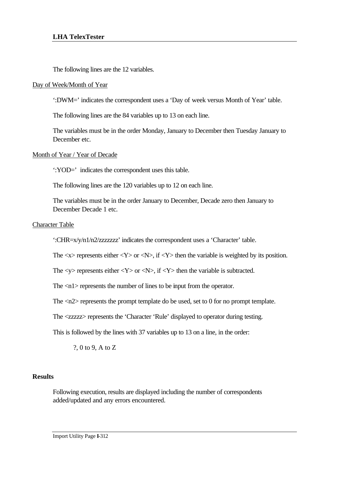The following lines are the 12 variables.

### Day of Week/Month of Year

':DWM=' indicates the correspondent uses a 'Day of week versus Month of Year' table.

The following lines are the 84 variables up to 13 on each line.

The variables must be in the order Monday, January to December then Tuesday January to December etc.

### Month of Year / Year of Decade

':YOD=' indicates the correspondent uses this table.

The following lines are the 120 variables up to 12 on each line.

The variables must be in the order January to December, Decade zero then January to December Decade 1 etc.

### Character Table

':CHR=x/y/n1/n2/zzzzzzz' indicates the correspondent uses a 'Character' table.

The  $\langle x \rangle$  represents either  $\langle Y \rangle$  or  $\langle N \rangle$ , if  $\langle Y \rangle$  then the variable is weighted by its position.

The  $\langle y \rangle$  represents either  $\langle Y \rangle$  or  $\langle N \rangle$ , if  $\langle Y \rangle$  then the variable is subtracted.

The <n1> represents the number of lines to be input from the operator.

The  $\langle n2 \rangle$  represents the prompt template do be used, set to 0 for no prompt template.

The <zzzzz> represents the 'Character 'Rule' displayed to operator during testing.

This is followed by the lines with 37 variables up to 13 on a line, in the order:

?, 0 to 9, A to Z

# **Results**

Following execution, results are displayed including the number of correspondents added/updated and any errors encountered.

Import Utility Page **I**-312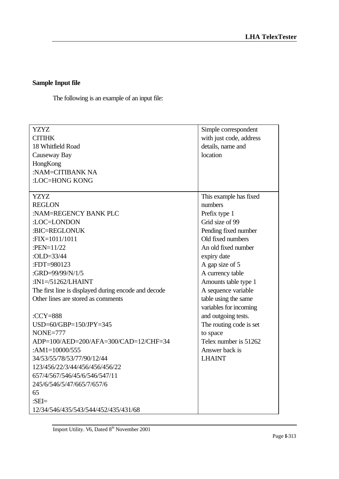# **Sample Input file**

The following is an example of an input file:

| <b>YZYZ</b>                                          | Simple correspondent    |
|------------------------------------------------------|-------------------------|
| <b>CITIHK</b>                                        | with just code, address |
| 18 Whitfield Road                                    | details, name and       |
| Causeway Bay                                         | location                |
| HongKong                                             |                         |
| :NAM=CITIBANK NA                                     |                         |
| :LOC=HONG KONG                                       |                         |
|                                                      |                         |
| <b>YZYZ</b>                                          | This example has fixed  |
| <b>REGLON</b>                                        | numbers                 |
| :NAM=REGENCY BANK PLC                                | Prefix type 1           |
| :LOC=LONDON                                          | Grid size of 99         |
| :BIC=REGLONUK                                        | Pending fixed number    |
| :FIX=1011/1011                                       | Old fixed numbers       |
| :PEN= $11/22$                                        | An old fixed number     |
| : $OLD = 33/44$                                      | expiry date             |
| :FDT=980123                                          | A gap size of 5         |
| :GRD=99/99/N/1/5                                     | A currency table        |
| : $IN1 = /51262/LHAINT$                              | Amounts table type 1    |
| The first line is displayed during encode and decode | A sequence variable     |
| Other lines are stored as comments                   | table using the same    |
|                                                      | variables for incoming  |
| : $CCY=888$                                          | and outgoing tests.     |
| $USD=60/GBP=150/JPY=345$                             | The routing code is set |
| $NONE=777$                                           | to space                |
| ADP=100/AED=200/AFA=300/CAD=12/CHF=34                | Telex number is 51262   |
| : $AM1=10000/555$                                    | Answer back is          |
| 34/53/55/78/53/77/90/12/44                           | <b>LHAINT</b>           |
| 123/456/22/3/44/456/456/456/22                       |                         |
| 657/4/567/546/45/6/546/547/11                        |                         |
| 245/6/546/5/47/665/7/657/6                           |                         |
| 65                                                   |                         |
| : $SEI =$                                            |                         |
| 12/34/546/435/543/544/452/435/431/68                 |                         |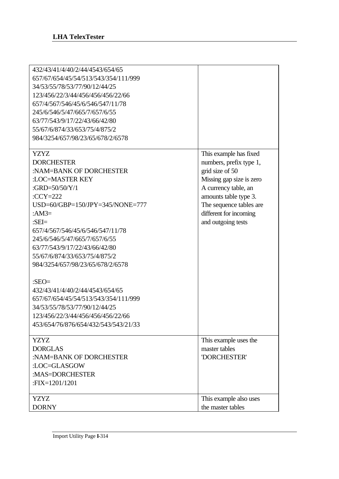| 432/43/41/4/40/2/44/4543/654/65<br>657/67/654/45/54/513/543/354/111/999<br>34/53/55/78/53/77/90/12/44/25<br>123/456/22/3/44/456/456/456/22/66<br>657/4/567/546/45/6/546/547/11/78<br>245/6/546/5/47/665/7/657/6/55<br>63/77/543/9/17/22/43/66/42/80<br>55/67/6/874/33/653/75/4/875/2<br>984/3254/657/98/23/65/678/2/6578                                                                                                                                                                                                                                         |                                                                                                                                                                                                                              |
|------------------------------------------------------------------------------------------------------------------------------------------------------------------------------------------------------------------------------------------------------------------------------------------------------------------------------------------------------------------------------------------------------------------------------------------------------------------------------------------------------------------------------------------------------------------|------------------------------------------------------------------------------------------------------------------------------------------------------------------------------------------------------------------------------|
| <b>YZYZ</b><br><b>DORCHESTER</b><br>:NAM=BANK OF DORCHESTER<br>:LOC=MASTER KEY<br>: $GRD=50/50/Y/1$<br>: $CCY=222$<br>$USD=60/GBP=150/JPY=345/NONE=777$<br>: $AM3=$<br>: $SEI =$<br>657/4/567/546/45/6/546/547/11/78<br>245/6/546/5/47/665/7/657/6/55<br>63/77/543/9/17/22/43/66/42/80<br>55/67/6/874/33/653/75/4/875/2<br>984/3254/657/98/23/65/678/2/6578<br>: $SEO=$<br>432/43/41/4/40/2/44/4543/654/65<br>657/67/654/45/54/513/543/354/111/999<br>34/53/55/78/53/77/90/12/44/25<br>123/456/22/3/44/456/456/456/22/66<br>453/654/76/876/654/432/543/543/21/33 | This example has fixed<br>numbers, prefix type 1,<br>grid size of 50<br>Missing gap size is zero<br>A currency table, an<br>amounts table type 3.<br>The sequence tables are<br>different for incoming<br>and outgoing tests |
| <b>YZYZ</b><br><b>DORGLAS</b><br>:NAM=BANK OF DORCHESTER<br>:LOC=GLASGOW<br>:MAS=DORCHESTER<br>:FIX=1201/1201                                                                                                                                                                                                                                                                                                                                                                                                                                                    | This example uses the<br>master tables<br>'DORCHESTER'                                                                                                                                                                       |
| <b>YZYZ</b><br><b>DORNY</b>                                                                                                                                                                                                                                                                                                                                                                                                                                                                                                                                      | This example also uses<br>the master tables                                                                                                                                                                                  |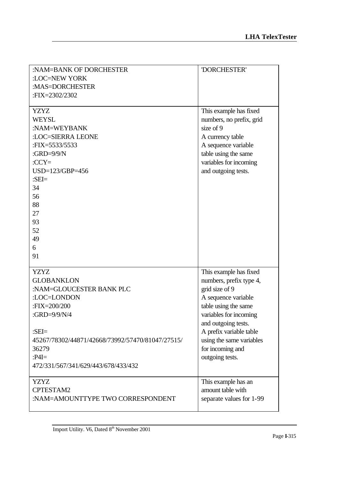| :NAM=BANK OF DORCHESTER                          | 'DORCHESTER'                                   |
|--------------------------------------------------|------------------------------------------------|
| :LOC=NEW YORK                                    |                                                |
| :MAS=DORCHESTER                                  |                                                |
| :FIX=2302/2302                                   |                                                |
| <b>YZYZ</b>                                      | This example has fixed                         |
| <b>WEYSL</b>                                     | numbers, no prefix, grid                       |
| :NAM=WEYBANK                                     | size of 9                                      |
| :LOC=SIERRA LEONE                                | A currency table                               |
| : $\text{FIX} = 5533/5533$                       | A sequence variable                            |
| : $GRD=9/9/N$                                    | table using the same                           |
| $CCY=$                                           | variables for incoming                         |
| USD=123/GBP=456                                  | and outgoing tests.                            |
| : $SEI =$                                        |                                                |
| 34                                               |                                                |
| 56                                               |                                                |
| 88                                               |                                                |
| 27                                               |                                                |
| 93                                               |                                                |
| 52                                               |                                                |
| 49                                               |                                                |
| 6                                                |                                                |
| 91                                               |                                                |
| <b>YZYZ</b>                                      |                                                |
| <b>GLOBANKLON</b>                                | This example has fixed                         |
| :NAM=GLOUCESTER BANK PLC                         | numbers, prefix type 4,<br>grid size of 9      |
| :LOC=LONDON                                      |                                                |
| :FIX=200/200                                     | A sequence variable                            |
| :GRD=9/9/N/4                                     | table using the same                           |
|                                                  | variables for incoming                         |
| : $SEI=$                                         | and outgoing tests.<br>A prefix variable table |
| 45267/78302/44871/42668/73992/57470/81047/27515/ | using the same variables                       |
| 36279                                            | for incoming and                               |
| $P4I=$                                           | outgoing tests.                                |
| 472/331/567/341/629/443/678/433/432              |                                                |
|                                                  |                                                |
| <b>YZYZ</b>                                      | This example has an                            |
| CPTESTAM2                                        | amount table with                              |
| :NAM=AMOUNTTYPE TWO CORRESPONDENT                | separate values for 1-99                       |
|                                                  |                                                |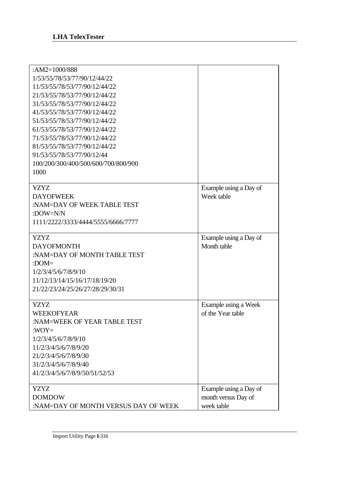| : $AM2=1000/888$                    |                        |
|-------------------------------------|------------------------|
| 1/53/55/78/53/77/90/12/44/22        |                        |
| 11/53/55/78/53/77/90/12/44/22       |                        |
| 21/53/55/78/53/77/90/12/44/22       |                        |
| 31/53/55/78/53/77/90/12/44/22       |                        |
| 41/53/55/78/53/77/90/12/44/22       |                        |
| 51/53/55/78/53/77/90/12/44/22       |                        |
| 61/53/55/78/53/77/90/12/44/22       |                        |
| 71/53/55/78/53/77/90/12/44/22       |                        |
| 81/53/55/78/53/77/90/12/44/22       |                        |
| 91/53/55/78/53/77/90/12/44          |                        |
|                                     |                        |
| 100/200/300/400/500/600/700/800/900 |                        |
| 1000                                |                        |
| <b>YZYZ</b>                         | Example using a Day of |
| <b>DAYOFWEEK</b>                    | Week table             |
| :NAM=DAY OF WEEK TABLE TEST         |                        |
| :DOW=N/N                            |                        |
| 1111/2222/3333/4444/5555/6666/7777  |                        |
|                                     |                        |
| <b>YZYZ</b>                         | Example using a Day of |
| <b>DAYOFMONTH</b>                   | Month table            |
| :NAM=DAY OF MONTH TABLE TEST        |                        |
| : $DOM=$                            |                        |
| 1/2/3/4/5/6/7/8/9/10                |                        |
| 11/12/13/14/15/16/17/18/19/20       |                        |
| 21/22/23/24/25/26/27/28/29/30/31    |                        |
|                                     |                        |
| <b>YZYZ</b>                         | Example using a Week   |
| <b>WEEKOFYEAR</b>                   | of the Year table      |
| :NAM=WEEK OF YEAR TABLE TEST        |                        |
| : $WOY=$                            |                        |
| 1/2/3/4/5/6/7/8/9/10                |                        |
| 11/2/3/4/5/6/7/8/9/20               |                        |
| 21/2/3/4/5/6/7/8/9/30               |                        |
|                                     |                        |
| 41/2/3/4/5/6/7/8/9/50/51/52/53      |                        |
| <b>YZYZ</b>                         |                        |
|                                     |                        |
|                                     | Example using a Day of |
| 31/2/3/4/5/6/7/8/9/40               |                        |
| <b>DOMDOW</b>                       | month versus Day of    |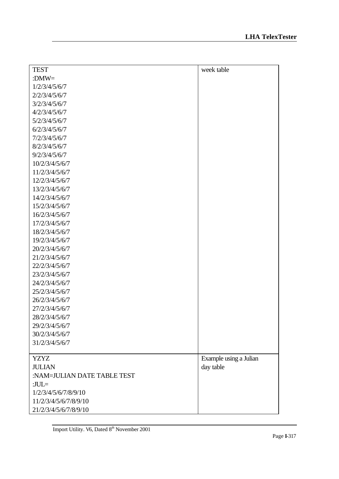| <b>TEST</b>                                  | week table             |
|----------------------------------------------|------------------------|
| : $DMW=$                                     |                        |
| 1/2/3/4/5/6/7                                |                        |
| 2/2/3/4/5/6/7                                |                        |
| 3/2/3/4/5/6/7                                |                        |
| 4/2/3/4/5/6/7                                |                        |
| 5/2/3/4/5/6/7                                |                        |
| 6/2/3/4/5/6/7                                |                        |
| 7/2/3/4/5/6/7                                |                        |
| 8/2/3/4/5/6/7                                |                        |
| 9/2/3/4/5/6/7                                |                        |
| 10/2/3/4/5/6/7                               |                        |
| 11/2/3/4/5/6/7                               |                        |
| 12/2/3/4/5/6/7                               |                        |
| 13/2/3/4/5/6/7                               |                        |
| 14/2/3/4/5/6/7                               |                        |
| 15/2/3/4/5/6/7                               |                        |
| 16/2/3/4/5/6/7                               |                        |
| 17/2/3/4/5/6/7                               |                        |
| 18/2/3/4/5/6/7                               |                        |
| 19/2/3/4/5/6/7                               |                        |
| 20/2/3/4/5/6/7                               |                        |
| 21/2/3/4/5/6/7                               |                        |
| 22/2/3/4/5/6/7                               |                        |
| 23/2/3/4/5/6/7                               |                        |
| 24/2/3/4/5/6/7                               |                        |
| 25/2/3/4/5/6/7                               |                        |
| 26/2/3/4/5/6/7                               |                        |
| 27/2/3/4/5/6/7                               |                        |
| 28/2/3/4/5/6/7                               |                        |
| 29/2/3/4/5/6/7                               |                        |
| 30/2/3/4/5/6/7                               |                        |
| 31/2/3/4/5/6/7                               |                        |
|                                              |                        |
| <b>YZYZ</b>                                  | Example using a Julian |
| <b>JULIAN</b><br>:NAM=JULIAN DATE TABLE TEST | day table              |
| : $JUL =$                                    |                        |
| 1/2/3/4/5/6/7/8/9/10                         |                        |
| 11/2/3/4/5/6/7/8/9/10                        |                        |
|                                              |                        |
| 21/2/3/4/5/6/7/8/9/10                        |                        |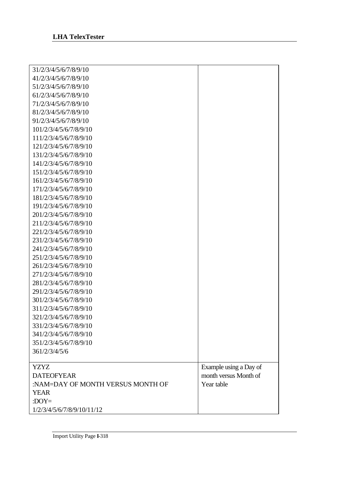| 31/2/3/4/5/6/7/8/9/10             |                        |
|-----------------------------------|------------------------|
| 41/2/3/4/5/6/7/8/9/10             |                        |
| 51/2/3/4/5/6/7/8/9/10             |                        |
| 61/2/3/4/5/6/7/8/9/10             |                        |
| 71/2/3/4/5/6/7/8/9/10             |                        |
| 81/2/3/4/5/6/7/8/9/10             |                        |
| 91/2/3/4/5/6/7/8/9/10             |                        |
| 101/2/3/4/5/6/7/8/9/10            |                        |
| 111/2/3/4/5/6/7/8/9/10            |                        |
| 121/2/3/4/5/6/7/8/9/10            |                        |
| 131/2/3/4/5/6/7/8/9/10            |                        |
| 141/2/3/4/5/6/7/8/9/10            |                        |
| 151/2/3/4/5/6/7/8/9/10            |                        |
| 161/2/3/4/5/6/7/8/9/10            |                        |
| 171/2/3/4/5/6/7/8/9/10            |                        |
| 181/2/3/4/5/6/7/8/9/10            |                        |
| 191/2/3/4/5/6/7/8/9/10            |                        |
| 201/2/3/4/5/6/7/8/9/10            |                        |
| 211/2/3/4/5/6/7/8/9/10            |                        |
| 221/2/3/4/5/6/7/8/9/10            |                        |
| 231/2/3/4/5/6/7/8/9/10            |                        |
| 241/2/3/4/5/6/7/8/9/10            |                        |
| 251/2/3/4/5/6/7/8/9/10            |                        |
| 261/2/3/4/5/6/7/8/9/10            |                        |
| 271/2/3/4/5/6/7/8/9/10            |                        |
| 281/2/3/4/5/6/7/8/9/10            |                        |
| 291/2/3/4/5/6/7/8/9/10            |                        |
| 301/2/3/4/5/6/7/8/9/10            |                        |
| 311/2/3/4/5/6/7/8/9/10            |                        |
| 321/2/3/4/5/6/7/8/9/10            |                        |
| 331/2/3/4/5/6/7/8/9/10            |                        |
| 341/2/3/4/5/6/7/8/9/10            |                        |
| 351/2/3/4/5/6/7/8/9/10            |                        |
| 361/2/3/4/5/6                     |                        |
|                                   |                        |
| <b>YZYZ</b>                       | Example using a Day of |
| <b>DATEOFYEAR</b>                 | month versus Month of  |
| :NAM=DAY OF MONTH VERSUS MONTH OF | Year table             |
| <b>YEAR</b>                       |                        |
| : $DOY=$                          |                        |
| 1/2/3/4/5/6/7/8/9/10/11/12        |                        |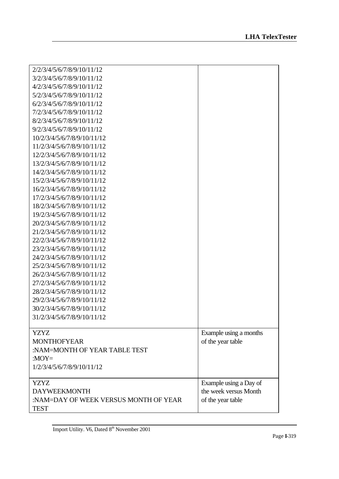| 2/2/3/4/5/6/7/8/9/10/11/12            |                        |
|---------------------------------------|------------------------|
| 3/2/3/4/5/6/7/8/9/10/11/12            |                        |
| 4/2/3/4/5/6/7/8/9/10/11/12            |                        |
| 5/2/3/4/5/6/7/8/9/10/11/12            |                        |
| 6/2/3/4/5/6/7/8/9/10/11/12            |                        |
| 7/2/3/4/5/6/7/8/9/10/11/12            |                        |
| 8/2/3/4/5/6/7/8/9/10/11/12            |                        |
| 9/2/3/4/5/6/7/8/9/10/11/12            |                        |
| 10/2/3/4/5/6/7/8/9/10/11/12           |                        |
| 11/2/3/4/5/6/7/8/9/10/11/12           |                        |
| 12/2/3/4/5/6/7/8/9/10/11/12           |                        |
| 13/2/3/4/5/6/7/8/9/10/11/12           |                        |
| 14/2/3/4/5/6/7/8/9/10/11/12           |                        |
| 15/2/3/4/5/6/7/8/9/10/11/12           |                        |
| 16/2/3/4/5/6/7/8/9/10/11/12           |                        |
| 17/2/3/4/5/6/7/8/9/10/11/12           |                        |
| 18/2/3/4/5/6/7/8/9/10/11/12           |                        |
| 19/2/3/4/5/6/7/8/9/10/11/12           |                        |
| 20/2/3/4/5/6/7/8/9/10/11/12           |                        |
| 21/2/3/4/5/6/7/8/9/10/11/12           |                        |
| 22/2/3/4/5/6/7/8/9/10/11/12           |                        |
| 23/2/3/4/5/6/7/8/9/10/11/12           |                        |
| 24/2/3/4/5/6/7/8/9/10/11/12           |                        |
| 25/2/3/4/5/6/7/8/9/10/11/12           |                        |
| 26/2/3/4/5/6/7/8/9/10/11/12           |                        |
| 27/2/3/4/5/6/7/8/9/10/11/12           |                        |
| 28/2/3/4/5/6/7/8/9/10/11/12           |                        |
| 29/2/3/4/5/6/7/8/9/10/11/12           |                        |
| 30/2/3/4/5/6/7/8/9/10/11/12           |                        |
| 31/2/3/4/5/6/7/8/9/10/11/12           |                        |
|                                       |                        |
| <b>YZYZ</b>                           | Example using a months |
| <b>MONTHOFYEAR</b>                    | of the year table      |
| :NAM=MONTH OF YEAR TABLE TEST         |                        |
| : $MOY=$                              |                        |
| 1/2/3/4/5/6/7/8/9/10/11/12            |                        |
|                                       |                        |
| <b>YZYZ</b>                           | Example using a Day of |
| <b>DAYWEEKMONTH</b>                   | the week versus Month  |
| :NAM=DAY OF WEEK VERSUS MONTH OF YEAR | of the year table      |
| <b>TEST</b>                           |                        |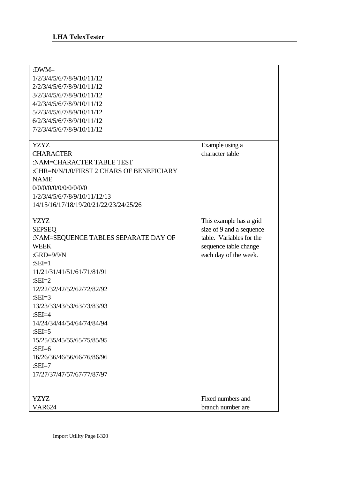| : $DWM =$<br>1/2/3/4/5/6/7/8/9/10/11/12<br>2/2/3/4/5/6/7/8/9/10/11/12<br>3/2/3/4/5/6/7/8/9/10/11/12<br>4/2/3/4/5/6/7/8/9/10/11/12<br>5/2/3/4/5/6/7/8/9/10/11/12<br>6/2/3/4/5/6/7/8/9/10/11/12<br>7/2/3/4/5/6/7/8/9/10/11/12                                                                                                                                                                                      |                                                                                                                                   |
|------------------------------------------------------------------------------------------------------------------------------------------------------------------------------------------------------------------------------------------------------------------------------------------------------------------------------------------------------------------------------------------------------------------|-----------------------------------------------------------------------------------------------------------------------------------|
| <b>YZYZ</b><br><b>CHARACTER</b><br>:NAM=CHARACTER TABLE TEST<br>:CHR=N/N/1/0/FIRST 2 CHARS OF BENEFICIARY<br><b>NAME</b><br>0/0/0/0/0/0/0/0/0/0/0<br>1/2/3/4/5/6/7/8/9/10/11/12/13<br>14/15/16/17/18/19/20/21/22/23/24/25/26                                                                                                                                                                                     | Example using a<br>character table                                                                                                |
| <b>YZYZ</b><br><b>SEPSEQ</b><br>:NAM=SEQUENCE TABLES SEPARATE DAY OF<br><b>WEEK</b><br>: $GRD=9/9/N$<br>: $SEI=1$<br>11/21/31/41/51/61/71/81/91<br>: $SEI=2$<br>12/22/32/42/52/62/72/82/92<br>: $SEI=3$<br>13/23/33/43/53/63/73/83/93<br>: $SEI=4$<br>14/24/34/44/54/64/74/84/94<br>: $SEI = 5$<br>15/25/35/45/55/65/75/85/95<br>: $SEI=6$<br>16/26/36/46/56/66/76/86/96<br>:SEI=7<br>17/27/37/47/57/67/77/87/97 | This example has a grid<br>size of 9 and a sequence<br>table. Variables for the<br>sequence table change<br>each day of the week. |
| YZYZ<br><b>VAR624</b>                                                                                                                                                                                                                                                                                                                                                                                            | Fixed numbers and<br>branch number are                                                                                            |